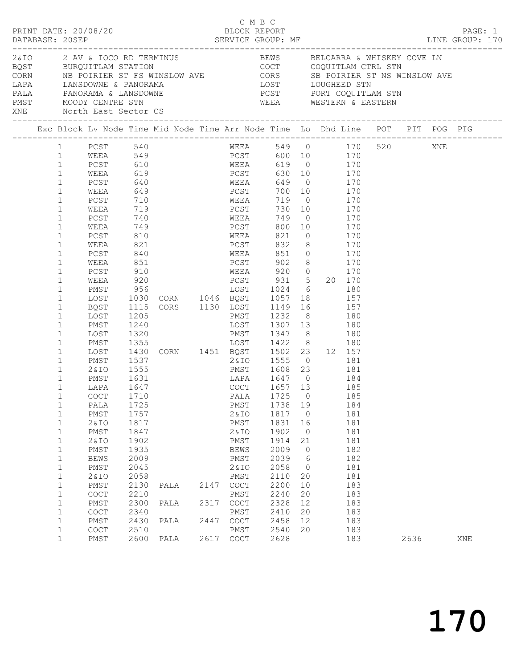|                                                                                                                                                                                                                                                                                                                                                                                                                                                                                                                                                                                                                                                    |      | PRINT DATE: 20/08/20                                                                                                                                                                                                                                                                                                                                                |                                                                                                                                                                                                                                                                                 |                                                                                                                  |                      | C M B C<br>BLOCK REPORT                                                                                                                                                                                                                                                                                                                                                                                                                                                                                                                                                                                    |                                                                                                                                                                                                |                                                                                                                       |                                                             |                                                                                                                            |      | PAGE: 1 |
|----------------------------------------------------------------------------------------------------------------------------------------------------------------------------------------------------------------------------------------------------------------------------------------------------------------------------------------------------------------------------------------------------------------------------------------------------------------------------------------------------------------------------------------------------------------------------------------------------------------------------------------------------|------|---------------------------------------------------------------------------------------------------------------------------------------------------------------------------------------------------------------------------------------------------------------------------------------------------------------------------------------------------------------------|---------------------------------------------------------------------------------------------------------------------------------------------------------------------------------------------------------------------------------------------------------------------------------|------------------------------------------------------------------------------------------------------------------|----------------------|------------------------------------------------------------------------------------------------------------------------------------------------------------------------------------------------------------------------------------------------------------------------------------------------------------------------------------------------------------------------------------------------------------------------------------------------------------------------------------------------------------------------------------------------------------------------------------------------------------|------------------------------------------------------------------------------------------------------------------------------------------------------------------------------------------------|-----------------------------------------------------------------------------------------------------------------------|-------------------------------------------------------------|----------------------------------------------------------------------------------------------------------------------------|------|---------|
|                                                                                                                                                                                                                                                                                                                                                                                                                                                                                                                                                                                                                                                    |      | XNE North East Sector CS                                                                                                                                                                                                                                                                                                                                            |                                                                                                                                                                                                                                                                                 |                                                                                                                  |                      | WEEA WESTERN & EASTERN                                                                                                                                                                                                                                                                                                                                                                                                                                                                                                                                                                                     |                                                                                                                                                                                                |                                                                                                                       |                                                             |                                                                                                                            |      |         |
|                                                                                                                                                                                                                                                                                                                                                                                                                                                                                                                                                                                                                                                    |      |                                                                                                                                                                                                                                                                                                                                                                     |                                                                                                                                                                                                                                                                                 |                                                                                                                  |                      |                                                                                                                                                                                                                                                                                                                                                                                                                                                                                                                                                                                                            |                                                                                                                                                                                                |                                                                                                                       |                                                             |                                                                                                                            |      |         |
| $\mathbf{1}$<br>1<br>$\mathbf{1}$<br>$\mathbf{1}$<br>$\mathbf{1}$<br>$\mathbf{1}$<br>$\mathbf{1}$<br>$\mathbf 1$<br>$\mathbf 1$<br>$\mathbf 1$<br>$\mathbf{1}$<br>$\mathbf 1$<br>$\mathbf{1}$<br>$\mathbf 1$<br>$\mathbf{1}$<br>$\mathbf 1$<br>$\mathbf 1$<br>$\mathbf{1}$<br>$\mathbf{1}$<br>$\mathbf 1$<br>$\mathbf 1$<br>$\mathbf 1$<br>$\mathbf 1$<br>$\mathbf 1$<br>$\mathbf{1}$<br>$\mathbf{1}$<br>$\mathbf{1}$<br>$\mathbf 1$<br>1<br>1<br>$\mathbf 1$<br>$\mathbf 1$<br>$\mathbf 1$<br>$\mathbf 1$<br>$\mathbf 1$<br>$\mathbf 1$<br>$\mathbf 1$<br>$\mathbf 1$<br>$\mathbf 1$<br>$\mathbf{1}$<br>$\mathbf 1$<br>$\mathbf 1$<br>$\mathbf 1$ | WEEA | PCST 540<br>WEEA 549<br>PCST 610<br>PCST<br>WEEA<br>PCST<br>WEEA<br>PCST<br>WEEA<br>PCST<br>WEEA<br>PCST<br>WEEA<br>PCST<br>WEEA<br>PMST<br>LOST<br>BQST<br>LOST<br>PMST<br>LOST<br>PMST<br>LOST<br>PMST<br>2 & I O<br>PMST<br>LAPA<br>COCT 1710<br>PALA<br>PMST<br>2& IO<br>PMST<br>2& IO<br>PMST<br>BEWS<br>PMST<br>2& IO<br>PMST<br>COCT<br>PMST<br>COCT<br>PMST | 640<br>649<br>710<br>719<br>740<br>749<br>810<br>821<br>840<br>851<br>910<br>920<br>956<br>1030<br>1115<br>1205<br>1240<br>1320<br>1537<br>1555<br>1631<br>1647<br>1725<br>1757<br>1817<br>1847<br>1902<br>1935<br>2009<br>2045<br>2058<br>2130<br>2210<br>2300<br>2340<br>2430 | 619<br>1024 6 180<br>CORN 1046 BOST 1057 18 157<br>CORS 1130 LOST 1149 16<br>PMST 1232 8<br>PALA<br>PALA<br>PALA | 2147<br>2317<br>2447 | WEEA 549 0 170 520 XNE<br>PCST 600 10 170<br>WEEA 619 0 170<br>PCST<br>WEEA 649 0 170<br>PCST 700 10<br>WEEA 719 0<br>PCST<br>WEEA<br>PCST 800 10 170<br>WEEA 821 0 170<br>PCST<br>WEEA 851 0 170<br>PCST 902 8 170<br>WEEA 920 0 170<br>PCST 931 5 20 170<br>LOST 1307 13 180<br>PMST 1347 8<br>PMST 1608 23 181<br>LAPA 1647 0<br>COCT 1657 13<br>LAPA 1647 0 104<br>COCT 1657 13 185<br>PALA 1725 0 185<br>PMST<br>2&IO<br>PMST<br>2 & IO<br>PMST<br>BEWS<br>PMST<br>2 & IO<br>PMST<br>$\mathtt{C}\mathtt{O}\mathtt{C}\mathtt{T}$<br>PMST<br>$\mathtt{C}\mathtt{O}\mathtt{C}\mathtt{T}$<br>PMST<br>COCT | LOST 1024 6 180<br>LOST 1149 16 157<br>PMST 1232 8 180<br>2&IO 1555 0 181<br>1738 19<br>1817 0<br>1831<br>1902<br>1914<br>2009<br>2039<br>2058<br>2110<br>2200<br>2240<br>2328<br>2410<br>2458 | 16<br>$\overline{0}$<br>21<br>$\overline{0}$<br>$6\overline{6}$<br>$\overline{0}$<br>20<br>10<br>20<br>12<br>20<br>12 | 630 10 170<br>730 10 170<br>749 0 170<br>$832$ 8 170<br>180 | 170<br>170<br>184<br>185<br>184<br>181<br>181<br>181<br>181<br>182<br>182<br>181<br>181<br>183<br>183<br>183<br>183<br>183 |      |         |
| $\mathbf 1$<br>$\mathbf{1}$                                                                                                                                                                                                                                                                                                                                                                                                                                                                                                                                                                                                                        |      | COCT<br>PMST                                                                                                                                                                                                                                                                                                                                                        | 2510<br>2600                                                                                                                                                                                                                                                                    | PALA                                                                                                             |                      | PMST<br>2617 COCT                                                                                                                                                                                                                                                                                                                                                                                                                                                                                                                                                                                          | 2540<br>2628                                                                                                                                                                                   | 20                                                                                                                    |                                                             | 183<br>183                                                                                                                 | 2636 | XNE     |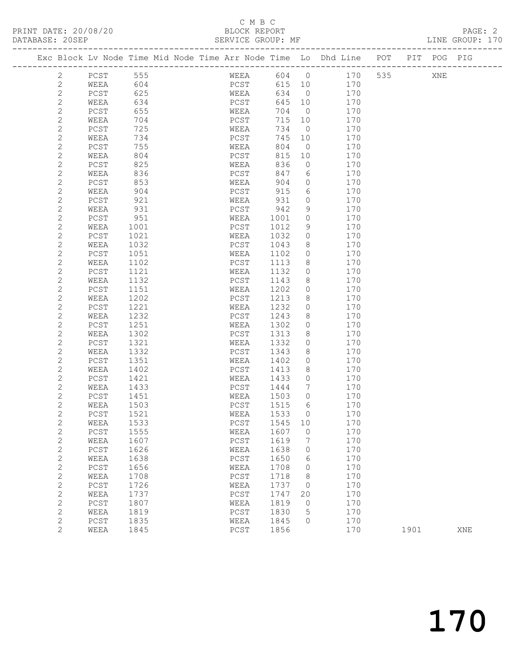## C M B C<br>BLOCK REPORT

 2 PCST 1121 WEEA 1132 0 170 2 WEEA 1132 PCST 1143 8 170

 2 PCST 1221 WEEA 1232 0 170 2 WEEA 1232 PCST 1243 8 170 2 PCST 1251 WEEA 1302 0 170 2 WEEA 1302 PCST 1313 8 170

2 WEEA 1132 PCST 1143 8 170<br>
2 PCST 1151 WEEA 1202 0 170<br>
2 WEEA 1202 PCST 1213 8 170 2 WEEA 1202 PCST 1213 8 170<br>2 PCST 1221 WEEA 1232 0 170

| DATABASE: 20SEP       |      |      |  | SERVICE GROUP: MF |      |                |                                                                                |                      |  | LINE GROUP: 170 |  |
|-----------------------|------|------|--|-------------------|------|----------------|--------------------------------------------------------------------------------|----------------------|--|-----------------|--|
|                       |      |      |  |                   |      |                | Exc Block Lv Node Time Mid Node Time Arr Node Time Lo Dhd Line POT PIT POG PIG | -------------------- |  |                 |  |
| $\mathbf{2}^{\circ}$  | PCST | 555  |  | WEEA              |      |                | 604 0 170 535 XNE                                                              |                      |  |                 |  |
| $\overline{2}$        | WEEA | 604  |  | PCST              |      |                | 615 10<br>170                                                                  |                      |  |                 |  |
| $\overline{c}$        | PCST | 625  |  | WEEA              | 634  | $\overline{0}$ | 170                                                                            |                      |  |                 |  |
| 2                     | WEEA | 634  |  | PCST              | 645  |                | 170<br>10                                                                      |                      |  |                 |  |
| $\overline{c}$        | PCST | 655  |  | WEEA              | 704  | $\overline{0}$ | 170                                                                            |                      |  |                 |  |
| 2                     | WEEA | 704  |  | PCST              | 715  | 10             | 170                                                                            |                      |  |                 |  |
| 2                     | PCST | 725  |  | WEEA              | 734  | $\overline{0}$ | 170                                                                            |                      |  |                 |  |
| $\mathbf{2}^{\prime}$ | WEEA | 734  |  | PCST              | 745  | 10             | 170                                                                            |                      |  |                 |  |
| 2                     | PCST | 755  |  | WEEA              | 804  | $\bigcirc$     | 170                                                                            |                      |  |                 |  |
| $\overline{2}$        | WEEA | 804  |  | PCST              | 815  | 10             | 170                                                                            |                      |  |                 |  |
| $\overline{2}$        | PCST | 825  |  | WEEA              | 836  | $\overline{0}$ | 170                                                                            |                      |  |                 |  |
| 2                     | WEEA | 836  |  | PCST              | 847  | 6              | 170                                                                            |                      |  |                 |  |
| 2                     | PCST | 853  |  | WEEA              | 904  | $\circ$        | 170                                                                            |                      |  |                 |  |
| 2                     | WEEA | 904  |  | PCST              | 915  | 6              | 170                                                                            |                      |  |                 |  |
| 2                     | PCST | 921  |  | WEEA              | 931  | $\Omega$       | 170                                                                            |                      |  |                 |  |
| $\overline{2}$        | WEEA | 931  |  | PCST              | 942  | 9              | 170                                                                            |                      |  |                 |  |
| 2                     | PCST | 951  |  | WEEA              | 1001 | $\circ$        | 170                                                                            |                      |  |                 |  |
| 2                     | WEEA | 1001 |  | PCST              | 1012 | 9              | 170                                                                            |                      |  |                 |  |
| $\mathbf{2}^{\prime}$ | PCST | 1021 |  | WEEA              | 1032 | $\circ$        | 170                                                                            |                      |  |                 |  |
| 2                     | WEEA | 1032 |  | PCST              | 1043 | 8              | 170                                                                            |                      |  |                 |  |
| $\mathbf{2}$          | PCST | 1051 |  | WEEA              | 1102 | $\circ$        | 170                                                                            |                      |  |                 |  |
| $\overline{2}$        | WEEA | 1102 |  | PCST              | 1113 | 8              | 170                                                                            |                      |  |                 |  |

| 2 | PCST | 1321 | WEEA | 1332 | 0            | 170 |      |     |
|---|------|------|------|------|--------------|-----|------|-----|
| 2 | WEEA | 1332 | PCST | 1343 | 8            | 170 |      |     |
| 2 | PCST | 1351 | WEEA | 1402 | 0            | 170 |      |     |
| 2 | WEEA | 1402 | PCST | 1413 | 8            | 170 |      |     |
| 2 | PCST | 1421 | WEEA | 1433 | 0            | 170 |      |     |
| 2 | WEEA | 1433 | PCST | 1444 |              | 170 |      |     |
| 2 | PCST | 1451 | WEEA | 1503 | 0            | 170 |      |     |
| 2 | WEEA | 1503 | PCST | 1515 | 6            | 170 |      |     |
| 2 | PCST | 1521 | WEEA | 1533 | 0            | 170 |      |     |
| 2 | WEEA | 1533 | PCST | 1545 | 10           | 170 |      |     |
| 2 | PCST | 1555 | WEEA | 1607 | $\mathbf{0}$ | 170 |      |     |
| 2 | WEEA | 1607 | PCST | 1619 | 7            | 170 |      |     |
| 2 | PCST | 1626 | WEEA | 1638 | 0            | 170 |      |     |
| 2 | WEEA | 1638 | PCST | 1650 | 6            | 170 |      |     |
| 2 | PCST | 1656 | WEEA | 1708 | $\mathbf{0}$ | 170 |      |     |
| 2 | WEEA | 1708 | PCST | 1718 | 8            | 170 |      |     |
| 2 | PCST | 1726 | WEEA | 1737 | 0            | 170 |      |     |
| 2 | WEEA | 1737 | PCST | 1747 | 20           | 170 |      |     |
| 2 | PCST | 1807 | WEEA | 1819 | $\circ$      | 170 |      |     |
| 2 | WEEA | 1819 | PCST | 1830 | 5            | 170 |      |     |
| 2 | PCST | 1835 | WEEA | 1845 | $\mathbf{0}$ | 170 |      |     |
| 2 | WEEA | 1845 | PCST | 1856 |              | 170 | 1901 | XNE |
|   |      |      |      |      |              |     |      |     |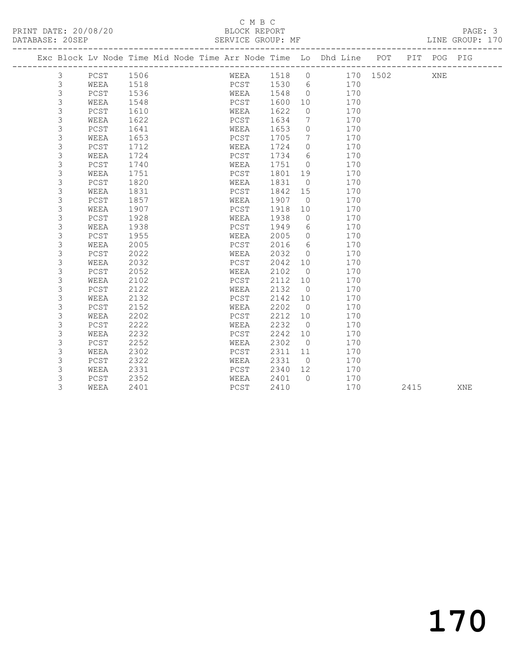|             |              |      |  |      |      |                | Exc Block Lv Node Time Mid Node Time Arr Node Time Lo Dhd Line | POT      | PIT  | POG | PIG |
|-------------|--------------|------|--|------|------|----------------|----------------------------------------------------------------|----------|------|-----|-----|
| 3           | PCST         | 1506 |  | WEEA | 1518 | $\circ$        |                                                                | 170 1502 |      | XNE |     |
| 3           | WEEA         | 1518 |  | PCST | 1530 | 6              | 170                                                            |          |      |     |     |
| $\mathsf 3$ | PCST         | 1536 |  | WEEA | 1548 | $\circ$        | 170                                                            |          |      |     |     |
| 3           | WEEA         | 1548 |  | PCST | 1600 | 10             | 170                                                            |          |      |     |     |
| 3           | PCST         | 1610 |  | WEEA | 1622 | $\circ$        | 170                                                            |          |      |     |     |
| 3           | WEEA         | 1622 |  | PCST | 1634 | 7              | 170                                                            |          |      |     |     |
| 3           | PCST         | 1641 |  | WEEA | 1653 | $\circ$        | 170                                                            |          |      |     |     |
| 3           | WEEA         | 1653 |  | PCST | 1705 | 7              | 170                                                            |          |      |     |     |
| 3           | ${\tt PCST}$ | 1712 |  | WEEA | 1724 | $\circ$        | 170                                                            |          |      |     |     |
| 3           | WEEA         | 1724 |  | PCST | 1734 | 6              | 170                                                            |          |      |     |     |
| 3           | ${\tt PCST}$ | 1740 |  | WEEA | 1751 | $\Omega$       | 170                                                            |          |      |     |     |
| 3           | WEEA         | 1751 |  | PCST | 1801 | 19             | 170                                                            |          |      |     |     |
| 3           | PCST         | 1820 |  | WEEA | 1831 | $\overline{0}$ | 170                                                            |          |      |     |     |
| 3           | WEEA         | 1831 |  | PCST | 1842 | 15             | 170                                                            |          |      |     |     |
| 3           | PCST         | 1857 |  | WEEA | 1907 | $\overline{0}$ | 170                                                            |          |      |     |     |
| 3           | WEEA         | 1907 |  | PCST | 1918 | 10             | 170                                                            |          |      |     |     |
| 3           | PCST         | 1928 |  | WEEA | 1938 | $\circ$        | 170                                                            |          |      |     |     |
| $\mathsf 3$ | WEEA         | 1938 |  | PCST | 1949 | 6              | 170                                                            |          |      |     |     |
| 3           | PCST         | 1955 |  | WEEA | 2005 | $\circ$        | 170                                                            |          |      |     |     |
| 3           | WEEA         | 2005 |  | PCST | 2016 | 6              | 170                                                            |          |      |     |     |
| 3           | PCST         | 2022 |  | WEEA | 2032 | $\overline{0}$ | 170                                                            |          |      |     |     |
| 3           | WEEA         | 2032 |  | PCST | 2042 | 10             | 170                                                            |          |      |     |     |
| 3           | PCST         | 2052 |  | WEEA | 2102 | $\overline{0}$ | 170                                                            |          |      |     |     |
| 3           | WEEA         | 2102 |  | PCST | 2112 | 10             | 170                                                            |          |      |     |     |
| 3           | PCST         | 2122 |  | WEEA | 2132 | $\overline{0}$ | 170                                                            |          |      |     |     |
| 3           | WEEA         | 2132 |  | PCST | 2142 | 10             | 170                                                            |          |      |     |     |
| 3           | PCST         | 2152 |  | WEEA | 2202 | $\overline{0}$ | 170                                                            |          |      |     |     |
| 3           | WEEA         | 2202 |  | PCST | 2212 | 10             | 170                                                            |          |      |     |     |
| 3           | PCST         | 2222 |  | WEEA | 2232 | $\circ$        | 170                                                            |          |      |     |     |
| $\mathsf 3$ | WEEA         | 2232 |  | PCST | 2242 | 10             | 170                                                            |          |      |     |     |
| 3           | PCST         | 2252 |  | WEEA | 2302 | $\overline{0}$ | 170                                                            |          |      |     |     |
| 3           | WEEA         | 2302 |  | PCST | 2311 | 11             | 170                                                            |          |      |     |     |
| 3           | PCST         | 2322 |  | WEEA | 2331 | $\overline{0}$ | 170                                                            |          |      |     |     |
| 3           | WEEA         | 2331 |  | PCST | 2340 | 12             | 170                                                            |          |      |     |     |
| 3           | PCST         | 2352 |  | WEEA | 2401 | $\bigcap$      | 170                                                            |          |      |     |     |
| 3           | WEEA         | 2401 |  | PCST | 2410 |                | 170                                                            |          | 2415 |     | XNE |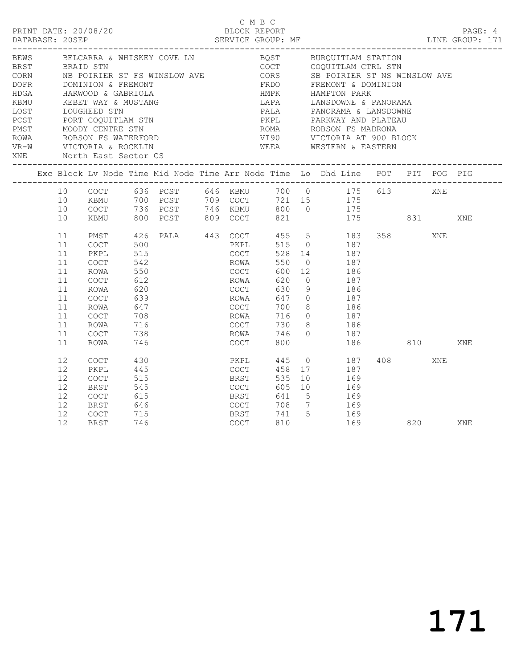|                             |                                                                            | PRINT DATE: 20/08/20                                                                                                                                                                                                                                                     |                                                                                  |                                                                                                                                                        | C M B C<br>BLOCK REPORT                                                                      |                                                                    |     |                                                                                                                                                                                                                                                                                                                                                               |                   |                                                                                                                                                                                                                                                                                               |            |     | PAGE: 4<br>DESCRIPTION DESCRIPTION DESCRIPTION DESCRIPTION DESCRIPTION DESCRIPTIONS DESCRIPTIONS DESCRIPTIONS DESCRIPTION<br>PERVICE GROUP: MF DATABASE: 20SEP DESCRIPTIONS DESCRIPTIONS DESCRIPTIONS DESCRIPTIONS DESCRIPTIONS DESCRIPTION |
|-----------------------------|----------------------------------------------------------------------------|--------------------------------------------------------------------------------------------------------------------------------------------------------------------------------------------------------------------------------------------------------------------------|----------------------------------------------------------------------------------|--------------------------------------------------------------------------------------------------------------------------------------------------------|----------------------------------------------------------------------------------------------|--------------------------------------------------------------------|-----|---------------------------------------------------------------------------------------------------------------------------------------------------------------------------------------------------------------------------------------------------------------------------------------------------------------------------------------------------------------|-------------------|-----------------------------------------------------------------------------------------------------------------------------------------------------------------------------------------------------------------------------------------------------------------------------------------------|------------|-----|---------------------------------------------------------------------------------------------------------------------------------------------------------------------------------------------------------------------------------------------|
| <b>BEWS</b><br>HDGA<br>KBMU |                                                                            | DOFR DOMINION & FREMONT<br>HARWOOD & GABRIOLA<br>KEBET WAY & MUSTANG<br>LOST LOUGHEED STN<br>PCST PORT COQUITLAM STN<br>PMST MOODY CENTRE STN<br>ROWA ROBSON FS WATERFORD<br>VR-W VICTORIA & ROCKLIN<br>XNE North East Sector CS<br>____________________________________ |                                                                                  | BELCARRA & WHISKEY COVE LN<br>BRST BRAID STN<br>CORN NB POIRIER ST FS WINSLOW AVE                                                                      |                                                                                              |                                                                    |     |                                                                                                                                                                                                                                                                                                                                                               |                   | BQST BURQUITLAM STATION<br>COCT COQUITLAM CTRL STN<br>CORS SB POIRIER ST NS WINSLOW AVE<br>FRDO FREMONT & DOMINION<br>HMPK           HAMPTON  PARK<br>LAPA           LANSDOWNE  &  PANORAMA<br>ROMA ROBSON FS MADRONA<br>VI90         VICTORIA AT 900 BLOCK<br>WEEA         WESTERN & EASTERN |            |     |                                                                                                                                                                                                                                             |
|                             |                                                                            |                                                                                                                                                                                                                                                                          |                                                                                  | Exc Block Lv Node Time Mid Node Time Arr Node Time Lo Dhd Line POT PIT POG PIG                                                                         |                                                                                              |                                                                    |     |                                                                                                                                                                                                                                                                                                                                                               |                   |                                                                                                                                                                                                                                                                                               |            |     |                                                                                                                                                                                                                                             |
|                             | 10<br>10<br>10                                                             |                                                                                                                                                                                                                                                                          |                                                                                  | 10 COCT 636 PCST 646 KBMU 700 0 175 613 XNE<br>KBMU 700 PCST 709 COCT 721 15 175<br>COCT 736 PCST 746 KBMU 800 0 175<br>KBMU 800 PCST 809 COCT 821 175 |                                                                                              |                                                                    |     |                                                                                                                                                                                                                                                                                                                                                               |                   | 175 831                                                                                                                                                                                                                                                                                       |            |     | XNE                                                                                                                                                                                                                                         |
|                             | 11<br>11<br>11<br>11<br>11<br>11<br>11<br>11<br>11<br>11<br>11<br>11<br>11 | PMST<br>COCT<br>PKPL<br>COCT<br>ROWA<br>COCT<br>ROWA<br>COCT<br>ROWA<br>COCT<br>ROWA<br>COCT<br>ROWA                                                                                                                                                                     | 500<br>515<br>542<br>550<br>612<br>620<br>639<br>647<br>708<br>716<br>738<br>746 | 426 PALA 443 COCT                                                                                                                                      | PKPL<br>COCT<br>ROWA<br>COCT<br>ROWA<br>COCT<br>ROWA<br>COCT<br>ROWA<br>COCT<br>ROWA<br>COCT | 528<br>550<br>600<br>620<br>630<br>647<br>700<br>716<br>730<br>800 | 746 | 455 5 183<br>515 0 187<br>$\begin{array}{cc} 14 & \hspace{1.5cm} 187 \\ \hspace{1.5cm} 0 & \hspace{1.5cm} 187 \end{array}$<br>12 186<br>$\Omega$<br>9<br>$\begin{array}{ccc} 0 & \quad & 187 \\ 8 & \quad & 186 \end{array}$<br>$\begin{array}{ccc} 0 & 187 \end{array}$<br>$\begin{array}{ccc} 8 & \hspace{1.5cm} 186 \\ 0 & \hspace{1.5cm} 187 \end{array}$ | 187<br>186        | 186 810                                                                                                                                                                                                                                                                                       | 358 XNE    |     | XNE                                                                                                                                                                                                                                         |
|                             | 12<br>12<br>12<br>12<br>12<br>12<br>12<br>12 <sup>2</sup>                  | <b>COCT</b><br>PKPL<br>COCT<br>BRST<br>COCT<br>BRST<br>COCT<br><b>BRST</b>                                                                                                                                                                                               | 430<br>445<br>515<br>545<br>615<br>646<br>715<br>746                             |                                                                                                                                                        | PKPL<br>COCT<br><b>BRST</b><br>COCT<br>BRST<br>COCT<br><b>BRST</b><br>COCT                   | 445<br>458<br>535<br>605<br>810                                    |     | $0$ 187<br>17<br>10<br>10 169<br>641 5 169<br>708 7 169<br>741 5 169                                                                                                                                                                                                                                                                                          | 187<br>169<br>169 |                                                                                                                                                                                                                                                                                               | 408<br>820 | XNE | XNE                                                                                                                                                                                                                                         |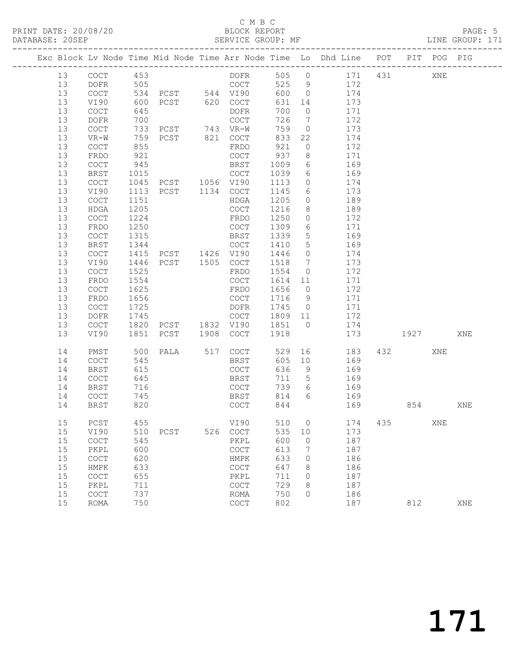#### C M B C<br>BLOCK REPORT SERVICE GROUP: MF

|    |                                            |      |                        |                                            |        |                 | Exc Block Lv Node Time Mid Node Time Arr Node Time Lo Dhd Line POT |      | PIT POG PIG |     |
|----|--------------------------------------------|------|------------------------|--------------------------------------------|--------|-----------------|--------------------------------------------------------------------|------|-------------|-----|
| 13 | COCT 453                                   |      |                        | DOFR                                       |        |                 | 505 0 171 431                                                      |      | XNE         |     |
| 13 | DOFR                                       | 505  |                        | COCT                                       |        |                 | 525 9 172                                                          |      |             |     |
| 13 | COCT                                       |      | 534 PCST 544 VI90      |                                            | 600 0  |                 | 174                                                                |      |             |     |
| 13 | VI90                                       | 600  | PCST 620 COCT          |                                            | 631    | 14              | 173                                                                |      |             |     |
| 13 | COCT                                       | 645  |                        | DOFR                                       | 700    | $\overline{0}$  | 171                                                                |      |             |     |
| 13 | DOFR                                       | 700  |                        | COCT                                       | 726    | $\overline{7}$  | 172                                                                |      |             |     |
| 13 | COCT                                       |      | 733 PCST 743 VR-W      |                                            | 759    |                 | $0$ 173                                                            |      |             |     |
| 13 | VR-W                                       | 759  | PCST 821 COCT          |                                            | 833    | 22              | 174                                                                |      |             |     |
| 13 | COCT                                       | 855  |                        | FRDO                                       | 921    | $\overline{O}$  | 172                                                                |      |             |     |
| 13 | FRDO                                       | 921  |                        | COCT                                       | 937    | 8 <sup>8</sup>  | 171                                                                |      |             |     |
| 13 | COCT                                       | 945  |                        | BRST                                       | 1009   | $6\overline{6}$ | 169                                                                |      |             |     |
| 13 | BRST                                       |      |                        | COCT                                       | 1039   | $6\overline{6}$ | 169                                                                |      |             |     |
| 13 | COCT                                       |      |                        |                                            | 1113   | $\overline{0}$  | 174                                                                |      |             |     |
| 13 | VI90                                       |      |                        |                                            | 1145   | $6\overline{6}$ | 173                                                                |      |             |     |
| 13 | COCT                                       | 1151 |                        | HDGA                                       | 1205   | $\overline{0}$  | 189                                                                |      |             |     |
| 13 | HDGA                                       | 1205 |                        | COCT                                       | 1216   | 8 <sup>8</sup>  | 189                                                                |      |             |     |
| 13 | COCT                                       | 1224 |                        | FRDO                                       | 1250   | $\overline{0}$  | 172                                                                |      |             |     |
| 13 | FRDO                                       | 1250 |                        | COCT                                       | 1309   | $6\overline{6}$ | 171                                                                |      |             |     |
| 13 | COCT                                       | 1315 |                        | BRST                                       | 1339   | $5\overline{)}$ | 169                                                                |      |             |     |
| 13 | BRST                                       | 1344 |                        | COCT                                       | 1410   | $5\overline{)}$ | 169                                                                |      |             |     |
| 13 | $\mathtt{C}\mathtt{O}\mathtt{C}\mathtt{T}$ | 1415 | COCT<br>PCST 1426 VI90 |                                            | 1446   | $\overline{0}$  | 174                                                                |      |             |     |
| 13 | VI90                                       | 1446 | PCST 1505 COCT         |                                            | 1518 7 |                 | 173                                                                |      |             |     |
| 13 | COCT                                       | 1525 |                        | FRDO                                       | 1554   | $\overline{0}$  | 172                                                                |      |             |     |
| 13 | FRDO                                       | 1554 |                        | COCT                                       | 1614   | 11              | 171                                                                |      |             |     |
| 13 | COCT                                       | 1625 |                        | FRDO                                       | 1656 0 |                 | 172                                                                |      |             |     |
| 13 | FRDO                                       | 1656 |                        | COCT                                       | 1716 9 |                 | 171                                                                |      |             |     |
| 13 | COCT                                       | 1725 |                        | DOFR                                       |        |                 | 1745 0 171                                                         |      |             |     |
| 13 | DOFR                                       | 1745 |                        | COCT 1809 11                               |        |                 | 172                                                                |      |             |     |
| 13 | COCT                                       | 1820 | PCST 1832 VI90         |                                            | 1851 0 |                 | 174                                                                |      |             |     |
| 13 | VI90                                       |      | 1851 PCST 1908 COCT    |                                            | 1918   |                 | 173                                                                | 1927 |             | XNE |
| 14 | PMST                                       | 500  |                        | PALA 517 COCT                              | 529    |                 | 16 183                                                             | 432  | XNE         |     |
| 14 | COCT                                       | 545  |                        | BRST                                       | 605    | 10              | 169                                                                |      |             |     |
| 14 | <b>BRST</b>                                | 615  |                        | COCT                                       | 636    | 9               | 169                                                                |      |             |     |
| 14 | COCT                                       | 645  |                        | BRST                                       | 711 5  |                 | $\frac{1}{169}$                                                    |      |             |     |
| 14 | BRST                                       | 716  |                        | COCT                                       | 739    |                 | 6 169                                                              |      |             |     |
| 14 | COCT                                       | 745  |                        | <b>BRST</b>                                |        |                 | 814 6 169                                                          |      |             |     |
| 14 | BRST                                       | 820  |                        | COCT                                       | 844    |                 | 169                                                                |      | 854         | XNE |
| 15 | $PCST$                                     | 455  |                        | VI90                                       |        |                 | 510 0 174 435                                                      |      | XNE         |     |
| 15 | VI90                                       | 510  | PCST                   | 526 COCT                                   | 535    | 10              | 173                                                                |      |             |     |
| 15 | COCT                                       | 545  |                        | PKPL                                       | 600    | $\overline{0}$  | 187                                                                |      |             |     |
| 15 | PKPL                                       | 600  |                        | COCT                                       | 613    | 7               | 187                                                                |      |             |     |
| 15 | COCT                                       | 620  |                        | HMPK                                       | 633    | $\circ$         | 186                                                                |      |             |     |
| 15 | HMPK                                       | 633  |                        | COCT                                       | 647    | 8               | 186                                                                |      |             |     |
| 15 | COCT                                       | 655  |                        | PKPL                                       | 711    | 0               | 187                                                                |      |             |     |
| 15 | PKPL                                       | 711  |                        | $\mathtt{C}\mathtt{O}\mathtt{C}\mathtt{T}$ | 729    | 8               | 187                                                                |      |             |     |

15 COCT 737 ROMA 750 0 186

15 ROMA 750 COCT 802 187 812 XNE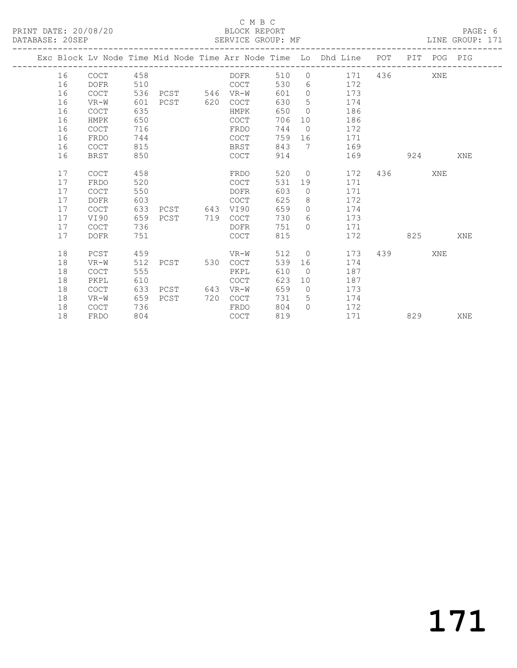|  |    |             |     |               |     |             |     |                 | Exc Block Lv Node Time Mid Node Time Arr Node Time Lo Dhd Line POT |     |     | PIT POG PIG |     |
|--|----|-------------|-----|---------------|-----|-------------|-----|-----------------|--------------------------------------------------------------------|-----|-----|-------------|-----|
|  | 16 | <b>COCT</b> | 458 |               |     | DOFR        | 510 | $\circ$         | 171                                                                | 436 |     | XNE         |     |
|  | 16 | <b>DOFR</b> | 510 |               |     | <b>COCT</b> | 530 | 6               | 172                                                                |     |     |             |     |
|  | 16 | <b>COCT</b> | 536 | PCST 546 VR-W |     |             | 601 | $\overline{0}$  | 173                                                                |     |     |             |     |
|  | 16 | VR-W        | 601 | PCST 620      |     | COCT        | 630 | 5               | 174                                                                |     |     |             |     |
|  | 16 | COCT        | 635 |               |     | HMPK        | 650 | $\overline{0}$  | 186                                                                |     |     |             |     |
|  | 16 | HMPK        | 650 |               |     | <b>COCT</b> | 706 | 10 <sup>°</sup> | 186                                                                |     |     |             |     |
|  | 16 | <b>COCT</b> | 716 |               |     | FRDO        | 744 | $\overline{0}$  | 172                                                                |     |     |             |     |
|  | 16 | FRDO        | 744 |               |     | COCT        | 759 | 16              | 171                                                                |     |     |             |     |
|  | 16 | <b>COCT</b> | 815 |               |     | BRST        | 843 | $7\overline{ }$ | 169                                                                |     |     |             |     |
|  | 16 | <b>BRST</b> | 850 |               |     | COCT        | 914 |                 | 169                                                                |     | 924 |             | XNE |
|  |    |             |     |               |     |             |     |                 |                                                                    |     |     |             |     |
|  | 17 | <b>COCT</b> | 458 |               |     | FRDO        | 520 | $\circ$         | 172                                                                | 436 |     | XNE         |     |
|  | 17 | FRDO        | 520 |               |     | <b>COCT</b> | 531 | 19              | 171                                                                |     |     |             |     |
|  | 17 | <b>COCT</b> | 550 |               |     | <b>DOFR</b> | 603 | $\circ$         | 171                                                                |     |     |             |     |
|  | 17 | <b>DOFR</b> | 603 |               |     | <b>COCT</b> | 625 | 8               | 172                                                                |     |     |             |     |
|  | 17 | <b>COCT</b> | 633 | PCST 643      |     | VI90        | 659 | $\Omega$        | 174                                                                |     |     |             |     |
|  | 17 | VI90        | 659 | PCST          | 719 | <b>COCT</b> | 730 | 6               | 173                                                                |     |     |             |     |
|  | 17 | <b>COCT</b> | 736 |               |     | DOFR        | 751 | $\Omega$        | 171                                                                |     |     |             |     |
|  | 17 | <b>DOFR</b> | 751 |               |     | <b>COCT</b> | 815 |                 | 172                                                                |     | 825 |             | XNE |
|  |    |             |     |               |     |             |     |                 |                                                                    |     |     |             |     |
|  | 18 | PCST        | 459 |               |     | VR-W        | 512 | $\overline{0}$  | 173                                                                | 439 |     | XNE         |     |
|  | 18 | $VR-W$      | 512 | PCST          | 530 | COCT        | 539 | 16              | 174                                                                |     |     |             |     |
|  | 18 | <b>COCT</b> | 555 |               |     | PKPL        | 610 | $\bigcirc$      | 187                                                                |     |     |             |     |
|  | 18 | PKPL        | 610 |               |     | COCT        | 623 | 10 <sup>°</sup> | 187                                                                |     |     |             |     |
|  | 18 | <b>COCT</b> | 633 | PCST          | 643 | VR-W        | 659 | $\overline{0}$  | 173                                                                |     |     |             |     |
|  | 18 | $VR-W$      | 659 | PCST          | 720 | COCT        | 731 | 5               | 174                                                                |     |     |             |     |
|  | 18 | <b>COCT</b> | 736 |               |     | FRDO        | 804 | $\bigcap$       | 172                                                                |     |     |             |     |
|  | 18 | FRDO        | 804 |               |     | <b>COCT</b> | 819 |                 | 171                                                                |     | 829 |             | XNE |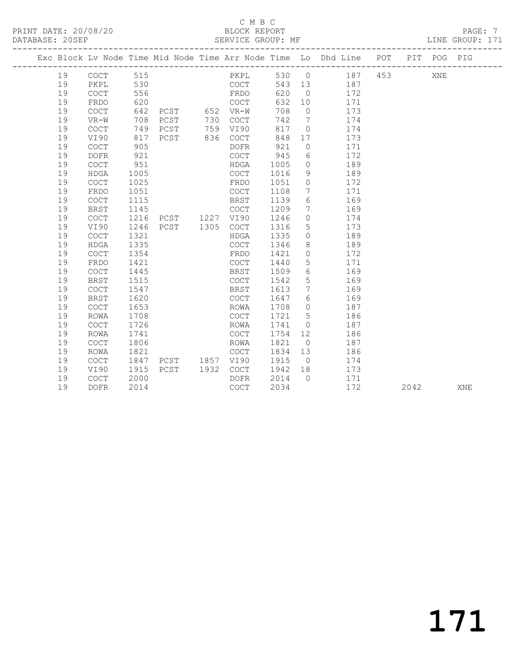|  |    |                                            |      |                |      |             |        |                 | Exc Block Lv Node Time Mid Node Time Arr Node Time Lo Dhd Line POT PIT POG PIG |     |      |     |     |
|--|----|--------------------------------------------|------|----------------|------|-------------|--------|-----------------|--------------------------------------------------------------------------------|-----|------|-----|-----|
|  | 19 | $\mathtt{C}\mathtt{O}\mathtt{C}\mathtt{T}$ | 515  |                |      | PKPL        |        |                 | 530 0 187                                                                      | 453 |      | XNE |     |
|  | 19 | PKPL                                       | 530  |                |      | COCT        | 543 13 |                 | 187                                                                            |     |      |     |     |
|  | 19 | COCT                                       | 556  |                |      | FRDO        | 620    | $\overline{0}$  | 172                                                                            |     |      |     |     |
|  | 19 | FRDO                                       | 620  |                |      | COCT        | 632    | 10              | 171                                                                            |     |      |     |     |
|  | 19 | COCT                                       | 642  | PCST 652 VR-W  |      |             | 708    | $\overline{0}$  | 173                                                                            |     |      |     |     |
|  | 19 | $VR-W$                                     | 708  | PCST           | 730  | COCT        | 742    | $7\overline{ }$ | 174                                                                            |     |      |     |     |
|  | 19 | <b>COCT</b>                                | 749  | PCST           | 759  | VI90        | 817    | $\circ$         | 174                                                                            |     |      |     |     |
|  | 19 | VI90                                       | 817  | PCST           | 836  | COCT        | 848    | 17              | 173                                                                            |     |      |     |     |
|  | 19 | COCT                                       | 905  |                |      | DOFR        | 921    | $\circ$         | 171                                                                            |     |      |     |     |
|  | 19 | <b>DOFR</b>                                | 921  |                |      | COCT        | 945    | 6               | 172                                                                            |     |      |     |     |
|  | 19 | $\mathtt{C}\mathtt{O}\mathtt{C}\mathtt{T}$ | 951  |                |      | HDGA        | 1005   | $\circ$         | 189                                                                            |     |      |     |     |
|  | 19 | <b>HDGA</b>                                | 1005 |                |      | COCT        | 1016   | 9               | 189                                                                            |     |      |     |     |
|  | 19 | <b>COCT</b>                                | 1025 |                |      | FRDO        | 1051   | $\circ$         | 172                                                                            |     |      |     |     |
|  | 19 | FRDO                                       | 1051 |                |      | COCT        | 1108   | 7               | 171                                                                            |     |      |     |     |
|  | 19 | COCT                                       | 1115 |                |      | BRST        | 1139   | 6               | 169                                                                            |     |      |     |     |
|  | 19 | <b>BRST</b>                                | 1145 |                |      | COCT        | 1209   | $7\overline{ }$ | 169                                                                            |     |      |     |     |
|  | 19 | COCT                                       | 1216 | PCST 1227 VI90 |      |             | 1246   | $\circ$         | 174                                                                            |     |      |     |     |
|  | 19 | VI90                                       | 1246 | PCST 1305      |      | COCT        | 1316   | 5               | 173                                                                            |     |      |     |     |
|  | 19 | $\mathtt{C}\mathtt{O}\mathtt{C}\mathtt{T}$ | 1321 |                |      | HDGA        | 1335   | $\circ$         | 189                                                                            |     |      |     |     |
|  | 19 | <b>HDGA</b>                                | 1335 |                |      | <b>COCT</b> | 1346   | 8               | 189                                                                            |     |      |     |     |
|  | 19 | <b>COCT</b>                                | 1354 |                |      | FRDO        | 1421   | $\circ$         | 172                                                                            |     |      |     |     |
|  | 19 | FRDO                                       | 1421 |                |      | COCT        | 1440   | $\overline{5}$  | 171                                                                            |     |      |     |     |
|  | 19 | <b>COCT</b>                                | 1445 |                |      | BRST        | 1509   | 6               | 169                                                                            |     |      |     |     |
|  | 19 | <b>BRST</b>                                | 1515 |                |      | COCT        | 1542   | 5               | 169                                                                            |     |      |     |     |
|  | 19 | <b>COCT</b>                                | 1547 |                |      | BRST        | 1613   | $7\phantom{.0}$ | 169                                                                            |     |      |     |     |
|  | 19 | <b>BRST</b>                                | 1620 |                |      | COCT        | 1647   | 6               | 169                                                                            |     |      |     |     |
|  | 19 | COCT                                       | 1653 |                |      | ROWA        | 1708   | $\circ$         | 187                                                                            |     |      |     |     |
|  | 19 | <b>ROWA</b>                                | 1708 |                |      | COCT        | 1721   | 5               | 186                                                                            |     |      |     |     |
|  | 19 | <b>COCT</b>                                | 1726 |                |      | ROWA        | 1741   | $\circ$         | 187                                                                            |     |      |     |     |
|  | 19 | <b>ROWA</b>                                | 1741 |                |      | COCT        | 1754   | 12              | 186                                                                            |     |      |     |     |
|  | 19 | <b>COCT</b>                                | 1806 |                |      | ROWA        | 1821   | $\overline{0}$  | 187                                                                            |     |      |     |     |
|  | 19 | ROWA                                       | 1821 |                |      | COCT        | 1834   | 13              | 186                                                                            |     |      |     |     |
|  | 19 | COCT                                       | 1847 | PCST 1857 VI90 |      |             | 1915   | $\overline{0}$  | 174                                                                            |     |      |     |     |
|  | 19 | VI90                                       | 1915 | PCST           | 1932 | COCT        | 1942   | 18              | 173                                                                            |     |      |     |     |
|  | 19 | <b>COCT</b>                                | 2000 |                |      | DOFR        | 2014   | $\bigcirc$      | 171                                                                            |     |      |     |     |
|  | 19 | DOFR                                       | 2014 |                |      | COCT        | 2034   |                 | 172                                                                            |     | 2042 |     | XNE |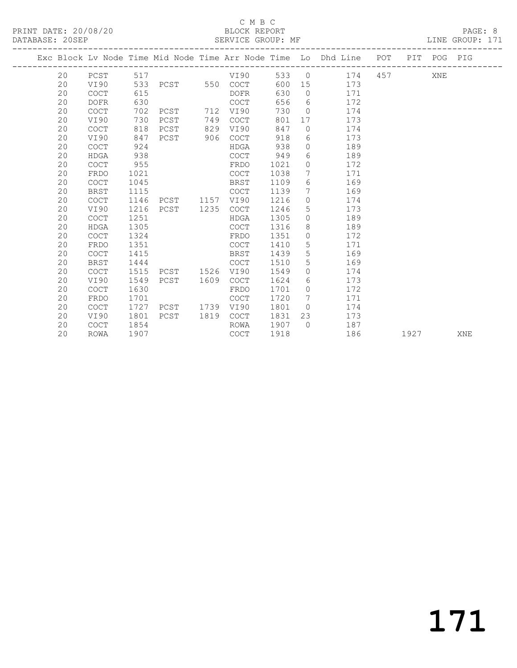|  |    |                                            |      |                   |      |             |      |                | Exc Block Lv Node Time Mid Node Time Arr Node Time Lo Dhd Line POT PIT POG PIG |           |                                                                                                                                                                                                                                 |     |     |
|--|----|--------------------------------------------|------|-------------------|------|-------------|------|----------------|--------------------------------------------------------------------------------|-----------|---------------------------------------------------------------------------------------------------------------------------------------------------------------------------------------------------------------------------------|-----|-----|
|  | 20 | PCST                                       |      |                   |      |             |      |                | 533 0 174                                                                      | 457 — 157 |                                                                                                                                                                                                                                 | XNE |     |
|  | 20 | VI90                                       |      | 533 PCST 550 COCT |      |             |      |                | 600 15 173                                                                     |           |                                                                                                                                                                                                                                 |     |     |
|  | 20 | COCT                                       | 615  |                   |      | DOFR        | 630  |                | 0 171                                                                          |           |                                                                                                                                                                                                                                 |     |     |
|  | 20 | <b>DOFR</b>                                | 630  |                   |      | COCT        | 656  |                | 172<br>$6\degree$                                                              |           |                                                                                                                                                                                                                                 |     |     |
|  | 20 | $\mathtt{C}\mathtt{O}\mathtt{C}\mathtt{T}$ | 702  | PCST              | 712  | VI90        | 730  | $\bigcirc$     | 174                                                                            |           |                                                                                                                                                                                                                                 |     |     |
|  | 20 | VI90                                       | 730  | PCST              | 749  | COCT        | 801  | 17             | 173                                                                            |           |                                                                                                                                                                                                                                 |     |     |
|  | 20 | <b>COCT</b>                                | 818  | PCST              | 829  | VI90        | 847  | $\Omega$       | 174                                                                            |           |                                                                                                                                                                                                                                 |     |     |
|  | 20 | VI90                                       | 847  | PCST              | 906  | COCT        | 918  |                | 173<br>$6 \qquad \qquad$                                                       |           |                                                                                                                                                                                                                                 |     |     |
|  | 20 | COCT                                       | 924  |                   |      | HDGA        | 938  | $\overline{0}$ | 189                                                                            |           |                                                                                                                                                                                                                                 |     |     |
|  | 20 | <b>HDGA</b>                                | 938  |                   |      | COCT        | 949  | 6              | 189                                                                            |           |                                                                                                                                                                                                                                 |     |     |
|  | 20 | <b>COCT</b>                                | 955  |                   |      | FRDO        | 1021 | $\circ$        | 172                                                                            |           |                                                                                                                                                                                                                                 |     |     |
|  | 20 | FRDO                                       | 1021 |                   |      | <b>COCT</b> | 1038 | 7              | 171                                                                            |           |                                                                                                                                                                                                                                 |     |     |
|  | 20 | <b>COCT</b>                                | 1045 |                   |      | BRST        | 1109 | 6              | 169                                                                            |           |                                                                                                                                                                                                                                 |     |     |
|  | 20 | <b>BRST</b>                                | 1115 |                   |      | <b>COCT</b> | 1139 | $7\phantom{0}$ | 169                                                                            |           |                                                                                                                                                                                                                                 |     |     |
|  | 20 | <b>COCT</b>                                | 1146 | PCST 1157         |      | VI90        | 1216 |                | $\overline{0}$<br>174                                                          |           |                                                                                                                                                                                                                                 |     |     |
|  | 20 | VI90                                       | 1216 | PCST 1235         |      | COCT        | 1246 | 5 <sup>5</sup> | 173                                                                            |           |                                                                                                                                                                                                                                 |     |     |
|  | 20 | COCT                                       | 1251 |                   |      | HDGA        | 1305 | $\circ$        | 189                                                                            |           |                                                                                                                                                                                                                                 |     |     |
|  | 20 | <b>HDGA</b>                                | 1305 |                   |      | COCT        | 1316 | 8              | 189                                                                            |           |                                                                                                                                                                                                                                 |     |     |
|  | 20 | <b>COCT</b>                                | 1324 |                   |      | FRDO        | 1351 | $\circ$        | 172                                                                            |           |                                                                                                                                                                                                                                 |     |     |
|  | 20 | FRDO                                       | 1351 |                   |      | COCT        | 1410 | 5              | 171                                                                            |           |                                                                                                                                                                                                                                 |     |     |
|  | 20 | <b>COCT</b>                                | 1415 |                   |      | BRST        | 1439 | 5              | 169                                                                            |           |                                                                                                                                                                                                                                 |     |     |
|  | 20 | <b>BRST</b>                                | 1444 |                   |      | <b>COCT</b> | 1510 | 5              | 169                                                                            |           |                                                                                                                                                                                                                                 |     |     |
|  | 20 | <b>COCT</b>                                | 1515 | PCST 1526         |      | VI90        | 1549 |                | $\Omega$<br>174                                                                |           |                                                                                                                                                                                                                                 |     |     |
|  | 20 | VI90                                       | 1549 | PCST 1609         |      | COCT        | 1624 | 6              | 173                                                                            |           |                                                                                                                                                                                                                                 |     |     |
|  | 20 | COCT                                       | 1630 |                   |      | FRDO        | 1701 | $\circ$        | 172                                                                            |           |                                                                                                                                                                                                                                 |     |     |
|  | 20 | FRDO                                       | 1701 |                   |      | <b>COCT</b> | 1720 | $7\phantom{0}$ | 171                                                                            |           |                                                                                                                                                                                                                                 |     |     |
|  | 20 | <b>COCT</b>                                | 1727 | PCST              | 1739 | VI90        | 1801 | $\Omega$       | 174                                                                            |           |                                                                                                                                                                                                                                 |     |     |
|  | 20 | VI90                                       | 1801 | PCST              | 1819 | COCT        | 1831 | 23             | 173                                                                            |           |                                                                                                                                                                                                                                 |     |     |
|  | 20 | <b>COCT</b>                                | 1854 |                   |      | ROWA        | 1907 | $\bigcap$      | 187                                                                            |           |                                                                                                                                                                                                                                 |     |     |
|  | 20 | ROWA                                       | 1907 |                   |      | COCT        | 1918 |                | 186                                                                            |           | 1927 — 1927 — 1927 — 1927 — 1927 — 1927 — 1927 — 1927 — 1927 — 1928 — 1928 — 1928 — 1928 — 1928 — 1928 — 1928 — 1928 — 1928 — 1928 — 1928 — 1929 — 1929 — 1929 — 1929 — 1929 — 1929 — 1929 — 1928 — 1928 — 1928 — 1928 — 1928 — |     | XNE |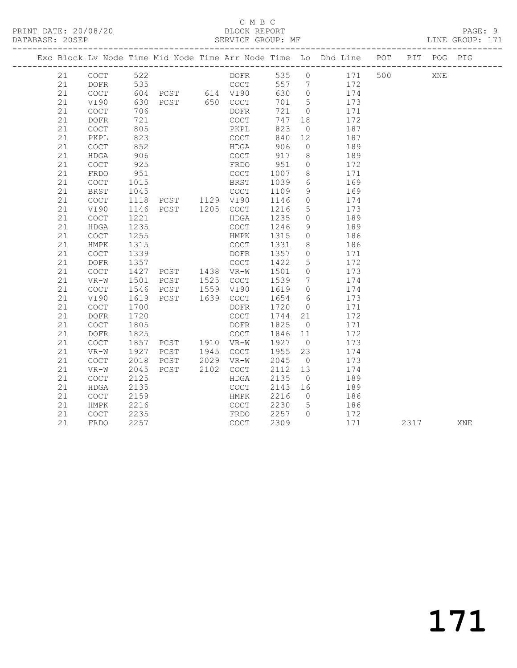|          |                                            |              |                                          |      |      |              |                                  | Exc Block Lv Node Time Mid Node Time Arr Node Time Lo Dhd Line POT PIT POG PIG |     |      |     |     |
|----------|--------------------------------------------|--------------|------------------------------------------|------|------|--------------|----------------------------------|--------------------------------------------------------------------------------|-----|------|-----|-----|
| 21       | COCT                                       | 522          |                                          |      | DOFR |              |                                  | 535 0 171                                                                      | 500 |      | XNE |     |
| 21       | DOFR                                       | 535          |                                          |      | COCT |              |                                  | 557 7 172                                                                      |     |      |     |     |
| 21       | COCT                                       |              | 604 PCST 614 VI90                        |      |      | 630          | $\overline{0}$                   | 174                                                                            |     |      |     |     |
| 21       | VI90                                       | 630          | PCST 650 COCT                            |      |      | 701          | $5\overline{)}$                  | 173                                                                            |     |      |     |     |
| 21       | $\mathtt{C}\mathtt{O}\mathtt{C}\mathtt{T}$ | 706          |                                          |      | DOFR | 721          | $\overline{0}$                   | 171                                                                            |     |      |     |     |
| 21       | DOFR                                       | 721          |                                          |      | COCT | 747          | 18                               | 172                                                                            |     |      |     |     |
| 21       | $\mathtt{C}\mathtt{O}\mathtt{C}\mathtt{T}$ | 805          |                                          |      | PKPL | 823          | $\overline{0}$                   | 187                                                                            |     |      |     |     |
| 21       | PKPL                                       | 823          |                                          |      | COCT | 840          | 12                               | 187                                                                            |     |      |     |     |
| 21       | $\mathtt{C}\mathtt{O}\mathtt{C}\mathtt{T}$ | 852          |                                          |      | HDGA | 906          | $\overline{0}$                   | 189                                                                            |     |      |     |     |
| 21       | HDGA                                       | 906          |                                          |      | COCT | 917          | 8 <sup>8</sup>                   | 189                                                                            |     |      |     |     |
| 21       | COCT                                       | 925          |                                          |      | FRDO | 951          | $\circ$                          | 172                                                                            |     |      |     |     |
| 21       | FRDO                                       | 951          |                                          |      | COCT | 1007         | 8                                | 171                                                                            |     |      |     |     |
| 21       | $\mathtt{C}\mathtt{O}\mathtt{C}\mathtt{T}$ | 1015         |                                          |      | BRST | 1039         | $6\overline{6}$                  | 169                                                                            |     |      |     |     |
| 21       | <b>BRST</b>                                | 1045         | COCT<br>PCST 1129 VI90<br>PCST 1205 COCT |      |      | 1109         | 9                                | 169                                                                            |     |      |     |     |
| 21       | COCT                                       | 1118         |                                          |      |      | 1146         | $\overline{0}$                   | 174                                                                            |     |      |     |     |
| 21       | VI90                                       | 1146         |                                          |      |      | 1216         | $5\overline{)}$                  | 173                                                                            |     |      |     |     |
| 21       | COCT                                       | 1221         |                                          |      | HDGA | 1235         | $\overline{0}$                   | 189                                                                            |     |      |     |     |
| 21       | HDGA                                       | 1235         |                                          |      | COCT | 1246         | 9                                | 189                                                                            |     |      |     |     |
| 21       | $\mathtt{C}\mathtt{O}\mathtt{C}\mathtt{T}$ | 1255         |                                          |      | HMPK | 1315         | $\overline{0}$                   | 186                                                                            |     |      |     |     |
| 21       | HMPK                                       | 1315         |                                          |      | COCT | 1331         | 8                                | 186                                                                            |     |      |     |     |
| 21       | COCT                                       | 1339         |                                          |      | DOFR | 1357         | $\overline{0}$                   | 171                                                                            |     |      |     |     |
| 21       | <b>DOFR</b>                                | 1357         | COCT<br>PCST 1438 VR-W<br>PCST 1525 COCT |      |      | 1422         | $5\overline{)}$                  | 172                                                                            |     |      |     |     |
| 21       | COCT                                       | 1427<br>1501 |                                          |      |      | 1501         | $\overline{0}$                   | 173                                                                            |     |      |     |     |
| 21<br>21 | $VR-W$<br>COCT                             | 1546         | PCST 1559 VI90                           |      |      | 1539<br>1619 | $\overline{7}$<br>$\overline{0}$ | 174<br>174                                                                     |     |      |     |     |
| 21       | VI90                                       | 1619         | PCST 1639 COCT                           |      |      | 1654         | 6                                | 173                                                                            |     |      |     |     |
| 21       | $\mathtt{C}\mathtt{O}\mathtt{C}\mathtt{T}$ | 1700         |                                          |      | DOFR | 1720         | $\overline{0}$                   | 171                                                                            |     |      |     |     |
| 21       | <b>DOFR</b>                                | 1720         |                                          |      | COCT | 1744         | 21                               | 172                                                                            |     |      |     |     |
| 21       | COCT                                       | 1805         |                                          |      | DOFR | 1825         | $\overline{0}$                   | 171                                                                            |     |      |     |     |
| 21       | <b>DOFR</b>                                | 1825         |                                          |      | COCT | 1846         | 11                               | 172                                                                            |     |      |     |     |
| 21       | COCT                                       | 1857         | PCST 1910 VR-W<br>PCST 1945 COCT         |      |      | 1927 0       |                                  | 173                                                                            |     |      |     |     |
| 21       | VR-W                                       | 1927         |                                          |      |      | 1955         | 23                               | 174                                                                            |     |      |     |     |
| 21       | <b>COCT</b>                                | 2018         | PCST 2029                                |      | VR-W | 2045         | $\overline{0}$                   | 173                                                                            |     |      |     |     |
| 21       | $VR-W$                                     | 2045         | PCST                                     | 2102 | COCT | 2112         | 13                               | 174                                                                            |     |      |     |     |
| 21       | COCT                                       | 2125         |                                          |      | HDGA | 2135         | $\overline{0}$                   | 189                                                                            |     |      |     |     |
| 21       | HDGA                                       | 2135         |                                          |      | COCT | 2143 16      |                                  | 189                                                                            |     |      |     |     |
| 21       | COCT                                       | 2159         |                                          |      | HMPK | 2216         | $\overline{0}$                   | 186                                                                            |     |      |     |     |
| 21       | HMPK                                       | 2216         |                                          |      | COCT | 2230         | $5^{\circ}$                      | 186                                                                            |     |      |     |     |
| 21       | COCT                                       | 2235         |                                          |      | FRDO | 2257 0       |                                  | 172                                                                            |     |      |     |     |
| 21       | FRDO                                       | 2257         |                                          |      | COCT | 2309         |                                  | 171                                                                            |     | 2317 |     | XNE |
|          |                                            |              |                                          |      |      |              |                                  |                                                                                |     |      |     |     |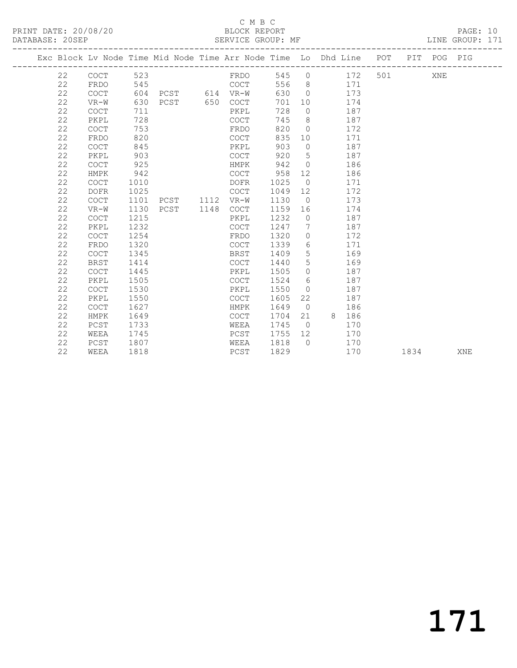## C M B C<br>BLOCK REPORT

PAGE: 10<br>LINE GROUP: 171

| Exc Block Lv Node Time Mid Node Time Arr Node Time Lo Dhd Line POT PIT POG PIG |                                            |      |                |             |      |                 |                       |     |     |  |
|--------------------------------------------------------------------------------|--------------------------------------------|------|----------------|-------------|------|-----------------|-----------------------|-----|-----|--|
| 22                                                                             | COCT                                       | 523  |                | FRDO        |      |                 | 545 0 172             | 501 | XNE |  |
| 22                                                                             | FRDO                                       | 545  |                | <b>COCT</b> |      |                 | 556 8 171             |     |     |  |
| 22                                                                             | <b>COCT</b>                                | 604  | PCST 614 VR-W  |             | 630  |                 | 0 173                 |     |     |  |
| 22                                                                             | VR-W                                       | 630  | PCST 650 COCT  |             | 701  |                 | 10 174                |     |     |  |
| 22                                                                             | <b>COCT</b>                                | 711  |                | PKPL        | 728  | $\overline{0}$  | 187                   |     |     |  |
| 22                                                                             | PKPL                                       | 728  |                | COCT        | 745  | 8 <sup>8</sup>  | 187                   |     |     |  |
| 22                                                                             | <b>COCT</b>                                | 753  |                | FRDO        | 820  | $\bigcirc$      | 172                   |     |     |  |
| 22                                                                             | FRDO                                       | 820  |                | COCT        | 835  | 10              | 171                   |     |     |  |
| 22                                                                             | COCT                                       | 845  |                | PKPL        | 903  |                 | $\overline{0}$<br>187 |     |     |  |
| 22                                                                             | PKPL                                       | 903  |                | COCT        | 920  | $5\overline{)}$ | 187                   |     |     |  |
| 22                                                                             | $\mathtt{C}\mathtt{O}\mathtt{C}\mathtt{T}$ | 925  |                | HMPK        | 942  | $\overline{0}$  | 186                   |     |     |  |
| 22                                                                             | HMPK                                       | 942  |                | COCT        | 958  | 12              | 186                   |     |     |  |
| 22                                                                             | <b>COCT</b>                                | 1010 |                | DOFR        | 1025 | $\overline{0}$  | 171                   |     |     |  |
| 22                                                                             | <b>DOFR</b>                                | 1025 |                | COCT        | 1049 |                 | 172                   |     |     |  |
| 22                                                                             | <b>COCT</b>                                | 1101 | PCST 1112 VR-W |             | 1130 |                 | $\overline{0}$<br>173 |     |     |  |
| 22                                                                             | $VR-W$                                     | 1130 | PCST 1148      | COCT        | 1159 | 16              | 174                   |     |     |  |
| 22                                                                             | <b>COCT</b>                                | 1215 |                | PKPL        | 1232 | $\overline{0}$  | 187                   |     |     |  |
| 22                                                                             | PKPL                                       | 1232 |                | <b>COCT</b> | 1247 | $\overline{7}$  | 187                   |     |     |  |
| 22                                                                             | <b>COCT</b>                                | 1254 |                | FRDO        | 1320 |                 | $\overline{0}$<br>172 |     |     |  |
| 22                                                                             | FRDO                                       | 1320 |                | COCT        | 1339 |                 | 6 171                 |     |     |  |
| 22                                                                             | COCT                                       | 1345 |                | BRST        | 1409 | 5 <sup>5</sup>  | 169                   |     |     |  |
| 22                                                                             | BRST                                       | 1414 |                | COCT        | 1440 | $5\overline{)}$ | 169                   |     |     |  |
| 22                                                                             | <b>COCT</b>                                | 1445 |                | PKPL        | 1505 | $\Omega$        | 187                   |     |     |  |
| 22                                                                             | PKPL                                       | 1505 |                | COCT        | 1524 | - 6             | 187                   |     |     |  |
| 22                                                                             | <b>COCT</b>                                | 1530 |                | PKPL        | 1550 | $\overline{O}$  | 187                   |     |     |  |
| 22                                                                             | PKPL                                       | 1550 |                | COCT        | 1605 | 22              | 187                   |     |     |  |
| 22                                                                             | <b>COCT</b>                                | 1627 |                | HMPK        | 1649 | $\overline{0}$  | 186                   |     |     |  |
| 22                                                                             | HMPK                                       | 1649 |                | COCT        | 1704 |                 | 21 8 186              |     |     |  |
| 22                                                                             | PCST                                       | 1733 |                | WEEA        | 1745 | $\overline{0}$  | 170                   |     |     |  |
| 22                                                                             | WEEA                                       | 1745 |                | PCST        | 1755 | 12              | 170                   |     |     |  |
| 22                                                                             | PCST                                       | 1807 |                | WEEA        | 1818 | $\bigcap$       | 170                   |     |     |  |

22 WEEA 1818 PCST 1829 170 1834 XNE

171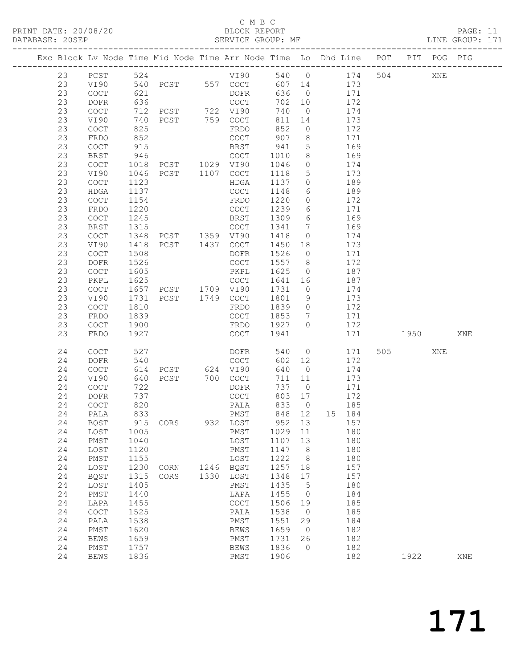PRINT DATE: 20/08/20 BLOCK REPORT<br>
DATABASE: 20SEP<br>
SERVICE GROUP: MF

#### C M B C<br>BLOCK REPORT

PAGE: 11<br>LINE GROUP: 171

|  |                                              |                                                                                                    |                                                              | Exc Block Lv Node Time Mid Node Time Arr Node Time Lo Dhd Line POT PIT POG PIG |              |                                                                                                                  |                                                                    |                                                                                                 |               |                                                      |      |     |     |
|--|----------------------------------------------|----------------------------------------------------------------------------------------------------|--------------------------------------------------------------|--------------------------------------------------------------------------------|--------------|------------------------------------------------------------------------------------------------------------------|--------------------------------------------------------------------|-------------------------------------------------------------------------------------------------|---------------|------------------------------------------------------|------|-----|-----|
|  | 23<br>23<br>23<br>23<br>23<br>23             | PCST<br>VI90<br>$\mathtt{C}\mathtt{O}\mathtt{C}\mathtt{T}$<br>DOFR<br>COCT<br>VI90                 | 524<br>540<br>621<br>636<br>712<br>740                       | PCST 557 COCT<br>PCST 722 VI90<br>PCST 759 COCT                                |              | VI90<br>DOFR<br>COCT                                                                                             | 540 0<br>607 14<br>636<br>702<br>740<br>811                        | $\overline{0}$<br>10<br>$\overline{0}$<br>14                                                    | 173           | 174<br>504<br>171<br>172<br>174<br>173               |      | XNE |     |
|  | 23<br>23<br>23<br>23<br>23<br>23<br>23       | COCT<br>FRDO<br>COCT<br>BRST<br>COCT<br>VI90<br><b>COCT</b>                                        | 825<br>852<br>915<br>946<br>1018<br>1046<br>1123             | PCST 1107                                                                      |              | FRDO<br>COCT<br><b>BRST</b><br>COCT<br>COCT<br>HDGA                                                              | 852<br>907<br>941<br>1010<br>1046<br>1118<br>1137                  | $\circ$<br>8<br>$5\phantom{.0}$<br>8<br>$\circ$<br>$5\phantom{.0}$<br>$\circ$                   |               | 172<br>171<br>169<br>169<br>174<br>173<br>189        |      |     |     |
|  | 23<br>23<br>23<br>23<br>23<br>23<br>23<br>23 | <b>HDGA</b><br><b>COCT</b><br>FRDO<br>COCT<br>BRST<br>COCT<br>VI90<br>COCT                         | 1137<br>1154<br>1220<br>1245<br>1315<br>1348<br>1418<br>1508 | PCST 1359 VI90<br>PCST 1437 COCT                                               |              | COCT<br>FRDO<br>COCT<br>BRST<br>COCT<br>DOFR                                                                     | 1148<br>1220<br>1239<br>1309<br>1341<br>1418<br>1450<br>1526       | 6<br>$\circ$<br>6<br>6<br>$7\phantom{.0}$<br>$\circ$<br>18<br>$\overline{0}$                    |               | 189<br>172<br>171<br>169<br>169<br>174<br>173<br>171 |      |     |     |
|  | 23<br>23<br>23<br>23<br>23<br>23<br>23<br>23 | DOFR<br>COCT<br>PKPL<br>COCT<br>VI90<br>$\mathtt{C}\mathtt{O}\mathtt{C}\mathtt{T}$<br>FRDO<br>COCT | 1526<br>1605<br>1625<br>1657<br>1731<br>1810<br>1839<br>1900 | PCST 1709 VI90<br>PCST 1749 COCT                                               |              | COCT<br>PKPL<br>COCT<br>FRDO<br>COCT<br>FRDO                                                                     | 1557<br>1625<br>1641<br>1731<br>1801<br>1839<br>1853<br>1927       | 8 <sup>8</sup><br>$\circ$<br>16<br>$\overline{0}$<br>9<br>$\circ$<br>$7\overline{ }$<br>$\circ$ |               | 172<br>187<br>187<br>174<br>173<br>172<br>171<br>172 |      |     |     |
|  | 23<br>24<br>24<br>24<br>24                   | FRDO<br><b>COCT</b><br>DOFR<br><b>COCT</b><br>VI90                                                 | 1927<br>527<br>540<br>614<br>640                             | PCST 624 VI90<br>PCST                                                          |              | COCT<br>DOFR<br>COCT<br>700 COCT                                                                                 | 1941<br>540<br>602<br>640<br>711                                   | $\overline{0}$<br>12<br>$\overline{0}$<br>11                                                    |               | 171<br>171<br>505<br>172<br>174<br>173               | 1950 | XNE | XNE |
|  | 24<br>24<br>24<br>24<br>24<br>24<br>24<br>24 | COCT<br>DOFR<br><b>COCT</b><br>PALA<br>24 BQST<br>LOST<br>PMST<br>LOST<br>PMST                     | 722<br>737<br>820<br>833<br>1005<br>1040<br>1120<br>1155     | 915 CORS                                                                       |              | DOFR<br>COCT<br>PALA<br>PMST<br>932 LOST<br>PMST<br>LOST<br>PMST<br>LOST                                         | 737<br>803<br>833<br>848<br>952 13<br>1029<br>1107<br>1147<br>1222 | $\overline{0}$<br>17<br>$\overline{0}$<br>12<br>11<br>13<br>8<br>8                              | 15 184<br>157 | 171<br>172<br>185<br>180<br>180<br>180<br>180        |      |     |     |
|  | 24<br>24<br>24<br>24<br>24<br>24<br>24<br>24 | LOST<br><b>BQST</b><br>LOST<br>PMST<br>LAPA<br>COCT<br>PALA<br>${\tt PMST}$                        | 1230<br>1315<br>1405<br>1440<br>1455<br>1525<br>1538<br>1620 | CORN<br>CORS                                                                   | 1246<br>1330 | <b>BQST</b><br>LOST<br>PMST<br>LAPA<br>$\mathtt{C}\mathtt{O}\mathtt{C}\mathtt{T}$<br>PALA<br>PMST<br><b>BEWS</b> | 1257<br>1348<br>1435<br>1455<br>1506<br>1538<br>1551<br>1659       | 18<br>17<br>5<br>$\circ$<br>19<br>$\overline{0}$<br>29<br>$\circ$                               |               | 157<br>157<br>180<br>184<br>185<br>185<br>184<br>182 |      |     |     |
|  | 24<br>24<br>24                               | <b>BEWS</b><br>PMST<br><b>BEWS</b>                                                                 | 1659<br>1757<br>1836                                         |                                                                                |              | PMST<br><b>BEWS</b><br>PMST                                                                                      | 1731<br>1836<br>1906                                               | 26<br>$\mathbf 0$                                                                               |               | 182<br>182<br>182                                    | 1922 |     | XNE |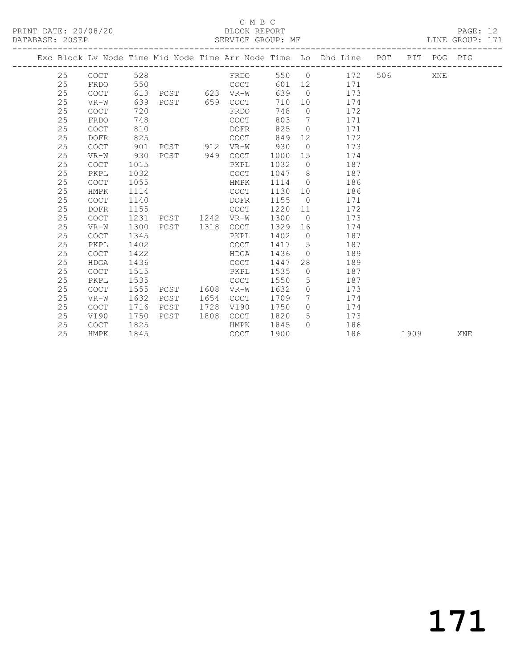### C M B C<br>BLOCK REPORT

PRINT DATE: 20/08/20 BLOCK REPORT PAGE: 12 LINE GROUP: 171 ------------------------------------------------------------------------------------------------- Exc Block Lv Node Time Mid Node Time Arr Node Time Lo Dhd Line POT PIT POG PIG

| 25 | <b>COCT</b> | 528  |          |           | FRDO        | 550  |                 | 172<br>$\overline{0}$ | 506 700 | XNE |     |
|----|-------------|------|----------|-----------|-------------|------|-----------------|-----------------------|---------|-----|-----|
| 25 | FRDO        | 550  |          |           | COCT        | 601  | 12              | 171                   |         |     |     |
| 25 | <b>COCT</b> | 613  | PCST 623 |           | $VR-W$      | 639  | $\overline{0}$  | 173                   |         |     |     |
| 25 | $VR-W$      | 639  | PCST     | 659       | <b>COCT</b> | 710  | 10              | 174                   |         |     |     |
| 25 | <b>COCT</b> | 720  |          |           | FRDO        | 748  | $\circ$         | 172                   |         |     |     |
| 25 | FRDO        | 748  |          |           | <b>COCT</b> | 803  | $7\overline{ }$ | 171                   |         |     |     |
| 25 | <b>COCT</b> | 810  |          |           | DOFR        | 825  | $\overline{0}$  | 171                   |         |     |     |
| 25 | <b>DOFR</b> | 825  |          |           | COCT        | 849  | 12              | 172                   |         |     |     |
| 25 | <b>COCT</b> | 901  |          | PCST 912  | $VR-W$      | 930  | $\bigcirc$      | 173                   |         |     |     |
| 25 | $VR-W$      | 930  | PCST     | 949       | COCT        | 1000 | 15              | 174                   |         |     |     |
| 25 | <b>COCT</b> | 1015 |          |           | PKPL        | 1032 | $\overline{0}$  | 187                   |         |     |     |
| 25 | PKPL        | 1032 |          |           | COCT        | 1047 | 8 <sup>8</sup>  | 187                   |         |     |     |
| 25 | <b>COCT</b> | 1055 |          |           | HMPK        | 1114 | $\overline{0}$  | 186                   |         |     |     |
| 25 | HMPK        | 1114 |          |           | COCT        | 1130 | 10              | 186                   |         |     |     |
| 25 | <b>COCT</b> | 1140 |          |           | <b>DOFR</b> | 1155 | $\overline{0}$  | 171                   |         |     |     |
| 25 | <b>DOFR</b> | 1155 |          |           | COCT        | 1220 | 11              | 172                   |         |     |     |
| 25 | <b>COCT</b> | 1231 | PCST     | 1242 VR-W |             | 1300 | $\overline{0}$  | 173                   |         |     |     |
| 25 | $VR-W$      | 1300 | PCST     | 1318      | COCT        | 1329 | 16              | 174                   |         |     |     |
| 25 | <b>COCT</b> | 1345 |          |           | PKPL        | 1402 | $\overline{0}$  | 187                   |         |     |     |
| 25 | PKPL        | 1402 |          |           | <b>COCT</b> | 1417 | $5\overline{)}$ | 187                   |         |     |     |
| 25 | <b>COCT</b> | 1422 |          |           | HDGA        | 1436 | $\bigcirc$      | 189                   |         |     |     |
| 25 | <b>HDGA</b> | 1436 |          |           | COCT        | 1447 | 28              | 189                   |         |     |     |
| 25 | <b>COCT</b> | 1515 |          |           | PKPL        | 1535 | $\Omega$        | 187                   |         |     |     |
| 25 | PKPL        | 1535 |          |           | <b>COCT</b> | 1550 | 5               | 187                   |         |     |     |
| 25 | <b>COCT</b> | 1555 | PCST     | 1608      | $VR-W$      | 1632 | $\circ$         | 173                   |         |     |     |
| 25 | $VR-W$      | 1632 | PCST     | 1654      | <b>COCT</b> | 1709 | $7\phantom{.0}$ | 174                   |         |     |     |
| 25 | <b>COCT</b> | 1716 | PCST     | 1728      | VI90        | 1750 | $\Omega$        | 174                   |         |     |     |
| 25 | VI90        | 1750 | PCST     | 1808      | COCT        | 1820 | 5               | 173                   |         |     |     |
| 25 | <b>COCT</b> | 1825 |          |           | HMPK        | 1845 | $\Omega$        | 186                   |         |     |     |
| 25 | HMPK        | 1845 |          |           | COCT        | 1900 |                 | 186                   | 1909    |     | XNE |
|    |             |      |          |           |             |      |                 |                       |         |     |     |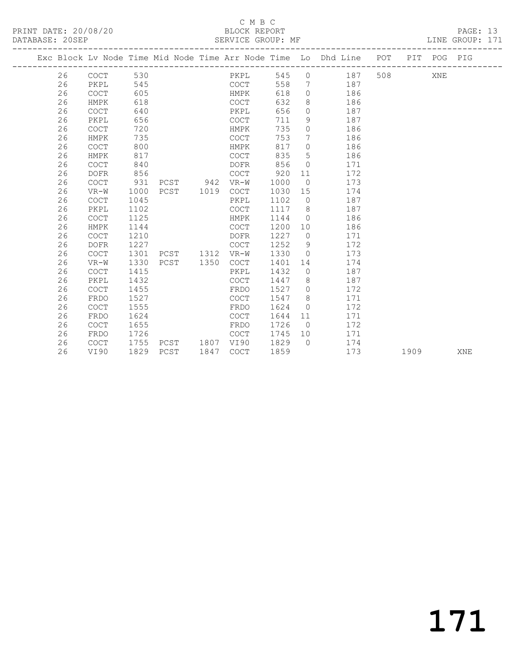PRINT DATE: 20/08/20 BLOCK REPORT<br>
DATABASE: 20SEP<br>
SERVICE GROUP: MF

## C M B C<br>BLOCK REPORT

PAGE: 13<br>LINE GROUP: 171

|  |    |             |      |                |           |         |                   | Exc Block Lv Node Time Mid Node Time Arr Node Time Lo Dhd Line POT PIT POG PIG |     |      |     |     |
|--|----|-------------|------|----------------|-----------|---------|-------------------|--------------------------------------------------------------------------------|-----|------|-----|-----|
|  | 26 | COCT        | 530  |                | PKPL      |         |                   | 545 0 187                                                                      | 508 |      | XNE |     |
|  | 26 | PKPL        | 545  |                | COCT      |         |                   | 558 7 187                                                                      |     |      |     |     |
|  | 26 | COCT        | 605  |                | HMPK      | 618     |                   | $0$ 186                                                                        |     |      |     |     |
|  | 26 | HMPK        | 618  |                | COCT      | 632     |                   | 8 186                                                                          |     |      |     |     |
|  | 26 | <b>COCT</b> | 640  |                | PKPL      | 656     |                   | $0 \t 187$                                                                     |     |      |     |     |
|  | 26 | PKPL        | 656  |                | COCT      | 711     | 9                 | 187                                                                            |     |      |     |     |
|  | 26 | <b>COCT</b> | 720  |                | HMPK      | 735     | $\circ$           | 186                                                                            |     |      |     |     |
|  | 26 | HMPK        | 735  |                | COCT      | 753     | $7\phantom{.0}\,$ | 186                                                                            |     |      |     |     |
|  | 26 | <b>COCT</b> | 800  |                | HMPK      | 817     | $\overline{0}$    | 186                                                                            |     |      |     |     |
|  | 26 | HMPK        | 817  |                | COCT      | 835     | $5\overline{)}$   | 186                                                                            |     |      |     |     |
|  | 26 | <b>COCT</b> | 840  |                | DOFR      | 856     | $\circ$           | 171                                                                            |     |      |     |     |
|  | 26 | DOFR        | 856  |                | COCT      | 920     | 11                | 172                                                                            |     |      |     |     |
|  | 26 | <b>COCT</b> | 931  | PCST 942 VR-W  |           | 1000    | $\overline{0}$    | 173                                                                            |     |      |     |     |
|  | 26 | VR-W        | 1000 | PCST 1019      | COCT      | 1030    |                   | 15<br>174                                                                      |     |      |     |     |
|  | 26 | <b>COCT</b> | 1045 |                | PKPL      | 1102    |                   | 0 187                                                                          |     |      |     |     |
|  | 26 | PKPL        | 1102 |                | COCT      |         |                   | 1117 8 187                                                                     |     |      |     |     |
|  | 26 | <b>COCT</b> | 1125 |                | HMPK      | 1144 0  |                   | 186                                                                            |     |      |     |     |
|  | 26 | HMPK        | 1144 |                | COCT      | 1200 10 |                   | 186                                                                            |     |      |     |     |
|  | 26 | COCT        | 1210 |                | DOFR      | 1227 0  |                   | 171                                                                            |     |      |     |     |
|  | 26 | <b>DOFR</b> | 1227 |                | COCT      | 1252    | 9 <sup>°</sup>    | 172                                                                            |     |      |     |     |
|  | 26 | COCT        | 1301 | PCST 1312 VR-W |           | 1330    |                   | 0 173                                                                          |     |      |     |     |
|  | 26 | $VR-W$      | 1330 | PCST 1350      | COCT      | 1401    |                   | 174<br>14 \,                                                                   |     |      |     |     |
|  | 26 | COCT        | 1415 |                | PKPL      | 1432    |                   | 0 187                                                                          |     |      |     |     |
|  | 26 | PKPL        | 1432 |                | COCT      | 1447    | 8 <sup>8</sup>    | 187                                                                            |     |      |     |     |
|  | 26 | <b>COCT</b> | 1455 |                | FRDO      | 1527    | $\overline{0}$    | 172                                                                            |     |      |     |     |
|  | 26 | FRDO        | 1527 |                | COCT      | 1547    | 8 <sup>8</sup>    | 171                                                                            |     |      |     |     |
|  | 26 | COCT        | 1555 |                | FRDO      | 1624    | $\overline{0}$    | 172                                                                            |     |      |     |     |
|  | 26 | FRDO        | 1624 |                | COCT      | 1644    | 11                | 171                                                                            |     |      |     |     |
|  | 26 | <b>COCT</b> | 1655 |                | FRDO      | 1726    |                   | 172<br>$\overline{0}$                                                          |     |      |     |     |
|  | 26 | FRDO        | 1726 |                | COCT      | 1745    |                   | 10 171                                                                         |     |      |     |     |
|  | 26 | COCT        | 1755 | PCST 1807 VI90 |           | 1829    |                   | $0 \t 174$                                                                     |     |      |     |     |
|  | 26 | VI90        |      | 1829 PCST      | 1847 COCT | 1859    |                   | 173                                                                            |     | 1909 |     | XNE |
|  |    |             |      |                |           |         |                   |                                                                                |     |      |     |     |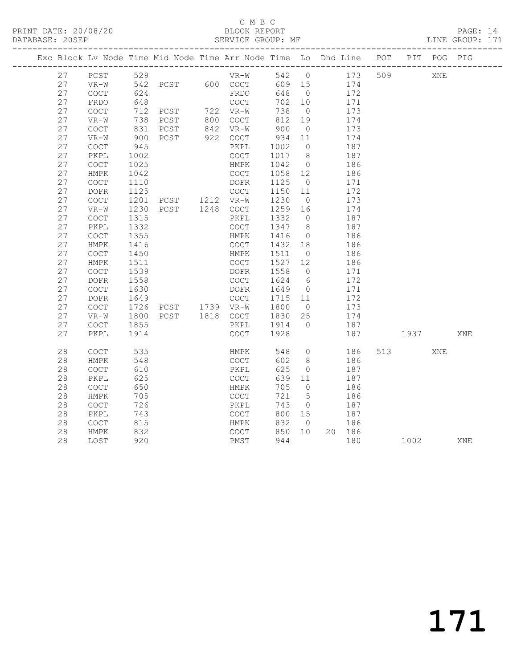### C M B C<br>BLOCK REPORT

| PRINT DATE: 20/08/20 |                   | BLOCK REPORT |  | PAGE: 14        |  |
|----------------------|-------------------|--------------|--|-----------------|--|
| DATABASE: 20SEP      | SERVICE GROUP: MF |              |  | LINE GROUP: 171 |  |
|                      |                   |              |  |                 |  |

|          |                                            |              | Exc Block Lv Node Time Mid Node Time Arr Node Time Lo Dhd Line POT PIT POG PIG |                         |                |                |            |     |      |     |     |
|----------|--------------------------------------------|--------------|--------------------------------------------------------------------------------|-------------------------|----------------|----------------|------------|-----|------|-----|-----|
| 27       | PCST                                       | 529          |                                                                                |                         | 542 0          |                | 173        | 509 | XNE  |     |     |
| 27       | $VR-W$                                     |              |                                                                                | $VR-W$<br>PCST 600 COCT | 609 15         |                | 174        |     |      |     |     |
| 27       | COCT                                       | 542<br>624   |                                                                                | FRDO                    | 648            | $\overline{0}$ | 172        |     |      |     |     |
| 27       | FRDO                                       | 648          |                                                                                | COCT                    | 702            | 10             | 171        |     |      |     |     |
| 27       | COCT                                       | 712          |                                                                                |                         | 738            | $\overline{0}$ | 173        |     |      |     |     |
| 27       | $VR-W$                                     | 738          | PCST 722 VR-W<br>PCST 800 COCT                                                 |                         | 812            | 19             | 174        |     |      |     |     |
| 27       | <b>COCT</b>                                | 831          | PCST                                                                           | 842 VR-W                | 900            | $\overline{0}$ | 173        |     |      |     |     |
| 27       | VR-W                                       | 900          | PCST                                                                           | 922 COCT                | 934            | 11             | 174        |     |      |     |     |
| 27       | $\mathtt{C}\mathtt{O}\mathtt{C}\mathtt{T}$ | 945          |                                                                                | PKPL                    | 1002           | $\overline{0}$ | 187        |     |      |     |     |
| 27       | PKPL                                       | 1002         |                                                                                | COCT                    | 1017           | 8              | 187        |     |      |     |     |
| 27       | COCT                                       | 1025         |                                                                                | HMPK                    | 1042           | $\overline{0}$ | 186        |     |      |     |     |
| 27       | HMPK                                       | 1042         |                                                                                | COCT                    | 1058 12        |                | 186        |     |      |     |     |
| 27       | <b>COCT</b>                                | 1110         |                                                                                | DOFR                    | 1125           | $\overline{0}$ | 171        |     |      |     |     |
| 27       | $\mathtt{DOFR}$                            | 1125         |                                                                                | COCT                    | 1150           | 11             | 172        |     |      |     |     |
| 27       | $\mathtt{C}\mathtt{O}\mathtt{C}\mathtt{T}$ | 1201         | PCST 1212 VR-W                                                                 |                         | 1230           | $\overline{0}$ | 173        |     |      |     |     |
| 27       | VR-W                                       | 1230         | PCST 1248 COCT                                                                 |                         | 1259           | 16             | 174        |     |      |     |     |
| 27       | $\mathtt{C}\mathtt{O}\mathtt{C}\mathtt{T}$ | 1315         |                                                                                | PKPL                    | 1332           | $\overline{0}$ | 187        |     |      |     |     |
| 27       | PKPL                                       | 1332         |                                                                                | COCT                    | 1347 8         |                | 187        |     |      |     |     |
| 27       | COCT                                       | 1355         |                                                                                | HMPK                    | 1416           | $\overline{0}$ | 186        |     |      |     |     |
| 27       | HMPK                                       | 1416         |                                                                                | COCT                    | 1432 18        |                | 186        |     |      |     |     |
| 27       | COCT                                       | 1450         |                                                                                | HMPK                    | 1511           | $\overline{0}$ | 186        |     |      |     |     |
| 27       | ${\tt HMPK}$                               | 1511         |                                                                                | COCT                    | 1527 12        |                | 186        |     |      |     |     |
| 27       | $\mathtt{C}\mathtt{O}\mathtt{C}\mathtt{T}$ | 1539         |                                                                                | DOFR                    | 1558           | $\overline{0}$ | 171        |     |      |     |     |
| 27       | DOFR                                       | 1558         |                                                                                | COCT                    | 1624           | 6              | 172        |     |      |     |     |
| 27       | COCT                                       | 1630         |                                                                                | DOFR                    | 1649           | $\overline{0}$ | 171        |     |      |     |     |
| 27       | DOFR                                       | 1649         | PCST 1739 VR-W                                                                 | COCT                    | 1715 11        |                | 172        |     |      |     |     |
| 27       | $\mathtt{C}\mathtt{O}\mathtt{C}\mathtt{T}$ | 1726         |                                                                                |                         | 1800           | $\overline{0}$ | 173        |     |      |     |     |
| 27       | $VR-W$                                     | 1800         | PCST 1818 COCT                                                                 |                         | 1830           | 25             | 174        |     |      |     |     |
| 27<br>27 | COCT<br>PKPL                               | 1855<br>1914 |                                                                                | PKPL<br>COCT            | 1914 0<br>1928 |                | 187<br>187 |     | 1937 |     | XNE |
|          |                                            |              |                                                                                |                         |                |                |            |     |      |     |     |
| 28       | <b>COCT</b>                                | 535          |                                                                                | HMPK                    | 548            | $\overline{0}$ | 186        | 513 |      | XNE |     |
| 28       | HMPK                                       | 548          |                                                                                | COCT                    | 602            | 8 <sup>8</sup> | 186        |     |      |     |     |
| 28       | $\mathtt{C}\mathtt{O}\mathtt{C}\mathtt{T}$ | 610          |                                                                                | PKPL                    | 625            | $\overline{0}$ | 187        |     |      |     |     |
| 28       | PKPL                                       | 625          |                                                                                | COCT                    | 639            | 11             | 187        |     |      |     |     |
| 28       | $\mathtt{C}\mathtt{O}\mathtt{C}\mathtt{T}$ | 650          |                                                                                | HMPK                    | 705            | $\overline{0}$ | 186        |     |      |     |     |
| 28       | HMPK                                       | 705          |                                                                                | COCT                    | 721            | $5^{\circ}$    | 186        |     |      |     |     |
| 28       | $\mathtt{C}\mathtt{O}\mathtt{C}\mathtt{T}$ | 726          |                                                                                | PKPL                    | 743            | $\overline{0}$ | 187        |     |      |     |     |
| 28       | PKPL                                       | 743          |                                                                                | COCT                    | 800 15         |                | 187        |     |      |     |     |
| 28       | $\mathtt{C}\mathtt{O}\mathtt{C}\mathtt{T}$ | 815          |                                                                                | HMPK                    | 832            | $\bigcirc$     | 186        |     |      |     |     |
| 28       | HMPK                                       | 832          |                                                                                | COCT                    | 850 10         |                | 20 186     |     |      |     |     |
| 28       | LOST                                       | 920          |                                                                                | PMST                    | 944            |                | 180        |     | 1002 |     | XNE |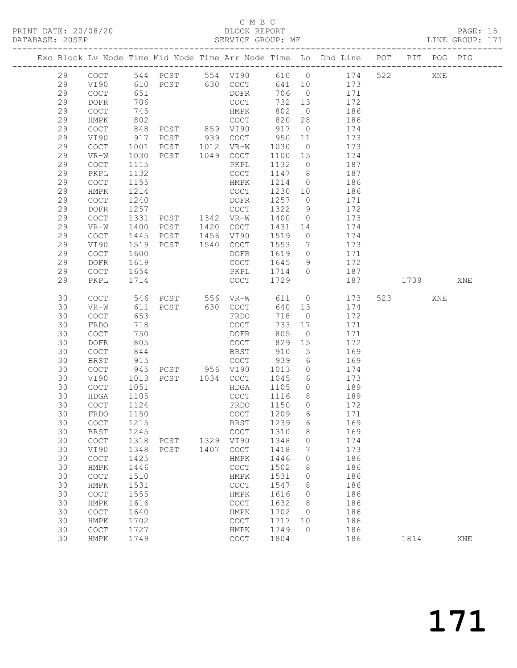### C M B C<br>BLOCK REPORT

PAGE: 15<br>LINE GROUP: 171

|  |          |                                            |              |                                  |                                            |              |                                  | Exc Block Lv Node Time Mid Node Time Arr Node Time Lo Dhd Line POT |     |                | PIT POG PIG |     |
|--|----------|--------------------------------------------|--------------|----------------------------------|--------------------------------------------|--------------|----------------------------------|--------------------------------------------------------------------|-----|----------------|-------------|-----|
|  | 29       | COCT                                       |              |                                  |                                            |              |                                  | 610 0 174                                                          | 522 |                | XNE         |     |
|  | 29       | VI90                                       |              |                                  |                                            | 641 10       |                                  | 173                                                                |     |                |             |     |
|  | 29       | COCT                                       | 651          |                                  | DOFR                                       | 706          | $\overline{0}$                   | 171                                                                |     |                |             |     |
|  | 29       | <b>DOFR</b>                                | 706          |                                  | COCT                                       | 732          | 13                               | 172                                                                |     |                |             |     |
|  | 29       | COCT                                       | 745          |                                  | HMPK                                       | 802          | $\overline{0}$                   | 186                                                                |     |                |             |     |
|  | 29       | HMPK                                       | 802          |                                  | COCT                                       | 820          | 28                               | 186                                                                |     |                |             |     |
|  | 29       | COCT                                       | 848          | PCST 859 VI90                    |                                            | 917          | $\overline{0}$                   | 174                                                                |     |                |             |     |
|  | 29       | VI90                                       | 917          | PCST 939 COCT                    |                                            | 950          | 11                               | 173                                                                |     |                |             |     |
|  | 29       | COCT                                       | 1001         | PCST 1012 VR-W<br>PCST 1049 COCT |                                            | 1030         | $\overline{0}$                   | 173                                                                |     |                |             |     |
|  | 29       | $VR-W$                                     | 1030         |                                  |                                            | 1100 15      |                                  | 174                                                                |     |                |             |     |
|  | 29<br>29 | COCT                                       | 1115         |                                  | PKPL                                       | 1132         | $\overline{0}$                   | 187<br>187                                                         |     |                |             |     |
|  | 29       | PKPL<br>COCT                               | 1132<br>1155 |                                  | COCT<br>HMPK                               | 1147<br>1214 | 8 <sup>8</sup><br>$\overline{0}$ | 186                                                                |     |                |             |     |
|  | 29       | HMPK                                       | 1214         |                                  | COCT                                       | 1230 10      |                                  | 186                                                                |     |                |             |     |
|  | 29       | $\mathtt{C}\mathtt{O}\mathtt{C}\mathtt{T}$ | 1240         |                                  | DOFR                                       | 1257         | $\overline{0}$                   | 171                                                                |     |                |             |     |
|  | 29       | DOFR                                       | 1257         |                                  | COCT                                       | 1322         | 9                                | 172                                                                |     |                |             |     |
|  | 29       | COCT                                       | 1331         | PCST 1342 VR-W                   |                                            | 1400         | $\overline{0}$                   | 173                                                                |     |                |             |     |
|  | 29       | $VR-W$                                     | 1400         | PCST 1420 COCT                   |                                            | 1431         | 14                               | 174                                                                |     |                |             |     |
|  | 29       | COCT                                       | 1445         | PCST                             | 1456 VI90                                  | 1519         | $\overline{0}$                   | 174                                                                |     |                |             |     |
|  | 29       | VI90                                       | 1519         | PCST 1540                        | COCT                                       | 1553         | $\overline{7}$                   | 173                                                                |     |                |             |     |
|  | 29       | $\mathtt{C}\mathtt{O}\mathtt{C}\mathtt{T}$ | 1600         |                                  | DOFR                                       | 1619         | $\overline{0}$                   | 171                                                                |     |                |             |     |
|  | 29       | DOFR                                       | 1619         |                                  | COCT                                       | 1645         | 9                                | 172                                                                |     |                |             |     |
|  | 29       | COCT                                       | 1654         |                                  | PKPL                                       | 1714         | $\overline{0}$                   | 187                                                                |     |                |             |     |
|  | 29       | PKPL                                       | 1714         |                                  | COCT                                       | 1729         |                                  | 187                                                                |     | 1739           |             | XNE |
|  | 30       | COCT                                       | 546          |                                  |                                            | 611 0        |                                  | 173                                                                |     | 523 and $\sim$ | XNE         |     |
|  | 30       | $VR-W$                                     | 611          |                                  |                                            | 640 13       |                                  | 174                                                                |     |                |             |     |
|  | 30       | <b>COCT</b>                                | 653          |                                  | FRDO                                       | 718          | $\overline{0}$                   | 172                                                                |     |                |             |     |
|  | 30       | FRDO                                       | 718          |                                  | COCT                                       | 733          | 17                               | 171                                                                |     |                |             |     |
|  | 30       | COCT                                       | 750          |                                  | DOFR                                       | 805          | $\overline{0}$                   | 171                                                                |     |                |             |     |
|  | 30       | DOFR                                       | 805          |                                  | COCT                                       | 829          | 15                               | 172                                                                |     |                |             |     |
|  | 30       | COCT                                       | 844          |                                  | BRST                                       | 910          | 5                                | 169                                                                |     |                |             |     |
|  | 30       | BRST                                       | 915          |                                  | COCT                                       | 939          | 6                                | 169                                                                |     |                |             |     |
|  | 30       | COCT                                       | 945          | PCST 956 VI90<br>PCST 1034 COCT  |                                            | 1013         | $\overline{0}$                   | 174                                                                |     |                |             |     |
|  | 30       | VI90                                       | 1013         |                                  |                                            | 1045         | 6                                | 173                                                                |     |                |             |     |
|  | 30<br>30 | COCT<br>HDGA                               | 1051<br>1105 |                                  | HDGA<br>COCT                               | 1105<br>1116 | $\overline{0}$<br>8 <sup>8</sup> | 189<br>189                                                         |     |                |             |     |
|  | 30       | COCT                                       | 1124         |                                  | FRDO                                       | 1150         | $\overline{0}$                   | 172                                                                |     |                |             |     |
|  | 30       | FRDO                                       | 1150         |                                  | COCT                                       | 1209         | 6                                | 171                                                                |     |                |             |     |
|  | 30       | COCT                                       | 1215         |                                  | BRST 1239 6                                |              |                                  | 169                                                                |     |                |             |     |
|  | 30       | BRST                                       | 1245         |                                  | <b>COCT</b>                                | 1310         | 8                                | 169                                                                |     |                |             |     |
|  | 30       | $\mathtt{C}\mathtt{O}\mathtt{C}\mathtt{T}$ |              | 1318 PCST                        | 1329 VI90                                  | 1348         | $\circ$                          | 174                                                                |     |                |             |     |
|  | 30       | VI90                                       | 1348         | PCST                             | 1407 COCT                                  | 1418         | 7                                | 173                                                                |     |                |             |     |
|  | 30       | COCT                                       | 1425         |                                  | HMPK                                       | 1446         | 0                                | 186                                                                |     |                |             |     |
|  | 30       | HMPK                                       | 1446         |                                  | COCT                                       | 1502         | 8                                | 186                                                                |     |                |             |     |
|  | 30       | COCT                                       | 1510         |                                  | HMPK                                       | 1531         | $\circ$                          | 186                                                                |     |                |             |     |
|  | 30       | HMPK                                       | 1531         |                                  | $\mathtt{C}\mathtt{O}\mathtt{C}\mathtt{T}$ | 1547         | 8                                | 186                                                                |     |                |             |     |
|  | 30       | COCT                                       | 1555         |                                  | HMPK                                       | 1616         | $\overline{0}$                   | 186                                                                |     |                |             |     |
|  | 30       | HMPK                                       | 1616         |                                  | COCT                                       | 1632         | 8                                | 186                                                                |     |                |             |     |
|  | 30       | COCT                                       | 1640         |                                  | HMPK                                       | 1702         | $\overline{0}$                   | 186                                                                |     |                |             |     |
|  | 30       | HMPK                                       | 1702         |                                  | COCT                                       | 1717         | 10                               | 186                                                                |     |                |             |     |
|  | 30       | COCT                                       | 1727         |                                  | HMPK                                       | 1749         | $\overline{0}$                   | 186                                                                |     |                |             |     |
|  | 30       | HMPK                                       | 1749         |                                  | COCT                                       | 1804         |                                  | 186                                                                |     | 1814           |             | XNE |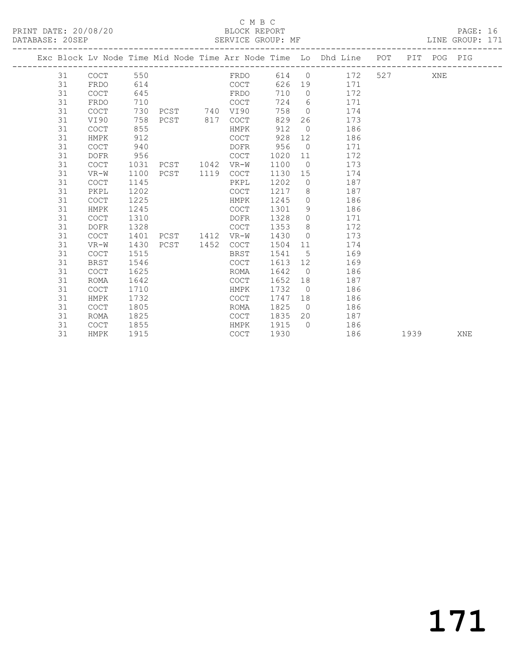PRINT DATE: 20/08/20 BLOCK REPORT<br>
DATABASE: 20SEP<br>
SERVICE GROUP: MF

#### C M B C<br>BLOCK REPORT

PAGE: 16<br>LINE GROUP: 171

|    |             |      |                   |               |         |                | Exc Block Lv Node Time Mid Node Time Arr Node Time Lo Dhd Line POT PIT POG PIG |      |     |     |  |
|----|-------------|------|-------------------|---------------|---------|----------------|--------------------------------------------------------------------------------|------|-----|-----|--|
|    | 31 COCT     | 550  |                   | FRDO          |         |                | 614 0 172 527                                                                  |      | XNE |     |  |
| 31 | FRDO        | 614  |                   | COCT          |         |                | 626 19 171                                                                     |      |     |     |  |
| 31 | COCT        | 645  |                   | FRDO          | 710     |                | 0 $172$                                                                        |      |     |     |  |
| 31 | FRDO        | 710  |                   | COCT          |         |                | 724 6 171                                                                      |      |     |     |  |
| 31 | COCT        |      | 730 PCST 740 VI90 |               | 758     |                | $0 \t 174$                                                                     |      |     |     |  |
| 31 | VI90        | 758  |                   | PCST 817 COCT | 829     |                | 26 173                                                                         |      |     |     |  |
| 31 | COCT        | 855  |                   | HMPK          | 912 0   |                | 186                                                                            |      |     |     |  |
| 31 | HMPK        | 912  |                   | COCT          | 928     |                | 12 186                                                                         |      |     |     |  |
| 31 | <b>COCT</b> | 940  |                   | <b>DOFR</b>   | 956     |                | 0 171                                                                          |      |     |     |  |
| 31 | DOFR        | 956  |                   | COCT          | 1020 11 |                | 172                                                                            |      |     |     |  |
| 31 | <b>COCT</b> | 1031 | PCST 1042 VR-W    |               | 1100    |                | 173<br>$\Omega$                                                                |      |     |     |  |
| 31 | VR-W        | 1100 | PCST 1119         | COCT          |         |                | 1130 15<br>174                                                                 |      |     |     |  |
| 31 | <b>COCT</b> | 1145 |                   | PKPL          |         |                | 1202 0 187                                                                     |      |     |     |  |
| 31 | PKPL        | 1202 |                   | COCT          |         |                | 1217 8 187                                                                     |      |     |     |  |
| 31 | <b>COCT</b> | 1225 |                   | HMPK          | 1245    | $\overline{0}$ | 186                                                                            |      |     |     |  |
| 31 | HMPK        | 1245 |                   | COCT          | 1301    |                | 9 186                                                                          |      |     |     |  |
| 31 | <b>COCT</b> | 1310 |                   | DOFR          | 1328    |                | 0 171                                                                          |      |     |     |  |
| 31 | <b>DOFR</b> | 1328 |                   | COCT          | 1353    |                | 8 172                                                                          |      |     |     |  |
| 31 | <b>COCT</b> | 1401 | PCST 1412 VR-W    |               | 1430    |                | 173<br>$\overline{0}$                                                          |      |     |     |  |
| 31 | $VR-W$      | 1430 | PCST 1452         | COCT          | 1504    |                | 174<br>11 — 1                                                                  |      |     |     |  |
| 31 | <b>COCT</b> | 1515 |                   | BRST          | 1541 5  |                | 169                                                                            |      |     |     |  |
| 31 | <b>BRST</b> | 1546 |                   | COCT          | 1613 12 |                | 169                                                                            |      |     |     |  |
| 31 | <b>COCT</b> | 1625 |                   | ROMA          | 1642 0  |                | 186                                                                            |      |     |     |  |
| 31 | <b>ROMA</b> | 1642 |                   | COCT          | 1652    |                | 187                                                                            |      |     |     |  |
| 31 | COCT        | 1710 |                   | HMPK          | 1732    |                | 186<br>$\overline{0}$                                                          |      |     |     |  |
| 31 | HMPK        | 1732 |                   | COCT          | 1747    |                | 186                                                                            |      |     |     |  |
| 31 | <b>COCT</b> | 1805 |                   | ROMA          | 1825    |                | $\overline{0}$<br>186                                                          |      |     |     |  |
| 31 | <b>ROMA</b> | 1825 |                   | COCT          | 1835    |                | 20 187                                                                         |      |     |     |  |
| 31 | <b>COCT</b> | 1855 |                   | HMPK          | 1915    |                | 0 186                                                                          |      |     |     |  |
| 31 | HMPK        | 1915 |                   | COCT          | 1930    |                | 186                                                                            | 1939 |     | XNE |  |

# 171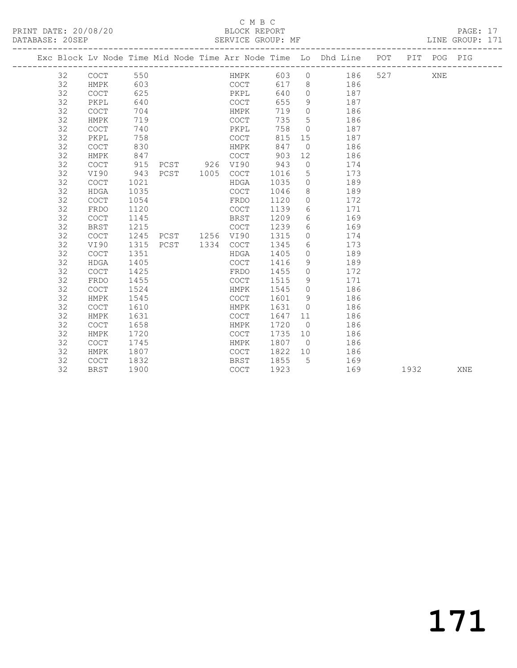#### C M B C<br>BLOCK REPORT

PAGE: 17<br>LINE GROUP: 171

|  |                 |             |      |  |           |                |      |                  | Exc Block Lv Node Time Mid Node Time Arr Node Time Lo Dhd Line POT PIT POG PIG |           |      |     |     |
|--|-----------------|-------------|------|--|-----------|----------------|------|------------------|--------------------------------------------------------------------------------|-----------|------|-----|-----|
|  | 32 <sup>2</sup> | COCT        | 550  |  |           |                |      |                  | HMPK 603 0 186                                                                 | 527 — 100 |      | XNE |     |
|  | 32              | HMPK        | 603  |  |           | COCT           | 617  |                  | 8 186                                                                          |           |      |     |     |
|  | 32              | <b>COCT</b> | 625  |  |           | PKPL           | 640  | $\circ$          | 187                                                                            |           |      |     |     |
|  | 32              | PKPL        | 640  |  |           | COCT           | 655  | 9                | 187                                                                            |           |      |     |     |
|  | 32              | COCT        | 704  |  |           | HMPK           | 719  | $\circ$          | 186                                                                            |           |      |     |     |
|  | 32              | HMPK        | 719  |  |           | <b>COCT</b>    | 735  | 5                | 186                                                                            |           |      |     |     |
|  | 32              | <b>COCT</b> | 740  |  |           | PKPL           | 758  | $\circ$          | 187                                                                            |           |      |     |     |
|  | 32              | PKPL        | 758  |  |           | COCT           | 815  | 15               | 187                                                                            |           |      |     |     |
|  | 32              | <b>COCT</b> | 830  |  |           | HMPK           | 847  | $\overline{0}$   | 186                                                                            |           |      |     |     |
|  | 32              | HMPK        | 847  |  |           | <b>COCT</b>    | 903  | 12               | 186                                                                            |           |      |     |     |
|  | 32              | COCT        | 915  |  |           | PCST 926 VI90  | 943  | $\circ$          | 174                                                                            |           |      |     |     |
|  | 32              | VI90        | 943  |  | PCST 1005 | <b>COCT</b>    | 1016 | 5                | 173                                                                            |           |      |     |     |
|  | 32              | <b>COCT</b> | 1021 |  |           | HDGA           | 1035 | $\circ$          | 189                                                                            |           |      |     |     |
|  | 32              | HDGA        | 1035 |  |           | COCT           | 1046 | 8                | 189                                                                            |           |      |     |     |
|  | 32              | <b>COCT</b> | 1054 |  |           | FRDO           | 1120 | $\Omega$         | 172                                                                            |           |      |     |     |
|  | 32              | FRDO        | 1120 |  |           | <b>COCT</b>    | 1139 | 6                | 171                                                                            |           |      |     |     |
|  | 32              | COCT        | 1145 |  |           | BRST           | 1209 | 6                | 169                                                                            |           |      |     |     |
|  | 32              | <b>BRST</b> | 1215 |  |           | COCT           | 1239 | $6 \overline{6}$ | 169                                                                            |           |      |     |     |
|  | 32              | <b>COCT</b> | 1245 |  |           | PCST 1256 VI90 | 1315 | $\Omega$         | 174                                                                            |           |      |     |     |
|  | 32              | VI90        | 1315 |  |           | PCST 1334 COCT | 1345 | 6                | 173                                                                            |           |      |     |     |
|  | 32              | COCT        | 1351 |  |           | HDGA           | 1405 | $\Omega$         | 189                                                                            |           |      |     |     |
|  | 32              | <b>HDGA</b> | 1405 |  |           | COCT           | 1416 | 9                | 189                                                                            |           |      |     |     |
|  | 32              | <b>COCT</b> | 1425 |  |           | FRDO           | 1455 | $\Omega$         | 172                                                                            |           |      |     |     |
|  | 32              | FRDO        | 1455 |  |           | COCT           | 1515 | 9                | 171                                                                            |           |      |     |     |
|  | 32              | <b>COCT</b> | 1524 |  |           | HMPK           | 1545 | $\Omega$         | 186                                                                            |           |      |     |     |
|  | 32              | HMPK        | 1545 |  |           | COCT           | 1601 | 9                | 186                                                                            |           |      |     |     |
|  | 32              | COCT        | 1610 |  |           | HMPK           | 1631 | $\Omega$         | 186                                                                            |           |      |     |     |
|  | 32              | HMPK        | 1631 |  |           | <b>COCT</b>    | 1647 | 11               | 186                                                                            |           |      |     |     |
|  | 32              | <b>COCT</b> | 1658 |  |           | HMPK           | 1720 | $\overline{0}$   | 186                                                                            |           |      |     |     |
|  | 32              | HMPK        | 1720 |  |           | <b>COCT</b>    | 1735 | 10               | 186                                                                            |           |      |     |     |
|  | 32              | COCT        | 1745 |  |           | HMPK           | 1807 | $\overline{0}$   | 186                                                                            |           |      |     |     |
|  | 32              | HMPK        | 1807 |  |           | COCT           | 1822 | 10               | 186                                                                            |           |      |     |     |
|  | 32              | <b>COCT</b> | 1832 |  |           | BRST           | 1855 | $5^{\circ}$      | 169                                                                            |           |      |     |     |
|  | 32              | <b>BRST</b> | 1900 |  |           | COCT           | 1923 |                  | 169                                                                            |           | 1932 |     | XNE |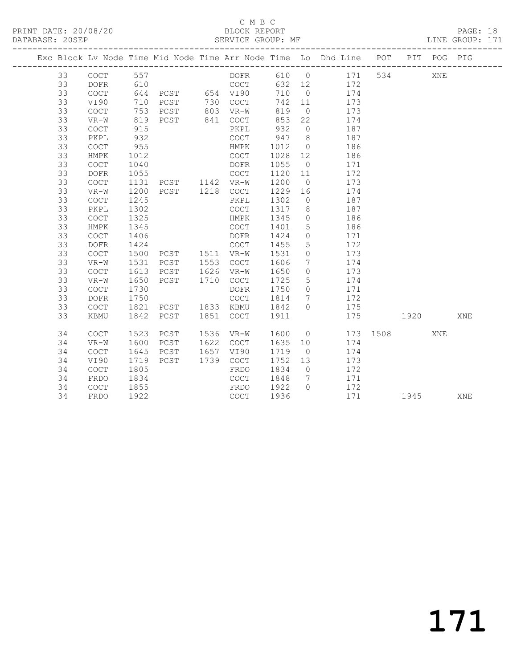## C M B C<br>BLOCK REPORT

PAGE: 18<br>LINE GROUP: 171

|  |          |                                                    |              |                                             |      |                        |              |                             | Exc Block Lv Node Time Mid Node Time Arr Node Time Lo Dhd Line POT |          |             | PIT POG PIG |     |
|--|----------|----------------------------------------------------|--------------|---------------------------------------------|------|------------------------|--------------|-----------------------------|--------------------------------------------------------------------|----------|-------------|-------------|-----|
|  | 33       | COCT                                               | 557          |                                             |      | DOFR                   |              |                             | 610 0 171                                                          |          | 534         | XNE         |     |
|  | 33       | <b>DOFR</b>                                        | 610          | 010 COCT<br>644 PCST 654 VI90<br>710 PCST - |      |                        |              |                             | 632 12 172                                                         |          |             |             |     |
|  | 33       | COCT                                               |              |                                             |      |                        | 710          | $\overline{0}$              | 174                                                                |          |             |             |     |
|  | 33       | VI90                                               |              |                                             |      |                        | 742 11       |                             | 173                                                                |          |             |             |     |
|  | 33       | COCT                                               |              |                                             |      |                        | 819          | $\overline{0}$              | 173                                                                |          |             |             |     |
|  | 33       | $VR-W$                                             |              | 819 PCST 841 COCT                           |      |                        | 853          | 22                          | 174                                                                |          |             |             |     |
|  | 33       | COCT                                               | 915          |                                             |      | PKPL                   | 932          | $\overline{0}$              | 187                                                                |          |             |             |     |
|  | 33       | PKPL                                               | 932          |                                             |      | COCT                   | 947          | 8 <sup>1</sup>              | 187                                                                |          |             |             |     |
|  | 33       | COCT                                               | 955          |                                             |      | HMPK                   | 1012         | $\overline{0}$              | 186                                                                |          |             |             |     |
|  | 33       | HMPK                                               | 1012         |                                             |      | COCT                   | 1028         | 12                          | 186                                                                |          |             |             |     |
|  | 33       | $\mathtt{C}\mathtt{O}\mathtt{C}\mathtt{T}$         | 1040         |                                             |      | DOFR                   | 1055         | $\overline{0}$              | 171                                                                |          |             |             |     |
|  | 33       | <b>DOFR</b>                                        | 1055         |                                             |      | COCT                   | 1120 11      |                             | 172                                                                |          |             |             |     |
|  | 33       | COCT                                               | 1131         | PCST 1142 VR-W                              |      |                        | 1200         | $\overline{0}$              | 173                                                                |          |             |             |     |
|  | 33       | $VR-W$                                             | 1200         | PCST 1218 COCT                              |      |                        | 1229         | 16                          | 174                                                                |          |             |             |     |
|  | 33       | COCT                                               | 1245         |                                             |      | PKPL                   | 1302         | $\overline{0}$              | 187                                                                |          |             |             |     |
|  | 33       | PKPL                                               | 1302         |                                             |      | COCT                   | 1317         | 8 <sup>8</sup>              | 187                                                                |          |             |             |     |
|  | 33       | <b>COCT</b>                                        | 1325         |                                             |      | HMPK                   | 1345         | $\overline{0}$              | 186                                                                |          |             |             |     |
|  | 33       | HMPK                                               | 1345         |                                             |      | COCT                   | 1401         | $5\overline{)}$             | 186                                                                |          |             |             |     |
|  | 33       | COCT                                               | 1406         |                                             |      | DOFR                   | 1424         | $\circ$                     | 171                                                                |          |             |             |     |
|  | 33       | $\mathtt{DOFR}$                                    | 1424         |                                             |      | COCT                   | 1455         | 5 <sup>5</sup>              | 172                                                                |          |             |             |     |
|  | 33       | COCT                                               | 1500         |                                             |      |                        | 1531         | $\overline{0}$              | 173                                                                |          |             |             |     |
|  | 33       | $VR-W$                                             | 1531         | PCST                                        |      | 1553 COCT              | 1606         | $7\overline{ }$             | 174                                                                |          |             |             |     |
|  | 33       | COCT                                               | 1613         | PCST                                        |      | 1626 VR-W              | 1650         | $\overline{0}$              | 173                                                                |          |             |             |     |
|  | 33       | VR-W                                               | 1650         | PCST                                        | 1710 | COCT                   | 1725         | 5 <sup>5</sup>              | 174                                                                |          |             |             |     |
|  | 33<br>33 | <b>COCT</b>                                        | 1730         |                                             |      | DOFR                   | 1750         | $\overline{0}$              | 171                                                                |          |             |             |     |
|  | 33       | DOFR                                               | 1750         |                                             |      | COCT                   | 1814         | $7\overline{ }$<br>$\Omega$ | 172                                                                |          |             |             |     |
|  | 33       | $\mathtt{C}\mathtt{O}\mathtt{C}\mathtt{T}$<br>KBMU | 1821<br>1842 | PCST<br>PCST                                |      | 1833 KBMU<br>1851 COCT | 1842<br>1911 |                             | 175<br>175                                                         |          | 1920 — 1920 |             | XNE |
|  |          |                                                    |              |                                             |      |                        |              |                             |                                                                    |          |             |             |     |
|  | 34       | COCT                                               | 1523         | PCST                                        |      | 1536 VR-W              | 1600         |                             | $\overline{0}$                                                     | 173 1508 |             | XNE         |     |
|  | 34       | $VR-W$                                             | 1600         | PCST                                        |      | 1622 COCT              | 1635 10      |                             | 174                                                                |          |             |             |     |
|  | 34       | <b>COCT</b>                                        | 1645         | PCST                                        |      | 1657 VI90              | 1719         | $\overline{0}$              | 174                                                                |          |             |             |     |
|  | 34       | VI90                                               | 1719         | PCST                                        |      | 1739 COCT              | 1752         | 13                          | 173                                                                |          |             |             |     |
|  | 34       | COCT                                               | 1805         |                                             |      | FRDO                   | 1834         | $\overline{0}$              | 172                                                                |          |             |             |     |
|  | 34       | FRDO                                               | 1834         |                                             |      | COCT                   | 1848         | $\overline{7}$              | 171                                                                |          |             |             |     |
|  | 34       | COCT                                               | 1855         |                                             |      | FRDO                   | 1922         | $\bigcirc$                  | 172                                                                |          |             |             |     |
|  | 34       | FRDO                                               | 1922         |                                             |      | COCT                   | 1936         |                             | 171                                                                |          | 1945        |             | XNE |
|  |          |                                                    |              |                                             |      |                        |              |                             |                                                                    |          |             |             |     |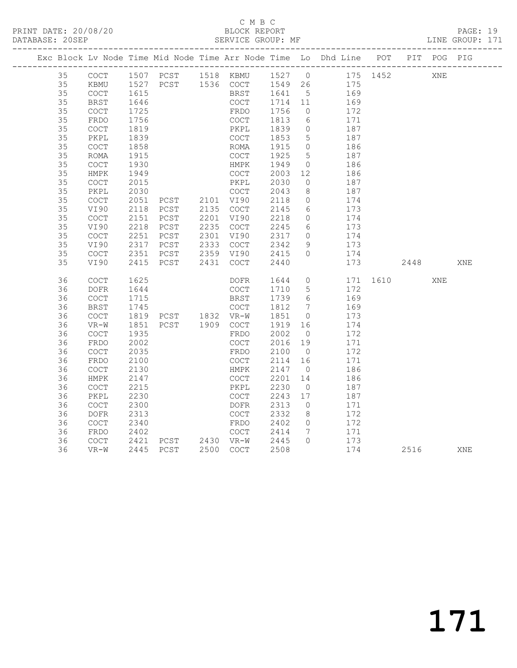|  |    |                                            |                  |                |           |         |                 | Exc Block Lv Node Time Mid Node Time Arr Node Time Lo Dhd Line POT |          | PIT POG PIG |     |
|--|----|--------------------------------------------|------------------|----------------|-----------|---------|-----------------|--------------------------------------------------------------------|----------|-------------|-----|
|  | 35 |                                            |                  |                |           |         |                 | COCT 1507 PCST 1518 KBMU 1527 0 175 1452                           |          | XNE         |     |
|  | 35 | KBMU                                       |                  |                |           |         |                 | 1527 PCST 1536 COCT 1549 26 175                                    |          |             |     |
|  | 35 | $\mathtt{C}\mathtt{O}\mathtt{C}\mathtt{T}$ | $\frac{1}{1615}$ |                | BRST      | 1641 5  |                 | 169                                                                |          |             |     |
|  | 35 | <b>BRST</b>                                | 1646             |                | COCT      | 1714 11 |                 | 169                                                                |          |             |     |
|  | 35 | $\mathtt{C}\mathtt{O}\mathtt{C}\mathtt{T}$ | 1725             |                | FRDO      | 1756    | $\overline{0}$  | 172                                                                |          |             |     |
|  | 35 | FRDO                                       | 1756             |                | COCT      | 1813    | 6               | 171                                                                |          |             |     |
|  | 35 | COCT                                       | 1819             |                | PKPL      | 1839    | $\overline{0}$  | 187                                                                |          |             |     |
|  | 35 | PKPL                                       | 1839             |                | COCT      | 1853    | 5               | 187                                                                |          |             |     |
|  | 35 | $\mathtt{C}\mathtt{O}\mathtt{C}\mathtt{T}$ | 1858             |                | ROMA      | 1915    | $\circ$         | 186                                                                |          |             |     |
|  | 35 | ROMA                                       | 1915             |                | COCT      | 1925    | $5\overline{)}$ | 187                                                                |          |             |     |
|  | 35 | $\mathtt{C}\mathtt{O}\mathtt{C}\mathtt{T}$ | 1930             |                | HMPK      | 1949    | $\overline{0}$  | 186                                                                |          |             |     |
|  | 35 | HMPK                                       | 1949             |                | COCT      | 2003    | 12              | 186                                                                |          |             |     |
|  | 35 | $\mathtt{C}\mathtt{O}\mathtt{C}\mathtt{T}$ | 2015             |                | PKPL      | 2030    | $\bigcirc$      | 187                                                                |          |             |     |
|  | 35 | PKPL                                       | 2030             |                | COCT      | 2043    | 8               | 187                                                                |          |             |     |
|  | 35 | $\mathtt{C}\mathtt{O}\mathtt{C}\mathtt{T}$ | 2051             | PCST 2101 VI90 |           | 2118    | $\overline{0}$  | 174                                                                |          |             |     |
|  | 35 | VI90                                       | 2118             | PCST           | 2135 COCT | 2145    | 6               | 173                                                                |          |             |     |
|  | 35 | COCT                                       | 2151             | PCST           | 2201 VI90 | 2218    | $\overline{0}$  | 174                                                                |          |             |     |
|  | 35 | VI90                                       | 2218             | PCST           | 2235 COCT | 2245    | 6               | 173                                                                |          |             |     |
|  | 35 | $\mathtt{C}\mathtt{O}\mathtt{C}\mathtt{T}$ | 2251             | PCST           | 2301 VI90 | 2317    | $\circ$         | 174                                                                |          |             |     |
|  | 35 | VI90                                       | 2317             | PCST           | 2333 COCT | 2342    | 9               | 173                                                                |          |             |     |
|  | 35 | COCT                                       | 2351             | PCST           | 2359 VI90 | 2415    | $\Omega$        | 174                                                                |          |             |     |
|  | 35 | VI90                                       | 2415             | PCST           | 2431 COCT | 2440    |                 | 173                                                                | 2448     |             | XNE |
|  |    |                                            |                  |                |           |         |                 |                                                                    |          |             |     |
|  | 36 | $\mathtt{C}\mathtt{O}\mathtt{C}\mathtt{T}$ | 1625             |                | DOFR      | 1644    | $\overline{0}$  |                                                                    | 171 1610 | XNE         |     |
|  | 36 | $\mathtt{DOFR}$                            | 1644             |                | COCT      | 1710    | 5 <sup>5</sup>  | 172                                                                |          |             |     |
|  | 36 | $\mathtt{C}\mathtt{O}\mathtt{C}\mathtt{T}$ | 1715             |                | BRST      | 1739    | 6               | 169                                                                |          |             |     |
|  | 36 | <b>BRST</b>                                |                  |                |           | 1812    | $\overline{7}$  | 169                                                                |          |             |     |
|  | 36 | <b>COCT</b>                                |                  |                |           | 1851    | $\overline{0}$  | 173                                                                |          |             |     |
|  | 36 | $VR-W$                                     | 1851             | PCST 1909 COCT |           | 1919    | 16              | 174                                                                |          |             |     |
|  | 36 | $\mathtt{C}\mathtt{O}\mathtt{C}\mathtt{T}$ | 1935             |                | FRDO      | 2002    | $\overline{0}$  | 172                                                                |          |             |     |
|  | 36 | FRDO                                       | 2002             |                | COCT      | 2016    | 19              | 171                                                                |          |             |     |
|  | 36 | $\mathtt{C}\mathtt{O}\mathtt{C}\mathtt{T}$ | 2035             |                | FRDO      | 2100    | $\overline{0}$  | 172                                                                |          |             |     |
|  | 36 | FRDO                                       | 2100             |                | COCT      | 2114    | 16              | 171                                                                |          |             |     |
|  | 36 | COCT                                       | 2130             |                | HMPK      | 2147    | $\overline{0}$  | 186                                                                |          |             |     |
|  | 36 | HMPK                                       | 2147             |                | COCT      | 2201    | 14              | 186                                                                |          |             |     |
|  | 36 | $\operatorname{COT}$                       | 2215             |                | PKPL      | 2230    | $\overline{0}$  | 187                                                                |          |             |     |
|  | 36 | PKPL                                       | 2230             |                | COCT      | 2243    | 17              | 187                                                                |          |             |     |
|  | 36 | COCT                                       | 2300             |                | DOFR      | 2313    | $\overline{0}$  | 171                                                                |          |             |     |
|  | 36 | <b>DOFR</b>                                | 2313             |                | COCT      | 2332    | 8 <sup>8</sup>  | 172                                                                |          |             |     |
|  | 36 | $\mathtt{C}\mathtt{O}\mathtt{C}\mathtt{T}$ | 2340             |                | FRDO      | 2402    | $\bigcirc$      | 172                                                                |          |             |     |
|  | 36 | FRDO                                       | 2402             |                | COCT      | 2414    | $\overline{7}$  | 171                                                                |          |             |     |
|  | 36 | COCT                                       | 2421             | PCST 2430 VR-W |           | 2445    | $\bigcap$       | 173                                                                |          |             |     |
|  | 36 | $VR-W$                                     | 2445             | PCST           | 2500 COCT | 2508    |                 | 174                                                                | 2516     |             | XNE |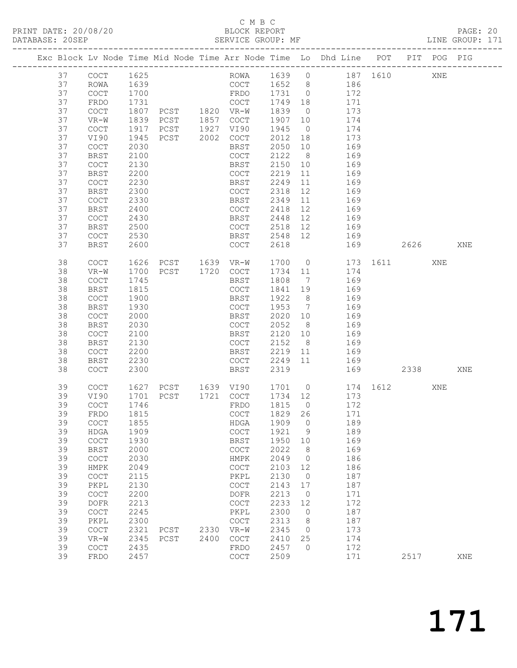### C M B C<br>BLOCK REPORT

| DATABASE: 20SEP |    |                                            |      | SERVICE GROUP: MF   |      |                                            |         |                |                                                                                |          |      |     | LINE GROUP: 171 |
|-----------------|----|--------------------------------------------|------|---------------------|------|--------------------------------------------|---------|----------------|--------------------------------------------------------------------------------|----------|------|-----|-----------------|
|                 |    |                                            |      |                     |      |                                            |         |                | Exc Block Lv Node Time Mid Node Time Arr Node Time Lo Dhd Line POT PIT POG PIG |          |      |     |                 |
|                 | 37 | COCT                                       | 1625 |                     |      |                                            |         |                | ROWA 1639 0 187 1610 XNE                                                       |          |      |     |                 |
|                 | 37 | ROWA                                       | 1639 |                     |      |                                            |         |                | COCT 1652 8 186                                                                |          |      |     |                 |
|                 | 37 | COCT                                       | 1700 |                     |      | FRDO 1731 0                                |         |                | 172                                                                            |          |      |     |                 |
|                 | 37 | FRDO                                       | 1731 |                     |      |                                            | 1749 18 |                | 171                                                                            |          |      |     |                 |
|                 | 37 | COCT                                       | 1807 |                     |      |                                            | 1839    | $\overline{0}$ | 173                                                                            |          |      |     |                 |
|                 | 37 | VR-W                                       | 1839 | PCST 1857 COCT      |      |                                            | 1907    | 10             | 174                                                                            |          |      |     |                 |
|                 | 37 | COCT                                       | 1917 | PCST 1927 VI90      |      |                                            | 1945    | $\overline{0}$ | 174                                                                            |          |      |     |                 |
|                 | 37 | VI90                                       | 1945 | PCST 2002 COCT      |      |                                            | 2012    | 18             | 173                                                                            |          |      |     |                 |
|                 | 37 | COCT                                       | 2030 |                     |      | BRST                                       | 2050    | 10             | 169                                                                            |          |      |     |                 |
|                 | 37 | BRST                                       | 2100 |                     |      | COCT                                       | 2122    | 8 <sup>8</sup> | 169                                                                            |          |      |     |                 |
|                 | 37 | COCT                                       | 2130 |                     |      | BRST                                       | 2150    | 10             | 169                                                                            |          |      |     |                 |
|                 | 37 | <b>BRST</b>                                | 2200 |                     |      |                                            | 2219    | 11             | 169                                                                            |          |      |     |                 |
|                 | 37 |                                            | 2230 |                     |      | COCT                                       |         | $11$           |                                                                                |          |      |     |                 |
|                 |    | COCT                                       |      |                     |      | BRST                                       | 2249    |                | 169<br>12 169                                                                  |          |      |     |                 |
|                 | 37 | BRST                                       | 2300 |                     |      | COCT                                       | 2318    |                |                                                                                |          |      |     |                 |
|                 | 37 | COCT                                       | 2330 |                     |      | BRST                                       | 2349    | 11             | 169                                                                            |          |      |     |                 |
|                 | 37 | BRST                                       | 2400 |                     |      | COCT                                       | 2418 12 |                | 169                                                                            |          |      |     |                 |
|                 | 37 | COCT                                       | 2430 |                     |      | BRST                                       | 2448 12 |                | 169                                                                            |          |      |     |                 |
|                 | 37 | BRST                                       | 2500 |                     |      | COCT                                       |         |                | 2518 12 169                                                                    |          |      |     |                 |
|                 | 37 | COCT                                       | 2530 |                     |      | BRST                                       |         |                | 2548 12 169                                                                    |          |      |     |                 |
|                 | 37 | <b>BRST</b>                                | 2600 |                     |      | COCT                                       | 2618    |                |                                                                                | 169 2626 |      |     | XNE             |
|                 | 38 | COCT                                       | 1626 | PCST 1639 VR-W      |      |                                            |         |                | 1700 0                                                                         | 173 1611 |      | XNE |                 |
|                 | 38 | $VR-W$                                     | 1700 | PCST 1720 COCT      |      |                                            | 1734 11 |                | 174                                                                            |          |      |     |                 |
|                 | 38 | COCT                                       | 1745 |                     |      | BRST                                       | 1808 7  |                | 169                                                                            |          |      |     |                 |
|                 | 38 | BRST                                       | 1815 |                     |      | COCT                                       | 1841 19 |                | 169                                                                            |          |      |     |                 |
|                 | 38 | COCT                                       | 1900 |                     |      | BRST                                       | 1922 8  |                | 169                                                                            |          |      |     |                 |
|                 | 38 | <b>BRST</b>                                | 1930 |                     |      | COCT                                       | 1953 7  |                | 169                                                                            |          |      |     |                 |
|                 | 38 | $\mathtt{C}\mathtt{O}\mathtt{C}\mathtt{T}$ | 2000 |                     |      | BRST                                       | 2020    | 10             | 169                                                                            |          |      |     |                 |
|                 | 38 | <b>BRST</b>                                | 2030 |                     |      | COCT                                       | 2052    | 8 <sup>8</sup> | 169                                                                            |          |      |     |                 |
|                 | 38 | COCT                                       | 2100 |                     |      | BRST                                       | 2120 10 |                | 169                                                                            |          |      |     |                 |
|                 | 38 | <b>BRST</b>                                | 2130 |                     |      | COCT                                       | 2152    | 8 <sup>8</sup> | 169                                                                            |          |      |     |                 |
|                 | 38 | COCT                                       | 2200 |                     |      | BRST                                       | 2219 11 |                | 169                                                                            |          |      |     |                 |
|                 | 38 | BRST                                       | 2230 |                     |      | COCT 2249 11                               |         |                | 169                                                                            |          |      |     |                 |
|                 | 38 | <b>COCT</b>                                | 2300 |                     |      | BRST                                       | 2319    |                |                                                                                | 169      | 2338 |     | XNE             |
|                 | 39 | COCT                                       |      | 1627 PCST 1639 VI90 |      |                                            |         |                | 1701 0 174 1612                                                                |          |      | XNE |                 |
|                 | 39 | VI90                                       |      | 1701 PCST 1721 COCT |      |                                            | 1734 12 |                | 173                                                                            |          |      |     |                 |
|                 | 39 | <b>COCT</b>                                | 1746 |                     |      | FRDO                                       | 1815 0  |                | 172                                                                            |          |      |     |                 |
|                 | 39 | FRDO 1815                                  |      |                     |      |                                            |         |                | COCT 1829 26 171                                                               |          |      |     |                 |
|                 | 39 | COCT                                       | 1855 |                     |      | HDGA                                       | 1909    | $\overline{0}$ | 189                                                                            |          |      |     |                 |
|                 | 39 | HDGA                                       | 1909 |                     |      | $\mathtt{C}\mathtt{O}\mathtt{C}\mathtt{T}$ | 1921    | 9              | 189                                                                            |          |      |     |                 |
|                 | 39 | $\mathtt{C}\mathtt{O}\mathtt{C}\mathtt{T}$ | 1930 |                     |      | BRST                                       | 1950    | 10             | 169                                                                            |          |      |     |                 |
|                 | 39 | <b>BRST</b>                                | 2000 |                     |      | COCT                                       | 2022    | 8 <sup>8</sup> | 169                                                                            |          |      |     |                 |
|                 | 39 | COCT                                       | 2030 |                     |      | HMPK                                       | 2049    | $\overline{0}$ | 186                                                                            |          |      |     |                 |
|                 | 39 | HMPK                                       | 2049 |                     |      | $\mathtt{C}\mathtt{O}\mathtt{C}\mathtt{T}$ | 2103    | 12             | 186                                                                            |          |      |     |                 |
|                 | 39 | $\mathtt{C}\mathtt{O}\mathtt{C}\mathtt{T}$ | 2115 |                     |      | PKPL                                       | 2130    | $\overline{0}$ | 187                                                                            |          |      |     |                 |
|                 | 39 | PKPL                                       | 2130 |                     |      | $\mathtt{C}\mathtt{O}\mathtt{C}\mathtt{T}$ | 2143    | 17             | 187                                                                            |          |      |     |                 |
|                 | 39 | COCT                                       | 2200 |                     |      | DOFR                                       | 2213    | $\overline{0}$ | 171                                                                            |          |      |     |                 |
|                 | 39 | <b>DOFR</b>                                | 2213 |                     |      | COCT                                       | 2233    | 12             | 172                                                                            |          |      |     |                 |
|                 | 39 | COCT                                       | 2245 |                     |      | PKPL                                       | 2300    | $\overline{0}$ | 187                                                                            |          |      |     |                 |
|                 | 39 | PKPL                                       | 2300 |                     |      | $\mathtt{C}\mathtt{O}\mathtt{C}\mathtt{T}$ | 2313    | 8              | 187                                                                            |          |      |     |                 |
|                 | 39 | COCT                                       | 2321 | PCST                | 2330 | VR-W                                       | 2345    | $\overline{0}$ | 173                                                                            |          |      |     |                 |
|                 | 39 | $VR-W$                                     | 2345 | PCST                | 2400 | $\mathtt{C}\mathtt{O}\mathtt{C}\mathtt{T}$ | 2410    | 25             | 174                                                                            |          |      |     |                 |
|                 | 39 | COCT                                       | 2435 |                     |      | FRDO                                       | 2457    | $\overline{0}$ | 172                                                                            |          |      |     |                 |
|                 | 39 | FRDO                                       | 2457 |                     |      | $\mathtt{C}\mathtt{O}\mathtt{C}\mathtt{T}$ | 2509    |                | 171                                                                            |          | 2517 |     | XNE             |
|                 |    |                                            |      |                     |      |                                            |         |                |                                                                                |          |      |     |                 |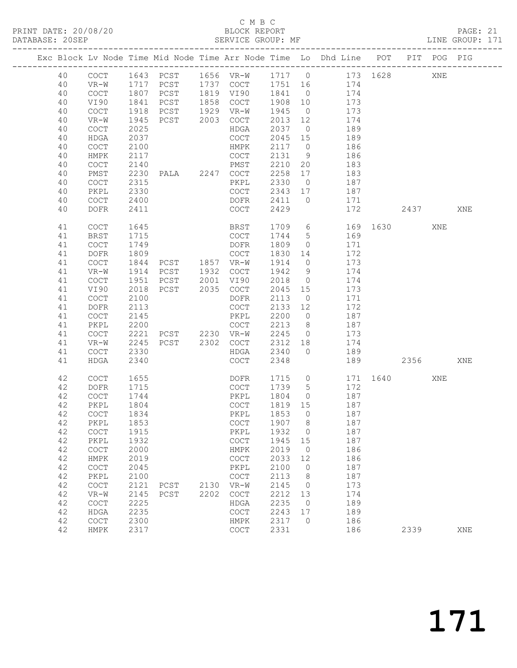## C M B C<br>BLOCK REPORT

PAGE: 21<br>LINE GROUP: 171

|    |             |      |                |      |                                            |         |                 | Exc Block Lv Node Time Mid Node Time Arr Node Time Lo Dhd Line POT PIT POG PIG |          |         |     |     |
|----|-------------|------|----------------|------|--------------------------------------------|---------|-----------------|--------------------------------------------------------------------------------|----------|---------|-----|-----|
| 40 | COCT        |      | 1643 PCST      |      | 1656 VR-W                                  | 1717 0  |                 |                                                                                | 173 1628 |         | XNE |     |
| 40 | $VR-W$      | 1717 | PCST           |      | 1737 COCT                                  | 1751    | 16              | 174                                                                            |          |         |     |     |
| 40 | COCT        | 1807 | PCST           |      | 1819 VI90                                  | 1841    | $\overline{0}$  | 174                                                                            |          |         |     |     |
| 40 | VI90        | 1841 | PCST           | 1858 | COCT                                       | 1908    | 10              | 173                                                                            |          |         |     |     |
| 40 | <b>COCT</b> | 1918 | PCST           | 1929 | VR-W                                       | 1945    | $\overline{0}$  | 173                                                                            |          |         |     |     |
| 40 | $VR-W$      | 1945 | PCST           | 2003 | COCT                                       | 2013    | 12              | 174                                                                            |          |         |     |     |
| 40 | COCT        | 2025 |                |      | HDGA                                       | 2037    | $\overline{0}$  | 189                                                                            |          |         |     |     |
| 40 | HDGA        | 2037 |                |      | COCT                                       | 2045    | 15              | 189                                                                            |          |         |     |     |
| 40 | <b>COCT</b> | 2100 |                |      | HMPK                                       | 2117    | $\overline{0}$  | 186                                                                            |          |         |     |     |
| 40 | HMPK        | 2117 |                |      | COCT                                       | 2131    | 9               | 186                                                                            |          |         |     |     |
| 40 | COCT        | 2140 |                |      | PMST                                       | 2210    | 20              | 183                                                                            |          |         |     |     |
| 40 | PMST        | 2230 | PALA 2247 COCT |      |                                            | 2258    | 17              | 183                                                                            |          |         |     |     |
| 40 | COCT        | 2315 |                |      | PKPL                                       | 2330    | $\overline{0}$  | 187                                                                            |          |         |     |     |
| 40 | PKPL        | 2330 |                |      | COCT                                       | 2343    | 17              | 187                                                                            |          |         |     |     |
| 40 | COCT        | 2400 |                |      | DOFR                                       | 2411    | $\overline{0}$  | 171                                                                            |          |         |     |     |
| 40 | DOFR        | 2411 |                |      | COCT                                       | 2429    |                 | 172                                                                            |          | 2437    |     | XNE |
| 41 | COCT        | 1645 |                |      | BRST                                       | 1709    | 6               | 169                                                                            |          | 1630 16 | XNE |     |
| 41 | <b>BRST</b> | 1715 |                |      | COCT                                       | 1744    | $5\phantom{.0}$ | 169                                                                            |          |         |     |     |
| 41 | COCT        | 1749 |                |      | DOFR                                       | 1809    | $\overline{0}$  | 171                                                                            |          |         |     |     |
| 41 | DOFR        | 1809 |                |      | COCT                                       | 1830    | 14              | 172                                                                            |          |         |     |     |
| 41 | COCT        | 1844 | PCST 1857 VR-W |      |                                            | 1914    | $\overline{0}$  | 173                                                                            |          |         |     |     |
| 41 | $VR-W$      | 1914 | PCST           | 1932 | COCT                                       | 1942    | 9               | 174                                                                            |          |         |     |     |
| 41 | COCT        | 1951 | PCST           | 2001 | VI90                                       | 2018    | $\overline{0}$  | 174                                                                            |          |         |     |     |
| 41 | VI90        | 2018 | PCST           | 2035 | COCT                                       | 2045    | 15              | 173                                                                            |          |         |     |     |
| 41 | COCT        | 2100 |                |      | DOFR                                       | 2113    | $\overline{0}$  | 171                                                                            |          |         |     |     |
| 41 | <b>DOFR</b> | 2113 |                |      | COCT                                       | 2133    | 12              | 172                                                                            |          |         |     |     |
| 41 | COCT        | 2145 |                |      | PKPL                                       | 2200    | $\overline{0}$  | 187                                                                            |          |         |     |     |
| 41 | PKPL        | 2200 |                |      | <b>COCT</b>                                | 2213    | 8 <sup>8</sup>  | 187                                                                            |          |         |     |     |
| 41 | <b>COCT</b> | 2221 | PCST 2230 VR-W |      |                                            | 2245    | $\overline{0}$  | 173                                                                            |          |         |     |     |
| 41 | $VR-W$      | 2245 | PCST 2302      |      | COCT                                       | 2312    | 18              | 174                                                                            |          |         |     |     |
| 41 | COCT        | 2330 |                |      | HDGA                                       | 2340    | $\overline{0}$  | 189                                                                            |          |         |     |     |
| 41 | HDGA        | 2340 |                |      | <b>COCT</b>                                | 2348    |                 | 189                                                                            |          | 2356    |     | XNE |
| 42 | COCT        | 1655 |                |      | DOFR                                       | 1715    | $\circ$         | 171                                                                            | 1640     |         | XNE |     |
| 42 | DOFR        | 1715 |                |      | COCT                                       | 1739    | 5               | 172                                                                            |          |         |     |     |
| 42 | COCT        | 1744 |                |      | PKPL                                       | 1804    | $\overline{0}$  | 187                                                                            |          |         |     |     |
| 42 | PKPL        | 1804 |                |      | COCT                                       | 1819 15 |                 | 187                                                                            |          |         |     |     |
| 42 | <b>COCT</b> | 1834 |                |      | PKPL                                       | 1853    | $\overline{0}$  | 187                                                                            |          |         |     |     |
| 42 | PKPL        | 1853 |                |      | COCT 1907 8                                |         |                 | 187                                                                            |          |         |     |     |
| 42 | COCT        | 1915 |                |      | PKPL                                       | 1932    | 0               | 187                                                                            |          |         |     |     |
| 42 | PKPL        | 1932 |                |      | COCT                                       | 1945    | 15              | 187                                                                            |          |         |     |     |
| 42 | COCT        | 2000 |                |      | <b>HMPK</b>                                | 2019    | $\circ$         | 186                                                                            |          |         |     |     |
| 42 | HMPK        | 2019 |                |      | COCT                                       | 2033    | 12              | 186                                                                            |          |         |     |     |
| 42 | COCT        | 2045 |                |      | PKPL                                       | 2100    | $\circ$         | 187                                                                            |          |         |     |     |
| 42 | PKPL        | 2100 |                |      | $\mathtt{C}\mathtt{O}\mathtt{C}\mathtt{T}$ | 2113    | 8               | 187                                                                            |          |         |     |     |
| 42 | COCT        | 2121 | PCST           | 2130 | $VR-W$                                     | 2145    | $\circ$         | 173                                                                            |          |         |     |     |
| 42 | VR-W        | 2145 | PCST           | 2202 | $\mathtt{C}\mathtt{O}\mathtt{C}\mathtt{T}$ | 2212    | 13              | 174                                                                            |          |         |     |     |
| 42 | COCT        | 2225 |                |      | HDGA                                       | 2235    | $\circ$         | 189                                                                            |          |         |     |     |
| 42 | HDGA        | 2235 |                |      | COCT                                       | 2243    | 17              | 189                                                                            |          |         |     |     |
| 42 | COCT        | 2300 |                |      | HMPK                                       | 2317    | $\Omega$        | 186                                                                            |          |         |     |     |
| 42 | <b>HMPK</b> | 2317 |                |      | COCT                                       | 2331    |                 | 186                                                                            |          | 2339    |     | XNE |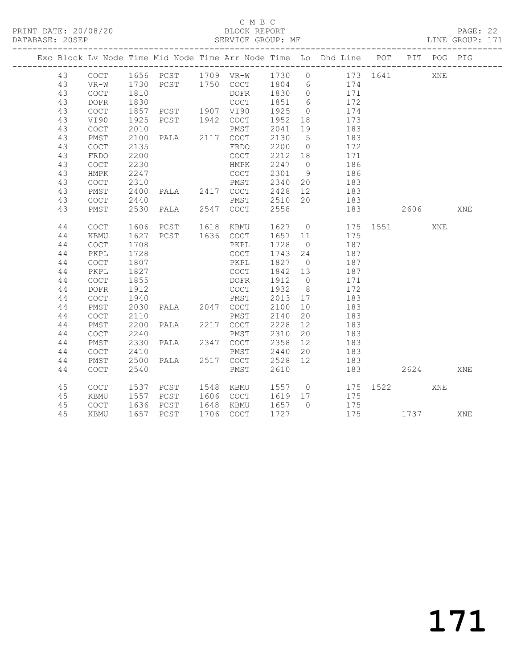### C M B C<br>BLOCK REPORT

PAGE: 22<br>LINE GROUP: 171

|          |                                            |              |                                               |                        |                                   |                | Exc Block Lv Node Time Mid Node Time Arr Node Time Lo Dhd Line POT |          | PIT POG PIG |     |
|----------|--------------------------------------------|--------------|-----------------------------------------------|------------------------|-----------------------------------|----------------|--------------------------------------------------------------------|----------|-------------|-----|
| 43       |                                            |              |                                               |                        |                                   |                |                                                                    |          | XNE         |     |
| 43       |                                            |              |                                               |                        |                                   |                |                                                                    |          |             |     |
| 43       |                                            |              |                                               |                        |                                   |                |                                                                    |          |             |     |
| 43       | DOFR                                       | 1830         |                                               |                        |                                   |                | COCT 1851 6 172                                                    |          |             |     |
| 43       | COCT                                       |              | 1857 PCST 1907 VI90                           |                        | 1925                              | $\overline{0}$ | 174                                                                |          |             |     |
| 43       | VI90                                       | 1925         | PCST 1942 COCT                                |                        | 1952 18                           |                | 173<br>183                                                         |          |             |     |
| 43       | COCT                                       | 2010         |                                               | PMST                   | 2041                              | 19             |                                                                    |          |             |     |
| 43       | PMST                                       |              | 2100 PALA 2117 COCT                           |                        | 2130 5                            |                | 183                                                                |          |             |     |
| 43       | COCT                                       | 2135         |                                               | FRDO                   | 2200 0                            |                | 172                                                                |          |             |     |
| 43       | FRDO                                       | 2200         |                                               | COCT                   |                                   |                | 171                                                                |          |             |     |
| 43       | COCT                                       | 2230         |                                               | HMPK                   | $2212$ 18<br>$2247$ 0<br>$2301$ 9 |                | 186                                                                |          |             |     |
| 43       | HMPK                                       | 2247         |                                               | COCT                   |                                   |                | 186                                                                |          |             |     |
| 43       | COCT                                       | 2310         |                                               |                        |                                   |                | PMST 2340 20 183                                                   |          |             |     |
| 43       | PMST                                       | 2400         |                                               | PALA 2417 COCT 2428 12 |                                   |                | 183                                                                |          |             |     |
| 43       | COCT                                       |              | 2440 PMST 2510 20<br>2530 PALA 2547 COCT 2558 |                        |                                   |                | 183                                                                |          |             |     |
| 43       | PMST                                       |              |                                               |                        |                                   |                |                                                                    | 183 2606 |             | XNE |
|          |                                            |              |                                               |                        |                                   |                |                                                                    |          |             |     |
| 44       | COCT                                       | 1606         | PCST 1618 KBMU                                |                        |                                   |                | 1627 0 175 1551                                                    |          | XNE         |     |
| 44       | KBMU                                       | 1627         | PCST 1636 COCT                                |                        |                                   |                | 1657 11 175                                                        |          |             |     |
| 44       | COCT                                       | 1708         |                                               | PKPL                   | 1728 0                            |                | 187                                                                |          |             |     |
| 44       | PKPL                                       | 1728         |                                               | COCT                   | 1743 24                           |                | 187<br>187                                                         |          |             |     |
| 44       | COCT                                       | 1807         |                                               | PKPL                   | 1827 0                            |                |                                                                    |          |             |     |
| 44       | PKPL                                       | 1827         |                                               | COCT                   | 1842 13                           |                | 187                                                                |          |             |     |
| 44       | COCT                                       | 1855         |                                               | DOFR                   | 1912<br>1932                      | $\overline{0}$ | 171                                                                |          |             |     |
| 44<br>44 | DOFR<br>COCT                               | 1912<br>1940 |                                               | COCT<br>PMST           | 2013 17                           | 8 <sup>8</sup> | 172<br>$\frac{1}{183}$                                             |          |             |     |
|          |                                            |              |                                               | PALA 2047 COCT 2100    |                                   |                | 183                                                                |          |             |     |
| 44<br>44 | PMST<br>COCT                               | 2030<br>2110 |                                               |                        | 2140                              | 10<br>20       | 183                                                                |          |             |     |
| 44       | PMST                                       | 2200         | PMST<br>PALA 2217 COCT                        |                        |                                   |                |                                                                    |          |             |     |
| 44       | <b>COCT</b>                                | 2240         |                                               |                        | $2228$ $12$<br>2310 20            |                | 183<br>183                                                         |          |             |     |
| 44       | PMST                                       | 2330         |                                               |                        | 2358 12                           |                | 183                                                                |          |             |     |
| 44       | COCT                                       | 2410         |                                               | PMST                   | 2440 20                           |                | 183                                                                |          |             |     |
| 44       | PMST                                       | 2500         |                                               | PALA 2517 COCT         | 2528 12                           |                | 183                                                                |          |             |     |
| 44       | COCT                                       | 2540         |                                               | PMST                   | 2610                              |                |                                                                    |          |             | XNE |
|          |                                            |              |                                               |                        |                                   |                |                                                                    | 183 2624 |             |     |
| 45       | $\mathtt{C}\mathtt{O}\mathtt{C}\mathtt{T}$ | 1537         | PCST 1548 KBMU                                |                        |                                   |                | 1557 0 175 1522                                                    |          | XNE         |     |
| 45       | KBMU                                       |              | 1557 PCST 1606 COCT                           |                        |                                   |                | 1619 17 175                                                        |          |             |     |
| 45       | COCT                                       |              | 1636 PCST                                     | 1648 KBMU              | 1657 0                            |                | 175                                                                |          |             |     |
| 45       | KBMU                                       |              | 1657 PCST                                     | 1706 COCT              | 1727                              |                |                                                                    | 175 1737 |             | XNE |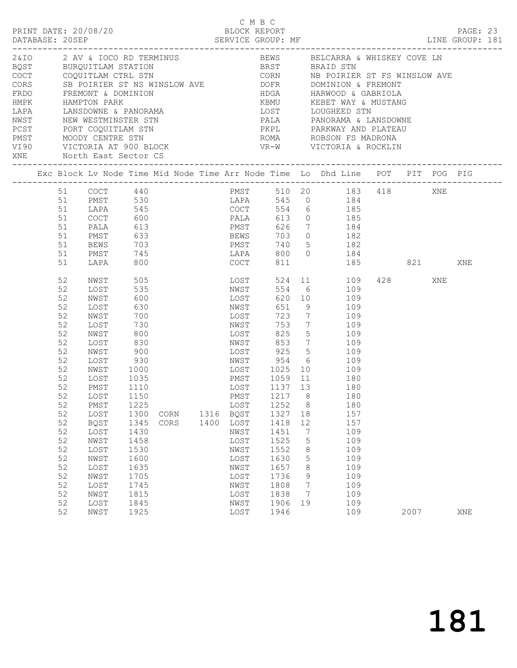|                                                                                                                                                  | PRINT DATE: 20/08/20<br>DATABASE: 20SEP<br>2&IO 2 AV & IOCO RD TERMINUS 6 BEWS BELCARRA & WHISKEY COVE LN                                                |                                                                                                                                                                                                                          |                                                                                                                                                                                                           |              |  |              |                                                                                                                                                      | C M B C<br>BLOCK REPORT                                                                                                                                  |                                                                                |                                                                                                                                                                                                                                                                                                                                                                                                                            |         | PAGE: 23 |
|--------------------------------------------------------------------------------------------------------------------------------------------------|----------------------------------------------------------------------------------------------------------------------------------------------------------|--------------------------------------------------------------------------------------------------------------------------------------------------------------------------------------------------------------------------|-----------------------------------------------------------------------------------------------------------------------------------------------------------------------------------------------------------|--------------|--|--------------|------------------------------------------------------------------------------------------------------------------------------------------------------|----------------------------------------------------------------------------------------------------------------------------------------------------------|--------------------------------------------------------------------------------|----------------------------------------------------------------------------------------------------------------------------------------------------------------------------------------------------------------------------------------------------------------------------------------------------------------------------------------------------------------------------------------------------------------------------|---------|----------|
| HMPK HAMPTON PARK<br>LAPA      LANSDOWNE & PANORAMA<br>NWST      NEW WESTMINSTER STN<br>PCST      PORT COQUITLAM STN<br>XNE North East Sector CS |                                                                                                                                                          |                                                                                                                                                                                                                          |                                                                                                                                                                                                           |              |  |              |                                                                                                                                                      |                                                                                                                                                          |                                                                                | BOST BURQUITLAM STATION BRST BRAID STN COCT COQUITLAM CTRL STN CORN NB POIRIER ST FS WINSLOW AVE CORS SB POIRIER ST NS WINSLOW AVE DOFR DOMINION & FREMONT FRDO FREMONT & DOMINION ADGA HARWOOD & GABRIOLA<br>KBMU KEBET WAY & MUSTANG<br>LOST      LOUGHEED STN<br>PALA      PANORAMA & LANSDOWNE<br>PKPL       PARKWAY AND PLATEAU<br>____________________________                                                       |         |          |
|                                                                                                                                                  |                                                                                                                                                          |                                                                                                                                                                                                                          |                                                                                                                                                                                                           |              |  |              |                                                                                                                                                      |                                                                                                                                                          |                                                                                | Exc Block Lv Node Time Mid Node Time Arr Node Time Lo Dhd Line POT PIT POG PIG                                                                                                                                                                                                                                                                                                                                             |         |          |
|                                                                                                                                                  | 51<br>51<br>51<br>51                                                                                                                                     | COCT<br>PALA<br>PMST<br><b>BEWS</b>                                                                                                                                                                                      | 600<br>613<br>633<br>703                                                                                                                                                                                  |              |  |              | PMST                                                                                                                                                 |                                                                                                                                                          |                                                                                | 1999<br>1991<br>1991<br>1991<br>1993<br>1993<br>1993<br>1994<br>1995<br>1994<br>1995<br>1996<br>1996<br>1996<br>1996<br>1996<br>1996<br>1996<br>1996<br>1996<br>1996<br>1996<br>1996<br>1996<br>1996<br>1996<br>1996<br>1996<br>1996<br>1996<br>1996<br>1996<br>1996<br>1996<br>1996<br>1996<br>1996<br><br>PMST 510 20 183 418 XNE<br>LAPA 545 0 184<br>PALA 613 0 185<br>PMST 626 7 184<br>BEWS 703 0 182<br>$740$ 5 182 |         |          |
|                                                                                                                                                  | 51<br>51                                                                                                                                                 | PMST<br>LAPA                                                                                                                                                                                                             | 745<br>800                                                                                                                                                                                                |              |  |              | LAPA<br>COCT                                                                                                                                         |                                                                                                                                                          |                                                                                | 800 0 184<br>811 185 821                                                                                                                                                                                                                                                                                                                                                                                                   |         | XNE      |
|                                                                                                                                                  | 52<br>52<br>52<br>52<br>52<br>52<br>52<br>52<br>52<br>52<br>52<br>52<br>52<br>52<br>52<br>52<br>52<br>52<br>52<br>52<br>52<br>52<br>52<br>52<br>52<br>52 | NWST<br>LOST<br>NWST<br>LOST<br>NWST<br>LOST<br>NWST<br>LOST<br>NWST<br>LOST<br>NWST<br>LOST<br>PMST<br>LOST 1150<br>PMST<br>LOST<br><b>BQST</b><br>LOST<br>NWST<br>LOST<br>NWST<br>LOST<br>NWST<br>LOST<br>NWST<br>LOST | 505<br>535<br>600<br>630<br>700<br>730<br>800<br>830<br>900<br>930<br>1000<br>$\frac{1035}{1110}$<br>1110<br>1225<br>1300<br>1345<br>1430<br>1458<br>1530<br>1600<br>1635<br>1705<br>1745<br>1815<br>1845 | CORN<br>CORS |  | 1316<br>1400 | LOST<br>NWST<br>LOST<br>NWST<br>LOST<br>NWST<br>LOST<br>LOST<br>BQST<br>LOST<br>NWST<br>LOST<br>NWST<br>LOST<br>NWST<br>LOST<br>NWST<br>LOST<br>NWST | 651 9<br>723<br>825<br>NWST 853<br>LOST 925<br>LOST 1025<br>1252<br>1327<br>1418<br>1451<br>1525<br>1552<br>1630<br>1657<br>1736<br>1808<br>1838<br>1906 | $7\overline{ }$<br>8<br>18<br>12<br>7<br>5<br>8<br>5<br>8<br>9<br>7<br>7<br>19 | 524 11 109<br>554 6 109<br>620 10 109<br>9 109<br>7 109<br>753 7 109<br>5 109<br>109<br>$\frac{10}{5}$ 109<br>NWST 954 6 109<br>10 109<br>PMST 1059 11 180<br>LOST 1137 13 180<br>PMST 1217 8 180<br>180<br>157<br>157<br>109<br>109<br>109<br>109<br>109<br>109<br>109<br>109<br>109                                                                                                                                      | 428 XNE |          |
|                                                                                                                                                  | 52                                                                                                                                                       | NWST                                                                                                                                                                                                                     | 1925                                                                                                                                                                                                      |              |  |              | LOST                                                                                                                                                 | 1946                                                                                                                                                     |                                                                                | 109                                                                                                                                                                                                                                                                                                                                                                                                                        | 2007    | XNE      |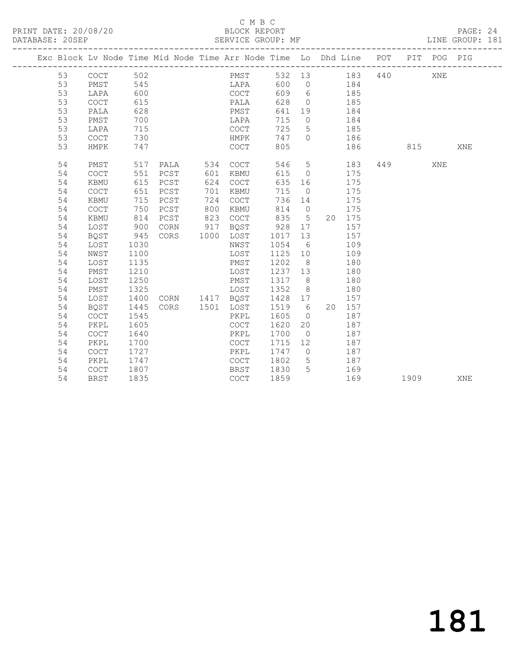PRINT DATE: 20/08/20 BLOCK REPORT<br>
DATABASE: 20SEP<br>
SERVICE GROUP: MF

#### C M B C<br>BLOCK REPORT

PAGE: 24<br>LINE GROUP: 181

|    |             |      |      |      |             |      |          | Exc Block Lv Node Time Mid Node Time Arr Node Time Lo Dhd Line POT |     | PIT  | POG PIG |            |
|----|-------------|------|------|------|-------------|------|----------|--------------------------------------------------------------------|-----|------|---------|------------|
| 53 | COCT        | 502  |      |      | PMST        | 532  | 13       | 183                                                                | 440 |      | XNE     |            |
| 53 | PMST        | 545  |      |      | LAPA        | 600  | $\circ$  | 184                                                                |     |      |         |            |
| 53 | LAPA        | 600  |      |      | COCT        | 609  | 6        | 185                                                                |     |      |         |            |
| 53 | <b>COCT</b> | 615  |      |      | PALA        | 628  | $\circ$  | 185                                                                |     |      |         |            |
| 53 | PALA        | 628  |      |      | PMST        | 641  | 19       | 184                                                                |     |      |         |            |
| 53 | PMST        | 700  |      |      | LAPA        | 715  | $\circ$  | 184                                                                |     |      |         |            |
| 53 | LAPA        | 715  |      |      | <b>COCT</b> | 725  | 5        | 185                                                                |     |      |         |            |
| 53 | COCT        | 730  |      |      | HMPK        | 747  | $\Omega$ | 186                                                                |     |      |         |            |
| 53 | HMPK        | 747  |      |      | COCT        | 805  |          | 186                                                                |     | 815  |         | <b>XNE</b> |
| 54 | PMST        | 517  | PALA | 534  | <b>COCT</b> | 546  | 5        | 183                                                                | 449 |      | XNE     |            |
| 54 | COCT        | 551  | PCST | 601  | KBMU        | 615  | $\circ$  | 175                                                                |     |      |         |            |
| 54 | <b>KBMU</b> | 615  | PCST | 624  | <b>COCT</b> | 635  | 16       | 175                                                                |     |      |         |            |
| 54 | <b>COCT</b> | 651  | PCST | 701  | KBMU        | 715  | $\circ$  | 175                                                                |     |      |         |            |
| 54 | <b>KBMU</b> | 715  | PCST | 724  | COCT        | 736  | 14       | 175                                                                |     |      |         |            |
| 54 | COCT        | 750  | PCST | 800  | <b>KBMU</b> | 814  | $\Omega$ | 175                                                                |     |      |         |            |
| 54 | <b>KBMU</b> | 814  | PCST | 823  | <b>COCT</b> | 835  | 5        | 175<br>20                                                          |     |      |         |            |
| 54 | LOST        | 900  | CORN | 917  | BQST        | 928  | 17       | 157                                                                |     |      |         |            |
| 54 | BQST        | 945  | CORS | 1000 | LOST        | 1017 | 13       | 157                                                                |     |      |         |            |
| 54 | LOST        | 1030 |      |      | NWST        | 1054 | 6        | 109                                                                |     |      |         |            |
| 54 | NWST        | 1100 |      |      | LOST        | 1125 | 10       | 109                                                                |     |      |         |            |
| 54 | LOST        | 1135 |      |      | PMST        | 1202 | 8        | 180                                                                |     |      |         |            |
| 54 | PMST        | 1210 |      |      | LOST        | 1237 | 13       | 180                                                                |     |      |         |            |
| 54 | LOST        | 1250 |      |      | PMST        | 1317 | 8        | 180                                                                |     |      |         |            |
| 54 | PMST        | 1325 |      |      | LOST        | 1352 | 8        | 180                                                                |     |      |         |            |
| 54 | LOST        | 1400 | CORN |      | 1417 BQST   | 1428 | 17       | 157                                                                |     |      |         |            |
| 54 | <b>BQST</b> | 1445 | CORS | 1501 | LOST        | 1519 | 6        | 157<br>20                                                          |     |      |         |            |
| 54 | COCT        | 1545 |      |      | PKPL        | 1605 | $\circ$  | 187                                                                |     |      |         |            |
| 54 | PKPL        | 1605 |      |      | <b>COCT</b> | 1620 | 20       | 187                                                                |     |      |         |            |
| 54 | <b>COCT</b> | 1640 |      |      | PKPL        | 1700 | $\circ$  | 187                                                                |     |      |         |            |
| 54 | PKPL        | 1700 |      |      | COCT        | 1715 | 12       | 187                                                                |     |      |         |            |
| 54 | <b>COCT</b> | 1727 |      |      | PKPL        | 1747 | $\Omega$ | 187                                                                |     |      |         |            |
| 54 | PKPL        | 1747 |      |      | COCT        | 1802 | 5        | 187                                                                |     |      |         |            |
| 54 | COCT        | 1807 |      |      | <b>BRST</b> | 1830 | 5        | 169                                                                |     |      |         |            |
| 54 | <b>BRST</b> | 1835 |      |      | COCT        | 1859 |          | 169                                                                |     | 1909 |         | XNE        |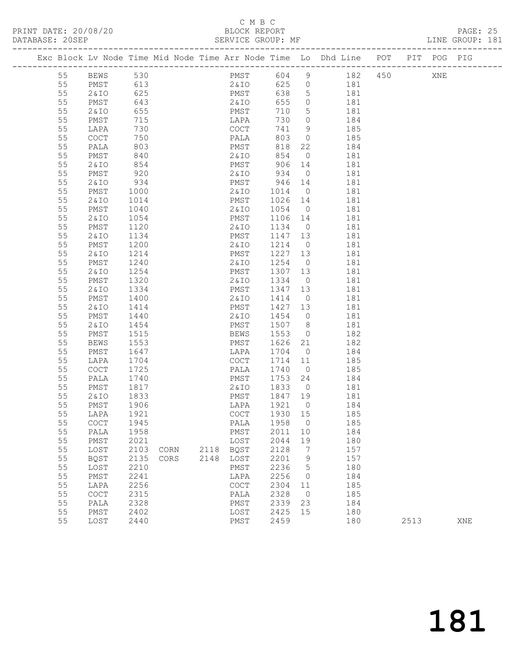## C M B C<br>BLOCK REPORT

PRINT DATE: 20/08/20 BLOCK REPORT DATABASE: 20SEP

PAGE: 25<br>LINE GROUP: 181

|    |        |            |      |      |            |                    |                 | Exc Block Lv Node Time Mid Node Time Arr Node Time Lo Dhd Line POT PIT POG PIG |      |     |     |
|----|--------|------------|------|------|------------|--------------------|-----------------|--------------------------------------------------------------------------------|------|-----|-----|
| 55 | BEWS   | 530        |      |      | PMST       | 604 9              |                 | 182 450                                                                        |      | XNE |     |
| 55 | PMST   | 613        |      |      | 2&IO 625 0 |                    |                 | 181                                                                            |      |     |     |
| 55 | 2&10   | 625        |      |      | PMST       | 638                | $5\overline{)}$ | 181                                                                            |      |     |     |
| 55 | PMST   | 643        |      |      | 2 & I O    | 655                | $\overline{0}$  | 181                                                                            |      |     |     |
| 55 | 2 & IO | 655        |      |      | PMST       | 710                | $5^{\circ}$     | 181                                                                            |      |     |     |
| 55 | PMST   | 715        |      |      | LAPA       | 730                | $\overline{0}$  | 184                                                                            |      |     |     |
| 55 | LAPA   | 730        |      |      | COCT       | 741                | $\overline{9}$  | 185                                                                            |      |     |     |
| 55 | COCT   | 750        |      |      | PALA       | 803                | $\overline{0}$  | 185                                                                            |      |     |     |
| 55 | PALA   | 803<br>840 |      |      | PMST       | 818                | 22              | 184                                                                            |      |     |     |
| 55 | PMST   |            |      |      | 2 & I O    | 854                | $\overline{0}$  | 181                                                                            |      |     |     |
| 55 | 2&10   | 854        |      |      | PMST       | 906 14             |                 | 181                                                                            |      |     |     |
| 55 | PMST   | 920        |      |      | 2 & I O    | 934                | $\overline{0}$  | 181                                                                            |      |     |     |
| 55 | 2 & IO | 934        |      |      | PMST       | $946$ 14<br>1014 0 |                 | 181                                                                            |      |     |     |
| 55 | PMST   | 1000       |      |      | 2 & I O    |                    | $\overline{0}$  | 181                                                                            |      |     |     |
| 55 | 2 & IO | 1014       |      |      | PMST       | 1026 14            |                 | 181                                                                            |      |     |     |
| 55 | PMST   | 1040       |      |      | 2 & I O    | 1054               | $\overline{0}$  | 181                                                                            |      |     |     |
| 55 | 2 & IO | 1054       |      |      | PMST       | 1106 14            |                 | 181                                                                            |      |     |     |
| 55 | PMST   | 1120       |      |      | 2 & I O    | 1134 0             |                 | 181                                                                            |      |     |     |
| 55 | 2 & IO | 1134       |      |      | PMST       | 1147 13            |                 | 181                                                                            |      |     |     |
| 55 | PMST   | 1200       |      |      | 2 & I O    | 1214               | $\overline{0}$  | 181                                                                            |      |     |     |
| 55 | 2&ID   | 1214       |      |      | PMST       | 1227 13            |                 | 181                                                                            |      |     |     |
| 55 | PMST   | 1240       |      |      | 2 & I O    | 1254               | $\overline{0}$  | 181                                                                            |      |     |     |
| 55 | 2&IO   | 1254       |      |      | PMST       | 1307 13            |                 | 181                                                                            |      |     |     |
| 55 | PMST   | 1320       |      |      | 2 & I O    | 1334               | $\overline{0}$  | 181                                                                            |      |     |     |
| 55 | 2&IO   | 1334       |      |      | PMST       | 1347 13            |                 | 181                                                                            |      |     |     |
| 55 | PMST   | 1400       |      |      | 2 & I O    | 1414               | $\overline{0}$  | 181                                                                            |      |     |     |
| 55 | 2 & IO | 1414       |      |      | PMST       | 1427 13            |                 | 181                                                                            |      |     |     |
| 55 | PMST   | 1440       |      |      | 2&IO       | 1454               | $\overline{0}$  | 181                                                                            |      |     |     |
| 55 | 2 & IO | 1454       |      |      | PMST       | 1507               | 8 <sup>8</sup>  | 181                                                                            |      |     |     |
| 55 | PMST   | 1515       |      |      | BEWS       | 1553               | $\overline{0}$  | 182                                                                            |      |     |     |
| 55 | BEWS   | 1553       |      |      | PMST       | 1626 21            |                 | 182                                                                            |      |     |     |
| 55 | PMST   | 1647       |      |      | LAPA       | 1704               | $\overline{0}$  | 184                                                                            |      |     |     |
| 55 | LAPA   | 1704       |      |      | COCT       | 1714 11            |                 | 185                                                                            |      |     |     |
| 55 | COCT   | 1725       |      |      | PALA       | 1740               | $\overline{0}$  | 185                                                                            |      |     |     |
| 55 | PALA   | 1740       |      |      | PMST       | 1753 24            |                 | 184                                                                            |      |     |     |
| 55 | PMST   | 1817       |      |      | 2 & IO     | 1833               | $\overline{0}$  | 181                                                                            |      |     |     |
| 55 | 2&IO   | 1833       |      |      | PMST       | 1847 19            |                 | 181                                                                            |      |     |     |
| 55 | PMST   | 1906       |      |      | LAPA       | 1921               | $\overline{0}$  | 184                                                                            |      |     |     |
| 55 | LAPA   | 1921       |      |      | COCT       | 1930 15            |                 | 185                                                                            |      |     |     |
| 55 | COCT   | 1945       |      |      | PALA       | 1958 0             |                 | 185                                                                            |      |     |     |
| 55 | PALA   | 1958       |      |      | PMST       | 2011               | 10              | 184                                                                            |      |     |     |
| 55 | PMST   | 2021       |      |      | LOST       | 2044               | 19              | 180                                                                            |      |     |     |
| 55 | LOST   | 2103       | CORN |      | 2118 BOST  | 2128               | $\overline{7}$  | 157                                                                            |      |     |     |
| 55 | BQST   | 2135       | CORS | 2148 | LOST       | 2201               | 9               | 157                                                                            |      |     |     |
| 55 | LOST   | 2210       |      |      | PMST       | 2236               | 5               | 180                                                                            |      |     |     |
| 55 | PMST   | 2241       |      |      | LAPA       | 2256               | $\circ$         | 184                                                                            |      |     |     |
| 55 | LAPA   | 2256       |      |      | COCT       | 2304               | 11              | 185                                                                            |      |     |     |
| 55 | COCT   | 2315       |      |      | PALA       | 2328               | $\overline{0}$  | 185                                                                            |      |     |     |
| 55 | PALA   | 2328       |      |      | PMST       | 2339               | 23              | 184                                                                            |      |     |     |
| 55 | PMST   | 2402       |      |      | LOST       | 2425               | 15              | 180                                                                            |      |     |     |
| 55 | LOST   | 2440       |      |      | PMST       | 2459               |                 | 180                                                                            | 2513 |     | XNE |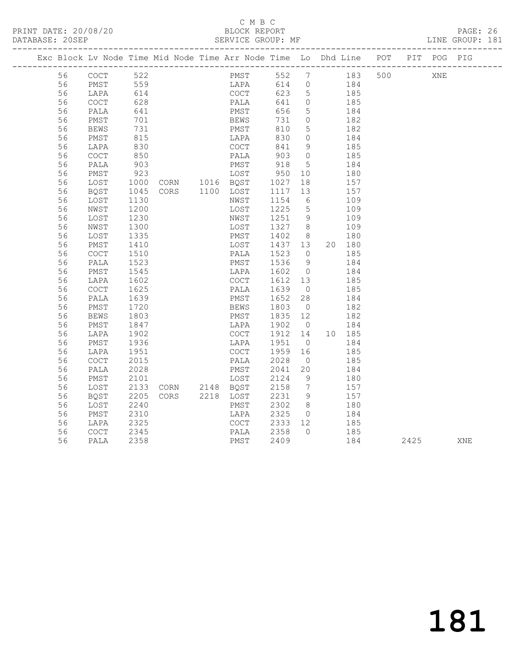### C M B C<br>BLOCK REPORT

PAGE: 26<br>LINE GROUP: 181

|  |          | Exc Block Lv Node Time Mid Node Time Arr Node Time Lo Dhd Line POT |              |  |                        |              |      |                |                      |               |     |      | PIT POG PIG |     |
|--|----------|--------------------------------------------------------------------|--------------|--|------------------------|--------------|------|----------------|----------------------|---------------|-----|------|-------------|-----|
|  | 56       | COCT                                                               | 522          |  |                        |              | PMST |                |                      | 552 7 183     | 500 |      | XNE         |     |
|  | 56       | PMST                                                               | 559          |  |                        |              |      | LAPA 614 0 184 |                      |               |     |      |             |     |
|  | 56       | LAPA                                                               |              |  |                        | COCT         |      | 623 5          |                      |               |     |      |             |     |
|  | 56       | COCT                                                               | 614<br>628   |  |                        | PALA         |      | 641 0          |                      | 185<br>185    |     |      |             |     |
|  | 56       | PALA                                                               | 641          |  |                        | PMST         |      | 656            | $5^{\circ}$          | 184           |     |      |             |     |
|  | 56       | PMST                                                               | 701          |  |                        | BEWS         |      | 731            | $\overline{0}$       | 182           |     |      |             |     |
|  | 56       | BEWS                                                               | 731          |  |                        | PMST         |      | 810            | $5^{\circ}$          | 182           |     |      |             |     |
|  | 56       | PMST                                                               | 815          |  |                        | LAPA         |      | 830            | $\overline{0}$       | 184           |     |      |             |     |
|  | 56       | LAPA                                                               | 830          |  |                        | COCT         |      | 841            | 9                    | 185           |     |      |             |     |
|  | 56       | $\mathtt{C}\mathtt{O}\mathtt{C}\mathtt{T}$                         | 850          |  |                        | PALA         |      | 903            | $\overline{0}$       | 185           |     |      |             |     |
|  | 56       | PALA                                                               | 903          |  |                        | PMST         |      | 918            | $5\overline{)}$      | 184           |     |      |             |     |
|  | 56       | PMST                                                               | 923          |  |                        | LOST         |      |                | 10                   | 180           |     |      |             |     |
|  | 56       | LOST                                                               | 1000         |  | LOST<br>CORN 1016 BQST |              |      | 950<br>1027    | 18                   | 157           |     |      |             |     |
|  | 56       | BQST                                                               | 1045         |  | CORS 1100 LOST         |              |      | 1117           | 13                   | 157           |     |      |             |     |
|  | 56       | LOST                                                               | 1130         |  |                        | NWST         |      | 1154           | 6                    | 109           |     |      |             |     |
|  | 56       | NWST                                                               | 1200         |  |                        | LOST         |      | 1225           | $5^{\circ}$          | 109           |     |      |             |     |
|  | 56       | LOST                                                               | 1230         |  |                        | NWST         |      | 1251           | $\overline{9}$       | 109           |     |      |             |     |
|  | 56       | NWST                                                               | 1300         |  |                        | LOST         |      | 1327 8         |                      | 109           |     |      |             |     |
|  | 56       | LOST                                                               | 1335         |  |                        | PMST         |      | 1402 8         |                      | 180           |     |      |             |     |
|  | 56       | PMST                                                               | 1410         |  |                        | LOST         |      | 1437 13        |                      | 20 180        |     |      |             |     |
|  | 56       | $\mathtt{C}\mathtt{O}\mathtt{C}\mathtt{T}$                         | 1510         |  |                        | PALA         |      | 1523           | $\overline{0}$       | 185           |     |      |             |     |
|  | 56       | PALA                                                               | 1523         |  |                        | PMST         |      | 1536           | 9                    | 184           |     |      |             |     |
|  | 56       | PMST                                                               | 1545         |  |                        | LAPA         |      | 1602           | $\overline{0}$       | 184           |     |      |             |     |
|  | 56       | LAPA                                                               | 1602         |  |                        | COCT         |      | 1612 13        |                      | 185           |     |      |             |     |
|  | 56       | $\mathtt{C}\mathtt{O}\mathtt{C}\mathtt{T}$                         | 1625         |  |                        | PALA         |      | 1639           | $\overline{0}$       | 185           |     |      |             |     |
|  | 56       | PALA                                                               | 1639         |  |                        | PMST         |      | 1652           | 28                   | 184           |     |      |             |     |
|  | 56       | PMST                                                               | 1720         |  |                        | BEWS         |      | 1803           | $\overline{0}$       | 182           |     |      |             |     |
|  | 56       | BEWS                                                               | 1803         |  |                        | PMST         |      | 1835 12        |                      | 182           |     |      |             |     |
|  | 56       | PMST                                                               | 1847         |  |                        | LAPA         |      | 1902 0         |                      | 184           |     |      |             |     |
|  | 56       | LAPA                                                               | 1902         |  |                        | COCT         |      | 1912 14        |                      | 10 185<br>184 |     |      |             |     |
|  | 56<br>56 | PMST                                                               | 1936         |  |                        | LAPA<br>COCT |      | 1951<br>1959   | $\overline{0}$       | 185           |     |      |             |     |
|  | 56       | LAPA<br>$\mathtt{C}\mathtt{O}\mathtt{C}\mathtt{T}$                 | 1951<br>2015 |  |                        | PALA         |      | 2028           | 16<br>$\overline{0}$ | 185           |     |      |             |     |
|  | 56       | PALA                                                               | 2028         |  |                        | PMST         |      | 2041           | 20                   | 184           |     |      |             |     |
|  | 56       | PMST                                                               | 2101         |  |                        |              |      | 2124           | $\overline{9}$       | 180           |     |      |             |     |
|  | 56       | LOST                                                               | 2133         |  | LOST<br>CORN 2148 BQST |              |      | 2158 7         |                      | 157           |     |      |             |     |
|  | 56       | BQST                                                               | 2205         |  | CORS 2218 LOST         |              |      | 2231           | - 9                  | 157           |     |      |             |     |
|  | 56       | LOST                                                               | 2240         |  |                        | PMST         |      | 2302           | 8 <sup>8</sup>       | 180           |     |      |             |     |
|  | 56       | PMST                                                               | 2310         |  |                        | LAPA         |      | 2325           | $\overline{0}$       | 184           |     |      |             |     |
|  | 56       | LAPA                                                               | 2325         |  |                        | COCT         |      | 2333 12        |                      | 185           |     |      |             |     |
|  | 56       | COCT                                                               | 2345         |  |                        | PALA         |      | 2358           | $\bigcap$            | 185           |     |      |             |     |
|  | 56       | PALA                                                               | 2358         |  |                        | PMST         |      | 2409           |                      | 184           |     | 2425 |             | XNE |
|  |          |                                                                    |              |  |                        |              |      |                |                      |               |     |      |             |     |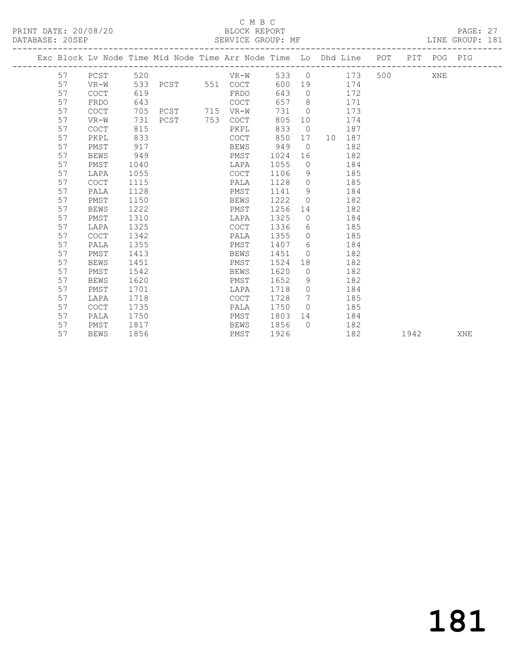#### C M B C<br>BLOCK REPORT

PAGE: 27<br>LINE GROUP: 181

|    |             |      |                   |          |      |                | Exc Block Lv Node Time Mid Node Time Arr Node Time Lo Dhd Line POT PIT POG PIG |         |      |     |     |
|----|-------------|------|-------------------|----------|------|----------------|--------------------------------------------------------------------------------|---------|------|-----|-----|
| 57 | PCST        |      | 520 320           | $VR-W$   |      |                | 533 0 173                                                                      | 500 000 |      | XNE |     |
| 57 | VR-W        |      | 533 PCST 551 COCT |          |      |                | 600 19 174                                                                     |         |      |     |     |
| 57 | <b>COCT</b> | 619  |                   | FRDO     | 643  | $\bigcirc$     | 172                                                                            |         |      |     |     |
| 57 | FRDO        | 643  |                   | COCT     | 657  | 8 <sup>8</sup> | 171                                                                            |         |      |     |     |
| 57 | COCT        | 705  | PCST 715 VR-W     |          | 731  | $\overline{0}$ | 173                                                                            |         |      |     |     |
| 57 | VR-W        | 731  | PCST              | 753 COCT | 805  | 10             | 174                                                                            |         |      |     |     |
| 57 | <b>COCT</b> | 815  |                   | PKPL     | 833  | $\overline{0}$ | 187                                                                            |         |      |     |     |
| 57 | PKPL        | 833  |                   | COCT     | 850  |                | 17 10 187                                                                      |         |      |     |     |
| 57 | PMST        | 917  |                   | BEWS     | 949  | $\overline{0}$ | 182                                                                            |         |      |     |     |
| 57 | BEWS        | 949  |                   | PMST     | 1024 | 16             | 182                                                                            |         |      |     |     |
| 57 | PMST        | 1040 |                   | LAPA     | 1055 | $\bigcirc$     | 184                                                                            |         |      |     |     |
| 57 | LAPA        | 1055 |                   | COCT     | 1106 | 9              | 185                                                                            |         |      |     |     |
| 57 | <b>COCT</b> | 1115 |                   | PALA     | 1128 | $\overline{0}$ | 185                                                                            |         |      |     |     |
| 57 | PALA        | 1128 |                   | PMST     | 1141 |                | $9 \quad \bullet$<br>184                                                       |         |      |     |     |
| 57 | PMST        | 1150 |                   | BEWS     | 1222 | $\Omega$       | 182                                                                            |         |      |     |     |
| 57 | <b>BEWS</b> | 1222 |                   | PMST     | 1256 | 14             | 182                                                                            |         |      |     |     |
| 57 | PMST        | 1310 |                   | LAPA     | 1325 | $\circ$        | 184                                                                            |         |      |     |     |
| 57 | LAPA        | 1325 |                   | COCT     | 1336 | 6              | 185                                                                            |         |      |     |     |
| 57 | <b>COCT</b> | 1342 |                   | PALA     | 1355 | $\circ$        | 185                                                                            |         |      |     |     |
| 57 | PALA        | 1355 |                   | PMST     | 1407 | 6              | 184                                                                            |         |      |     |     |
| 57 | PMST        | 1413 |                   | BEWS     | 1451 | $\circ$        | 182                                                                            |         |      |     |     |
| 57 | <b>BEWS</b> | 1451 |                   | PMST     | 1524 |                | 182                                                                            |         |      |     |     |
| 57 | PMST        | 1542 |                   | BEWS     | 1620 | $\overline{0}$ | 182                                                                            |         |      |     |     |
| 57 | <b>BEWS</b> | 1620 |                   | PMST     | 1652 | 9              | 182                                                                            |         |      |     |     |
| 57 | PMST        | 1701 |                   | LAPA     | 1718 | $\circ$        | 184                                                                            |         |      |     |     |
| 57 | LAPA        | 1718 |                   | COCT     | 1728 | 7              | 185                                                                            |         |      |     |     |
| 57 | <b>COCT</b> | 1735 |                   | PALA     | 1750 | $\bigcirc$     | 185                                                                            |         |      |     |     |
| 57 | PALA        | 1750 |                   | PMST     | 1803 |                | 184                                                                            |         |      |     |     |
| 57 | PMST        | 1817 |                   | BEWS     | 1856 | $\Omega$       | 182                                                                            |         |      |     |     |
| 57 | BEWS        | 1856 |                   | PMST     | 1926 |                | 182                                                                            |         | 1942 |     | XNE |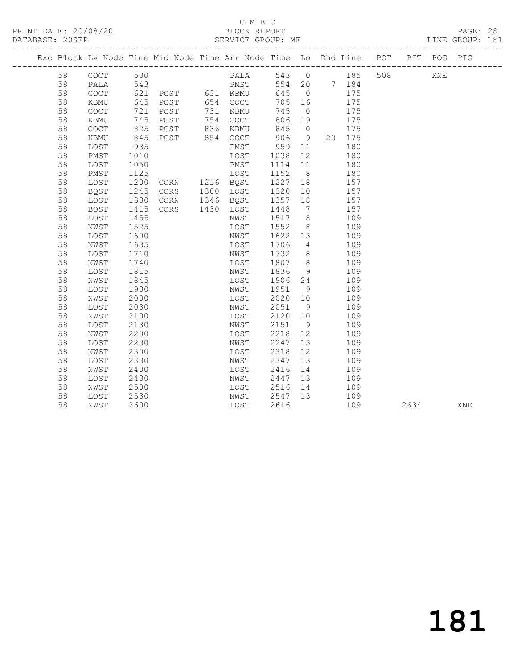### C M B C<br>BLOCK REPORT

PAGE: 28<br>LINE GROUP: 181

|    |                                            |            | Exc Block Lv Node Time Mid Node Time Arr Node Time Lo Dhd Line POT |          |                                                      |                |       |        |     |      | PIT POG PIG |     |
|----|--------------------------------------------|------------|--------------------------------------------------------------------|----------|------------------------------------------------------|----------------|-------|--------|-----|------|-------------|-----|
| 58 | COCT                                       | 530        |                                                                    |          | PALA 543 0 185                                       |                |       |        | 508 |      | XNE         |     |
| 58 | PALA                                       |            |                                                                    |          |                                                      |                |       |        |     |      |             |     |
| 58 | COCT                                       |            |                                                                    |          |                                                      |                |       |        |     |      |             |     |
| 58 | KBMU                                       | 645        | PCST 654 COCT                                                      |          | 705 16                                               |                |       | 175    |     |      |             |     |
| 58 | COCT                                       | 721        | PCST                                                               | 731 KBMU | 745                                                  | $\overline{0}$ |       | 175    |     |      |             |     |
| 58 | KBMU                                       | 745        | PCST                                                               | 754 COCT | 806                                                  | 19             |       | 175    |     |      |             |     |
| 58 | $\mathtt{C}\mathtt{O}\mathtt{C}\mathtt{T}$ | 825<br>845 | PCST 836 KBMU<br>PCST 854 COCT                                     |          | 845<br>906                                           | $\overline{0}$ |       | 175    |     |      |             |     |
| 58 | KBMU                                       |            |                                                                    |          |                                                      | 9              |       | 20 175 |     |      |             |     |
| 58 | LOST                                       | 935        |                                                                    | PMST     | 959                                                  |                | 11 \, | 180    |     |      |             |     |
| 58 | PMST                                       | 1010       |                                                                    | LOST     | 1038                                                 | 12             |       | 180    |     |      |             |     |
| 58 | LOST                                       | 1050       |                                                                    | PMST     | 1114 11                                              |                |       | 180    |     |      |             |     |
| 58 | PMST                                       |            | 1125 LOST<br>1200 CORN 1216 BQST                                   |          | 1152 8                                               |                |       | 180    |     |      |             |     |
| 58 | LOST                                       |            |                                                                    |          | $\begin{array}{c}\n 1 \\  1227 \\  18\n \end{array}$ |                |       | 157    |     |      |             |     |
| 58 | BQST                                       | 1245       | CORS 1300 LOST                                                     |          | 1320                                                 | 10             |       | 157    |     |      |             |     |
| 58 | LOST                                       | 1330       | CORN 1346 BQST                                                     |          | 1357 18                                              |                |       | 157    |     |      |             |     |
| 58 | BQST                                       | 1415       | CORS 1430 LOST                                                     |          | 1448                                                 |                | 7 157 |        |     |      |             |     |
| 58 | LOST                                       | 1455       |                                                                    | NWST     | 1517 8                                               |                |       | 109    |     |      |             |     |
| 58 | NWST                                       | 1525       |                                                                    | LOST     | 1552                                                 | 8 <sup>8</sup> |       | 109    |     |      |             |     |
| 58 | LOST                                       | 1600       |                                                                    | NWST     | 1622 13                                              |                |       | 109    |     |      |             |     |
| 58 | NWST                                       | 1635       |                                                                    | LOST     | 1706                                                 | $\overline{4}$ |       | 109    |     |      |             |     |
| 58 | LOST                                       | 1710       |                                                                    | NWST     | 1732                                                 | 8 <sup>8</sup> |       | 109    |     |      |             |     |
| 58 | NWST                                       | 1740       |                                                                    | LOST     | 1807 8                                               |                |       | 109    |     |      |             |     |
| 58 | LOST                                       | 1815       |                                                                    | NWST     | 1836                                                 | 9              |       | 109    |     |      |             |     |
| 58 | NWST                                       | 1845       |                                                                    | LOST     | 1906 24                                              |                |       | 109    |     |      |             |     |
| 58 | LOST                                       | 1930       |                                                                    | NWST     | 1951 9                                               |                |       | 109    |     |      |             |     |
| 58 | NWST                                       | 2000       |                                                                    | LOST     | 2020 10                                              |                |       | 109    |     |      |             |     |
| 58 | LOST                                       | 2030       |                                                                    | NWST     | 2051                                                 | 9 <sup>°</sup> |       | 109    |     |      |             |     |
| 58 | NWST                                       | 2100       |                                                                    | LOST     | 2120                                                 | 10             |       | 109    |     |      |             |     |
| 58 | LOST                                       | 2130       |                                                                    | NWST     | 2151                                                 | 9              |       | 109    |     |      |             |     |
| 58 | NWST                                       | 2200       |                                                                    | LOST     | 2218                                                 | 12             |       | 109    |     |      |             |     |
| 58 | LOST                                       | 2230       |                                                                    | NWST     | 2247                                                 | 13             |       | 109    |     |      |             |     |
| 58 | NWST                                       | 2300       |                                                                    | LOST     | 2318                                                 | 12             |       | 109    |     |      |             |     |
| 58 | LOST                                       | 2330       |                                                                    | NWST     | 2347                                                 | 13             |       | 109    |     |      |             |     |
| 58 | NWST                                       | 2400       |                                                                    | LOST     | 2416                                                 | 14             |       | 109    |     |      |             |     |
| 58 | LOST                                       | 2430       |                                                                    | NWST     | 2447                                                 | 13             |       | 109    |     |      |             |     |
| 58 | NWST                                       | 2500       |                                                                    | LOST     | 2516 14                                              |                |       | 109    |     |      |             |     |
| 58 | LOST                                       | 2530       |                                                                    | NWST     | 2547 13                                              |                |       | 109    |     |      |             |     |
| 58 | NWST                                       | 2600       |                                                                    | LOST     | 2616                                                 |                |       | 109    |     | 2634 |             | XNE |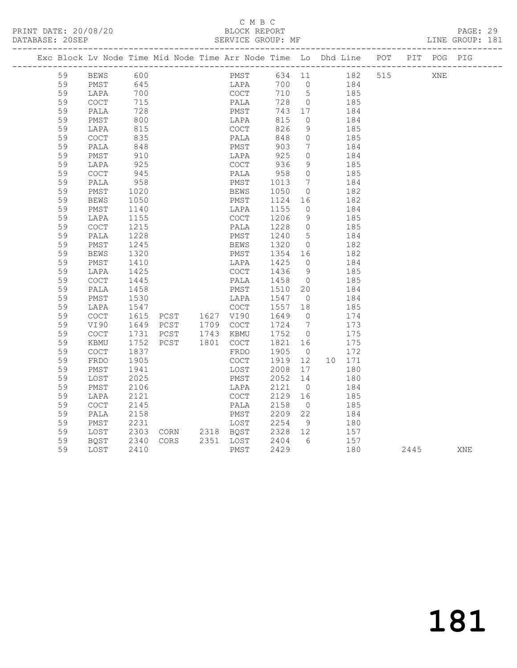## C M B C<br>BLOCK REPORT

PAGE: 29<br>LINE GROUP: 181

PRINT DATE: 20/08/20 BLOCK REPORT DATABASE: 20SEP

|  |    | Exc Block Lv Node Time Mid Node Time Arr Node Time Lo Dhd Line POT PIT POG PIG |                  |      |                                          |      |              |                             |                |            |     |      |     |     |
|--|----|--------------------------------------------------------------------------------|------------------|------|------------------------------------------|------|--------------|-----------------------------|----------------|------------|-----|------|-----|-----|
|  | 59 | BEWS                                                                           | 600              |      |                                          |      | PMST         |                             |                | 634 11 182 | 515 |      | XNE |     |
|  | 59 | PMST                                                                           |                  |      |                                          |      |              | 700 0                       |                |            |     |      |     |     |
|  | 59 | LAPA                                                                           | 645<br>700       |      |                                          |      | LAPA<br>COCT | 710 5                       |                | 184<br>185 |     |      |     |     |
|  | 59 | COCT                                                                           | 715              |      |                                          | PALA |              | 728 0                       |                | 185        |     |      |     |     |
|  | 59 | PALA                                                                           | 728              |      |                                          | PMST |              | 743 17                      |                | 184        |     |      |     |     |
|  | 59 | PMST                                                                           | 800              |      |                                          | LAPA |              | 815                         | $\overline{0}$ | 184        |     |      |     |     |
|  | 59 | LAPA                                                                           | 815              |      |                                          | COCT |              | 826                         | 9              | 185        |     |      |     |     |
|  | 59 | $\mathtt{C}\mathtt{O}\mathtt{C}\mathtt{T}$                                     | 835              |      |                                          | PALA |              | 848                         | $\overline{0}$ | 185        |     |      |     |     |
|  | 59 | PALA                                                                           | 848              |      |                                          | PMST |              | 903                         | $\overline{7}$ | 184        |     |      |     |     |
|  | 59 | PMST                                                                           | 910              |      |                                          | LAPA |              |                             | $\bigcirc$     | 184        |     |      |     |     |
|  | 59 | LAPA                                                                           | $-925$           |      |                                          | COCT |              | 925<br>936                  | 9              | 185        |     |      |     |     |
|  | 59 | $\mathtt{C}\mathtt{O}\mathtt{C}\mathtt{T}$                                     | 945              |      |                                          | PALA |              | 958                         | $\overline{0}$ | 185        |     |      |     |     |
|  | 59 | PALA                                                                           | 958              |      |                                          | PMST |              | 1013                        | $\overline{7}$ | 184        |     |      |     |     |
|  | 59 | PMST                                                                           | 1020             |      |                                          | BEWS |              | 1050                        | $\overline{0}$ | 182        |     |      |     |     |
|  | 59 | BEWS                                                                           | 1050<br>1140     |      |                                          | PMST |              | 1124                        | 16             | 182        |     |      |     |     |
|  | 59 | PMST                                                                           |                  |      |                                          | LAPA |              | 1155                        | $\overline{0}$ | 184        |     |      |     |     |
|  | 59 | LAPA                                                                           | 1155             |      |                                          | COCT |              | 1206                        | 9              | 185        |     |      |     |     |
|  | 59 | $\mathtt{C}\mathtt{O}\mathtt{C}\mathtt{T}$                                     | 1215             |      |                                          | PALA |              | 1228 0                      |                | 185        |     |      |     |     |
|  | 59 | PALA                                                                           | 1228             |      |                                          | PMST |              | 1240 5                      |                | 184        |     |      |     |     |
|  | 59 | PMST                                                                           | 1245             |      |                                          | BEWS |              | 1320                        | $\overline{0}$ | 182        |     |      |     |     |
|  | 59 | BEWS                                                                           | 1320             |      |                                          | PMST |              | 1354 16                     |                | 182        |     |      |     |     |
|  | 59 | PMST                                                                           | 1410             |      |                                          | LAPA |              | 1425                        | $\overline{0}$ | 184        |     |      |     |     |
|  | 59 | LAPA                                                                           | 1425             |      |                                          | COCT |              | 1436                        | - 9            | 185        |     |      |     |     |
|  | 59 | $\mathtt{C}\mathtt{O}\mathtt{C}\mathtt{T}$                                     | 1445             |      |                                          | PALA |              | 1458 0                      |                | 185        |     |      |     |     |
|  | 59 | PALA                                                                           | 1458             |      |                                          | PMST |              | 1510 20                     |                | 184        |     |      |     |     |
|  | 59 | PMST                                                                           | 1530<br>1547     |      |                                          | LAPA |              | 1547 0<br>1557 18           |                | 184        |     |      |     |     |
|  | 59 | LAPA                                                                           |                  |      |                                          | COCT |              |                             |                | 185        |     |      |     |     |
|  | 59 | $\mathtt{C}\mathtt{O}\mathtt{C}\mathtt{T}$                                     | 1615<br>1649     |      | COCT<br>PCST 1627 VI90<br>PCST 1709 COCT |      |              | 1649                        | $\overline{0}$ | 174        |     |      |     |     |
|  | 59 | VI90                                                                           |                  |      |                                          |      |              | 1724 7                      |                | 173        |     |      |     |     |
|  | 59 | <b>COCT</b>                                                                    | 1731             |      | PCST 1743 KBMU                           |      |              | 1752 0                      |                | 175        |     |      |     |     |
|  | 59 | KBMU                                                                           | $1752$<br>$1837$ | PCST | 1801 COCT                                |      |              | 1821 16                     |                | 175        |     |      |     |     |
|  | 59 | COCT                                                                           |                  |      |                                          | FRDO |              | 1905 0                      |                | 172        |     |      |     |     |
|  | 59 | FRDO                                                                           | 1905             |      |                                          | COCT |              | 1919                        | 12             | 10 171     |     |      |     |     |
|  | 59 | PMST                                                                           | 1941             |      |                                          | LOST |              | 2008                        | 17             | 180        |     |      |     |     |
|  | 59 | LOST                                                                           | 2025             |      |                                          | PMST |              | 2052 14                     |                | 180        |     |      |     |     |
|  | 59 | PMST                                                                           | 2106             |      |                                          | LAPA |              | 2121                        | $\overline{0}$ | 184        |     |      |     |     |
|  | 59 | LAPA                                                                           | 2121             |      |                                          | COCT |              | 2129 16                     |                | 185        |     |      |     |     |
|  | 59 | COCT                                                                           | 2145             |      |                                          | PALA |              | 2158                        | $\overline{0}$ | 185        |     |      |     |     |
|  | 59 | PALA                                                                           | 2158             |      |                                          | PMST |              | PMST 2209 22<br>LOST 2254 9 |                | 184        |     |      |     |     |
|  | 59 | PMST                                                                           | 2231             |      |                                          |      |              |                             | 9              | 180        |     |      |     |     |
|  | 59 | LOST                                                                           | 2303             |      |                                          |      |              | CORN 2318 BQST 2328 12      |                | 157        |     |      |     |     |
|  | 59 | BOST                                                                           | 2340             | CORS |                                          |      |              | 2351 LOST 2404<br>PMST 2429 | 6              | 157        |     |      |     |     |
|  | 59 | LOST                                                                           | 2410             |      |                                          | PMST |              | 2429                        |                | 180        |     | 2445 |     | XNE |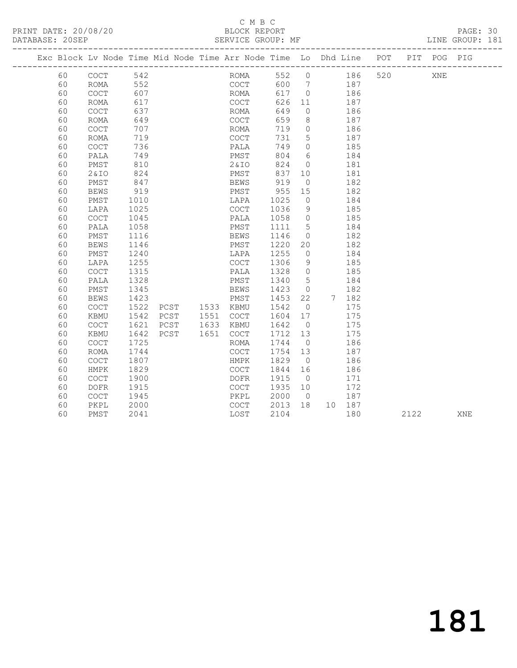## C M B C<br>BLOCK REPORT

PAGE: 30<br>LINE GROUP: 181

| Exc Block Lv Node Time Mid Node Time Arr Node Time Lo Dhd Line POT |                                            |      |      |           |                                            |       |                 |        |       |     |      | PIT POG PIG |     |
|--------------------------------------------------------------------|--------------------------------------------|------|------|-----------|--------------------------------------------|-------|-----------------|--------|-------|-----|------|-------------|-----|
| 60                                                                 | $\mathtt{C}\mathtt{O}\mathtt{C}\mathtt{T}$ | 542  |      |           | ROMA                                       | 552 0 |                 | 186    |       | 520 |      | <b>XNE</b>  |     |
| 60                                                                 | ROMA                                       | 552  |      |           | COCT                                       | 600   | $\overline{7}$  |        | 187   |     |      |             |     |
| 60                                                                 | COCT                                       | 607  |      |           | ROMA                                       | 617   | $\overline{0}$  |        | 186   |     |      |             |     |
| 60                                                                 | <b>ROMA</b>                                | 617  |      |           | COCT                                       | 626   | 11              | 187    |       |     |      |             |     |
| 60                                                                 | $\mathtt{C}\mathtt{O}\mathtt{C}\mathtt{T}$ | 637  |      |           | ROMA                                       | 649   | $\overline{0}$  |        | 186   |     |      |             |     |
| 60                                                                 | <b>ROMA</b>                                | 649  |      |           | COCT                                       | 659   | 8               |        | 187   |     |      |             |     |
| 60                                                                 | $\mathtt{C}\mathtt{O}\mathtt{C}\mathtt{T}$ | 707  |      |           | ROMA                                       | 719   | $\circ$         |        | 186   |     |      |             |     |
| 60                                                                 | ROMA                                       | 719  |      |           | COCT                                       | 731   | $5\phantom{.0}$ |        | 187   |     |      |             |     |
| 60                                                                 | <b>COCT</b>                                | 736  |      |           | PALA                                       | 749   | $\overline{0}$  |        | 185   |     |      |             |     |
| 60                                                                 | PALA                                       | 749  |      |           | PMST                                       | 804   | 6               |        | 184   |     |      |             |     |
| 60                                                                 | PMST                                       | 810  |      |           | 2&IO                                       | 824   | $\overline{0}$  |        | 181   |     |      |             |     |
| 60                                                                 | 2&IO                                       | 824  |      |           | PMST                                       | 837   | 10              |        | 181   |     |      |             |     |
| 60                                                                 | PMST                                       | 847  |      |           | <b>BEWS</b>                                | 919   | $\overline{0}$  |        | 182   |     |      |             |     |
| 60                                                                 | <b>BEWS</b>                                | 919  |      |           | PMST                                       | 955   | 15              |        | 182   |     |      |             |     |
| 60                                                                 | PMST                                       | 1010 |      |           | LAPA                                       | 1025  | $\circ$         |        | 184   |     |      |             |     |
| 60                                                                 | LAPA                                       | 1025 |      |           | $\mathtt{C}\mathtt{O}\mathtt{C}\mathtt{T}$ | 1036  | 9               |        | 185   |     |      |             |     |
| 60                                                                 | <b>COCT</b>                                | 1045 |      |           | PALA                                       | 1058  | $\overline{0}$  |        | 185   |     |      |             |     |
| 60                                                                 | PALA                                       | 1058 |      |           | PMST                                       | 1111  | $5^{\circ}$     |        | 184   |     |      |             |     |
| 60                                                                 | PMST                                       | 1116 |      |           | BEWS                                       | 1146  | $\overline{0}$  |        | 182   |     |      |             |     |
| 60                                                                 | <b>BEWS</b>                                | 1146 |      |           | PMST                                       | 1220  | 20              |        | 182   |     |      |             |     |
| 60                                                                 | PMST                                       | 1240 |      |           | LAPA                                       | 1255  | $\overline{0}$  |        | 184   |     |      |             |     |
| 60                                                                 | LAPA                                       | 1255 |      |           | $\mathtt{C}\mathtt{O}\mathtt{C}\mathtt{T}$ | 1306  | 9               |        | 185   |     |      |             |     |
| 60                                                                 | <b>COCT</b>                                | 1315 |      |           | PALA                                       | 1328  | $\overline{0}$  |        | 185   |     |      |             |     |
| 60                                                                 | PALA                                       | 1328 |      |           | PMST                                       | 1340  | 5               |        | 184   |     |      |             |     |
| 60                                                                 | PMST                                       | 1345 |      |           | BEWS                                       | 1423  | $\overline{0}$  |        | 182   |     |      |             |     |
| 60                                                                 | <b>BEWS</b>                                | 1423 |      |           | PMST                                       | 1453  | 22              |        | 7 182 |     |      |             |     |
| 60                                                                 | $\mathtt{C}\mathtt{O}\mathtt{C}\mathtt{T}$ | 1522 | PCST | 1533 KBMU |                                            | 1542  | $\overline{0}$  |        | 175   |     |      |             |     |
| 60                                                                 | KBMU                                       | 1542 | PCST | 1551      | COCT                                       | 1604  | 17              |        | 175   |     |      |             |     |
| 60                                                                 | $\mathtt{C}\mathtt{O}\mathtt{C}\mathtt{T}$ | 1621 | PCST | 1633      | KBMU                                       | 1642  | $\overline{0}$  |        | 175   |     |      |             |     |
| 60                                                                 | KBMU                                       | 1642 | PCST | 1651      | COCT                                       | 1712  | 13              |        | 175   |     |      |             |     |
| 60                                                                 | COCT                                       | 1725 |      |           | ROMA                                       | 1744  | $\overline{0}$  |        | 186   |     |      |             |     |
| 60                                                                 | <b>ROMA</b>                                | 1744 |      |           | COCT                                       | 1754  | 13              |        | 187   |     |      |             |     |
| 60                                                                 | COCT                                       | 1807 |      |           | HMPK                                       | 1829  | $\overline{0}$  |        | 186   |     |      |             |     |
| 60                                                                 | HMPK                                       | 1829 |      |           | <b>COCT</b>                                | 1844  | 16              |        | 186   |     |      |             |     |
| 60                                                                 | $\mathtt{C}\mathtt{O}\mathtt{C}\mathtt{T}$ | 1900 |      |           | <b>DOFR</b>                                | 1915  | $\overline{0}$  |        | 171   |     |      |             |     |
| 60                                                                 | <b>DOFR</b>                                | 1915 |      |           | COCT                                       | 1935  | 10              |        | 172   |     |      |             |     |
| 60                                                                 | <b>COCT</b>                                | 1945 |      |           | PKPL                                       | 2000  | $\overline{0}$  |        | 187   |     |      |             |     |
| 60                                                                 | PKPL                                       | 2000 |      |           | COCT                                       | 2013  | 18              | 10 187 |       |     |      |             |     |
| 60                                                                 | PMST                                       | 2041 |      |           | LOST                                       | 2104  |                 |        | 180   |     | 2122 |             | XNE |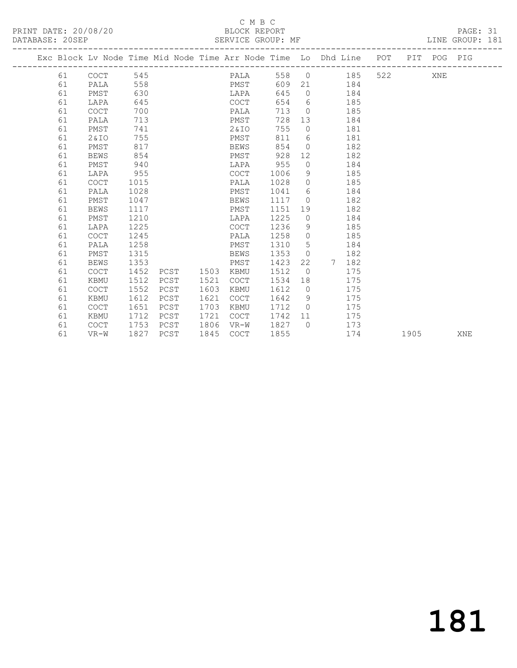### C M B C<br>BLOCK REPORT

PRINT DATE: 20/08/20 BLOCK REPORT DATABASE: 20SEP

PAGE: 31<br>LINE GROUP: 181

|  |    | Exc Block Lv Node Time Mid Node Time Arr Node Time Lo Dhd Line POT PIT POG PIG |      |      |      |             |      |      |                 |            |           |                |      |     |     |
|--|----|--------------------------------------------------------------------------------|------|------|------|-------------|------|------|-----------------|------------|-----------|----------------|------|-----|-----|
|  |    | 61 COCT                                                                        | 545  |      |      |             | PALA |      |                 |            | 558 0 185 | 522 and $\sim$ |      | XNE |     |
|  | 61 | PALA                                                                           | 558  |      |      |             | PMST | 609  |                 | 21 184     |           |                |      |     |     |
|  | 61 | PMST                                                                           | 630  |      |      | LAPA        |      | 645  | $\bigcirc$      | 184        |           |                |      |     |     |
|  | 61 | LAPA                                                                           | 645  |      |      | COCT        |      | 654  |                 | $6\degree$ | 185       |                |      |     |     |
|  | 61 | <b>COCT</b>                                                                    | 700  |      |      | PALA        |      | 713  | $\overline{0}$  |            | 185       |                |      |     |     |
|  | 61 | PALA                                                                           | 713  |      |      | PMST        |      | 728  | 13              |            | 184       |                |      |     |     |
|  | 61 | PMST                                                                           | 741  |      |      | 2 & I O     |      | 755  | $\circ$         |            | 181       |                |      |     |     |
|  | 61 | 2&10                                                                           | 755  |      |      | PMST        |      | 811  |                 | $6\degree$ | 181       |                |      |     |     |
|  | 61 | PMST                                                                           | 817  |      |      | BEWS        |      | 854  | $\overline{0}$  |            | 182       |                |      |     |     |
|  | 61 | <b>BEWS</b>                                                                    | 854  |      |      | PMST        |      | 928  | 12 <sup>°</sup> |            | 182       |                |      |     |     |
|  | 61 | PMST                                                                           | 940  |      |      | LAPA        |      | 955  | $\circ$         |            | 184       |                |      |     |     |
|  | 61 | LAPA                                                                           | 955  |      |      | COCT        |      | 1006 | 9               |            | 185       |                |      |     |     |
|  | 61 | <b>COCT</b>                                                                    | 1015 |      |      | PALA        |      | 1028 | $\overline{0}$  |            | 185       |                |      |     |     |
|  | 61 | PALA                                                                           | 1028 |      |      | PMST        |      | 1041 | 6               |            | 184       |                |      |     |     |
|  | 61 | PMST                                                                           | 1047 |      |      | BEWS        |      | 1117 | $\bigcirc$      |            | 182       |                |      |     |     |
|  | 61 | <b>BEWS</b>                                                                    | 1117 |      |      | PMST        |      | 1151 |                 | 19         | 182       |                |      |     |     |
|  | 61 | PMST                                                                           | 1210 |      |      | LAPA        |      | 1225 | $\overline{0}$  |            | 184       |                |      |     |     |
|  | 61 | LAPA                                                                           | 1225 |      |      | COCT        |      | 1236 | 9               |            | 185       |                |      |     |     |
|  | 61 | <b>COCT</b>                                                                    | 1245 |      |      | PALA        |      | 1258 | $\overline{0}$  |            | 185       |                |      |     |     |
|  | 61 | PALA                                                                           | 1258 |      |      | PMST        |      | 1310 | 5               |            | 184       |                |      |     |     |
|  | 61 | PMST                                                                           | 1315 |      |      | <b>BEWS</b> |      | 1353 | $\overline{0}$  |            | 182       |                |      |     |     |
|  | 61 | BEWS                                                                           | 1353 |      |      | PMST        |      | 1423 | 22              | 7          | 182       |                |      |     |     |
|  | 61 | COCT                                                                           | 1452 | PCST | 1503 | KBMU        |      | 1512 | $\overline{0}$  |            | 175       |                |      |     |     |
|  | 61 | KBMU                                                                           | 1512 | PCST | 1521 | COCT        |      | 1534 | 18              |            | 175       |                |      |     |     |
|  | 61 | <b>COCT</b>                                                                    | 1552 | PCST | 1603 | KBMU        |      | 1612 | $\bigcirc$      |            | 175       |                |      |     |     |
|  | 61 | KBMU                                                                           | 1612 | PCST | 1621 | <b>COCT</b> |      | 1642 | 9               |            | 175       |                |      |     |     |
|  | 61 | <b>COCT</b>                                                                    | 1651 | PCST | 1703 | KBMU        |      | 1712 | $\bigcirc$      |            | 175       |                |      |     |     |
|  | 61 | KBMU                                                                           | 1712 | PCST | 1721 | COCT        |      | 1742 | 11              |            | 175       |                |      |     |     |
|  | 61 | <b>COCT</b>                                                                    | 1753 | PCST | 1806 | VR-W        |      | 1827 | $\bigcap$       |            | 173       |                |      |     |     |
|  | 61 | $VR-W$                                                                         | 1827 | PCST | 1845 | COCT        |      | 1855 |                 |            | 174       |                | 1905 |     | XNE |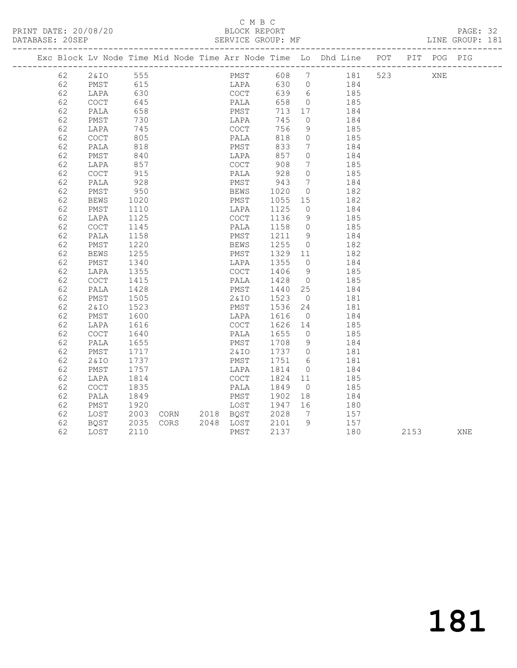### C M B C<br>BLOCK REPORT

PAGE: 32<br>LINE GROUP: 181

|          |                                            |              |                                        |                              |                   |                | Exc Block Lv Node Time Mid Node Time Arr Node Time Lo Dhd Line POT PIT POG PIG |      |            |     |
|----------|--------------------------------------------|--------------|----------------------------------------|------------------------------|-------------------|----------------|--------------------------------------------------------------------------------|------|------------|-----|
| 62       |                                            |              | --<br>2&IO 555<br>PMST 615<br>LAPA 630 |                              |                   |                | PMST 608 7 181 523<br>LAPA 630 0 184                                           |      | <b>XNE</b> |     |
| 62       |                                            |              |                                        |                              |                   |                |                                                                                |      |            |     |
| 62       |                                            |              |                                        | COCT                         |                   |                | $639$ $6$ $185$                                                                |      |            |     |
| 62       | COCT                                       | 645          |                                        | PALA                         | 658               |                | $0$ 185                                                                        |      |            |     |
| 62       | PALA                                       | 658          |                                        | PMST                         | 713 17            |                | 184                                                                            |      |            |     |
| 62       | PMST                                       | 730          |                                        | LAPA                         | 745               | $\bigcirc$     | 184                                                                            |      |            |     |
| 62       | LAPA                                       | 745          |                                        | COCT                         | 756               | 9              | 185                                                                            |      |            |     |
| 62       | COCT                                       | 805          |                                        | PALA<br>PMST                 | 818               | $\overline{0}$ | 185                                                                            |      |            |     |
| 62       | PALA                                       | 818          |                                        |                              | 833               | $\overline{7}$ | 184                                                                            |      |            |     |
| 62       | PMST                                       | 840          |                                        | LAPA                         | 857               | $\overline{0}$ | 184                                                                            |      |            |     |
| 62       | LAPA                                       | 857<br>915   |                                        | COCT                         | 908<br>908<br>928 | $\overline{7}$ | $\begin{array}{c} 185 \\ 185 \end{array}$                                      |      |            |     |
| 62       | COCT                                       |              |                                        | PALA                         |                   | $\overline{0}$ |                                                                                |      |            |     |
| 62       | PALA                                       | 928          |                                        | PMST                         | 943               | $\overline{7}$ | 184                                                                            |      |            |     |
| 62       | PMST                                       | 950          |                                        | BEWS 1020<br>PMST 1055       |                   | $\overline{0}$ | 182                                                                            |      |            |     |
| 62       | <b>BEWS</b>                                | 1020         |                                        |                              | 1055 15           |                | 182                                                                            |      |            |     |
| 62       | PMST                                       | 1110         |                                        | LAPA                         | 1125              |                | $\begin{matrix} 0 & 184 \end{matrix}$                                          |      |            |     |
| 62       | LAPA                                       | 1125         |                                        | COCT                         | 1136              | 9              | 185                                                                            |      |            |     |
| 62       | $\mathtt{C}\mathtt{O}\mathtt{C}\mathtt{T}$ | 1145         |                                        | PALA                         | 1158              | $\overline{0}$ | 185<br>184                                                                     |      |            |     |
| 62       | PALA                                       | 1158         |                                        | PMST                         | 1211 9            |                |                                                                                |      |            |     |
| 62       | PMST                                       | 1220         |                                        | BEWS                         | 1255              |                | $0$ 182                                                                        |      |            |     |
| 62       | <b>BEWS</b>                                | 1255         |                                        | PMST 1329 11<br>LAPA 1355 0  |                   |                | 182                                                                            |      |            |     |
| 62       | PMST                                       | 1340         |                                        |                              |                   | $\overline{0}$ | 184                                                                            |      |            |     |
| 62       | LAPA                                       | 1355         |                                        | COCT                         | 1406              | 9              | 185                                                                            |      |            |     |
| 62       | <b>COCT</b>                                | 1415         |                                        | PALA                         | 1428<br>1440      |                | $\begin{array}{ccc} 0 & & \text{if } 184 \\ - & & 184 \end{array}$             |      |            |     |
| 62       | PALA                                       | 1428         |                                        | PMST                         |                   |                |                                                                                |      |            |     |
| 62       | PMST                                       | 1505         |                                        | 2&IO 1523                    |                   | $\overline{0}$ | 181                                                                            |      |            |     |
| 62       | 2&IO                                       | 1523         |                                        | PMST 1536<br>LAPA 1616       |                   | 24             | 181                                                                            |      |            |     |
| 62       | PMST                                       | 1600         |                                        | COCT 1626 14                 |                   | $\overline{0}$ | 184<br>185                                                                     |      |            |     |
| 62<br>62 | LAPA                                       | 1616         |                                        |                              |                   |                |                                                                                |      |            |     |
| 62       | COCT<br>PALA                               | 1640<br>1655 |                                        | PALA<br>PMST                 | 1655 u<br>1708 9  |                | 185<br>184                                                                     |      |            |     |
| 62       | PMST                                       | 1717         |                                        |                              |                   |                | 2&IO 1737 0 181                                                                |      |            |     |
| 62       | 2&10                                       | 1737         |                                        | PMST                         | 1751 6            |                | 181                                                                            |      |            |     |
| 62       | PMST                                       | 1757         |                                        | LAPA                         | 1814              | $\overline{0}$ | 184                                                                            |      |            |     |
| 62       | LAPA                                       | 1814         |                                        | COCT 1824 11                 |                   |                | 185                                                                            |      |            |     |
| 62       | COCT                                       | 1835         |                                        | PALA                         | 1849              | $\overline{0}$ | 185                                                                            |      |            |     |
| 62       | PALA                                       | 1849         |                                        |                              |                   |                | 184                                                                            |      |            |     |
| 62       | PMST                                       | 1920         |                                        | PMST 1902 18<br>LOST 1947 16 |                   |                | $\begin{array}{c}\n 180 \\  \hline\n 180\n \end{array}$                        |      |            |     |
| 62       | LOST                                       | 2003         | CORN 2018 BQST 2028                    |                              |                   | $7\phantom{0}$ | 157                                                                            |      |            |     |
| 62       | BQST                                       | 2035         |                                        |                              |                   |                | 157                                                                            |      |            |     |
| 62       | LOST                                       | 2110         | CORS 2048 LOST 2101 9<br>PMST 2137     | PMST                         | 2137              |                | 180                                                                            | 2153 |            | XNE |
|          |                                            |              |                                        |                              |                   |                |                                                                                |      |            |     |

181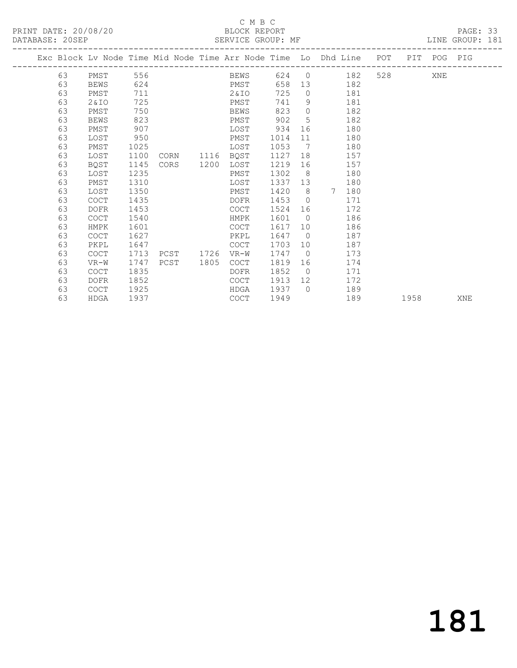## C M B C<br>BLOCK REPORT

PAGE: 33<br>LINE GROUP: 181

|  |    | ------------------------- |      |      |      | Exc Block Lv Node Time Mid Node Time Arr Node Time Lo Dhd Line |      |                 |                       | POT | PIT  | POG PIG |     |
|--|----|---------------------------|------|------|------|----------------------------------------------------------------|------|-----------------|-----------------------|-----|------|---------|-----|
|  | 63 | PMST                      | 556  |      |      | BEWS                                                           |      |                 | 624 0                 | 182 | 528  | XNE     |     |
|  | 63 | <b>BEWS</b>               | 624  |      |      | PMST                                                           | 658  | 13 <sup>°</sup> | 182                   |     |      |         |     |
|  | 63 | PMST                      | 711  |      |      | 2 & IO                                                         | 725  | $\overline{0}$  | 181                   |     |      |         |     |
|  | 63 | 2&10                      | 725  |      |      | PMST                                                           | 741  | 9               | 181                   |     |      |         |     |
|  | 63 | PMST                      | 750  |      |      | <b>BEWS</b>                                                    | 823  | $\Omega$        | 182                   |     |      |         |     |
|  | 63 | <b>BEWS</b>               | 823  |      |      | PMST                                                           | 902  | 5               | 182                   |     |      |         |     |
|  | 63 | PMST                      | 907  |      |      | LOST                                                           | 934  | 16              | 180                   |     |      |         |     |
|  | 63 | LOST                      | 950  |      |      | PMST                                                           | 1014 | 11              | 180                   |     |      |         |     |
|  | 63 | PMST                      | 1025 |      |      | LOST                                                           | 1053 | $\overline{7}$  | 180                   |     |      |         |     |
|  | 63 | LOST                      | 1100 | CORN | 1116 | BQST                                                           | 1127 | 18              | 157                   |     |      |         |     |
|  | 63 | BQST                      | 1145 | CORS | 1200 | LOST                                                           | 1219 | 16              | 157                   |     |      |         |     |
|  | 63 | LOST                      | 1235 |      |      | PMST                                                           | 1302 | 8               | 180                   |     |      |         |     |
|  | 63 | PMST                      | 1310 |      |      | LOST                                                           | 1337 | 13              | 180                   |     |      |         |     |
|  | 63 | LOST                      | 1350 |      |      | PMST                                                           | 1420 | 8 <sup>8</sup>  | $7\phantom{0}$<br>180 |     |      |         |     |
|  | 63 | <b>COCT</b>               | 1435 |      |      | DOFR                                                           | 1453 | $\bigcirc$      | 171                   |     |      |         |     |
|  | 63 | <b>DOFR</b>               | 1453 |      |      | COCT                                                           | 1524 | 16              | 172                   |     |      |         |     |
|  | 63 | <b>COCT</b>               | 1540 |      |      | HMPK                                                           | 1601 | $\bigcirc$      | 186                   |     |      |         |     |
|  | 63 | <b>HMPK</b>               | 1601 |      |      | <b>COCT</b>                                                    | 1617 | 10              | 186                   |     |      |         |     |
|  | 63 | <b>COCT</b>               | 1627 |      |      | PKPL                                                           | 1647 | $\overline{0}$  | 187                   |     |      |         |     |
|  | 63 | PKPL                      | 1647 |      |      | <b>COCT</b>                                                    | 1703 | 10              | 187                   |     |      |         |     |
|  | 63 | <b>COCT</b>               | 1713 | PCST | 1726 | VR-W                                                           | 1747 | $\bigcirc$      | 173                   |     |      |         |     |
|  | 63 | $VR-W$                    | 1747 | PCST | 1805 | <b>COCT</b>                                                    | 1819 | 16              | 174                   |     |      |         |     |
|  | 63 | COCT                      | 1835 |      |      | DOFR                                                           | 1852 | $\overline{0}$  | 171                   |     |      |         |     |
|  | 63 | <b>DOFR</b>               | 1852 |      |      | <b>COCT</b>                                                    | 1913 | 12 <sup>°</sup> | 172                   |     |      |         |     |
|  | 63 | <b>COCT</b>               | 1925 |      |      | HDGA                                                           | 1937 | $\bigcap$       | 189                   |     |      |         |     |
|  | 63 | <b>HDGA</b>               | 1937 |      |      | <b>COCT</b>                                                    | 1949 |                 | 189                   |     | 1958 |         | XNE |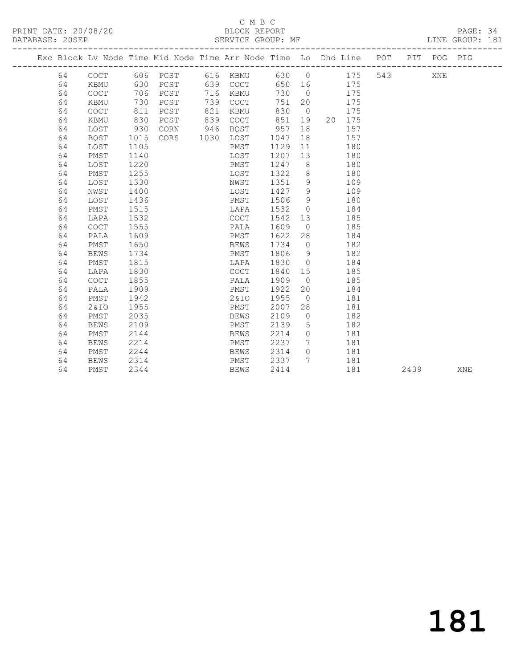#### C M B C DATABASE: 20<br>BE: 20 SERVICE GROUP: 181

| PRINT DATE: 20/08/20<br>DATABASE: 20SEP |    |             |      |          |      | BLOCK REPORT<br>SERVICE GROUP: MF |       |                 |                                                                    |     |      |         | PAGE: 34<br>LINE GROUP: 181 |  |
|-----------------------------------------|----|-------------|------|----------|------|-----------------------------------|-------|-----------------|--------------------------------------------------------------------|-----|------|---------|-----------------------------|--|
|                                         |    |             |      |          |      |                                   |       |                 | Exc Block Lv Node Time Mid Node Time Arr Node Time Lo Dhd Line POT |     |      | PIT POG | PIG                         |  |
|                                         | 64 | COCT        |      | 606 PCST |      | 616 KBMU                          | 630 0 |                 | 175                                                                | 543 |      | XNE     |                             |  |
|                                         | 64 | KBMU        | 630  | PCST     |      | 639 COCT                          | 650   | 16              | 175                                                                |     |      |         |                             |  |
|                                         | 64 | COCT        | 706  | PCST     | 716  | KBMU                              | 730   | $\overline{0}$  | 175                                                                |     |      |         |                             |  |
|                                         | 64 | KBMU        | 730  | PCST     | 739  | COCT                              | 751   | 20              | 175                                                                |     |      |         |                             |  |
|                                         | 64 | COCT        | 811  | PCST     | 821  | KBMU                              | 830   | $\overline{0}$  | 175                                                                |     |      |         |                             |  |
|                                         | 64 | KBMU        | 830  | PCST     | 839  | COCT                              | 851   | 19              | 20<br>175                                                          |     |      |         |                             |  |
|                                         | 64 | LOST        | 930  | CORN     | 946  | BQST                              | 957   | 18              | 157                                                                |     |      |         |                             |  |
|                                         | 64 | BQST        | 1015 | CORS     | 1030 | LOST                              | 1047  | 18              | 157                                                                |     |      |         |                             |  |
|                                         | 64 | LOST        | 1105 |          |      | PMST                              | 1129  | 11              | 180                                                                |     |      |         |                             |  |
|                                         | 64 | PMST        | 1140 |          |      | LOST                              | 1207  | 13              | 180                                                                |     |      |         |                             |  |
|                                         | 64 | LOST        | 1220 |          |      | PMST                              | 1247  | 8               | 180                                                                |     |      |         |                             |  |
|                                         | 64 | PMST        | 1255 |          |      | LOST                              | 1322  | 8               | 180                                                                |     |      |         |                             |  |
|                                         | 64 | LOST        | 1330 |          |      | NWST                              | 1351  | 9               | 109                                                                |     |      |         |                             |  |
|                                         | 64 | NWST        | 1400 |          |      | LOST                              | 1427  | 9               | 109                                                                |     |      |         |                             |  |
|                                         | 64 | LOST        | 1436 |          |      | PMST                              | 1506  | 9               | 180                                                                |     |      |         |                             |  |
|                                         | 64 | PMST        | 1515 |          |      | LAPA                              | 1532  | $\overline{0}$  | 184                                                                |     |      |         |                             |  |
|                                         | 64 | LAPA        | 1532 |          |      | COCT                              | 1542  | 13              | 185                                                                |     |      |         |                             |  |
|                                         | 64 | <b>COCT</b> | 1555 |          |      | PALA                              | 1609  | $\overline{0}$  | 185                                                                |     |      |         |                             |  |
|                                         | 64 | PALA        | 1609 |          |      | PMST                              | 1622  | 28              | 184                                                                |     |      |         |                             |  |
|                                         | 64 | PMST        | 1650 |          |      | <b>BEWS</b>                       | 1734  | $\circ$         | 182                                                                |     |      |         |                             |  |
|                                         | 64 | <b>BEWS</b> | 1734 |          |      | PMST                              | 1806  | 9               | 182                                                                |     |      |         |                             |  |
|                                         | 64 | PMST        | 1815 |          |      | LAPA                              | 1830  | $\overline{0}$  | 184                                                                |     |      |         |                             |  |
|                                         | 64 | LAPA        | 1830 |          |      | <b>COCT</b>                       | 1840  | 15              | 185                                                                |     |      |         |                             |  |
|                                         | 64 | <b>COCT</b> | 1855 |          |      | PALA                              | 1909  | $\overline{0}$  | 185                                                                |     |      |         |                             |  |
|                                         | 64 | PALA        | 1909 |          |      | PMST                              | 1922  | 20              | 184                                                                |     |      |         |                             |  |
|                                         | 64 | PMST        | 1942 |          |      | 2&IO                              | 1955  | $\overline{0}$  | 181                                                                |     |      |         |                             |  |
|                                         | 64 | 2&10        | 1955 |          |      | PMST                              | 2007  | 28              | 181                                                                |     |      |         |                             |  |
|                                         | 64 | PMST        | 2035 |          |      | <b>BEWS</b>                       | 2109  | $\overline{0}$  | 182                                                                |     |      |         |                             |  |
|                                         | 64 | <b>BEWS</b> | 2109 |          |      | PMST                              | 2139  | 5               | 182                                                                |     |      |         |                             |  |
|                                         | 64 | PMST        | 2144 |          |      | <b>BEWS</b>                       | 2214  | $\circ$         | 181                                                                |     |      |         |                             |  |
|                                         | 64 | <b>BEWS</b> | 2214 |          |      | PMST                              | 2237  | 7               | 181                                                                |     |      |         |                             |  |
|                                         | 64 | PMST        | 2244 |          |      | <b>BEWS</b>                       | 2314  | $\circ$         | 181                                                                |     |      |         |                             |  |
|                                         | 64 | <b>BEWS</b> | 2314 |          |      | PMST                              | 2337  | $7\phantom{.0}$ | 181                                                                |     |      |         |                             |  |
|                                         | 64 | PMST        | 2344 |          |      | <b>BEWS</b>                       | 2414  |                 | 181                                                                |     | 2439 |         | XNE                         |  |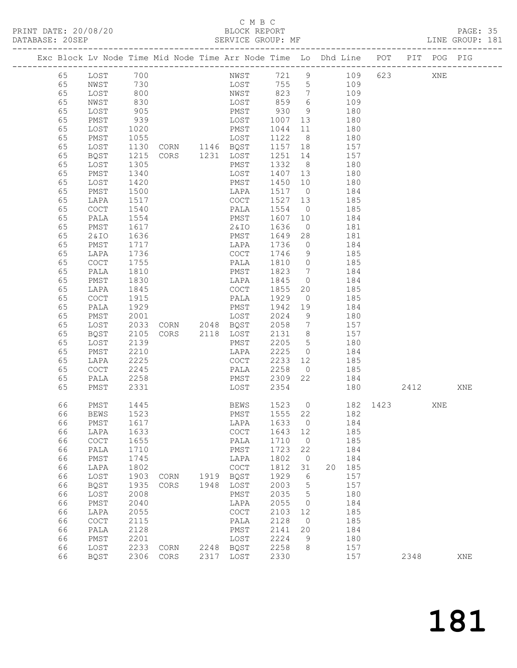#### C M B C<br>BLOCK REPORT

PAGE: 35<br>LINE GROUP: 181

|          |                                            |                   | Exc Block Lv Node Time Mid Node Time Arr Node Time Lo Dhd Line POT |      |                                  |                   |                              |                       |            |        |          | PIT POG PIG |     |
|----------|--------------------------------------------|-------------------|--------------------------------------------------------------------|------|----------------------------------|-------------------|------------------------------|-----------------------|------------|--------|----------|-------------|-----|
| 65       | LOST                                       | 700<br>730<br>800 |                                                                    |      | NWST 721 9 109<br>LOST 755 5 109 |                   |                              |                       |            |        | 623      | XNE         |     |
| 65       | NWST                                       |                   |                                                                    |      |                                  |                   |                              |                       |            |        |          |             |     |
| 65       | LOST                                       |                   |                                                                    |      | NWST                             | 823               |                              | 7 109                 |            |        |          |             |     |
| 65       | NWST                                       | 830               |                                                                    |      | LOST                             | 859               | $6\overline{6}$              |                       | 109        |        |          |             |     |
| 65       | LOST                                       | 905               |                                                                    |      | PMST                             | 930<br>1007       | 9                            |                       | 180        |        |          |             |     |
| 65       | PMST                                       | 939               |                                                                    |      | LOST                             |                   | 13                           |                       | 180        |        |          |             |     |
| 65       | LOST                                       | 1020              |                                                                    |      | PMST                             | 1044              | 11                           | 180                   |            |        |          |             |     |
| 65       | PMST                                       | 1055              |                                                                    |      | LOST                             | 1122              | 8 <sup>8</sup>               |                       | 180        |        |          |             |     |
| 65       | LOST                                       | 1130              | CORN 1146 BQST                                                     |      |                                  | 1157 18           |                              |                       | 157        |        |          |             |     |
| 65       | BQST                                       | 1215              | CORS 1231 LOST                                                     |      |                                  | 1251 14           |                              |                       | 157        |        |          |             |     |
| 65       | LOST                                       | 1305              |                                                                    |      | PMST                             | 1332              | 8 <sup>8</sup>               |                       | 180        |        |          |             |     |
| 65       | PMST                                       | 1340              |                                                                    |      | LOST                             | 1407 13           |                              |                       | 180        |        |          |             |     |
| 65       | LOST                                       | 1420              |                                                                    |      | PMST                             | 1450              | 10                           |                       | 180        |        |          |             |     |
| 65       | PMST                                       | 1500              |                                                                    |      | LAPA                             | 1517 0            |                              |                       | 184        |        |          |             |     |
| 65       | LAPA                                       | 1517              |                                                                    |      | COCT                             | 1527 13           |                              | 185                   |            |        |          |             |     |
| 65       | COCT                                       | 1540              |                                                                    |      | PALA                             | 1554              | $\overline{0}$               | 185                   |            |        |          |             |     |
| 65       | PALA                                       | 1554              |                                                                    |      | PMST                             | 1607              | 10                           |                       | 184        |        |          |             |     |
| 65<br>65 | PMST<br>2 & IO                             | 1617<br>1636      |                                                                    |      | 2 & I O<br>PMST                  | 1636<br>1649      | $\overline{0}$<br>28         |                       | 181<br>181 |        |          |             |     |
| 65       | PMST                                       | 1717              |                                                                    |      | LAPA                             | 1736              | $\overline{0}$               | 184                   |            |        |          |             |     |
| 65       | LAPA                                       | 1736              |                                                                    |      | COCT                             | 1746              | 9                            |                       | 185        |        |          |             |     |
| 65       | COCT                                       | 1755              |                                                                    |      | PALA                             | 1810              | $\overline{0}$               |                       | 185        |        |          |             |     |
| 65       | PALA                                       | 1810              |                                                                    |      | PMST                             | 1823              | $7\phantom{.0}\phantom{.0}7$ |                       | 184        |        |          |             |     |
| 65       | PMST                                       | 1830              |                                                                    |      | LAPA                             | 1845              | $\overline{0}$               | 184                   |            |        |          |             |     |
| 65       | LAPA                                       | 1845              |                                                                    |      | COCT                             | 1855              | 20                           |                       | 185        |        |          |             |     |
| 65       | COCT                                       | 1915              |                                                                    |      | PALA                             | 1929              | $\overline{0}$               |                       | 185        |        |          |             |     |
| 65       | PALA                                       | 1929              |                                                                    |      | PMST                             | 1942              | 19                           |                       | 184        |        |          |             |     |
| 65       | PMST                                       | 2001              |                                                                    |      | LOST                             | 2024              | 9                            | 180                   |            |        |          |             |     |
| 65       | LOST                                       | 2033              | CORN 2048 BQST                                                     |      |                                  | 2058              | $\overline{7}$               |                       | 157        |        |          |             |     |
| 65       | BQST                                       | 2105              | CORS 2118 LOST                                                     |      |                                  | $2131$<br>2205    | 8 <sup>8</sup>               |                       | 157        |        |          |             |     |
| 65       | LOST                                       | 2139              |                                                                    |      | PMST                             |                   | 5 <sup>5</sup>               |                       | 180        |        |          |             |     |
| 65       | PMST                                       | 2210              |                                                                    |      | LAPA                             | 2225              |                              | $0 \qquad \qquad 184$ |            |        |          |             |     |
| 65       | LAPA                                       | 2225              |                                                                    |      | COCT                             | 2233              | 12                           |                       | 185        |        |          |             |     |
| 65       | $\mathtt{C}\mathtt{O}\mathtt{C}\mathtt{T}$ | 2245              |                                                                    |      | PALA                             | 2258              | $\overline{0}$               |                       | 185        |        |          |             |     |
| 65       | PALA                                       | 2258              |                                                                    |      | PMST 2309                        |                   | 22                           |                       | 184        |        |          |             |     |
| 65       | PMST                                       | 2331              |                                                                    |      | LOST                             | 2354              |                              |                       |            | 180 30 | 2412 XNE |             |     |
|          |                                            |                   |                                                                    |      |                                  |                   |                              |                       |            |        | 182 1423 |             |     |
| 66       | PMST                                       | 1445              |                                                                    |      | BEWS                             | 1523 0<br>1555 22 |                              |                       |            |        |          | XNE         |     |
| 66       | BEWS                                       | 1523              |                                                                    |      | PMST<br>LAPA 1633 0              |                   |                              |                       | 182        |        |          |             |     |
| 66<br>66 | PMST<br>LAPA                               | 1617<br>1633      |                                                                    |      | COCT                             | 1643 12           |                              |                       | 184<br>185 |        |          |             |     |
| 66       | COCT                                       | 1655              |                                                                    |      | PALA                             | 1710              | $\circ$                      |                       | 185        |        |          |             |     |
| 66       | PALA                                       | 1710              |                                                                    |      | PMST                             | 1723              | 22                           |                       | 184        |        |          |             |     |
| 66       | PMST                                       | 1745              |                                                                    |      | LAPA                             | 1802              | $\overline{0}$               |                       | 184        |        |          |             |     |
| 66       | LAPA                                       | 1802              |                                                                    |      | COCT                             | 1812              | 31                           | 20                    | 185        |        |          |             |     |
| 66       | LOST                                       | 1903              | CORN                                                               | 1919 | BQST                             | 1929              | 6                            |                       | 157        |        |          |             |     |
| 66       | BQST                                       | 1935              | CORS                                                               | 1948 | LOST                             | 2003              | $\overline{5}$               |                       | 157        |        |          |             |     |
| 66       | LOST                                       | 2008              |                                                                    |      | PMST                             | 2035              | 5                            |                       | 180        |        |          |             |     |
| 66       | PMST                                       | 2040              |                                                                    |      | LAPA                             | 2055              | 0                            |                       | 184        |        |          |             |     |
| 66       | LAPA                                       | 2055              |                                                                    |      | COCT                             | 2103              | 12                           |                       | 185        |        |          |             |     |
| 66       | COCT                                       | 2115              |                                                                    |      | PALA                             | 2128              | $\circ$                      |                       | 185        |        |          |             |     |
| 66       | PALA                                       | 2128              |                                                                    |      | PMST                             | 2141              | 20                           |                       | 184        |        |          |             |     |
| 66       | PMST                                       | 2201              |                                                                    |      | LOST                             | 2224              | 9                            |                       | 180        |        |          |             |     |
| 66       | LOST                                       | 2233              | CORN                                                               |      | 2248 BQST                        | 2258              | 8                            |                       | 157        |        |          |             |     |
| 66       | BQST                                       | 2306              | CORS                                                               | 2317 | LOST                             | 2330              |                              |                       | 157        |        | 2348     |             | XNE |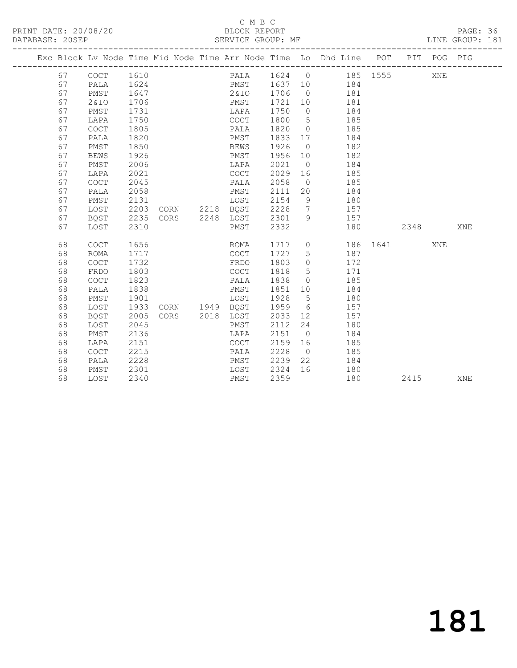## C M B C<br>BLOCK REPORT

|  | SERVICE GROUP: MF<br>DATABASE: 20SEP<br>--------------------- |                                            |      |                |  |         |         |                 |                                                                    |          |      | LINE GROUP: 181 |     |
|--|---------------------------------------------------------------|--------------------------------------------|------|----------------|--|---------|---------|-----------------|--------------------------------------------------------------------|----------|------|-----------------|-----|
|  |                                                               |                                            |      |                |  |         |         |                 | Exc Block Lv Node Time Mid Node Time Arr Node Time Lo Dhd Line POT |          |      | PIT POG PIG     |     |
|  | 67                                                            | $COCT$ 1610                                |      |                |  |         |         |                 | PALA 1624 0 185 1555                                               |          |      | XNE             |     |
|  | 67                                                            | PALA                                       | 1624 |                |  |         |         |                 | PMST 1637 10 184                                                   |          |      |                 |     |
|  | 67                                                            | PMST                                       | 1647 |                |  | 2 & I O | 1706    |                 | 0 181                                                              |          |      |                 |     |
|  | 67                                                            | 2&10                                       | 1706 |                |  | PMST    | 1721    | 10              | 181                                                                |          |      |                 |     |
|  | 67                                                            | PMST                                       | 1731 |                |  | LAPA    | 1750    | $\overline{0}$  | 184                                                                |          |      |                 |     |
|  | 67                                                            | LAPA                                       | 1750 |                |  | COCT    | 1800    | $5\overline{)}$ | 185                                                                |          |      |                 |     |
|  | 67                                                            | $\mathtt{C}\mathtt{O}\mathtt{C}\mathtt{T}$ | 1805 |                |  | PALA    | 1820    | $\overline{0}$  | 185                                                                |          |      |                 |     |
|  | 67                                                            | PALA                                       | 1820 |                |  | PMST    | 1833 17 |                 | 184                                                                |          |      |                 |     |
|  | 67                                                            | PMST                                       | 1850 |                |  | BEWS    | 1926    | $\overline{0}$  | 182                                                                |          |      |                 |     |
|  | 67                                                            | BEWS                                       | 1926 |                |  | PMST    | 1956 10 |                 | 182                                                                |          |      |                 |     |
|  | 67                                                            | PMST                                       | 2006 |                |  | LAPA    | 2021    | $\overline{0}$  | 184                                                                |          |      |                 |     |
|  | 67                                                            | LAPA                                       | 2021 |                |  | COCT    | 2029    | 16              | 185                                                                |          |      |                 |     |
|  | 67                                                            | <b>COCT</b>                                | 2045 |                |  | PALA    | 2058    |                 | $\overline{0}$<br>185                                              |          |      |                 |     |
|  | 67                                                            | PALA                                       | 2058 |                |  | PMST    | 2111    |                 | 20<br>184                                                          |          |      |                 |     |
|  | 67                                                            | PMST                                       | 2131 |                |  | LOST    | 2154    | 9               | 180                                                                |          |      |                 |     |
|  | 67                                                            | LOST                                       | 2203 | CORN 2218 BQST |  |         | 2228    |                 | $7\overline{ }$<br>157                                             |          |      |                 |     |
|  | 67                                                            | BQST                                       | 2235 | CORS 2248 LOST |  |         | 2301    | 9 <sup>°</sup>  | 157                                                                |          |      |                 |     |
|  | 67                                                            | LOST                                       | 2310 |                |  | PMST    | 2332    |                 | 180                                                                |          | 2348 |                 | XNE |
|  | 68                                                            | <b>COCT</b>                                | 1656 |                |  | ROMA    |         |                 | 1717 0                                                             | 186 1641 |      | XNE             |     |
|  | 68                                                            | <b>ROMA</b>                                | 1717 |                |  | COCT    | 1727    | 5 <sup>5</sup>  | 187                                                                |          |      |                 |     |
|  | 68                                                            | COCT                                       | 1732 |                |  | FRDO    | 1803    | $\overline{0}$  | 172                                                                |          |      |                 |     |
|  | 68                                                            | FRDO                                       | 1803 |                |  | COCT    | 1818    | $5\overline{)}$ | 171                                                                |          |      |                 |     |
|  | 68                                                            | COCT                                       | 1823 |                |  | PALA    | 1838    | $\overline{0}$  | 185                                                                |          |      |                 |     |
|  | 68                                                            | PALA                                       | 1838 |                |  | PMST    | 1851    |                 | 184                                                                |          |      |                 |     |
|  | 68                                                            | PMST                                       | 1901 |                |  | LOST    | 1928    | 5 <sup>5</sup>  | 180                                                                |          |      |                 |     |
|  | 68                                                            | LOST                                       | 1933 | CORN 1949 BOST |  |         | 1959    |                 | $6\degree$<br>157                                                  |          |      |                 |     |
|  | 68                                                            | BQST                                       | 2005 | CORS 2018 LOST |  |         | 2033    |                 | 157                                                                |          |      |                 |     |
|  | 68                                                            | LOST                                       | 2045 |                |  | PMST    | 2112    | 24              | 180                                                                |          |      |                 |     |
|  | 68                                                            | PMST                                       | 2136 |                |  | LAPA    | 2151    | $\overline{0}$  | 184                                                                |          |      |                 |     |
|  | 68                                                            | LAPA                                       | 2151 |                |  | COCT    | 2159    | 16              | 185                                                                |          |      |                 |     |
|  | 68                                                            | <b>COCT</b>                                | 2215 |                |  | PALA    | 2228    | $\overline{0}$  | 185                                                                |          |      |                 |     |
|  | 68                                                            | PALA                                       | 2228 |                |  | PMST    | 2239    | 22              | 184                                                                |          |      |                 |     |
|  | 68                                                            | PMST                                       | 2301 |                |  | LOST    | 2324    | 16              | 180                                                                |          |      |                 |     |
|  | 68                                                            | LOST                                       | 2340 |                |  | PMST    | 2359    |                 | 180                                                                |          | 2415 |                 | XNE |
|  |                                                               |                                            |      |                |  |         |         |                 |                                                                    |          |      |                 |     |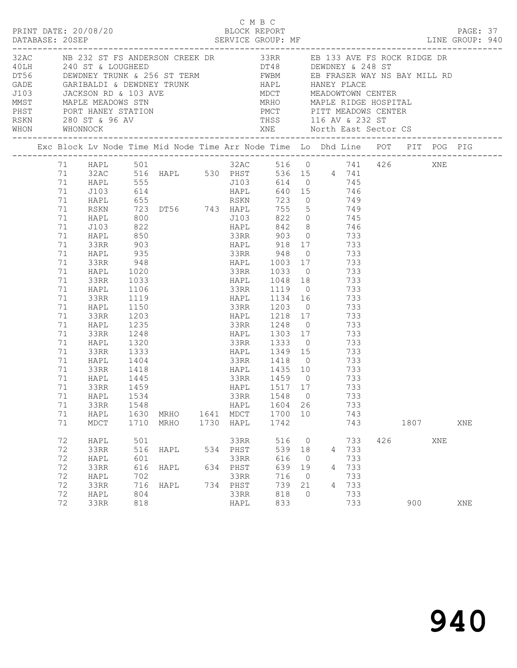|  |                                                                                                                                             |                                                                                                                                                                                                                                          |                                                                                                                                                | C M B C<br>PRINT DATE: 20/08/20 C M BLOCK REPORT                                                                                                                                                                                        |                                                                                                                                                                                                                      |                                 |                                                                                   |                                                     |      |     | PAGE: 37<br>LINE GROUP: 940 |  |
|--|---------------------------------------------------------------------------------------------------------------------------------------------|------------------------------------------------------------------------------------------------------------------------------------------------------------------------------------------------------------------------------------------|------------------------------------------------------------------------------------------------------------------------------------------------|-----------------------------------------------------------------------------------------------------------------------------------------------------------------------------------------------------------------------------------------|----------------------------------------------------------------------------------------------------------------------------------------------------------------------------------------------------------------------|---------------------------------|-----------------------------------------------------------------------------------|-----------------------------------------------------|------|-----|-----------------------------|--|
|  |                                                                                                                                             |                                                                                                                                                                                                                                          |                                                                                                                                                | 32AC NB 232 ST FS ANDERSON CREEK DR 33RR EB 133 AVE FS ROCK RIDGE DR                                                                                                                                                                    |                                                                                                                                                                                                                      |                                 |                                                                                   |                                                     |      |     |                             |  |
|  |                                                                                                                                             |                                                                                                                                                                                                                                          |                                                                                                                                                | Exc Block Lv Node Time Mid Node Time Arr Node Time Lo Dhd Line POT PIT POG PIG                                                                                                                                                          |                                                                                                                                                                                                                      |                                 |                                                                                   |                                                     |      |     |                             |  |
|  | 71 HAPL<br>71<br>71<br>71<br>71<br>71<br>71<br>71<br>71<br>71<br>71<br>71<br>71<br>71<br>71<br>71<br>71<br>71<br>71<br>71<br>71<br>71<br>71 | 71 HAPL 501<br>71 J103<br>71 HAPL<br><b>RSKN</b><br>HAPL<br>J103<br>HAPL<br>33RR<br>HAPL<br>33RR<br>HAPL<br>33RR<br>HAPL<br>33RR<br>HAPL<br>33RR<br>HAPL<br>33RR<br>HAPL<br>33RR<br>HAPL<br>33RR<br>HAPL<br>33RR<br>71 HAPL 1534<br>33RR | 555<br>800<br>822<br>850<br>903<br>935<br>1106<br>1119<br>1150<br>1203<br>1235<br>1248<br>1320<br>1333<br>1404<br>1418<br>1445<br>1459<br>1548 | 71 32AC 516 HAPL 530 PHST 536 15 4 741<br>J103 614 0 745<br>33RR 948 0 733<br>$948$<br>1020<br>1033<br>33RR 1119 0 733<br>1134 16 733<br>33RR 1203 0 733<br>HAPL 1218 17 733<br>HAPL 1303 17 733<br>33RR 1418 0 733<br>HAPL 1435 10 733 | 32AC 516 0 741 426 XNE<br>J103 822 0 745<br>HAPL 918 17 733<br>HAPL 1048 18 733<br>33RR 1248 0 733<br>33RR 1333 0 733<br>HAPL 1349 15 733<br>33RR       1459      0<br>HAPL        1517    17<br>33RR 1548 0<br>HAPL | 1604 26                         |                                                                                   | 733<br>733<br>733<br>733                            |      |     |                             |  |
|  | 71<br>71                                                                                                                                    | HAPL<br>MDCT                                                                                                                                                                                                                             |                                                                                                                                                | 1630 MRHO<br>1710 MRHO                                                                                                                                                                                                                  | 1641 MDCT<br>1730 HAPL                                                                                                                                                                                               | 1700 10<br>1742                 |                                                                                   | 743<br>743                                          | 1807 |     | XNE                         |  |
|  | 72<br>72<br>72<br>72<br>72<br>72<br>72                                                                                                      | HAPL<br>33RR<br>HAPL<br>33RR<br>HAPL<br>33RR<br>HAPL                                                                                                                                                                                     | 501<br>516<br>601<br>616<br>702<br>716<br>804                                                                                                  | HAPL<br>HAPL<br>HAPL                                                                                                                                                                                                                    | 33RR<br>534 PHST<br>33RR<br>634 PHST<br>33RR<br>734 PHST<br>33RR                                                                                                                                                     | 616<br>639<br>716<br>739<br>818 | 516 0<br>539 18<br>$\overline{0}$<br>19<br>$\overline{0}$<br>21<br>$\overline{0}$ | 733<br>4 733<br>733<br>4 733<br>733<br>4 733<br>733 | 426  | XNE |                             |  |
|  | 72                                                                                                                                          | 33RR                                                                                                                                                                                                                                     | 818                                                                                                                                            |                                                                                                                                                                                                                                         | HAPL                                                                                                                                                                                                                 | 833                             |                                                                                   | 733                                                 | 900  |     | XNE                         |  |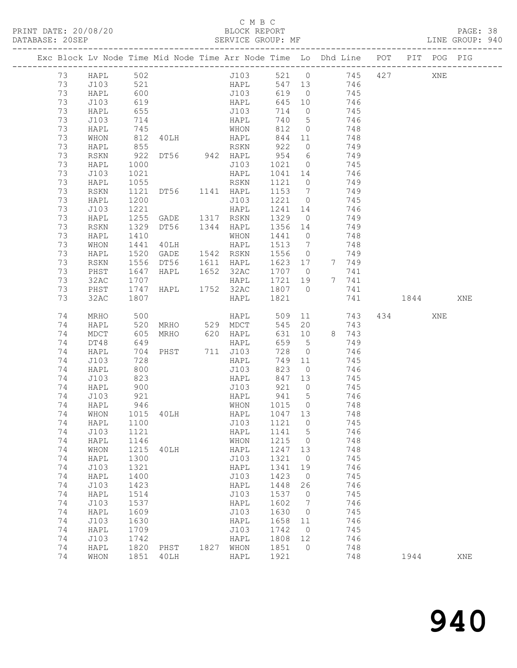#### C M B C<br>BLOCK REPORT

PAGE: 38<br>LINE GROUP: 940

| Exc Block Lv Node Time Mid Node Time Arr Node Time Lo Dhd Line POT |              |                   |                          |      |                    |                 |                      |        |            |      | PIT POG PIG |     |
|--------------------------------------------------------------------|--------------|-------------------|--------------------------|------|--------------------|-----------------|----------------------|--------|------------|------|-------------|-----|
| 73                                                                 | HAPL         | 502<br>521<br>600 |                          |      | J103 521 0 745 427 |                 |                      |        |            |      | XNE         |     |
| 73                                                                 | J103         |                   |                          |      | HAPL               | 547 13          |                      |        | 746        |      |             |     |
| 73                                                                 | HAPL         |                   |                          |      | J103               | 619             | $\overline{0}$       | 745    |            |      |             |     |
| 73                                                                 | J103         | 619               |                          |      | HAPL               | 645 10          |                      | 746    |            |      |             |     |
| 73                                                                 | HAPL         | 655               |                          |      | J103               | 714             | $\overline{0}$       |        | 745        |      |             |     |
| 73                                                                 | J103         | 714               |                          |      | HAPL               | 740             | $5\overline{)}$      |        | 746        |      |             |     |
| 73                                                                 | HAPL         | 745               |                          |      | WHON               | 812             | $\overline{0}$       | 748    |            |      |             |     |
| 73                                                                 | WHON         | 812               | 40LH HAPL                |      |                    | 844             | 11                   |        | 748        |      |             |     |
| 73                                                                 | HAPL         | 855               |                          |      | RSKN               | 922             | $\overline{0}$       |        | 749        |      |             |     |
| 73                                                                 | RSKN         |                   |                          |      |                    | $954\n\n1021$   | 6 <sup>6</sup>       |        | 749        |      |             |     |
| 73                                                                 | HAPL         | 1000              |                          |      | J103               | 1021            | $\overline{0}$       |        | 745        |      |             |     |
| 73                                                                 | J103         | 1021              |                          |      | HAPL               | 1041 14         |                      |        | 746        |      |             |     |
| 73                                                                 | HAPL         | 1055              |                          |      | RSKN               | 1121            | $\overline{0}$       |        | 749        |      |             |     |
| 73<br>73                                                           | RSKN         | 1121              | DT56 1141 HAPL           |      |                    | 1153            | $\overline{7}$       |        | 749        |      |             |     |
| 73                                                                 | HAPL<br>J103 | 1200<br>1221      |                          |      | J103<br>HAPL       | 1221<br>1241 14 | $\overline{0}$       |        | 745<br>746 |      |             |     |
| 73                                                                 | HAPL         | 1255              | GADE 1317 RSKN           |      |                    | 1329            | $\overline{0}$       |        | 749        |      |             |     |
| 73                                                                 | RSKN         | 1329              | DT56                     |      | 1344 HAPL          | 1356 14         |                      |        | 749        |      |             |     |
| 73                                                                 | HAPL         | 1410              |                          |      | WHON               | 1441            | $\overline{0}$       |        | 748        |      |             |     |
| 73                                                                 | WHON         | 1441              | 40LH                     |      | HAPL               | 1513            | 7                    |        | 748        |      |             |     |
| 73                                                                 | HAPL         | 1520              | GADE                     |      | 1542 RSKN          | 1556            | $\overline{0}$       |        | 749        |      |             |     |
| 73                                                                 | RSKN         | 1556              | DT56                     |      | 1611 HAPL          | 1623 17         |                      |        | 7 749      |      |             |     |
| 73                                                                 | PHST         | 1647              | HAPL                     |      | 1652 32AC          | 1707 0          |                      |        | 741        |      |             |     |
| 73                                                                 | 32AC         | 1707              |                          |      | HAPL               | 1721 19         |                      |        | 7 741      |      |             |     |
| 73                                                                 | PHST         | 1747              | HAPL                     |      | 1752 32AC          | 1807 0          |                      |        | 741        |      |             |     |
| 73                                                                 | 32AC         | 1807              |                          |      | HAPL               | 1821            |                      |        | 741        | 1844 |             | XNE |
| 74                                                                 |              |                   |                          |      |                    |                 |                      |        |            |      |             |     |
|                                                                    |              |                   |                          |      |                    |                 |                      |        |            | 434  | XNE         |     |
| 74                                                                 | MRHO<br>HAPL | 500<br>520        | MRHO 529 MDCT            |      | <b>HAPL</b>        | 545             | 20                   | 509 11 | 743<br>743 |      |             |     |
| 74                                                                 | MDCT         | 605               | MRHO                     |      |                    | 631             | 10                   |        | 8 743      |      |             |     |
| 74                                                                 | DT48         | 649               |                          |      | 620 HAPL<br>HAPL   | 659             | $5^{\circ}$          |        | 749        |      |             |     |
| 74                                                                 | HAPL         | 704               | PHST                     |      | 711 J103           | 728             | $\overline{0}$       |        | 746        |      |             |     |
| 74                                                                 | J103         | 728               |                          |      | HAPL               | 749             | 11                   |        | 745        |      |             |     |
| 74                                                                 | HAPL         | 800               |                          |      | J103               | 823             | $\overline{0}$       |        | 746        |      |             |     |
| 74                                                                 | J103         | 823               |                          |      | HAPL               | 847 13          |                      |        | 745        |      |             |     |
| 74                                                                 | HAPL         | 900               |                          |      | J103               | 921             | $\overline{0}$       |        | 745        |      |             |     |
| 74                                                                 | J103         | 921               |                          |      | HAPL               | 941             | $5\overline{)}$      | 746    |            |      |             |     |
| 74                                                                 | HAPL         | 946               |                          |      | WHON               | 1015            | $\overline{0}$       |        | 748        |      |             |     |
| 74                                                                 | WHON         |                   | 1015 40LH                |      | HAPL               | 1047 13         |                      |        | 748        |      |             |     |
|                                                                    |              |                   | 74 HAPL 1100 J103 1121 0 |      |                    |                 |                      |        | 745        |      |             |     |
| 74                                                                 | J103         | 1121              |                          |      | HAPL               | 1141            | $5^{\circ}$          |        | 746        |      |             |     |
| 74                                                                 | HAPL         | 1146              |                          |      | WHON               | 1215            | $\overline{0}$       |        | 748        |      |             |     |
| 74                                                                 | WHON         | 1215              | 40LH                     |      | HAPL               | 1247            | 13                   |        | 748        |      |             |     |
| 74                                                                 | HAPL         | 1300              |                          |      | J103               | 1321            | $\overline{0}$       |        | 745        |      |             |     |
| 74                                                                 | J103         | 1321              |                          |      | HAPL               | 1341            | 19                   |        | 746        |      |             |     |
| 74                                                                 | HAPL         | 1400              |                          |      | J103               | 1423            | $\overline{0}$       |        | 745        |      |             |     |
| 74<br>74                                                           | J103         | 1423              |                          |      | HAPL               | 1448            | 26<br>$\overline{0}$ |        | 746        |      |             |     |
| 74                                                                 | HAPL<br>J103 | 1514<br>1537      |                          |      | J103<br>HAPL       | 1537<br>1602    | $7\phantom{.0}$      |        | 745<br>746 |      |             |     |
| 74                                                                 | HAPL         | 1609              |                          |      | J103               | 1630            | 0                    |        | 745        |      |             |     |
| 74                                                                 | J103         | 1630              |                          |      | HAPL               | 1658            | 11                   |        | 746        |      |             |     |
| 74                                                                 | HAPL         | 1709              |                          |      | J103               | 1742            | $\overline{0}$       |        | 745        |      |             |     |
| 74                                                                 | J103         | 1742              |                          |      | HAPL               | 1808            | 12                   |        | 746        |      |             |     |
| 74<br>74                                                           | HAPL<br>WHON | 1820<br>1851      | PHST<br>40LH             | 1827 | WHON<br>HAPL       | 1851<br>1921    | $\bigcirc$           |        | 748<br>748 | 1944 |             | XNE |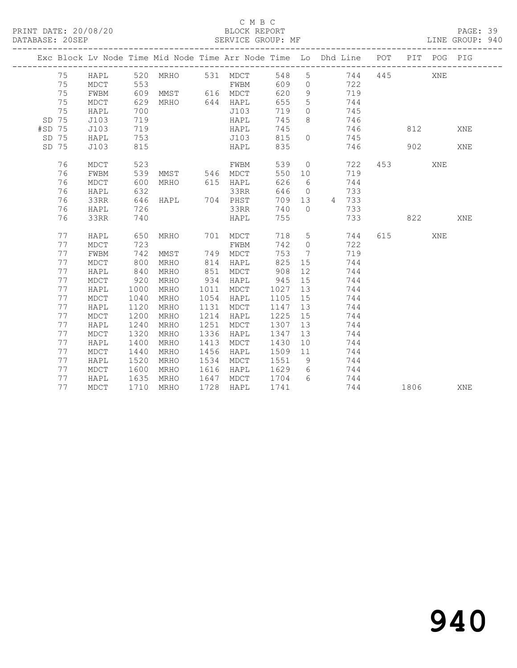#### C M B C<br>BLOCK REPORT

PAGE: 39<br>LINE GROUP: 940

|        |       |      |                   |                   |      |                       |         |                 | Exc Block Lv Node Time Mid Node Time Arr Node Time Lo Dhd Line POT |     |                        | PIT POG PIG |     |
|--------|-------|------|-------------------|-------------------|------|-----------------------|---------|-----------------|--------------------------------------------------------------------|-----|------------------------|-------------|-----|
|        | 75    | HAPL |                   | 520 MRHO 531 MDCT |      |                       | 548     |                 | 5 744                                                              | 445 |                        | XNE         |     |
|        | 75    | MDCT | 553               | <b>EWBM</b>       |      |                       | 609     |                 | 0 $722$                                                            |     |                        |             |     |
|        | 75    | FWBM |                   | 609 MMST 616 MDCT |      |                       | 620     | 9               | 719                                                                |     |                        |             |     |
|        | 75    | MDCT | 629               | MRHO 644 HAPL     |      |                       | 655     | $5^{\circ}$     | 744                                                                |     |                        |             |     |
|        | 75    | HAPL | 700               |                   |      | J103                  | 719     | $\overline{0}$  | 745                                                                |     |                        |             |     |
|        | SD 75 | J103 | 719               |                   |      | HAPL                  | 745     | 8               | 746                                                                |     |                        |             |     |
| #SD 75 |       | J103 | 719<br>719<br>753 |                   |      | HAPL<br>HAPL<br>J103  | 745     |                 | 746                                                                |     |                        | 812         | XNE |
|        | SD 75 | HAPL |                   |                   |      |                       | 815     | $\circ$         | 745                                                                |     |                        |             |     |
|        | SD 75 | J103 | 815               |                   |      | HAPL                  | 835     |                 | 746                                                                |     |                        | 902         | XNE |
|        | 76    | MDCT | 523               |                   |      | FWBM                  | 539     |                 | $\overline{0}$<br>722                                              |     | 453 and $\overline{a}$ | XNE         |     |
|        | 76    | FWBM |                   | 539 MMST 546 MDCT |      |                       | 550 10  |                 | 719                                                                |     |                        |             |     |
|        | 76    | MDCT | 600               | MRHO 615 HAPL     |      |                       | 626     | 6               | 744                                                                |     |                        |             |     |
|        | 76    | HAPL | 632               |                   |      | 33RR                  | 646     |                 | $\overline{0}$<br>733                                              |     |                        |             |     |
|        | 76    | 33RR |                   | 646 HAPL 704 PHST |      |                       |         |                 | 709 13 4 733                                                       |     |                        |             |     |
|        | 76    | HAPL | 726               |                   |      | 33RR                  | 740     | $\bigcap$       | 733                                                                |     |                        |             |     |
|        | 76    | 33RR | 740               |                   |      | HAPL                  | 755     |                 | 733                                                                | 822 |                        |             | XNE |
|        | 77    | HAPL | 650               |                   |      |                       |         |                 | 718 5 744                                                          |     | 615                    | XNE         |     |
|        | 77    | MDCT | 723               |                   |      | MRHO 701 MDCT<br>FWBM | 742     | $\overline{0}$  | 722                                                                |     |                        |             |     |
|        | 77    | FWBM | 742               | MMST              |      | 749 MDCT              | 753     | $7\overline{ }$ | 719                                                                |     |                        |             |     |
|        | 77    | MDCT | 800               | MRHO              |      | 814 HAPL              | 825     | 15              | 744                                                                |     |                        |             |     |
|        | 77    | HAPL | 840               | MRHO              | 851  | MDCT                  | 908     | 12              | 744                                                                |     |                        |             |     |
|        | 77    | MDCT | 920               | MRHO              |      | 934 HAPL              | 945 15  |                 | 744                                                                |     |                        |             |     |
|        | 77    | HAPL | 1000              | MRHO              | 1011 | MDCT                  | 1027    |                 | 13<br>744                                                          |     |                        |             |     |
|        | 77    | MDCT | 1040              | MRHO              |      | $1054$ HAPL           |         |                 | 1105 15<br>744                                                     |     |                        |             |     |
|        | 77    | HAPL | 1120              | MRHO              | 1131 | MDCT                  | 1147    |                 | 13<br>744                                                          |     |                        |             |     |
|        | 77    | MDCT | 1200              | MRHO              | 1214 | HAPL                  | 1225    | 15              | 744                                                                |     |                        |             |     |
|        | 77    | HAPL | 1240              | MRHO              | 1251 | MDCT                  | 1307    | 13              | 744                                                                |     |                        |             |     |
|        | 77    | MDCT | 1320              | MRHO              | 1336 | HAPL                  | 1347    | 13              | 744                                                                |     |                        |             |     |
|        | 77    | HAPL | 1400              | MRHO              | 1413 | MDCT                  | 1430    | 10              | 744                                                                |     |                        |             |     |
|        | 77    | MDCT | 1440              | MRHO              | 1456 | HAPL                  | 1509 11 |                 | 744                                                                |     |                        |             |     |
|        | 77    | HAPL | 1520              | MRHO              |      | 1534 MDCT             | 1551 9  |                 | 744                                                                |     |                        |             |     |
|        | 77    | MDCT | 1600              | MRHO              |      | 1616 HAPL             | 1629 6  |                 | 744                                                                |     |                        |             |     |
|        | 77    | HAPL | 1635              | MRHO              |      | 1647 MDCT             | 1704    | $6\overline{6}$ | 744                                                                |     |                        |             |     |
|        | 77    | MDCT |                   | 1710 MRHO         | 1728 | HAPL                  | 1741    |                 |                                                                    | 744 | 1806                   |             | XNE |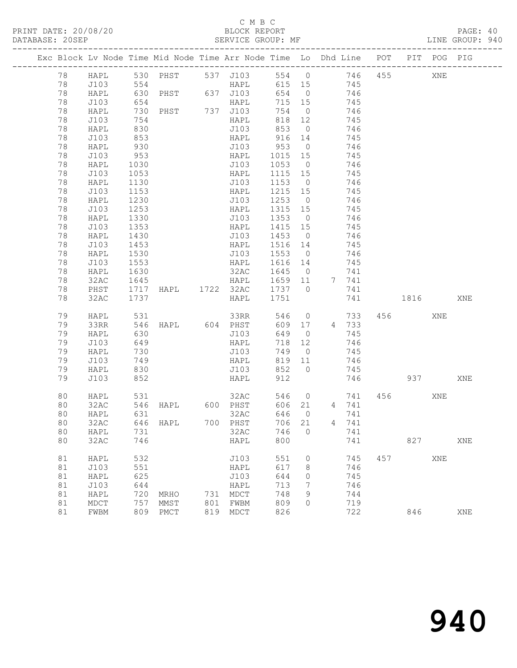### C M B C<br>BLOCK REPORT

PAGE: 40<br>LINE GROUP: 940

| Exc Block Lv Node Time Mid Node Time Arr Node Time Lo Dhd Line POT<br>PIT POG PIG<br>530 PHST 537 J103 554 0 746<br>455<br>78<br>HAPL<br>XNE<br>78<br>J103<br>615 15 745<br>654 0 746<br>HAPL<br>78<br>HAPL<br>745<br>78<br>J103<br>654<br>715 15<br>PHST 737 J103<br>78<br>730<br>754 0<br>746<br>HAPL<br>78<br>J103<br>818 12<br>745<br>HAPL<br>$\frac{1}{830}$<br>853 0<br>78<br>J103<br>HAPL<br>746<br>853<br>916 14<br>78<br>745<br>J103<br>HAPL<br>78<br>930<br>953 0<br>J103<br>746<br>HAPL<br>J103<br>953<br>HAPL 1015 15<br>J103 1053 0<br>78<br>745<br>78<br>1030<br>746<br>HAPL<br>78<br>J103<br>1053<br>HAPL<br>1115 15<br>745<br>78<br>1130<br>J103<br>1153 0<br>746<br>HAPL<br>J103<br>1153<br>1215 15<br>78<br>HAPL<br>745<br>$\begin{array}{c}\n1253 \\ 0\n\end{array}$<br>1230<br>78<br>J103<br>746<br>HAPL<br>1253<br>745<br>1315 15<br>78<br>J103<br>HAPL<br>J103 1353 0<br>78<br>HAPL<br>1330<br>746<br>1415 15<br>78<br>J103<br>1353<br>HAPL<br>745<br>$141$<br>1453 0<br>1453 14<br>78<br>HAPL<br>1430<br>J103<br>746<br>745<br>1453<br>1516 14<br>78<br>J103<br>HAPL<br>78<br>1530<br>J103 1553 0<br>HAPL<br>746<br>78<br>J103<br>1553<br>1616 14<br>HAPL<br>745<br>78<br>1630<br>32AC<br>1645 0<br>HAPL<br>741<br>HAPL 1659 11<br>78<br>1645<br>32AC<br>7 741<br>1717 HAPL 1722 32AC 1737 0<br>78<br>PHST<br>741<br>32AC<br>1737<br>1751<br>78<br>HAPL<br>741<br>1816<br>XNE<br>33RR<br>546 0<br>79<br>531<br>733<br>456 70<br>HAPL<br>XNE<br>HAPL 604 PHST<br>546<br>609 17 4 733<br>79<br>33RR<br>79<br>630<br>J103<br>649<br>745<br>HAPL<br>$\overline{0}$<br>79<br>J103<br>649<br>718 12<br>746<br>HAPL<br>79<br>730<br>J103<br>749<br>HAPL<br>$\overline{0}$<br>745<br>746<br>79<br>J103<br>749<br>819 11<br>HAPL<br>830<br>852 0<br>79<br>HAPL<br>J103<br>745<br>852<br>912<br>746<br>79<br>J103<br>HAPL<br>937 — 100<br>XNE<br>531<br>32AC<br>546 0<br>80<br>741<br>456 7<br>XNE<br>HAPL<br>600 PHST<br>32AC<br>546<br>606 21 4 741<br>80<br>HAPL<br>646<br>631<br>32AC<br>$\overline{0}$<br>80<br>HAPL<br>741<br>700 PHST 706 21<br>80<br>32AC 646 HAPL<br>4 741<br>80<br>32AC<br>746<br>HAPL<br>731<br>$\overline{0}$<br>741<br>800<br>827<br>80<br>32AC<br>746<br>HAPL<br>741<br>XNE<br>532<br>81<br>J103<br>551<br>$\circ$<br>745<br>457<br>XNE<br>HAPL<br>551<br>617<br>746<br>81<br>J103<br>HAPL<br>8<br>81<br>625<br>J103<br>644<br>745<br>HAPL<br>0<br>81<br>644<br>713<br>746<br>J103<br>HAPL<br>7<br>81<br>720<br>731 MDCT<br>HAPL<br>748<br>9<br>744<br>MRHO<br>81<br>757<br>801<br>809<br>719<br>$\tt MDCT$<br>MMST<br>FWBM<br>0<br>81<br>809<br>722<br>FWBM<br>PMCT<br>819<br>MDCT<br>826<br>846<br>XNE |  |  |  |  |  |  |  |  |
|-----------------------------------------------------------------------------------------------------------------------------------------------------------------------------------------------------------------------------------------------------------------------------------------------------------------------------------------------------------------------------------------------------------------------------------------------------------------------------------------------------------------------------------------------------------------------------------------------------------------------------------------------------------------------------------------------------------------------------------------------------------------------------------------------------------------------------------------------------------------------------------------------------------------------------------------------------------------------------------------------------------------------------------------------------------------------------------------------------------------------------------------------------------------------------------------------------------------------------------------------------------------------------------------------------------------------------------------------------------------------------------------------------------------------------------------------------------------------------------------------------------------------------------------------------------------------------------------------------------------------------------------------------------------------------------------------------------------------------------------------------------------------------------------------------------------------------------------------------------------------------------------------------------------------------------------------------------------------------------------------------------------------------------------------------------------------------------------------------------------------------------------------------------------------------------------------------------------------------------------------------------------------------------------------------------------------------------------------------------------------------------------------------------------------------------------------------------------------------------------------------------------------------------------------------------------------------------------------------------------------------------------------------|--|--|--|--|--|--|--|--|
|                                                                                                                                                                                                                                                                                                                                                                                                                                                                                                                                                                                                                                                                                                                                                                                                                                                                                                                                                                                                                                                                                                                                                                                                                                                                                                                                                                                                                                                                                                                                                                                                                                                                                                                                                                                                                                                                                                                                                                                                                                                                                                                                                                                                                                                                                                                                                                                                                                                                                                                                                                                                                                                     |  |  |  |  |  |  |  |  |
|                                                                                                                                                                                                                                                                                                                                                                                                                                                                                                                                                                                                                                                                                                                                                                                                                                                                                                                                                                                                                                                                                                                                                                                                                                                                                                                                                                                                                                                                                                                                                                                                                                                                                                                                                                                                                                                                                                                                                                                                                                                                                                                                                                                                                                                                                                                                                                                                                                                                                                                                                                                                                                                     |  |  |  |  |  |  |  |  |
|                                                                                                                                                                                                                                                                                                                                                                                                                                                                                                                                                                                                                                                                                                                                                                                                                                                                                                                                                                                                                                                                                                                                                                                                                                                                                                                                                                                                                                                                                                                                                                                                                                                                                                                                                                                                                                                                                                                                                                                                                                                                                                                                                                                                                                                                                                                                                                                                                                                                                                                                                                                                                                                     |  |  |  |  |  |  |  |  |
|                                                                                                                                                                                                                                                                                                                                                                                                                                                                                                                                                                                                                                                                                                                                                                                                                                                                                                                                                                                                                                                                                                                                                                                                                                                                                                                                                                                                                                                                                                                                                                                                                                                                                                                                                                                                                                                                                                                                                                                                                                                                                                                                                                                                                                                                                                                                                                                                                                                                                                                                                                                                                                                     |  |  |  |  |  |  |  |  |
|                                                                                                                                                                                                                                                                                                                                                                                                                                                                                                                                                                                                                                                                                                                                                                                                                                                                                                                                                                                                                                                                                                                                                                                                                                                                                                                                                                                                                                                                                                                                                                                                                                                                                                                                                                                                                                                                                                                                                                                                                                                                                                                                                                                                                                                                                                                                                                                                                                                                                                                                                                                                                                                     |  |  |  |  |  |  |  |  |
|                                                                                                                                                                                                                                                                                                                                                                                                                                                                                                                                                                                                                                                                                                                                                                                                                                                                                                                                                                                                                                                                                                                                                                                                                                                                                                                                                                                                                                                                                                                                                                                                                                                                                                                                                                                                                                                                                                                                                                                                                                                                                                                                                                                                                                                                                                                                                                                                                                                                                                                                                                                                                                                     |  |  |  |  |  |  |  |  |
|                                                                                                                                                                                                                                                                                                                                                                                                                                                                                                                                                                                                                                                                                                                                                                                                                                                                                                                                                                                                                                                                                                                                                                                                                                                                                                                                                                                                                                                                                                                                                                                                                                                                                                                                                                                                                                                                                                                                                                                                                                                                                                                                                                                                                                                                                                                                                                                                                                                                                                                                                                                                                                                     |  |  |  |  |  |  |  |  |
|                                                                                                                                                                                                                                                                                                                                                                                                                                                                                                                                                                                                                                                                                                                                                                                                                                                                                                                                                                                                                                                                                                                                                                                                                                                                                                                                                                                                                                                                                                                                                                                                                                                                                                                                                                                                                                                                                                                                                                                                                                                                                                                                                                                                                                                                                                                                                                                                                                                                                                                                                                                                                                                     |  |  |  |  |  |  |  |  |
|                                                                                                                                                                                                                                                                                                                                                                                                                                                                                                                                                                                                                                                                                                                                                                                                                                                                                                                                                                                                                                                                                                                                                                                                                                                                                                                                                                                                                                                                                                                                                                                                                                                                                                                                                                                                                                                                                                                                                                                                                                                                                                                                                                                                                                                                                                                                                                                                                                                                                                                                                                                                                                                     |  |  |  |  |  |  |  |  |
|                                                                                                                                                                                                                                                                                                                                                                                                                                                                                                                                                                                                                                                                                                                                                                                                                                                                                                                                                                                                                                                                                                                                                                                                                                                                                                                                                                                                                                                                                                                                                                                                                                                                                                                                                                                                                                                                                                                                                                                                                                                                                                                                                                                                                                                                                                                                                                                                                                                                                                                                                                                                                                                     |  |  |  |  |  |  |  |  |
|                                                                                                                                                                                                                                                                                                                                                                                                                                                                                                                                                                                                                                                                                                                                                                                                                                                                                                                                                                                                                                                                                                                                                                                                                                                                                                                                                                                                                                                                                                                                                                                                                                                                                                                                                                                                                                                                                                                                                                                                                                                                                                                                                                                                                                                                                                                                                                                                                                                                                                                                                                                                                                                     |  |  |  |  |  |  |  |  |
|                                                                                                                                                                                                                                                                                                                                                                                                                                                                                                                                                                                                                                                                                                                                                                                                                                                                                                                                                                                                                                                                                                                                                                                                                                                                                                                                                                                                                                                                                                                                                                                                                                                                                                                                                                                                                                                                                                                                                                                                                                                                                                                                                                                                                                                                                                                                                                                                                                                                                                                                                                                                                                                     |  |  |  |  |  |  |  |  |
|                                                                                                                                                                                                                                                                                                                                                                                                                                                                                                                                                                                                                                                                                                                                                                                                                                                                                                                                                                                                                                                                                                                                                                                                                                                                                                                                                                                                                                                                                                                                                                                                                                                                                                                                                                                                                                                                                                                                                                                                                                                                                                                                                                                                                                                                                                                                                                                                                                                                                                                                                                                                                                                     |  |  |  |  |  |  |  |  |
|                                                                                                                                                                                                                                                                                                                                                                                                                                                                                                                                                                                                                                                                                                                                                                                                                                                                                                                                                                                                                                                                                                                                                                                                                                                                                                                                                                                                                                                                                                                                                                                                                                                                                                                                                                                                                                                                                                                                                                                                                                                                                                                                                                                                                                                                                                                                                                                                                                                                                                                                                                                                                                                     |  |  |  |  |  |  |  |  |
|                                                                                                                                                                                                                                                                                                                                                                                                                                                                                                                                                                                                                                                                                                                                                                                                                                                                                                                                                                                                                                                                                                                                                                                                                                                                                                                                                                                                                                                                                                                                                                                                                                                                                                                                                                                                                                                                                                                                                                                                                                                                                                                                                                                                                                                                                                                                                                                                                                                                                                                                                                                                                                                     |  |  |  |  |  |  |  |  |
|                                                                                                                                                                                                                                                                                                                                                                                                                                                                                                                                                                                                                                                                                                                                                                                                                                                                                                                                                                                                                                                                                                                                                                                                                                                                                                                                                                                                                                                                                                                                                                                                                                                                                                                                                                                                                                                                                                                                                                                                                                                                                                                                                                                                                                                                                                                                                                                                                                                                                                                                                                                                                                                     |  |  |  |  |  |  |  |  |
|                                                                                                                                                                                                                                                                                                                                                                                                                                                                                                                                                                                                                                                                                                                                                                                                                                                                                                                                                                                                                                                                                                                                                                                                                                                                                                                                                                                                                                                                                                                                                                                                                                                                                                                                                                                                                                                                                                                                                                                                                                                                                                                                                                                                                                                                                                                                                                                                                                                                                                                                                                                                                                                     |  |  |  |  |  |  |  |  |
|                                                                                                                                                                                                                                                                                                                                                                                                                                                                                                                                                                                                                                                                                                                                                                                                                                                                                                                                                                                                                                                                                                                                                                                                                                                                                                                                                                                                                                                                                                                                                                                                                                                                                                                                                                                                                                                                                                                                                                                                                                                                                                                                                                                                                                                                                                                                                                                                                                                                                                                                                                                                                                                     |  |  |  |  |  |  |  |  |
|                                                                                                                                                                                                                                                                                                                                                                                                                                                                                                                                                                                                                                                                                                                                                                                                                                                                                                                                                                                                                                                                                                                                                                                                                                                                                                                                                                                                                                                                                                                                                                                                                                                                                                                                                                                                                                                                                                                                                                                                                                                                                                                                                                                                                                                                                                                                                                                                                                                                                                                                                                                                                                                     |  |  |  |  |  |  |  |  |
|                                                                                                                                                                                                                                                                                                                                                                                                                                                                                                                                                                                                                                                                                                                                                                                                                                                                                                                                                                                                                                                                                                                                                                                                                                                                                                                                                                                                                                                                                                                                                                                                                                                                                                                                                                                                                                                                                                                                                                                                                                                                                                                                                                                                                                                                                                                                                                                                                                                                                                                                                                                                                                                     |  |  |  |  |  |  |  |  |
|                                                                                                                                                                                                                                                                                                                                                                                                                                                                                                                                                                                                                                                                                                                                                                                                                                                                                                                                                                                                                                                                                                                                                                                                                                                                                                                                                                                                                                                                                                                                                                                                                                                                                                                                                                                                                                                                                                                                                                                                                                                                                                                                                                                                                                                                                                                                                                                                                                                                                                                                                                                                                                                     |  |  |  |  |  |  |  |  |
|                                                                                                                                                                                                                                                                                                                                                                                                                                                                                                                                                                                                                                                                                                                                                                                                                                                                                                                                                                                                                                                                                                                                                                                                                                                                                                                                                                                                                                                                                                                                                                                                                                                                                                                                                                                                                                                                                                                                                                                                                                                                                                                                                                                                                                                                                                                                                                                                                                                                                                                                                                                                                                                     |  |  |  |  |  |  |  |  |
|                                                                                                                                                                                                                                                                                                                                                                                                                                                                                                                                                                                                                                                                                                                                                                                                                                                                                                                                                                                                                                                                                                                                                                                                                                                                                                                                                                                                                                                                                                                                                                                                                                                                                                                                                                                                                                                                                                                                                                                                                                                                                                                                                                                                                                                                                                                                                                                                                                                                                                                                                                                                                                                     |  |  |  |  |  |  |  |  |
|                                                                                                                                                                                                                                                                                                                                                                                                                                                                                                                                                                                                                                                                                                                                                                                                                                                                                                                                                                                                                                                                                                                                                                                                                                                                                                                                                                                                                                                                                                                                                                                                                                                                                                                                                                                                                                                                                                                                                                                                                                                                                                                                                                                                                                                                                                                                                                                                                                                                                                                                                                                                                                                     |  |  |  |  |  |  |  |  |
|                                                                                                                                                                                                                                                                                                                                                                                                                                                                                                                                                                                                                                                                                                                                                                                                                                                                                                                                                                                                                                                                                                                                                                                                                                                                                                                                                                                                                                                                                                                                                                                                                                                                                                                                                                                                                                                                                                                                                                                                                                                                                                                                                                                                                                                                                                                                                                                                                                                                                                                                                                                                                                                     |  |  |  |  |  |  |  |  |
|                                                                                                                                                                                                                                                                                                                                                                                                                                                                                                                                                                                                                                                                                                                                                                                                                                                                                                                                                                                                                                                                                                                                                                                                                                                                                                                                                                                                                                                                                                                                                                                                                                                                                                                                                                                                                                                                                                                                                                                                                                                                                                                                                                                                                                                                                                                                                                                                                                                                                                                                                                                                                                                     |  |  |  |  |  |  |  |  |
|                                                                                                                                                                                                                                                                                                                                                                                                                                                                                                                                                                                                                                                                                                                                                                                                                                                                                                                                                                                                                                                                                                                                                                                                                                                                                                                                                                                                                                                                                                                                                                                                                                                                                                                                                                                                                                                                                                                                                                                                                                                                                                                                                                                                                                                                                                                                                                                                                                                                                                                                                                                                                                                     |  |  |  |  |  |  |  |  |
|                                                                                                                                                                                                                                                                                                                                                                                                                                                                                                                                                                                                                                                                                                                                                                                                                                                                                                                                                                                                                                                                                                                                                                                                                                                                                                                                                                                                                                                                                                                                                                                                                                                                                                                                                                                                                                                                                                                                                                                                                                                                                                                                                                                                                                                                                                                                                                                                                                                                                                                                                                                                                                                     |  |  |  |  |  |  |  |  |
|                                                                                                                                                                                                                                                                                                                                                                                                                                                                                                                                                                                                                                                                                                                                                                                                                                                                                                                                                                                                                                                                                                                                                                                                                                                                                                                                                                                                                                                                                                                                                                                                                                                                                                                                                                                                                                                                                                                                                                                                                                                                                                                                                                                                                                                                                                                                                                                                                                                                                                                                                                                                                                                     |  |  |  |  |  |  |  |  |
|                                                                                                                                                                                                                                                                                                                                                                                                                                                                                                                                                                                                                                                                                                                                                                                                                                                                                                                                                                                                                                                                                                                                                                                                                                                                                                                                                                                                                                                                                                                                                                                                                                                                                                                                                                                                                                                                                                                                                                                                                                                                                                                                                                                                                                                                                                                                                                                                                                                                                                                                                                                                                                                     |  |  |  |  |  |  |  |  |
|                                                                                                                                                                                                                                                                                                                                                                                                                                                                                                                                                                                                                                                                                                                                                                                                                                                                                                                                                                                                                                                                                                                                                                                                                                                                                                                                                                                                                                                                                                                                                                                                                                                                                                                                                                                                                                                                                                                                                                                                                                                                                                                                                                                                                                                                                                                                                                                                                                                                                                                                                                                                                                                     |  |  |  |  |  |  |  |  |
|                                                                                                                                                                                                                                                                                                                                                                                                                                                                                                                                                                                                                                                                                                                                                                                                                                                                                                                                                                                                                                                                                                                                                                                                                                                                                                                                                                                                                                                                                                                                                                                                                                                                                                                                                                                                                                                                                                                                                                                                                                                                                                                                                                                                                                                                                                                                                                                                                                                                                                                                                                                                                                                     |  |  |  |  |  |  |  |  |
|                                                                                                                                                                                                                                                                                                                                                                                                                                                                                                                                                                                                                                                                                                                                                                                                                                                                                                                                                                                                                                                                                                                                                                                                                                                                                                                                                                                                                                                                                                                                                                                                                                                                                                                                                                                                                                                                                                                                                                                                                                                                                                                                                                                                                                                                                                                                                                                                                                                                                                                                                                                                                                                     |  |  |  |  |  |  |  |  |
|                                                                                                                                                                                                                                                                                                                                                                                                                                                                                                                                                                                                                                                                                                                                                                                                                                                                                                                                                                                                                                                                                                                                                                                                                                                                                                                                                                                                                                                                                                                                                                                                                                                                                                                                                                                                                                                                                                                                                                                                                                                                                                                                                                                                                                                                                                                                                                                                                                                                                                                                                                                                                                                     |  |  |  |  |  |  |  |  |
|                                                                                                                                                                                                                                                                                                                                                                                                                                                                                                                                                                                                                                                                                                                                                                                                                                                                                                                                                                                                                                                                                                                                                                                                                                                                                                                                                                                                                                                                                                                                                                                                                                                                                                                                                                                                                                                                                                                                                                                                                                                                                                                                                                                                                                                                                                                                                                                                                                                                                                                                                                                                                                                     |  |  |  |  |  |  |  |  |
|                                                                                                                                                                                                                                                                                                                                                                                                                                                                                                                                                                                                                                                                                                                                                                                                                                                                                                                                                                                                                                                                                                                                                                                                                                                                                                                                                                                                                                                                                                                                                                                                                                                                                                                                                                                                                                                                                                                                                                                                                                                                                                                                                                                                                                                                                                                                                                                                                                                                                                                                                                                                                                                     |  |  |  |  |  |  |  |  |
|                                                                                                                                                                                                                                                                                                                                                                                                                                                                                                                                                                                                                                                                                                                                                                                                                                                                                                                                                                                                                                                                                                                                                                                                                                                                                                                                                                                                                                                                                                                                                                                                                                                                                                                                                                                                                                                                                                                                                                                                                                                                                                                                                                                                                                                                                                                                                                                                                                                                                                                                                                                                                                                     |  |  |  |  |  |  |  |  |
|                                                                                                                                                                                                                                                                                                                                                                                                                                                                                                                                                                                                                                                                                                                                                                                                                                                                                                                                                                                                                                                                                                                                                                                                                                                                                                                                                                                                                                                                                                                                                                                                                                                                                                                                                                                                                                                                                                                                                                                                                                                                                                                                                                                                                                                                                                                                                                                                                                                                                                                                                                                                                                                     |  |  |  |  |  |  |  |  |
|                                                                                                                                                                                                                                                                                                                                                                                                                                                                                                                                                                                                                                                                                                                                                                                                                                                                                                                                                                                                                                                                                                                                                                                                                                                                                                                                                                                                                                                                                                                                                                                                                                                                                                                                                                                                                                                                                                                                                                                                                                                                                                                                                                                                                                                                                                                                                                                                                                                                                                                                                                                                                                                     |  |  |  |  |  |  |  |  |
|                                                                                                                                                                                                                                                                                                                                                                                                                                                                                                                                                                                                                                                                                                                                                                                                                                                                                                                                                                                                                                                                                                                                                                                                                                                                                                                                                                                                                                                                                                                                                                                                                                                                                                                                                                                                                                                                                                                                                                                                                                                                                                                                                                                                                                                                                                                                                                                                                                                                                                                                                                                                                                                     |  |  |  |  |  |  |  |  |
|                                                                                                                                                                                                                                                                                                                                                                                                                                                                                                                                                                                                                                                                                                                                                                                                                                                                                                                                                                                                                                                                                                                                                                                                                                                                                                                                                                                                                                                                                                                                                                                                                                                                                                                                                                                                                                                                                                                                                                                                                                                                                                                                                                                                                                                                                                                                                                                                                                                                                                                                                                                                                                                     |  |  |  |  |  |  |  |  |
|                                                                                                                                                                                                                                                                                                                                                                                                                                                                                                                                                                                                                                                                                                                                                                                                                                                                                                                                                                                                                                                                                                                                                                                                                                                                                                                                                                                                                                                                                                                                                                                                                                                                                                                                                                                                                                                                                                                                                                                                                                                                                                                                                                                                                                                                                                                                                                                                                                                                                                                                                                                                                                                     |  |  |  |  |  |  |  |  |
|                                                                                                                                                                                                                                                                                                                                                                                                                                                                                                                                                                                                                                                                                                                                                                                                                                                                                                                                                                                                                                                                                                                                                                                                                                                                                                                                                                                                                                                                                                                                                                                                                                                                                                                                                                                                                                                                                                                                                                                                                                                                                                                                                                                                                                                                                                                                                                                                                                                                                                                                                                                                                                                     |  |  |  |  |  |  |  |  |
|                                                                                                                                                                                                                                                                                                                                                                                                                                                                                                                                                                                                                                                                                                                                                                                                                                                                                                                                                                                                                                                                                                                                                                                                                                                                                                                                                                                                                                                                                                                                                                                                                                                                                                                                                                                                                                                                                                                                                                                                                                                                                                                                                                                                                                                                                                                                                                                                                                                                                                                                                                                                                                                     |  |  |  |  |  |  |  |  |
|                                                                                                                                                                                                                                                                                                                                                                                                                                                                                                                                                                                                                                                                                                                                                                                                                                                                                                                                                                                                                                                                                                                                                                                                                                                                                                                                                                                                                                                                                                                                                                                                                                                                                                                                                                                                                                                                                                                                                                                                                                                                                                                                                                                                                                                                                                                                                                                                                                                                                                                                                                                                                                                     |  |  |  |  |  |  |  |  |
|                                                                                                                                                                                                                                                                                                                                                                                                                                                                                                                                                                                                                                                                                                                                                                                                                                                                                                                                                                                                                                                                                                                                                                                                                                                                                                                                                                                                                                                                                                                                                                                                                                                                                                                                                                                                                                                                                                                                                                                                                                                                                                                                                                                                                                                                                                                                                                                                                                                                                                                                                                                                                                                     |  |  |  |  |  |  |  |  |
|                                                                                                                                                                                                                                                                                                                                                                                                                                                                                                                                                                                                                                                                                                                                                                                                                                                                                                                                                                                                                                                                                                                                                                                                                                                                                                                                                                                                                                                                                                                                                                                                                                                                                                                                                                                                                                                                                                                                                                                                                                                                                                                                                                                                                                                                                                                                                                                                                                                                                                                                                                                                                                                     |  |  |  |  |  |  |  |  |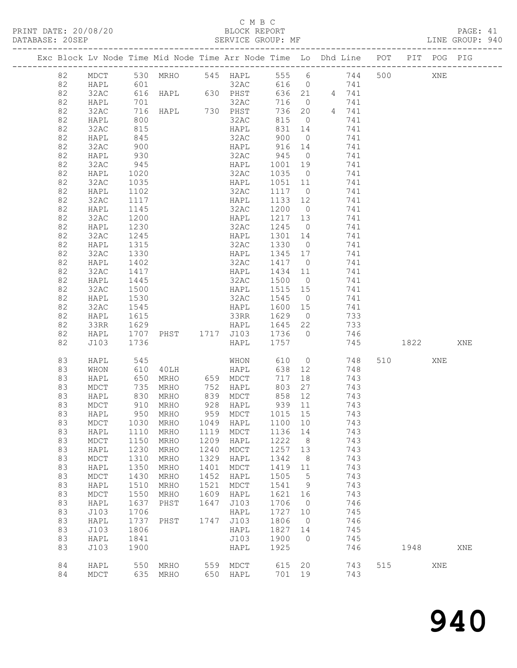#### C M B C<br>BLOCK REPORT

| DATABASE: 20SEP |    |      |              | SERVICE GROUP: MF<br>-------------------- |      |                                       |                  |                |                                                                                |         |     | LINE GROUP: 940 |  |
|-----------------|----|------|--------------|-------------------------------------------|------|---------------------------------------|------------------|----------------|--------------------------------------------------------------------------------|---------|-----|-----------------|--|
|                 |    |      |              |                                           |      |                                       |                  |                | Exc Block Lv Node Time Mid Node Time Arr Node Time Lo Dhd Line POT PIT POG PIG |         |     |                 |  |
|                 | 82 |      |              |                                           |      |                                       |                  |                | MDCT 530 MRHO 545 HAPL 555 6 744 500 XNE                                       |         |     |                 |  |
|                 | 82 | HAPL | 601          |                                           |      |                                       |                  |                |                                                                                |         |     |                 |  |
|                 | 82 | 32AC |              |                                           |      |                                       |                  |                |                                                                                |         |     |                 |  |
|                 | 82 | HAPL |              |                                           |      |                                       |                  |                |                                                                                |         |     |                 |  |
|                 | 82 | 32AC |              |                                           |      |                                       |                  |                | 716 0 741<br>736 20 4 741                                                      |         |     |                 |  |
|                 | 82 | HAPL | 800          |                                           |      | 32AC                                  |                  |                | 815 0<br>741                                                                   |         |     |                 |  |
|                 | 82 | 32AC | 815          |                                           |      | HAPL                                  | 831              | 14             | 741                                                                            |         |     |                 |  |
|                 | 82 | HAPL |              |                                           |      |                                       |                  |                | 741                                                                            |         |     |                 |  |
|                 | 82 | 32AC | 845<br>900   |                                           |      | 32AC 900 0<br>HAPL 916 14             |                  |                | 741                                                                            |         |     |                 |  |
|                 | 82 |      | 930          |                                           |      |                                       |                  |                | 32AC 945 0 741                                                                 |         |     |                 |  |
|                 |    | HAPL |              |                                           |      |                                       |                  |                |                                                                                |         |     |                 |  |
|                 | 82 | 32AC | 945          |                                           |      | HAPL 1001 19                          |                  |                | 741                                                                            |         |     |                 |  |
|                 | 82 | HAPL | 1020<br>1035 |                                           |      | 32AC<br>HAPL                          | 1035 0           |                | 741                                                                            |         |     |                 |  |
|                 | 82 | 32AC |              |                                           |      |                                       | 1051 11          |                | 741                                                                            |         |     |                 |  |
|                 | 82 | HAPL | 1102         |                                           |      | 32AC                                  |                  |                | 1117 0 741                                                                     |         |     |                 |  |
|                 | 82 | 32AC | 1117         |                                           |      | HAPL                                  |                  |                | 1133 12 741                                                                    |         |     |                 |  |
|                 | 82 | HAPL | 1145<br>1200 |                                           |      | 32AC<br>32AC 1200 0<br>HAPL 1217 13   | 1200 0           |                | 741                                                                            |         |     |                 |  |
|                 | 82 | 32AC |              |                                           |      |                                       |                  |                | 741                                                                            |         |     |                 |  |
|                 | 82 | HAPL | 1230         |                                           |      |                                       |                  |                | 32AC 1245 0 741                                                                |         |     |                 |  |
|                 | 82 | 32AC | 1245         |                                           |      | HAPL 1301 14                          |                  |                | 741                                                                            |         |     |                 |  |
|                 | 82 | HAPL | 1315         |                                           |      | $32AC$ $1330$ 0                       |                  |                | 741                                                                            |         |     |                 |  |
|                 | 82 | 32AC | 1330         |                                           |      | HAPL 1345 17                          |                  |                | 741                                                                            |         |     |                 |  |
|                 | 82 | HAPL | 1402         |                                           |      | 32AC 1417 0                           |                  |                | 741                                                                            |         |     |                 |  |
|                 | 82 | 32AC | 1417         |                                           |      | HAPL                                  |                  |                | 1434 11 741                                                                    |         |     |                 |  |
|                 | 82 | HAPL | 1445         |                                           |      | 32AC                                  | 1500 0           |                | 741                                                                            |         |     |                 |  |
|                 | 82 | 32AC | 1500         |                                           |      | HAPL 1515 15                          |                  |                | 741                                                                            |         |     |                 |  |
|                 | 82 | HAPL | 1530         |                                           |      | 32AC 1545 0                           |                  |                | 741                                                                            |         |     |                 |  |
|                 | 82 | 32AC | 1545         |                                           |      |                                       |                  |                | HAPL 1600 15 741                                                               |         |     |                 |  |
|                 | 82 | HAPL | 1615         |                                           |      | 33RR                                  | 1629 0           |                | 733                                                                            |         |     |                 |  |
|                 | 82 | 33RR |              |                                           |      |                                       |                  |                | 733                                                                            |         |     |                 |  |
|                 | 82 | HAPL | 1629<br>1707 |                                           |      | HAPL 1645 22<br>PHST 1717 J103 1736 0 |                  |                | 746                                                                            |         |     |                 |  |
|                 | 82 | J103 | 1736         |                                           |      | HAPL 1757                             |                  |                | 745 1822                                                                       |         |     | XNE             |  |
|                 |    |      |              |                                           |      |                                       |                  |                |                                                                                |         |     |                 |  |
|                 | 83 | HAPL | 545<br>610   |                                           |      |                                       |                  |                | MHON 610 0 748<br>40LH HAPL 638 12 748                                         | 510 310 | XNE |                 |  |
|                 | 83 | WHON |              |                                           |      |                                       |                  |                |                                                                                |         |     |                 |  |
|                 | 83 | HAPL | 650          |                                           |      | MRHO 659 MDCT                         | 717              |                | 18 18<br>743                                                                   |         |     |                 |  |
|                 | 83 | MDCT |              |                                           |      | MRHO 752 HAPL                         |                  |                | 803 27 743                                                                     |         |     |                 |  |
|                 | 83 | HAPL |              | 735 MRHO<br>830 MRHO<br>910 MRHO<br>MRHO  |      | 839 MDCT<br>928 HAPL                  | 858 12<br>939 11 |                | 743                                                                            |         |     |                 |  |
|                 | 83 | MDCT |              |                                           |      |                                       |                  |                | 743                                                                            |         |     |                 |  |
|                 | 83 | HAPL |              | 950 MRHO                                  |      | 959 MDCT 1015 15                      |                  |                | 743                                                                            |         |     |                 |  |
|                 | 83 | MDCT | 1030         | MRHO                                      | 1049 | HAPL                                  | 1100 10          |                | 743                                                                            |         |     |                 |  |
|                 | 83 | HAPL | 1110         | MRHO                                      | 1119 | MDCT                                  | 1136 14          |                | 743                                                                            |         |     |                 |  |
|                 | 83 | MDCT | 1150         | MRHO                                      | 1209 | HAPL                                  | 1222             | 8 <sup>8</sup> | 743                                                                            |         |     |                 |  |
|                 | 83 | HAPL | 1230         | MRHO                                      | 1240 | MDCT                                  | 1257 13          |                | 743                                                                            |         |     |                 |  |
|                 | 83 | MDCT | 1310         | MRHO                                      | 1329 | HAPL                                  | 1342             | 8              | 743                                                                            |         |     |                 |  |
|                 | 83 | HAPL | 1350         | MRHO                                      | 1401 | ${\tt MDCT}$                          | 1419 11          |                | 743                                                                            |         |     |                 |  |
|                 | 83 | MDCT | 1430         | MRHO                                      | 1452 | HAPL                                  | 1505 5           |                | 743                                                                            |         |     |                 |  |
|                 | 83 | HAPL | 1510         | MRHO                                      | 1521 | MDCT                                  | 1541 9           |                | 743                                                                            |         |     |                 |  |
|                 | 83 | MDCT | 1550         | MRHO                                      | 1609 | HAPL                                  | 1621 16          |                | 743                                                                            |         |     |                 |  |
|                 | 83 | HAPL | 1637         | PHST                                      | 1647 | J103                                  | 1706             | $\overline{0}$ | 746                                                                            |         |     |                 |  |
|                 | 83 | J103 | 1706         |                                           |      | HAPL                                  | 1727 10          |                | 745                                                                            |         |     |                 |  |
|                 | 83 | HAPL | 1737         | PHST                                      | 1747 | J103                                  | 1806             | $\overline{0}$ | 746                                                                            |         |     |                 |  |
|                 | 83 | J103 | 1806         |                                           |      | HAPL                                  | 1827 14          |                |                                                                                |         |     |                 |  |
|                 |    |      |              |                                           |      |                                       |                  |                | 745                                                                            |         |     |                 |  |
|                 | 83 | HAPL | 1841         |                                           |      | J103                                  | 1900 0           |                | 745                                                                            |         |     |                 |  |
|                 | 83 | J103 | 1900         |                                           |      | HAPL                                  | 1925             |                | 746                                                                            | 1948    |     | XNE             |  |
|                 | 84 | HAPL |              | 550 MRHO 559 MDCT                         |      |                                       |                  |                | 615 20 743                                                                     | 515     | XNE |                 |  |
|                 | 84 | MDCT |              | 635 MRHO                                  |      | 650 HAPL                              | 701 19           |                | 743                                                                            |         |     |                 |  |
|                 |    |      |              |                                           |      |                                       |                  |                |                                                                                |         |     |                 |  |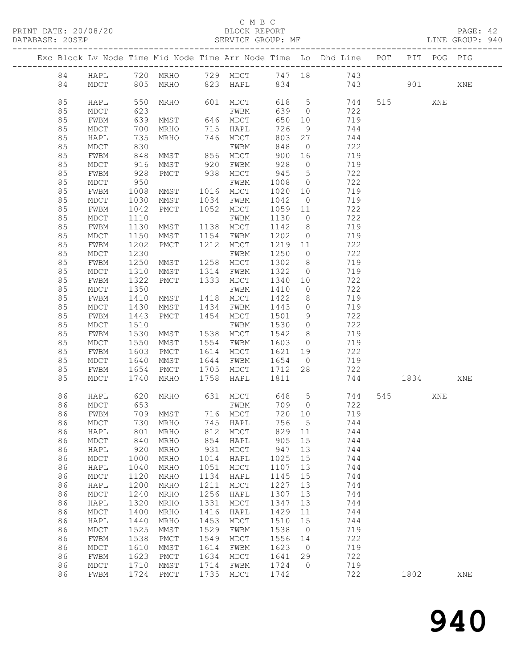#### C M B C<br>BLOCK REPORT

PAGE: 42<br>LINE GROUP: 940

|          |              |                   |              |              |                      |              |                      | Exc Block Lv Node Time Mid Node Time Arr Node Time Lo Dhd Line POT |           | PIT POG PIG |     |
|----------|--------------|-------------------|--------------|--------------|----------------------|--------------|----------------------|--------------------------------------------------------------------|-----------|-------------|-----|
| 84       | HAPL         |                   | 720 MRHO     |              |                      |              |                      | 729 MDCT 747 18 743                                                |           |             |     |
| 84       | MDCT         |                   | 805 MRHO     |              | 823 HAPL             | 834          |                      | 743                                                                | 901 — 100 |             | XNE |
|          |              |                   |              |              |                      |              |                      |                                                                    |           |             |     |
| 85       | HAPL         | 550               | MRHO         |              | 601 MDCT             |              |                      | 618 5<br>744                                                       | 515       | XNE         |     |
| 85       | MDCT         | 623               |              |              | FWBM                 | 639          | $\overline{0}$       | 722                                                                |           |             |     |
| 85       | FWBM         | 639               | MMST         |              | 646 MDCT             | 650          | 10                   | 719                                                                |           |             |     |
| 85       | MDCT         | 700               | MRHO         |              | 715 HAPL             | 726          | 9                    | 744                                                                |           |             |     |
| 85       | HAPL         | 735               | MRHO         |              | 746 MDCT             | 803          | 27                   | 744                                                                |           |             |     |
| 85       | MDCT         | 830               |              |              | FWBM                 | 848          | $\overline{0}$       | 722                                                                |           |             |     |
| 85       | FWBM         |                   | MMST         |              |                      | 900          | 16                   | 719                                                                |           |             |     |
| 85       | MDCT         | 848<br>916<br>928 | MMST         |              | 856 MDCT<br>920 FWBM | 928          | $\overline{0}$       | 719                                                                |           |             |     |
| 85       | FWBM         |                   | PMCT         |              | 938 MDCT             | 945          | $5^{\circ}$          | 722                                                                |           |             |     |
| 85       | MDCT         | 950               |              |              | FWBM                 | 1008         | $\overline{0}$       | 722                                                                |           |             |     |
| 85       | FWBM         | 1008              | MMST         |              | 1016 MDCT            | 1020         | 10                   | 719                                                                |           |             |     |
| 85       | MDCT         | 1030              | MMST         |              | 1034 FWBM            | 1042         | $\overline{0}$       | 719                                                                |           |             |     |
| 85       | FWBM         | 1042              | PMCT         |              | 1052 MDCT            | 1059 11      |                      | 722                                                                |           |             |     |
| 85       | MDCT         | 1110              |              |              | FWBM                 | 1130         | $\overline{0}$       | 722                                                                |           |             |     |
| 85       | FWBM         | 1130              | MMST         |              | 1138 MDCT            | 1142         | 8 <sup>8</sup>       | 719                                                                |           |             |     |
| 85       | MDCT         | 1150              | MMST         |              | 1154 FWBM            | 1202         | $\overline{0}$       | 719                                                                |           |             |     |
| 85       | FWBM         | 1202              | PMCT         | 1212         | MDCT                 | 1219 11      |                      | 722                                                                |           |             |     |
| 85       | MDCT         | 1230              |              |              | FWBM                 | 1250         | $\overline{0}$       | 722                                                                |           |             |     |
| 85       | FWBM         | 1250              | MMST         | 1258         | MDCT                 | 1302         | 8 <sup>8</sup>       | 719                                                                |           |             |     |
| 85       | MDCT         | 1310              | MMST         |              | 1314 FWBM            | 1322         | $\overline{0}$       | 719                                                                |           |             |     |
| 85       | FWBM         | 1322              | PMCT         |              | 1333 MDCT            | 1340         | 10                   | 722                                                                |           |             |     |
| 85       | MDCT         | 1350              |              |              | FWBM                 | 1410         | $\overline{0}$       | 722                                                                |           |             |     |
| 85       | FWBM         | 1410              | MMST         |              | 1418 MDCT            | 1422         | 8                    | 719                                                                |           |             |     |
| 85       | MDCT         | 1430              | MMST         |              | 1434 FWBM            | 1443         | $\overline{0}$       | 719                                                                |           |             |     |
| 85       | FWBM         | 1443              | PMCT         |              | 1454 MDCT            | 1501         | 9                    | 722                                                                |           |             |     |
| 85       | MDCT         | 1510              |              |              | FWBM                 | 1530         | $\overline{0}$       | 722                                                                |           |             |     |
| 85       | FWBM         | 1530              | MMST         |              | 1538 MDCT            | 1542         | 8 <sup>8</sup>       | 719                                                                |           |             |     |
| 85       | $\tt MDCT$   | 1550              | MMST         |              | 1554 FWBM            | 1603         | $\overline{0}$       | 719                                                                |           |             |     |
| 85       | FWBM         | 1603              | PMCT         |              | 1614 MDCT            | 1621 19      |                      | 722                                                                |           |             |     |
| 85       | MDCT         | 1640              | MMST         |              | 1644 FWBM            | 1654         | $\overline{0}$       | 719                                                                |           |             |     |
| 85       | FWBM         | 1654              | PMCT         | 1705         | MDCT                 | 1712 28      |                      | 722                                                                |           |             |     |
| 85       | MDCT         | 1740              | MRHO         | 1758         | HAPL                 | 1811         |                      | 744                                                                | 1834      |             | XNE |
| 86       | HAPL         | 620               | MRHO         |              | 631 MDCT 648 5       |              |                      | 744                                                                | 545       | XNE         |     |
| 86       | MDCT         | 653               |              |              | FWBM                 | 709 0        |                      | 722                                                                |           |             |     |
| 86       | FWBM         |                   | 709 MMST     |              | 716 MDCT             | 720 10       |                      | 719                                                                |           |             |     |
| 86       | MDCT         |                   | 730 MRHO     |              | 745 HAPL             | 756 5        |                      | 744                                                                |           |             |     |
| 86       | HAPL         | 801               | MRHO         | 812          | MDCT                 | 829          | 11                   | 744                                                                |           |             |     |
| 86       | MDCT         | 840               | MRHO         | 854          | HAPL                 | 905          | 15                   | 744                                                                |           |             |     |
| 86       | HAPL         | 920               | MRHO         | 931          | MDCT                 | 947          | 13                   | 744                                                                |           |             |     |
| 86       | MDCT         | 1000              | MRHO         | 1014         | HAPL                 | 1025         | 15                   | 744                                                                |           |             |     |
| 86       | HAPL         | 1040              | MRHO         | 1051         | MDCT                 | 1107         | 13                   | 744                                                                |           |             |     |
| 86       | MDCT         | 1120              | MRHO         | 1134         | HAPL                 | 1145         | 15                   | 744                                                                |           |             |     |
| 86       | HAPL         | 1200              | MRHO         | 1211         | MDCT                 | 1227         | 13                   | 744                                                                |           |             |     |
| 86       | MDCT         | 1240              | MRHO         | 1256         | HAPL                 | 1307         | 13                   | 744                                                                |           |             |     |
| 86       | HAPL         | 1320              | MRHO         | 1331         | MDCT                 | 1347         | 13                   | 744                                                                |           |             |     |
| 86       | MDCT         | 1400              | MRHO         | 1416         | HAPL                 | 1429         | 11                   | 744                                                                |           |             |     |
| 86       | HAPL         | 1440              | MRHO         | 1453         | MDCT                 | 1510         | 15                   | 744                                                                |           |             |     |
| 86       | $\tt MDCT$   | 1525              | MMST         | 1529         | FWBM                 | 1538         | $\overline{0}$       | 719                                                                |           |             |     |
| 86       | FWBM         | 1538<br>1610      | PMCT         | 1549         | MDCT                 | 1556<br>1623 | 14<br>$\overline{0}$ | 722<br>719                                                         |           |             |     |
| 86<br>86 | MDCT<br>FWBM | 1623              | MMST<br>PMCT | 1614<br>1634 | FWBM<br>MDCT         | 1641         | 29                   | 722                                                                |           |             |     |
| 86       | $\tt MDCT$   | 1710              | MMST         | 1714         | FWBM                 | 1724         | $\circ$              | 719                                                                |           |             |     |
| 86       | FWBM         | 1724              | PMCT         | 1735         | MDCT                 | 1742         |                      | 722                                                                | 1802      |             | XNE |
|          |              |                   |              |              |                      |              |                      |                                                                    |           |             |     |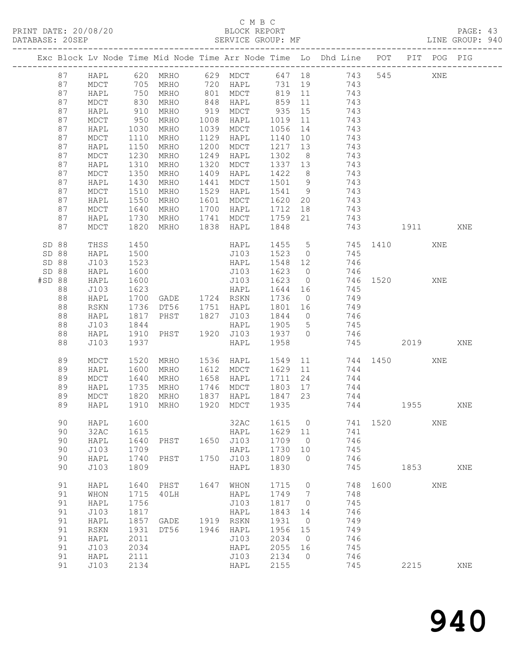## C M B C<br>BLOCK REPORT

PAGE: 43<br>LINE GROUP: 940

|        |    |               |                     |                                          |      |                        |              |                | Exc Block Lv Node Time Mid Node Time Arr Node Time Lo Dhd Line POT |          |      | PIT POG PIG |     |
|--------|----|---------------|---------------------|------------------------------------------|------|------------------------|--------------|----------------|--------------------------------------------------------------------|----------|------|-------------|-----|
|        | 87 |               |                     |                                          |      |                        |              |                |                                                                    |          | 545  | XNE         |     |
|        | 87 |               |                     |                                          |      |                        |              |                |                                                                    |          |      |             |     |
|        | 87 | HAPL          | 750                 | MRHO                                     |      | 801 MDCT               |              |                | 819 11 743                                                         |          |      |             |     |
|        | 87 | MDCT          | 830                 | MRHO                                     |      | 848 HAPL               | 859          |                | 11 743                                                             |          |      |             |     |
|        | 87 | HAPL          | 910<br>950          | MRHO                                     |      | 919 MDCT               | 935 15       |                | 743                                                                |          |      |             |     |
|        | 87 | MDCT          |                     | MRHO                                     | 1008 | HAPL                   | 1019         | 11             | 743                                                                |          |      |             |     |
|        | 87 | HAPL          | 1030                | MRHO                                     | 1039 | MDCT                   | 1056         | 14             | 743                                                                |          |      |             |     |
|        | 87 | MDCT          | 1110                | MRHO                                     | 1129 | HAPL                   | 1140         | 10             | 743                                                                |          |      |             |     |
|        | 87 | HAPL          | 1150                | MRHO                                     | 1200 | MDCT                   | 1217         | 13             | 743                                                                |          |      |             |     |
|        | 87 | MDCT          | 1230                | MRHO                                     | 1249 | HAPL                   | 1302         | 8 <sup>8</sup> | 743<br>743                                                         |          |      |             |     |
|        | 87 | HAPL          | 1310                | MRHO                                     | 1320 | MDCT                   | 1337 13      |                |                                                                    |          |      |             |     |
|        | 87 | MDCT          | 1350                | MRHO                                     | 1409 | HAPL                   | 1422         | 8 <sup>8</sup> | 743                                                                |          |      |             |     |
|        | 87 | HAPL          | 1430                | MRHO                                     | 1441 | MDCT                   | 1501 9       |                | 743                                                                |          |      |             |     |
|        | 87 | MDCT          | 1510                | MRHO                                     | 1529 | HAPL                   | 1541 9       |                | 743<br>1620 20 743                                                 |          |      |             |     |
|        | 87 | HAPL          | 1550                | MRHO                                     | 1601 | MDCT                   |              |                |                                                                    |          |      |             |     |
|        | 87 | MDCT          | 1640                | MRHO                                     |      | 1700 HAPL              |              |                | 1712 18 743                                                        |          |      |             |     |
|        | 87 | HAPL          | 1730                | MRHO                                     |      | 1741 MDCT 1759         |              |                | 21 743<br>743                                                      |          |      |             |     |
|        | 87 | MDCT          | 1820                | MRHO                                     |      | 1838 HAPL              | 1848         |                |                                                                    | 1911     |      |             | XNE |
| SD 88  |    | THSS          | 1450                |                                          |      | HAPL                   |              |                | 1455 5 745 1410                                                    |          |      | XNE         |     |
| SD 88  |    | HAPL          | 1500                |                                          |      | J103                   |              |                | 1523 0 745                                                         |          |      |             |     |
| SD 88  |    | J103          | 1523                |                                          |      | HAPL                   | 1548 12      |                | 746                                                                |          |      |             |     |
| SD 88  |    | HAPL          | 1600                |                                          |      | J103                   | 1623 0       |                | 746                                                                |          |      |             |     |
| #SD 88 |    | HAPL          | 1600                |                                          |      | J103                   | 1623         |                | 0 746 1520                                                         |          |      | XNE         |     |
|        | 88 | J103          | 1623                |                                          |      |                        | 1644         |                | 16 745                                                             |          |      |             |     |
|        | 88 | HAPL          | $\frac{1700}{1736}$ | HAPL<br>GADE 1724 RSKN<br>DT56 1751 HAPL |      |                        |              | $\overline{0}$ | 749                                                                |          |      |             |     |
|        | 88 | $_{\rm RSKN}$ |                     |                                          |      |                        | 1736<br>1801 | 16             | $\frac{1}{749}$                                                    |          |      |             |     |
|        | 88 | HAPL          | 1817                | PHST 1827 J103                           |      |                        |              |                | 1844 0 746                                                         |          |      |             |     |
|        | 88 | J103          | 1844                |                                          |      | HAPL                   | 1905 5       |                | 745                                                                |          |      |             |     |
|        | 88 | HAPL          | 1910                | PHST 1920 J103                           |      |                        | 1937 0       |                | 746                                                                |          |      |             |     |
|        | 88 | J103          | 1937                |                                          |      | HAPL                   | 1958         |                | 745                                                                |          | 2019 |             | XNE |
|        | 89 | MDCT          | 1520                | MRHO                                     |      | 1536 HAPL              | 1549         |                | 11 744 1450                                                        |          |      | XNE         |     |
|        | 89 | HAPL          | 1600                | MRHO                                     |      | 1612 MDCT              | 1629 11      |                | 744                                                                |          |      |             |     |
|        | 89 | MDCT          | 1640                | MRHO                                     | 1658 | HAPL                   | 1711         | 24             | 744                                                                |          |      |             |     |
|        | 89 | HAPL          | 1735                | MRHO                                     |      | 1746 MDCT              |              |                | $1803$ $17$ $744$                                                  |          |      |             |     |
|        | 89 | MDCT          | 1820                |                                          |      | MRHO 1837 HAPL 1847 23 |              |                | 744                                                                |          |      |             |     |
|        | 89 | HAPL          | 1910                | MRHO                                     |      | 1920 MDCT              | 1935         |                | 744 1955                                                           |          |      |             | XNE |
|        | 90 | HAPL          | 1600                |                                          |      |                        |              |                | 32AC 1615 0 741 1520 XNE                                           |          |      |             |     |
|        | 90 | 32AC          | 1615                |                                          |      | HAPL                   | 1629 11      |                | 741                                                                |          |      |             |     |
|        | 90 | HAPL          | 1640                | PHST                                     |      | 1650 J103              | 1709         | $\overline{0}$ | 746                                                                |          |      |             |     |
|        | 90 | J103          | 1709                |                                          |      | HAPL                   | 1730 10      |                | 745                                                                |          |      |             |     |
|        | 90 | HAPL          | 1740                | PHST                                     | 1750 | J103                   | 1809         | $\overline{0}$ | 746                                                                |          |      |             |     |
|        | 90 | J103          | 1809                |                                          |      | HAPL                   | 1830         |                | 745                                                                |          | 1853 |             | XNE |
|        | 91 | HAPL          | 1640                | PHST                                     |      | 1647 WHON              | 1715         | $\overline{0}$ |                                                                    | 748 1600 |      | XNE         |     |
|        | 91 | WHON          | 1715                | 40LH                                     |      | HAPL                   | 1749         | $\overline{7}$ | 748                                                                |          |      |             |     |
|        | 91 | HAPL          | 1756                |                                          |      | J103                   | 1817         | $\overline{0}$ | 745                                                                |          |      |             |     |
|        | 91 | J103          | 1817                |                                          |      | HAPL                   | 1843         | 14             | 746                                                                |          |      |             |     |
|        | 91 | HAPL          | 1857                | GADE                                     |      | 1919 RSKN              | 1931         | $\overline{0}$ | 749                                                                |          |      |             |     |
|        | 91 | ${\tt RSKN}$  | 1931                | DT56                                     |      | 1946 HAPL              | 1956         | 15             | 749                                                                |          |      |             |     |
|        | 91 | HAPL          | 2011                |                                          |      | J103                   | 2034         | $\overline{0}$ | 746                                                                |          |      |             |     |
|        | 91 | J103          | 2034                |                                          |      | HAPL                   | 2055         | 16             | 745                                                                |          |      |             |     |
|        | 91 | HAPL          | 2111                |                                          |      | J103                   | 2134         | $\overline{0}$ | 746                                                                |          |      |             |     |
|        | 91 | J103          | 2134                |                                          |      | HAPL                   | 2155         |                | 745                                                                |          | 2215 |             | XNE |
|        |    |               |                     |                                          |      |                        |              |                |                                                                    |          |      |             |     |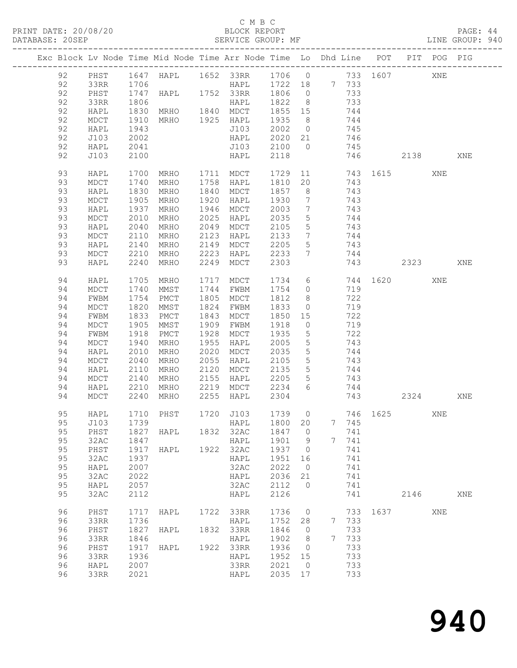#### C M B C<br>BLOCK REPORT

PAGE: 44<br>LINE GROUP: 940

|          | Exc Block Lv Node Time Mid Node Time Arr Node Time Lo Dhd Line POT |              |                |              |                                                           |                 |                                   |                 |            |          |             | PIT POG PIG |     |
|----------|--------------------------------------------------------------------|--------------|----------------|--------------|-----------------------------------------------------------|-----------------|-----------------------------------|-----------------|------------|----------|-------------|-------------|-----|
|          |                                                                    |              |                |              |                                                           |                 |                                   |                 |            |          |             |             |     |
| 92       | PHST                                                               | 1706         |                |              | 1647 HAPL 1652 33RR 1706 0 733 1607<br>HAPL 1722 18 7 733 |                 |                                   |                 |            |          |             | XNE         |     |
| 92<br>92 | 33RR<br>PHST                                                       |              |                |              | 1747 HAPL 1752 33RR 1806 0                                |                 |                                   |                 | 733        |          |             |             |     |
| 92       | 33RR                                                               | 1806         |                |              | HAPL                                                      | 1822 8          |                                   |                 | 733        |          |             |             |     |
| 92       | HAPL                                                               | 1830         | MRHO 1840 MDCT |              |                                                           | 1855 15         |                                   |                 | 744        |          |             |             |     |
| 92       | MDCT                                                               | 1910         | MRHO 1925 HAPL |              |                                                           | 1935            | 8 <sup>8</sup>                    |                 | 744        |          |             |             |     |
| 92       | HAPL                                                               | 1943         |                |              | J103                                                      | 2002 0 745      |                                   |                 |            |          |             |             |     |
| 92       | J103                                                               | 2002         |                |              | HAPL                                                      | 2020 21         |                                   |                 | 746        |          |             |             |     |
| 92       | HAPL                                                               | 2041         |                |              | J103                                                      | 2100 0          |                                   |                 | 745        |          |             |             |     |
| 92       | J103                                                               | 2100         |                |              | HAPL                                                      | 2118            |                                   |                 | 746        |          | 2138        |             | XNE |
| 93       | HAPL                                                               | 1700         | MRHO 1711 MDCT |              |                                                           | 1729            |                                   |                 |            |          | 11 743 1615 | XNE         |     |
| 93       | MDCT                                                               | 1740         | MRHO           |              | 1758 HAPL                                                 | 1810 20         |                                   |                 | 743        |          |             |             |     |
| 93       | HAPL                                                               | 1830         | MRHO           |              | 1840 MDCT                                                 | 1857 8          |                                   |                 | 743        |          |             |             |     |
| 93       | MDCT                                                               | 1905         | MRHO           | 1920         | HAPL                                                      | 1930            | $7\phantom{.0}\phantom{.0}7$      | 743             |            |          |             |             |     |
| 93       | HAPL                                                               | 1937         | MRHO           | 1946         | MDCT                                                      | 2003            | $\overline{7}$                    |                 | 743        |          |             |             |     |
| 93       | MDCT                                                               | 2010         | MRHO           | 2025         | HAPL                                                      | 2035            | $5\overline{)}$                   |                 | 744        |          |             |             |     |
| 93       | HAPL                                                               | 2040         | MRHO           | 2049         | MDCT                                                      | 2105            | $5\overline{)}$                   |                 | 743        |          |             |             |     |
| 93<br>93 | MDCT                                                               | 2110         | MRHO           | 2123<br>2149 | HAPL                                                      | 2133            | $\overline{7}$                    | 744<br>743      |            |          |             |             |     |
| 93       | HAPL<br>MDCT                                                       | 2140<br>2210 | MRHO<br>MRHO   | 2223         | MDCT<br>HAPL                                              | 2205<br>2233    | $5\overline{)}$<br>7              |                 | 744        |          |             |             |     |
| 93       | HAPL                                                               | 2240         | MRHO           | 2249         | MDCT                                                      | 2303            |                                   |                 | 743        |          | 2323        |             | XNE |
|          |                                                                    |              |                |              |                                                           |                 |                                   |                 |            |          |             |             |     |
| 94       | HAPL                                                               | 1705         | MRHO           | 1717         | MDCT                                                      | 1734            |                                   | $6\overline{6}$ |            | 744 1620 |             | XNE         |     |
| 94       | MDCT                                                               | 1740         | MMST           |              | 1744 FWBM                                                 | 1754            | $\overline{0}$                    |                 | 719        |          |             |             |     |
| 94       | FWBM                                                               | 1754         | PMCT           |              | 1805 MDCT                                                 | 1812            | 8 <sup>8</sup>                    |                 | 722        |          |             |             |     |
| 94       | MDCT                                                               | 1820         | MMST           | 1824         | FWBM                                                      | 1833            | $\overline{0}$                    |                 | 719        |          |             |             |     |
| 94       | FWBM                                                               | 1833         | PMCT           | 1843         | MDCT                                                      | 1850 15         |                                   |                 | 722        |          |             |             |     |
| 94<br>94 | MDCT<br>FWBM                                                       | 1905<br>1918 | MMST<br>PMCT   | 1909<br>1928 | FWBM<br>MDCT                                              | 1918<br>1935    | $\overline{0}$<br>$5\overline{)}$ |                 | 719<br>722 |          |             |             |     |
| 94       | MDCT                                                               | 1940         | MRHO           | 1955         | HAPL                                                      | 2005            | $5\overline{)}$                   |                 | 743        |          |             |             |     |
| 94       | HAPL                                                               | 2010         | MRHO           | 2020         | MDCT                                                      | 2035            | $5\overline{)}$                   |                 | 744        |          |             |             |     |
| 94       | MDCT                                                               | 2040         | MRHO           | 2055         | HAPL                                                      | 2105            | $5^{\circ}$                       |                 | 743        |          |             |             |     |
| 94       | HAPL                                                               | 2110         | MRHO           | 2120         | MDCT                                                      | 2135            | 5 <sup>5</sup>                    |                 | 744        |          |             |             |     |
| 94       | MDCT                                                               | 2140         | MRHO           | 2155         | HAPL                                                      | 2205            | $5\overline{)}$                   |                 | 743        |          |             |             |     |
| 94       | HAPL                                                               | 2210         | MRHO           | 2219         | MDCT 2234                                                 |                 | 6                                 |                 | 744        |          |             |             |     |
| 94       | MDCT                                                               | 2240         | MRHO           | 2255         | HAPL                                                      | 2304            |                                   |                 |            | 743      | 2324        |             | XNE |
| 95       | HAPL                                                               |              | 1710 PHST      |              | 1720 J103 1739 0                                          |                 |                                   |                 |            |          | 746 1625    | XNE         |     |
|          |                                                                    |              |                |              |                                                           |                 |                                   |                 |            |          |             |             |     |
| 95       | PHST                                                               | 1827         | HAPL 1832 32AC |              |                                                           | 1847 0          |                                   |                 | 741        |          |             |             |     |
| 95       | 32AC                                                               | 1847         |                |              | HAPL                                                      | 1901 9          |                                   |                 | 7 741      |          |             |             |     |
| 95       | PHST                                                               | 1917         | HAPL 1922 32AC |              |                                                           | 1937 0          |                                   |                 | 741        |          |             |             |     |
| 95       | 32AC                                                               | 1937         |                |              | HAPL                                                      | 1951            | 16                                |                 | 741        |          |             |             |     |
| 95       | HAPL                                                               | 2007         |                |              | 32AC                                                      | 2022            | $\overline{0}$                    |                 | 741        |          |             |             |     |
| 95       | 32AC                                                               | 2022         |                |              | HAPL                                                      | 2036            | 21                                |                 | 741        |          |             |             |     |
| 95       | HAPL                                                               | 2057         |                |              | 32AC                                                      | 2112            | $\overline{0}$                    |                 | 741        |          |             |             |     |
| 95       | 32AC                                                               | 2112         |                |              | HAPL                                                      | 2126            |                                   |                 | 741        |          | 2146        |             | XNE |
| 96       | PHST                                                               | 1717         | HAPL 1722 33RR |              |                                                           | 1736            | $\overline{0}$                    |                 |            |          | 733 1637    | XNE         |     |
| 96       | 33RR                                                               | 1736         |                |              | HAPL                                                      | 1752 28         |                                   |                 | 7 733      |          |             |             |     |
| 96       | PHST                                                               | 1827         | HAPL           |              | 1832 33RR                                                 | 1846            | $\overline{0}$                    |                 | 733        |          |             |             |     |
| 96       | 33RR                                                               | 1846         |                |              | HAPL                                                      | 1902            | 8                                 |                 | 7 733      |          |             |             |     |
| 96       | PHST                                                               | 1917         | HAPL           |              | 1922 33RR                                                 | 1936            | $\overline{0}$                    |                 | 733        |          |             |             |     |
| 96       | 33RR                                                               | 1936         |                |              | HAPL                                                      | 1952 15         |                                   |                 | 733        |          |             |             |     |
| 96<br>96 | HAPL<br>33RR                                                       | 2007         |                |              | 33RR                                                      | 2021<br>2035 17 | $\overline{0}$                    |                 | 733<br>733 |          |             |             |     |
|          |                                                                    | 2021         |                |              | HAPL                                                      |                 |                                   |                 |            |          |             |             |     |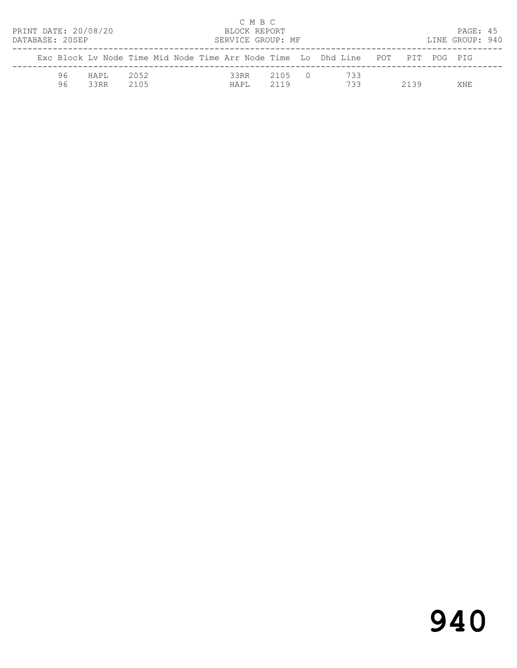| PRINT DATE: 20/08/20<br>DATABASE: 20SEP |                                                                                |               |              |  |               | C M B C<br>BLOCK REPORT | SERVICE GROUP: MF |  |            |      | PAGE: 45<br>LINE GROUP: 940 |  |
|-----------------------------------------|--------------------------------------------------------------------------------|---------------|--------------|--|---------------|-------------------------|-------------------|--|------------|------|-----------------------------|--|
|                                         | Exc Block Ly Node Time Mid Node Time Arr Node Time Lo Dhd Line POT PIT POG PIG |               |              |  |               |                         |                   |  |            |      |                             |  |
|                                         | 96<br>96                                                                       | HAPT.<br>33RR | 2052<br>2105 |  | 33RR<br>HAPI. |                         | 2105 0<br>2119    |  | 733<br>733 | 2139 | XNF.                        |  |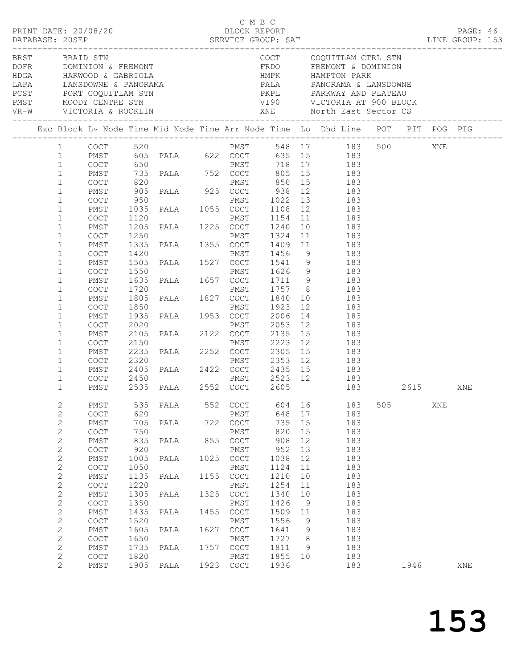| PRINT DATE: 20/08/20<br>BRST BRAID STN |                                                              |                                                            |                      |                   |              | C M B C                                                            | BLOCK REPORT         |                |                                                                                                                                                                                                                                                                                                                                     |     |      |     | PAGE: 46 |  |
|----------------------------------------|--------------------------------------------------------------|------------------------------------------------------------|----------------------|-------------------|--------------|--------------------------------------------------------------------|----------------------|----------------|-------------------------------------------------------------------------------------------------------------------------------------------------------------------------------------------------------------------------------------------------------------------------------------------------------------------------------------|-----|------|-----|----------|--|
|                                        |                                                              |                                                            |                      |                   |              |                                                                    |                      |                | COCT COQUITLAM CTRL STN<br>DOFR DOMINION & FREMONT FREMONT FREMONT ADOMINION AREST PORT COQUITLAM STN PARK PAIR PARKWAY AND PLATEAU PART MOODY CENTRE STN UNIVERSE PAIR PARKWAY AND PLATEAU PART MOODY CENTRE STN USER AND MANUFON PARK VIST MOODY CENTRE                                                                           |     |      |     |          |  |
|                                        |                                                              |                                                            |                      |                   |              |                                                                    |                      |                | Exc Block Lv Node Time Mid Node Time Arr Node Time Lo Dhd Line POT PIT POG PIG                                                                                                                                                                                                                                                      |     |      |     |          |  |
|                                        |                                                              |                                                            |                      |                   |              |                                                                    |                      |                | PMST 548 17 183 500 XNE<br>$\begin{tabular}{lcccccc} 1 & & CoCT & & 520 & & & \text{PMST} & & 548 & 17 & & 183 \\ 1 & & PMST & & 605 & PALA & & 622 & COCT & & 635 & 15 & & 183 \\ 1 & & CoCT & & 650 & & & & PMST & & 718 & 17 & & 183 \\ \end{tabular}$                                                                           |     |      |     |          |  |
|                                        | $\mathbf{1}$<br>$\mathbf{1}$<br>$\mathbf{1}$                 | PMST<br>COCT<br>PMST                                       |                      | 735 PALA 752 COCT |              |                                                                    |                      |                | 805 15 183                                                                                                                                                                                                                                                                                                                          |     |      |     |          |  |
|                                        | $\mathbf{1}$                                                 | COCT                                                       |                      |                   |              |                                                                    |                      |                | 950 PMST 1022 13 183<br>1035 PALA 1055 COCT 1108 12 183                                                                                                                                                                                                                                                                             |     |      |     |          |  |
|                                        | $\mathbf{1}$<br>$\mathbf{1}$                                 | PMST<br>COCT                                               |                      |                   |              |                                                                    |                      |                |                                                                                                                                                                                                                                                                                                                                     |     |      |     |          |  |
|                                        | $\mathbf{1}$<br>$\mathbf{1}$<br>$\mathbf{1}$<br>$\mathbf{1}$ | PMST<br>COCT<br>PMST                                       |                      |                   |              |                                                                    |                      |                |                                                                                                                                                                                                                                                                                                                                     |     |      |     |          |  |
|                                        | $\mathbf{1}$<br>$\mathbf{1}$                                 | COCT<br>PMST<br>COCT                                       |                      |                   |              |                                                                    |                      |                | 1420 PMST 1456 9 183<br>1505 PALA 1527 COCT 1541 9 183<br>1550 PMST 1626 9 183<br>1635 PALA 1657 COCT 1711 9 183                                                                                                                                                                                                                    |     |      |     |          |  |
|                                        | $\mathbf{1}$<br>$\mathbf{1}$<br>$\mathbf{1}$                 | PMST<br>COCT<br>PMST                                       |                      |                   |              |                                                                    |                      |                |                                                                                                                                                                                                                                                                                                                                     |     |      |     |          |  |
|                                        | $\mathbf{1}$<br>$\mathbf{1}$                                 | COCT<br>PMST                                               |                      |                   |              |                                                                    |                      |                |                                                                                                                                                                                                                                                                                                                                     |     |      |     |          |  |
|                                        | $\mathbf{1}$<br>$\mathbf{1}$                                 | COCT<br>PMST                                               |                      |                   |              |                                                                    |                      |                |                                                                                                                                                                                                                                                                                                                                     |     |      |     |          |  |
|                                        | $\mathbf{1}$<br>$\mathbf{1}$<br>$\mathbf{1}$                 | COCT<br>PMST<br>COCT                                       |                      |                   |              |                                                                    |                      |                | $\begin{tabular}{cccc} 1635 & PALA & 1657 & COCT & 1711 & 9 & 183 \\ 1720 & PMST & 1757 & 8 & 183 \\ 1805 & PALA & 1827 & COCT & 1840 & 10 & 183 \\ 1850 & PMST & 1923 & 12 & 183 \\ 1935 & PALA & 1953 & COCT & 2006 & 14 & 183 \\ 2020 & PMST & 2053 & 12 & 183 \\ 2105 & PALA & 2122 & COCT & 2135 & 15 & 183 \\ 2150 & PMST & $ |     |      |     |          |  |
|                                        | $\mathbf{1}$<br>$\mathbf{1}$                                 | PMST<br>COCT                                               |                      |                   |              |                                                                    |                      |                |                                                                                                                                                                                                                                                                                                                                     |     |      |     |          |  |
|                                        | $\mathbf{1}$                                                 | PMST                                                       |                      |                   |              |                                                                    |                      |                | 183 2615                                                                                                                                                                                                                                                                                                                            |     |      |     | XNE      |  |
|                                        | $\mathbf{2}$<br>$\mathbf{2}$<br>$\mathbf{2}$                 | PMST<br>COCT<br>PMST                                       | 535<br>620<br>705    | PALA<br>PALA      | 552<br>722   | COCT<br>PMST<br>$\mathtt{C}\mathtt{O}\mathtt{C}\mathtt{T}$         | 604<br>648<br>735    | 16<br>17<br>15 | 183<br>183<br>183                                                                                                                                                                                                                                                                                                                   | 505 |      | XNE |          |  |
|                                        | $\mathbf{2}$<br>2<br>$\mathbf{2}$                            | COCT<br>${\tt PMST}$<br>COCT                               | 750<br>835<br>920    | PALA              | 855          | PMST<br>$\mathtt{C}\mathtt{O}\mathtt{C}\mathtt{T}$<br>${\tt PMST}$ | 820<br>908<br>952    | 15<br>12<br>13 | 183<br>183<br>183                                                                                                                                                                                                                                                                                                                   |     |      |     |          |  |
|                                        | $\mathbf{2}$<br>$\mathbf{2}$                                 | ${\tt PMST}$<br>COCT                                       | 1005<br>1050         | PALA              | 1025         | $_{\mathrm{COT}}$<br>PMST                                          | 1038<br>1124         | 12<br>11       | 183<br>183                                                                                                                                                                                                                                                                                                                          |     |      |     |          |  |
|                                        | $\mathbf{2}$<br>$\mathbf{2}$                                 | PMST<br>COCT                                               | 1135<br>1220         | PALA              | 1155         | COCT<br>${\tt PMST}$                                               | 1210<br>1254         | 10<br>11       | 183<br>183                                                                                                                                                                                                                                                                                                                          |     |      |     |          |  |
|                                        | $\mathbf{2}$<br>$\mathbf{2}$<br>$\mathbf{2}$                 | PMST<br>$\mathtt{C}\mathtt{O}\mathtt{C}\mathtt{T}$<br>PMST | 1305<br>1350<br>1435 | PALA<br>PALA      | 1325<br>1455 | $_{\mathrm{COT}}$<br>PMST<br>COCT                                  | 1340<br>1426<br>1509 | 10<br>9<br>11  | 183<br>183<br>183                                                                                                                                                                                                                                                                                                                   |     |      |     |          |  |
|                                        | $\mathbf{2}$<br>$\sqrt{2}$                                   | COCT<br>PMST                                               | 1520<br>1605         | PALA              | 1627         | ${\tt PMST}$<br>COCT                                               | 1556<br>1641         | 9<br>9         | 183<br>183                                                                                                                                                                                                                                                                                                                          |     |      |     |          |  |
|                                        | $\mathbf{2}$<br>$\mathbf{2}$<br>$\mathbf{2}$                 | COCT<br>PMST<br>COCT                                       | 1650<br>1735<br>1820 | PALA              | 1757         | PMST<br>COCT<br>PMST                                               | 1727<br>1811<br>1855 | 8<br>9<br>10   | 183<br>183<br>183                                                                                                                                                                                                                                                                                                                   |     |      |     |          |  |
|                                        | 2                                                            | PMST                                                       | 1905                 | PALA              | 1923         | COCT                                                               | 1936                 |                | 183                                                                                                                                                                                                                                                                                                                                 |     | 1946 |     | XNE      |  |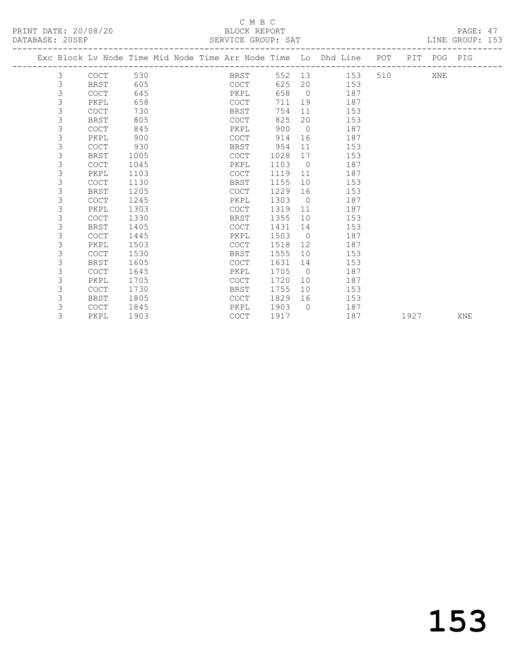## C M B C<br>BLOCK REPORT

PAGE: 47<br>LINE GROUP: 153

| PRINT DATE: 20/08/20<br>DATABASE: 20SEP |             |                                                                    | BLOCK REPORT | SERVICE GROUP: SAT |        |            |     |     | PAGE: 47<br>LINE GROUP: 153 |  |  |
|-----------------------------------------|-------------|--------------------------------------------------------------------|--------------|--------------------|--------|------------|-----|-----|-----------------------------|--|--|
|                                         |             | Exc Block Ly Node Time Mid Node Time Arr Node Time Lo Dhd Line POT |              |                    |        |            |     |     | PIT POG PIG                 |  |  |
|                                         | COCT        | 530                                                                |              | BRST               | 552 13 |            | 153 | 510 | XNE                         |  |  |
|                                         | <b>BRST</b> | 605                                                                |              | COCT               | 625 20 |            | 153 |     |                             |  |  |
|                                         | COCT        | 645                                                                |              | PKPL               | 658    | $\bigcirc$ | 187 |     |                             |  |  |
|                                         | PKPL        | 658                                                                |              | COCT               | 711    | 19         | 187 |     |                             |  |  |
|                                         | COCT        | 730                                                                |              | BRST               | 754    | - 11       | 153 |     |                             |  |  |
|                                         | BRST        | 805                                                                |              | COCT               | 825    | 20         | 153 |     |                             |  |  |
|                                         | <b>COCT</b> | 845                                                                |              | PKPL               | 900    | $\bigcirc$ | 187 |     |                             |  |  |
|                                         | PKPL        | 900                                                                |              | COCT               | 914    | 16         | 187 |     |                             |  |  |
|                                         | COCT        | 930                                                                |              | BRST               | 954    | - 11       | 153 |     |                             |  |  |
|                                         | BRST        | 1005                                                               |              | <b>COCT</b>        | 1028   | 17         | 153 |     |                             |  |  |

| 3 | <b>COCT</b> | 1045 | PKPL        | 1103 | 0            | 187 |      |     |
|---|-------------|------|-------------|------|--------------|-----|------|-----|
|   | PKPL        | 1103 | <b>COCT</b> | 1119 | 11           | 187 |      |     |
|   | <b>COCT</b> | 1130 | BRST        | 1155 | 10           | 153 |      |     |
| 3 | <b>BRST</b> | 1205 | <b>COCT</b> | 1229 | 16           | 153 |      |     |
|   | <b>COCT</b> | 1245 | PKPL        | 1303 | $\Omega$     | 187 |      |     |
| 3 | PKPL        | 1303 | <b>COCT</b> | 1319 | 11           | 187 |      |     |
|   | <b>COCT</b> | 1330 | BRST        | 1355 | 10           | 153 |      |     |
|   | BRST        | 1405 | <b>COCT</b> | 1431 | 14           | 153 |      |     |
|   | <b>COCT</b> | 1445 | PKPL        | 1503 | $\Omega$     | 187 |      |     |
|   | PKPL        | 1503 | COCT        | 1518 | 12           | 187 |      |     |
| 3 | <b>COCT</b> | 1530 | BRST        | 1555 | 10           | 153 |      |     |
|   | BRST        | 1605 | COCT        | 1631 | 14           | 153 |      |     |
|   | <b>COCT</b> | 1645 | PKPL        | 1705 | $\Omega$     | 187 |      |     |
| 3 | PKPL        | 1705 | COCT        | 1720 | 10           | 187 |      |     |
|   | <b>COCT</b> | 1730 | BRST        | 1755 | 10           | 153 |      |     |
|   | <b>BRST</b> | 1805 | <b>COCT</b> | 1829 | 16           | 153 |      |     |
|   | <b>COCT</b> | 1845 | PKPL        | 1903 | $\mathbf{0}$ | 187 |      |     |
|   | PKPL        | 1903 | COCT        | 1917 |              | 187 | 1927 | XNE |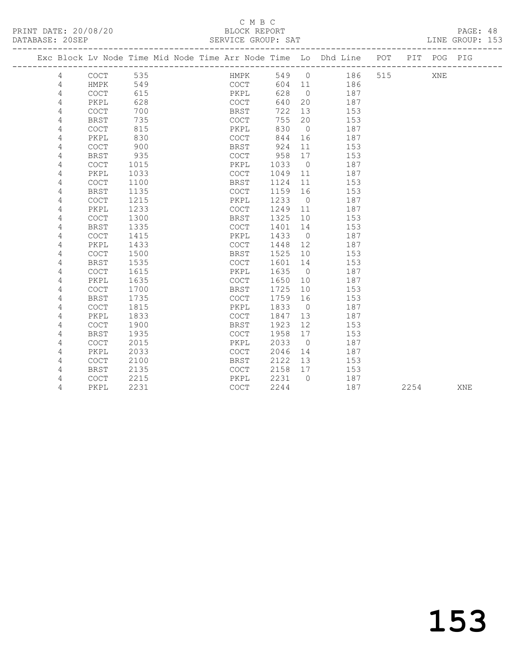#### C M B C<br>BLOCK REPORT SERVICE GROUP: SAT

|  |   |                                            |      |  |                                            |       |                 | Exc Block Lv Node Time Mid Node Time Arr Node Time Lo Dhd Line POT PIT POG PIG |     |      |     |     |
|--|---|--------------------------------------------|------|--|--------------------------------------------|-------|-----------------|--------------------------------------------------------------------------------|-----|------|-----|-----|
|  | 4 | COCT                                       | 535  |  | HMPK                                       | 549 0 |                 | 186                                                                            | 515 |      | XNE |     |
|  | 4 | HMPK                                       | 549  |  | COCT                                       | 604   | 11              | 186                                                                            |     |      |     |     |
|  | 4 | $\mathtt{C}\mathtt{O}\mathtt{C}\mathtt{T}$ | 615  |  | PKPL                                       | 628   | $\overline{0}$  | 187                                                                            |     |      |     |     |
|  | 4 | PKPL                                       | 628  |  | COCT                                       | 640   | 20              | 187                                                                            |     |      |     |     |
|  | 4 | <b>COCT</b>                                | 700  |  | BRST                                       | 722   | 13              | 153                                                                            |     |      |     |     |
|  | 4 | <b>BRST</b>                                | 735  |  | COCT                                       | 755   | 20              | 153                                                                            |     |      |     |     |
|  | 4 | COCT                                       | 815  |  | PKPL                                       | 830   | $\overline{0}$  | 187                                                                            |     |      |     |     |
|  | 4 | PKPL                                       | 830  |  | COCT                                       | 844   | 16              | 187                                                                            |     |      |     |     |
|  | 4 | <b>COCT</b>                                | 900  |  | BRST                                       | 924   | 11              | 153                                                                            |     |      |     |     |
|  | 4 | <b>BRST</b>                                | 935  |  | COCT                                       | 958   | 17              | 153                                                                            |     |      |     |     |
|  | 4 | COCT                                       | 1015 |  | PKPL                                       | 1033  | $\overline{0}$  | 187                                                                            |     |      |     |     |
|  | 4 | PKPL                                       | 1033 |  | <b>COCT</b>                                | 1049  | 11              | 187                                                                            |     |      |     |     |
|  | 4 | COCT                                       | 1100 |  | BRST                                       | 1124  | 11              | 153                                                                            |     |      |     |     |
|  | 4 | <b>BRST</b>                                | 1135 |  | COCT                                       | 1159  | 16              | 153                                                                            |     |      |     |     |
|  | 4 | COCT                                       | 1215 |  | PKPL                                       | 1233  | $\overline{0}$  | 187                                                                            |     |      |     |     |
|  | 4 | PKPL                                       | 1233 |  | COCT                                       | 1249  | 11              | 187                                                                            |     |      |     |     |
|  | 4 | <b>COCT</b>                                | 1300 |  | BRST                                       | 1325  | 10              | 153                                                                            |     |      |     |     |
|  | 4 | <b>BRST</b>                                | 1335 |  | COCT                                       | 1401  | 14              | 153                                                                            |     |      |     |     |
|  | 4 | <b>COCT</b>                                | 1415 |  | PKPL                                       | 1433  | $\overline{0}$  | 187                                                                            |     |      |     |     |
|  | 4 | PKPL                                       | 1433 |  | <b>COCT</b>                                | 1448  | 12              | 187                                                                            |     |      |     |     |
|  | 4 | $\mathtt{C}\mathtt{O}\mathtt{C}\mathtt{T}$ | 1500 |  | BRST                                       | 1525  | 10              | 153                                                                            |     |      |     |     |
|  | 4 | <b>BRST</b>                                | 1535 |  | COCT                                       | 1601  | 14              | 153                                                                            |     |      |     |     |
|  | 4 | COCT                                       | 1615 |  | PKPL                                       | 1635  | $\overline{0}$  | 187                                                                            |     |      |     |     |
|  | 4 | PKPL                                       | 1635 |  | COCT                                       | 1650  | 10              | 187                                                                            |     |      |     |     |
|  | 4 | <b>COCT</b>                                | 1700 |  | BRST                                       | 1725  | 10 <sup>°</sup> | 153                                                                            |     |      |     |     |
|  | 4 | <b>BRST</b>                                | 1735 |  | $\mathtt{C}\mathtt{O}\mathtt{C}\mathtt{T}$ | 1759  | 16              | 153                                                                            |     |      |     |     |
|  | 4 | <b>COCT</b>                                | 1815 |  | PKPL                                       | 1833  | $\overline{0}$  | 187                                                                            |     |      |     |     |
|  | 4 | PKPL                                       | 1833 |  | <b>COCT</b>                                | 1847  | 13              | 187                                                                            |     |      |     |     |
|  | 4 | COCT                                       | 1900 |  | BRST                                       | 1923  | 12 <sup>°</sup> | 153                                                                            |     |      |     |     |
|  | 4 | <b>BRST</b>                                | 1935 |  | <b>COCT</b>                                | 1958  | 17              | 153                                                                            |     |      |     |     |
|  | 4 | <b>COCT</b>                                | 2015 |  | PKPL                                       | 2033  | $\overline{0}$  | 187                                                                            |     |      |     |     |
|  | 4 | PKPL                                       | 2033 |  | $\mathtt{C}\mathtt{O}\mathtt{C}\mathtt{T}$ | 2046  | 14              | 187                                                                            |     |      |     |     |
|  | 4 | <b>COCT</b>                                | 2100 |  | BRST                                       | 2122  | 13              | 153                                                                            |     |      |     |     |
|  | 4 | <b>BRST</b>                                | 2135 |  | $\mathtt{C}\mathtt{O}\mathtt{C}\mathtt{T}$ | 2158  | 17              | 153                                                                            |     |      |     |     |
|  | 4 | <b>COCT</b>                                | 2215 |  | PKPL                                       | 2231  | $\Omega$        | 187                                                                            |     |      |     |     |
|  | 4 | PKPL                                       | 2231 |  | COCT                                       | 2244  |                 | 187                                                                            |     | 2254 |     | XNE |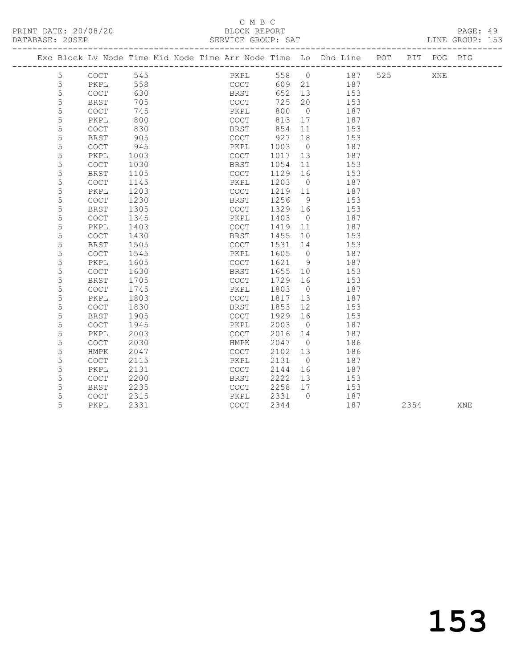#### C M B C<br>BLOCK REPORT SERVICE GROUP: SAT

|   |                                            |      | Exc Block Lv Node Time Mid Node Time Arr Node Time Lo Dhd Line POT |      |                   |     |     |      | PIT POG PIG |     |
|---|--------------------------------------------|------|--------------------------------------------------------------------|------|-------------------|-----|-----|------|-------------|-----|
| 5 | $\mathtt{C}\mathtt{O}\mathtt{C}\mathtt{T}$ | 545  | PKPL                                                               | 558  | $\overline{0}$    | 187 | 525 |      | XNE         |     |
| 5 | PKPL                                       | 558  | COCT                                                               | 609  | 21                | 187 |     |      |             |     |
| 5 | $\mathtt{C}\mathtt{O}\mathtt{C}\mathtt{T}$ | 630  | BRST                                                               | 652  | 13                | 153 |     |      |             |     |
| 5 | <b>BRST</b>                                | 705  | COCT                                                               | 725  | 20                | 153 |     |      |             |     |
| 5 | <b>COCT</b>                                | 745  | PKPL                                                               | 800  | $\overline{0}$    | 187 |     |      |             |     |
| 5 | PKPL                                       | 800  | COCT                                                               | 813  | 17                | 187 |     |      |             |     |
| 5 | <b>COCT</b>                                | 830  | BRST                                                               | 854  | 11                | 153 |     |      |             |     |
| 5 | BRST                                       | 905  | COCT                                                               | 927  | 18                | 153 |     |      |             |     |
| 5 | <b>COCT</b>                                | 945  | PKPL                                                               | 1003 | $\overline{0}$    | 187 |     |      |             |     |
| 5 | PKPL                                       | 1003 | <b>COCT</b>                                                        | 1017 | 13                | 187 |     |      |             |     |
| 5 | <b>COCT</b>                                | 1030 | BRST                                                               | 1054 | 11                | 153 |     |      |             |     |
| 5 | <b>BRST</b>                                | 1105 | <b>COCT</b>                                                        | 1129 | 16                | 153 |     |      |             |     |
| 5 | <b>COCT</b>                                | 1145 | PKPL                                                               | 1203 | $\overline{0}$    | 187 |     |      |             |     |
| 5 | PKPL                                       | 1203 | <b>COCT</b>                                                        | 1219 | 11                | 187 |     |      |             |     |
| 5 | COCT                                       | 1230 | BRST                                                               | 1256 | 9                 | 153 |     |      |             |     |
| 5 | <b>BRST</b>                                | 1305 | COCT                                                               | 1329 | 16                | 153 |     |      |             |     |
| 5 | COCT                                       | 1345 | PKPL                                                               | 1403 | $\overline{0}$    | 187 |     |      |             |     |
| 5 | PKPL                                       | 1403 | $\mathtt{C}\mathtt{O}\mathtt{C}\mathtt{T}$                         | 1419 | 11                | 187 |     |      |             |     |
| 5 | $\mathtt{C}\mathtt{O}\mathtt{C}\mathtt{T}$ | 1430 | BRST                                                               | 1455 | 10                | 153 |     |      |             |     |
| 5 | <b>BRST</b>                                | 1505 | $\mathtt{C}\mathtt{O}\mathtt{C}\mathtt{T}$                         | 1531 | 14                | 153 |     |      |             |     |
| 5 | $\mathtt{C}\mathtt{O}\mathtt{C}\mathtt{T}$ | 1545 | PKPL                                                               | 1605 | $\circ$           | 187 |     |      |             |     |
| 5 | PKPL                                       | 1605 | $\mathtt{C}\mathtt{O}\mathtt{C}\mathtt{T}$                         | 1621 | 9                 | 187 |     |      |             |     |
| 5 | COCT                                       | 1630 | BRST                                                               | 1655 | 10                | 153 |     |      |             |     |
| 5 | BRST                                       | 1705 | <b>COCT</b>                                                        | 1729 | 16                | 153 |     |      |             |     |
| 5 | COCT                                       | 1745 | PKPL                                                               | 1803 | $\overline{0}$    | 187 |     |      |             |     |
| 5 | PKPL                                       | 1803 | COCT                                                               | 1817 | 13                | 187 |     |      |             |     |
| 5 | <b>COCT</b>                                | 1830 | <b>BRST</b>                                                        | 1853 | $12 \overline{ }$ | 153 |     |      |             |     |
| 5 | <b>BRST</b>                                | 1905 | <b>COCT</b>                                                        | 1929 | 16                | 153 |     |      |             |     |
| 5 | <b>COCT</b>                                | 1945 | PKPL                                                               | 2003 | $\bigcirc$        | 187 |     |      |             |     |
| 5 | PKPL                                       | 2003 | COCT                                                               | 2016 | 14                | 187 |     |      |             |     |
| 5 | <b>COCT</b>                                | 2030 | HMPK                                                               | 2047 | $\overline{0}$    | 186 |     |      |             |     |
| 5 | HMPK                                       | 2047 | COCT                                                               | 2102 | 13                | 186 |     |      |             |     |
| 5 | <b>COCT</b>                                | 2115 | PKPL                                                               | 2131 | $\bigcirc$        | 187 |     |      |             |     |
| 5 | PKPL                                       | 2131 | COCT                                                               | 2144 | 16                | 187 |     |      |             |     |
| 5 | <b>COCT</b>                                | 2200 | BRST                                                               | 2222 | 13                | 153 |     |      |             |     |
| 5 | <b>BRST</b>                                | 2235 | COCT                                                               | 2258 | 17                | 153 |     |      |             |     |
| 5 | $\mathtt{C}\mathtt{O}\mathtt{C}\mathtt{T}$ | 2315 | PKPL                                                               | 2331 | $\Omega$          | 187 |     |      |             |     |
| 5 | PKPL                                       | 2331 | COCT                                                               | 2344 |                   | 187 |     | 2354 |             | XNE |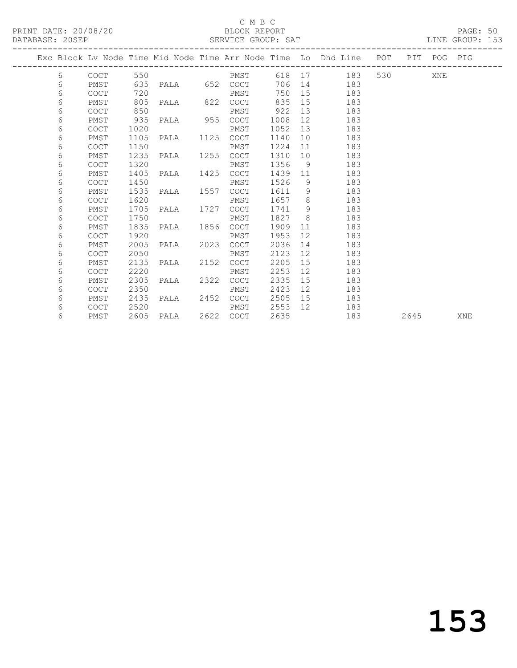PRINT DATE: 20/08/20 BLOCK REPORT<br>DATABASE: 20SEP SERVICE GROUP: SAT

#### C M B C<br>BLOCK REPORT

PAGE: 50<br>LINE GROUP: 153

| Exc Block Lv Node Time Mid Node Time Arr Node Time Lo Dhd Line POT PIT POG PIG<br>6<br>6<br>PMST<br>6<br><b>COCT</b><br>6<br>PMST |             |      |                   |      |      |         |                |                                                                                                                                                                                                                                       |         |  |  |
|-----------------------------------------------------------------------------------------------------------------------------------|-------------|------|-------------------|------|------|---------|----------------|---------------------------------------------------------------------------------------------------------------------------------------------------------------------------------------------------------------------------------------|---------|--|--|
|                                                                                                                                   |             |      |                   |      |      |         |                |                                                                                                                                                                                                                                       |         |  |  |
|                                                                                                                                   | COCT        |      | 550 PMST          |      |      |         |                | 618 17 183                                                                                                                                                                                                                            | 530 XNE |  |  |
|                                                                                                                                   |             |      | 635 PALA 652 COCT |      |      |         |                | 706 14 183                                                                                                                                                                                                                            |         |  |  |
|                                                                                                                                   |             | 720  |                   |      | PMST | 750     | 15             | 183                                                                                                                                                                                                                                   |         |  |  |
|                                                                                                                                   |             | 805  | PALA 822 COCT     |      |      | 835     | 15             | 183                                                                                                                                                                                                                                   |         |  |  |
| 6                                                                                                                                 | <b>COCT</b> | 850  |                   |      | PMST | 922     | 13             | 183                                                                                                                                                                                                                                   |         |  |  |
| 6                                                                                                                                 | PMST        | 935  | PALA 955 COCT     |      |      | 1008    | 12             | 183                                                                                                                                                                                                                                   |         |  |  |
| 6                                                                                                                                 | <b>COCT</b> | 1020 |                   |      | PMST | 1052    | 13             | 183                                                                                                                                                                                                                                   |         |  |  |
| 6                                                                                                                                 | PMST        | 1105 | PALA 1125         |      | COCT | 1140    | 10             | 183                                                                                                                                                                                                                                   |         |  |  |
| 6                                                                                                                                 | <b>COCT</b> | 1150 |                   |      | PMST | 1224    | 11             | 183                                                                                                                                                                                                                                   |         |  |  |
| 6                                                                                                                                 | PMST        | 1235 | PALA 1255 COCT    |      |      | 1310    |                | 183                                                                                                                                                                                                                                   |         |  |  |
| 6                                                                                                                                 | <b>COCT</b> | 1320 |                   |      | PMST | 1356    | 9 <sup>°</sup> | 183                                                                                                                                                                                                                                   |         |  |  |
| 6                                                                                                                                 | PMST        | 1405 | PALA 1425         |      | COCT | 1439    | 11             | 183                                                                                                                                                                                                                                   |         |  |  |
| 6                                                                                                                                 | <b>COCT</b> | 1450 |                   |      | PMST | 1526    | 9              | 183                                                                                                                                                                                                                                   |         |  |  |
| 6                                                                                                                                 | PMST        | 1535 | PALA 1557 COCT    |      |      | 1611    | 9 <sup>°</sup> | 183                                                                                                                                                                                                                                   |         |  |  |
| 6                                                                                                                                 | <b>COCT</b> | 1620 |                   |      | PMST | 1657 8  |                | 183                                                                                                                                                                                                                                   |         |  |  |
| 6                                                                                                                                 | PMST        | 1705 | PALA 1727         |      | COCT | 1741    | - 9            | 183                                                                                                                                                                                                                                   |         |  |  |
| 6                                                                                                                                 | <b>COCT</b> | 1750 |                   |      | PMST | 1827    | 8 <sup>8</sup> | 183                                                                                                                                                                                                                                   |         |  |  |
| 6                                                                                                                                 | PMST        | 1835 | PALA 1856 COCT    |      |      | 1909    |                | 11 - 11 - 11 - 11 - 11 - 11 - 11 - 11 - 11 - 11 - 11 - 11 - 11 - 11 - 11 - 11 - 11 - 11 - 11 - 11 - 11 - 11 - 11 - 11 - 11 - 11 - 11 - 11 - 11 - 11 - 11 - 11 - 11 - 11 - 11 - 11 - 11 - 11 - 11 - 11 - 11 - 11 - 11 - 11 - 11<br>183 |         |  |  |
| 6                                                                                                                                 | <b>COCT</b> | 1920 |                   |      | PMST | 1953    | 12             | 183                                                                                                                                                                                                                                   |         |  |  |
| 6                                                                                                                                 | PMST        | 2005 | PALA 2023         |      | COCT | 2036    | 14             | 183                                                                                                                                                                                                                                   |         |  |  |
| 6                                                                                                                                 | <b>COCT</b> | 2050 |                   |      | PMST | 2123    | 12             | 183                                                                                                                                                                                                                                   |         |  |  |
| 6                                                                                                                                 | PMST        | 2135 | PALA              | 2152 | COCT | 2205    | 15             | 183                                                                                                                                                                                                                                   |         |  |  |
| 6                                                                                                                                 | <b>COCT</b> | 2220 |                   |      | PMST | 2253    | 12             | 183                                                                                                                                                                                                                                   |         |  |  |
| 6                                                                                                                                 | PMST        | 2305 | PALA 2322         |      | COCT | 2335    | 15             | 183                                                                                                                                                                                                                                   |         |  |  |
| 6                                                                                                                                 | <b>COCT</b> | 2350 |                   |      | PMST | 2423    | 12             | 183                                                                                                                                                                                                                                   |         |  |  |
| 6                                                                                                                                 | PMST        | 2435 | PALA 2452 COCT    |      |      | 2505    | 15             | 183                                                                                                                                                                                                                                   |         |  |  |
| 6                                                                                                                                 | <b>COCT</b> | 2520 |                   |      | PMST | 2553 12 |                | 183                                                                                                                                                                                                                                   |         |  |  |

6 PMST 2605 PALA 2622 COCT 2635 183 2645 XNE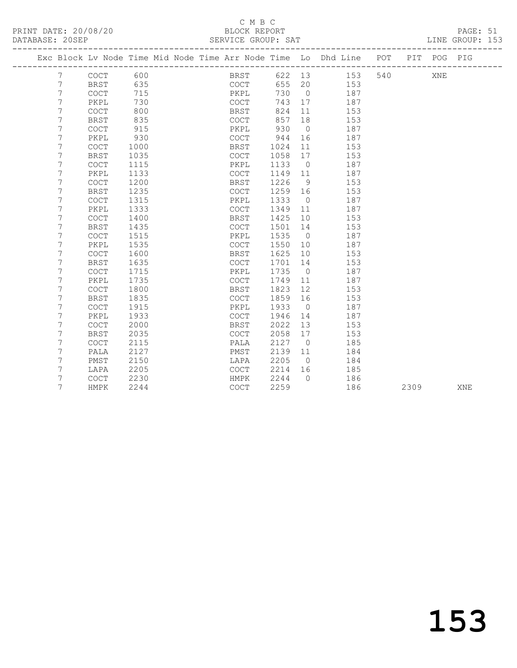## C M B C<br>BLOCK REPORT

PAGE: 51<br>LINE GROUP: 153

|  |                 |                                            |      |  |             |         |                | Exc Block Lv Node Time Mid Node Time Arr Node Time Lo Dhd Line POT |     |      | PIT POG PIG |     |
|--|-----------------|--------------------------------------------|------|--|-------------|---------|----------------|--------------------------------------------------------------------|-----|------|-------------|-----|
|  | $7\phantom{.0}$ | COCT                                       | 600  |  | BRST        |         |                | 622 13 153                                                         | 540 |      | XNE         |     |
|  | 7               | BRST                                       | 635  |  | COCT        |         |                | 655 20 153                                                         |     |      |             |     |
|  | 7               | <b>COCT</b>                                | 715  |  | PKPL        | 730     | $\overline{0}$ | 187                                                                |     |      |             |     |
|  | 7               | PKPL                                       | 730  |  | COCT        | 743     | 17             | 187                                                                |     |      |             |     |
|  | 7               | <b>COCT</b>                                | 800  |  | BRST        | 824     | 11             | 153                                                                |     |      |             |     |
|  | 7               | <b>BRST</b>                                | 835  |  | COCT        | 857     | 18             | 153                                                                |     |      |             |     |
|  | 7               | COCT                                       | 915  |  | PKPL        | 930     | $\overline{0}$ | 187                                                                |     |      |             |     |
|  | 7               | PKPL                                       | 930  |  | COCT        | 944     | 16             | 187                                                                |     |      |             |     |
|  | 7               | COCT                                       | 1000 |  | BRST        | 1024    | 11             | 153                                                                |     |      |             |     |
|  | 7               | <b>BRST</b>                                | 1035 |  | COCT        | 1058    | 17             | 153                                                                |     |      |             |     |
|  | 7               | COCT                                       | 1115 |  | PKPL        | 1133    | $\overline{0}$ | 187                                                                |     |      |             |     |
|  | 7               | PKPL                                       | 1133 |  | COCT        | 1149 11 |                | 187                                                                |     |      |             |     |
|  | 7               | COCT                                       | 1200 |  | BRST        | 1226    | - 9            | 153                                                                |     |      |             |     |
|  | 7               | <b>BRST</b>                                | 1235 |  | COCT        | 1259 16 |                | 153                                                                |     |      |             |     |
|  | 7               | COCT                                       | 1315 |  | PKPL        | 1333    | $\overline{0}$ | 187                                                                |     |      |             |     |
|  | 7               | PKPL                                       | 1333 |  | COCT        | 1349    | 11             | 187                                                                |     |      |             |     |
|  | 7               | <b>COCT</b>                                | 1400 |  | BRST        | 1425    | 10             | 153                                                                |     |      |             |     |
|  | 7               | <b>BRST</b>                                | 1435 |  | COCT        | 1501    | 14             | 153                                                                |     |      |             |     |
|  | 7               | COCT                                       | 1515 |  | PKPL        | 1535    | $\overline{0}$ | 187                                                                |     |      |             |     |
|  | 7               | PKPL                                       | 1535 |  | COCT        | 1550    | 10             | 187                                                                |     |      |             |     |
|  | 7               | COCT                                       | 1600 |  | BRST        | 1625    | 10             | 153                                                                |     |      |             |     |
|  | 7               | <b>BRST</b>                                | 1635 |  | COCT        | 1701    | 14             | 153                                                                |     |      |             |     |
|  | 7               | <b>COCT</b>                                | 1715 |  | PKPL        | 1735    | $\overline{0}$ | 187                                                                |     |      |             |     |
|  | 7               | PKPL                                       | 1735 |  | COCT        | 1749    | 11             | 187                                                                |     |      |             |     |
|  | 7               | <b>COCT</b>                                | 1800 |  | BRST        | 1823    | 12             | 153                                                                |     |      |             |     |
|  | 7               | <b>BRST</b>                                | 1835 |  | <b>COCT</b> | 1859    | 16             | 153                                                                |     |      |             |     |
|  | 7               | COCT                                       | 1915 |  | PKPL        | 1933    | $\overline{0}$ | 187                                                                |     |      |             |     |
|  | 7               | PKPL                                       | 1933 |  | <b>COCT</b> | 1946    | 14             | 187                                                                |     |      |             |     |
|  | 7               | COCT                                       | 2000 |  | BRST        | 2022    | 13             | 153                                                                |     |      |             |     |
|  | 7               | BRST                                       | 2035 |  | <b>COCT</b> | 2058    | 17             | 153                                                                |     |      |             |     |
|  | 7               | <b>COCT</b>                                | 2115 |  | PALA        | 2127    | $\overline{0}$ | 185                                                                |     |      |             |     |
|  | 7               | PALA                                       | 2127 |  | PMST        | 2139    | 11             | 184                                                                |     |      |             |     |
|  | 7               | PMST                                       | 2150 |  | LAPA        | 2205    | $\overline{0}$ | 184                                                                |     |      |             |     |
|  | 7               | LAPA                                       | 2205 |  | COCT        | 2214    | 16             | 185                                                                |     |      |             |     |
|  | 7               | $\mathtt{C}\mathtt{O}\mathtt{C}\mathtt{T}$ | 2230 |  | HMPK        | 2244    | $\bigcirc$     | 186                                                                |     |      |             |     |
|  | 7               | HMPK                                       | 2244 |  | <b>COCT</b> | 2259    |                | 186                                                                |     | 2309 |             | XNE |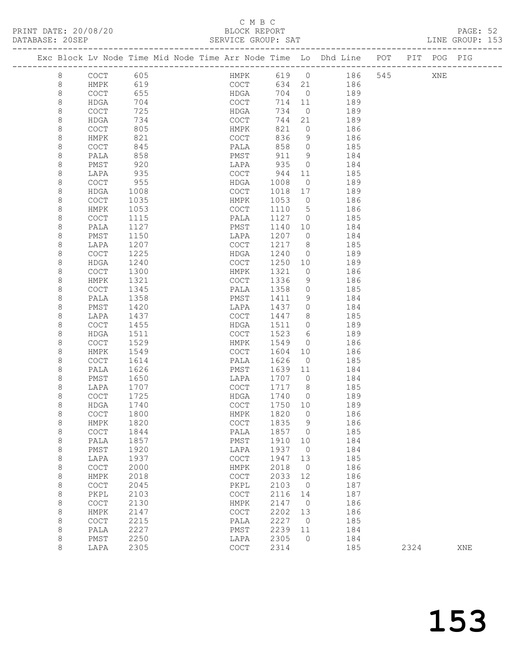### C M B C<br>BLOCK REPORT

| PRINT DATE: 20/08/20<br>DATABASE: 20SEP |                     |                   | BLOCK REPORT<br>SERVICE GROUP: SAT         |              |                 |                                                                    |      |             | PAGE: 52<br>LINE GROUP: 153 |  |
|-----------------------------------------|---------------------|-------------------|--------------------------------------------|--------------|-----------------|--------------------------------------------------------------------|------|-------------|-----------------------------|--|
|                                         |                     |                   |                                            |              |                 | Exc Block Lv Node Time Mid Node Time Arr Node Time Lo Dhd Line POT |      | PIT POG PIG |                             |  |
| 8                                       | COCT                | 605<br>619<br>655 |                                            |              |                 | HMPK 619 0 186 545<br>COCT 634 21 186                              |      | XNE         |                             |  |
| $\,8\,$                                 | HMPK                |                   |                                            |              |                 |                                                                    |      |             |                             |  |
| $\,8\,$                                 | COCT                |                   | HDGA                                       |              |                 | 704 0 189                                                          |      |             |                             |  |
| $\,8\,$                                 | HDGA                | 704               | COCT                                       | 714 11       |                 | 189                                                                |      |             |                             |  |
| $\,8\,$                                 | COCT                | 725               | HDGA                                       | 734          | $\overline{0}$  | 189                                                                |      |             |                             |  |
| $\,8\,$                                 | HDGA                | 734               | COCT                                       | 744          | 21              | 189                                                                |      |             |                             |  |
| 8                                       | COCT                | 805               | HMPK                                       | 821          | $\overline{0}$  | 186                                                                |      |             |                             |  |
| 8                                       | HMPK                | 821               | COCT                                       | 836          | 9               | 186                                                                |      |             |                             |  |
| 8                                       | <b>COCT</b>         | 845               | PALA                                       | 858          | $\overline{0}$  | 185                                                                |      |             |                             |  |
| $\,8\,$                                 | PALA                | 858               | PMST                                       | 911          | 9               | 184                                                                |      |             |                             |  |
| 8                                       | PMST                | 920               | LAPA                                       | 935          | $\overline{0}$  | 184                                                                |      |             |                             |  |
| 8                                       | LAPA                | 935               | COCT                                       | 944          | 11              | 185                                                                |      |             |                             |  |
| 8                                       | <b>COCT</b>         | 955               | HDGA                                       | 1008         | $\overline{0}$  | 189                                                                |      |             |                             |  |
| $\,8\,$                                 | HDGA                | 1008              | COCT                                       | 1018         | 17              | 189                                                                |      |             |                             |  |
| 8                                       | COCT                | 1035              | HMPK                                       | 1053         | $\overline{0}$  | 186                                                                |      |             |                             |  |
| 8                                       | HMPK                | 1053              | COCT                                       | 1110         | $5\overline{)}$ | 186                                                                |      |             |                             |  |
| $\,8\,$                                 | <b>COCT</b>         | 1115              | PALA                                       | 1127         | $\overline{0}$  | 185                                                                |      |             |                             |  |
| $\,8\,$                                 | PALA                | 1127              | PMST                                       | 1140         | 10              | 184                                                                |      |             |                             |  |
| 8                                       | PMST                | 1150              | LAPA                                       | 1207         | $\overline{0}$  | 184                                                                |      |             |                             |  |
| 8                                       | LAPA                | 1207              | COCT                                       | 1217         | 8 <sup>8</sup>  | 185                                                                |      |             |                             |  |
| $\,8\,$                                 | <b>COCT</b>         | 1225              | HDGA                                       | 1240         | $\overline{0}$  | 189                                                                |      |             |                             |  |
| $\,8\,$                                 | HDGA                | 1240              | COCT                                       | 1250         | 10              | 189                                                                |      |             |                             |  |
| $\,8\,$                                 | COCT                | 1300              | HMPK                                       | 1321         | $\overline{0}$  | 186                                                                |      |             |                             |  |
| 8                                       | HMPK                | 1321              | COCT                                       | 1336         | 9               | 186                                                                |      |             |                             |  |
| $\,8\,$                                 | COCT                | 1345              | PALA                                       | 1358         | $\circ$         | 185                                                                |      |             |                             |  |
| $\,8\,$                                 | PALA                | 1358              | PMST                                       | 1411         | 9               | 184                                                                |      |             |                             |  |
| $\,8\,$                                 | PMST                | 1420              | LAPA                                       | 1437<br>1447 | $\overline{0}$  | 184                                                                |      |             |                             |  |
| 8                                       | LAPA                | 1437              | COCT                                       |              | 8<br>$\circ$    | 185                                                                |      |             |                             |  |
| 8<br>8                                  | <b>COCT</b><br>HDGA | 1455<br>1511      | HDGA<br>COCT                               | 1511<br>1523 | 6               | 189<br>189                                                         |      |             |                             |  |
| 8                                       | COCT                | 1529              | HMPK                                       | 1549         | $\overline{0}$  | 186                                                                |      |             |                             |  |
| 8                                       | HMPK                | 1549              | COCT                                       | 1604         | 10              | 186                                                                |      |             |                             |  |
| 8                                       | COCT                | 1614              | PALA                                       | 1626         | $\overline{0}$  | 185                                                                |      |             |                             |  |
| 8                                       | PALA                | 1626              | PMST                                       | 1639         | 11              | 184                                                                |      |             |                             |  |
| 8                                       | PMST                | 1650              | LAPA                                       | 1707         | $\overline{0}$  | 184                                                                |      |             |                             |  |
| 8                                       | LAPA                | 1707              | COCT                                       | 1717         | 8 <sup>8</sup>  | 185                                                                |      |             |                             |  |
| 8                                       | <b>COCT</b>         | 1725              | HDGA                                       | 1740         | $\bigcirc$      | 189                                                                |      |             |                             |  |
| 8                                       | HDGA                | 1740              | COCT                                       | 1750 10      |                 | 189                                                                |      |             |                             |  |
| 8                                       | COCT                | 1800              | HMPK                                       | 1820         | 0               | 186                                                                |      |             |                             |  |
| 8                                       | HMPK                | 1820              | $\mathtt{C}\mathtt{O}\mathtt{C}\mathtt{T}$ | 1835         | 9               | 186                                                                |      |             |                             |  |
| 8                                       | COCT                | 1844              | PALA                                       | 1857         | 0               | 185                                                                |      |             |                             |  |
| 8                                       | PALA                | 1857              | PMST                                       | 1910         | 10              | 184                                                                |      |             |                             |  |
| 8                                       | PMST                | 1920              | LAPA                                       | 1937         | $\circledcirc$  | 184                                                                |      |             |                             |  |
| 8                                       | LAPA                | 1937              | COCT                                       | 1947         | 13              | 185                                                                |      |             |                             |  |
| 8                                       | COCT                | 2000              | HMPK                                       | 2018         | $\circ$         | 186                                                                |      |             |                             |  |
| $\,8\,$                                 | HMPK                | 2018              | COCT                                       | 2033         | 12              | 186                                                                |      |             |                             |  |
| $\,8\,$                                 | COCT                | 2045              | PKPL                                       | 2103         | $\circ$         | 187                                                                |      |             |                             |  |
| 8                                       | PKPL                | 2103              | $_{\mathrm{COT}}$                          | 2116         | 14              | 187                                                                |      |             |                             |  |
| 8                                       | COCT                | 2130              | HMPK                                       | 2147         | $\circ$         | 186                                                                |      |             |                             |  |
| 8                                       | HMPK                | 2147              | COCT                                       | 2202         | 13              | 186                                                                |      |             |                             |  |
| $\,8\,$                                 | COCT                | 2215              | PALA                                       | 2227         | 0               | 185                                                                |      |             |                             |  |
| 8                                       | PALA                | 2227              | PMST                                       | 2239         | 11              | 184                                                                |      |             |                             |  |
| 8                                       | PMST                | 2250              | LAPA                                       | 2305         | 0               | 184                                                                |      |             |                             |  |
| 8                                       | LAPA                | 2305              | COCT                                       | 2314         |                 | 185                                                                | 2324 |             | XNE                         |  |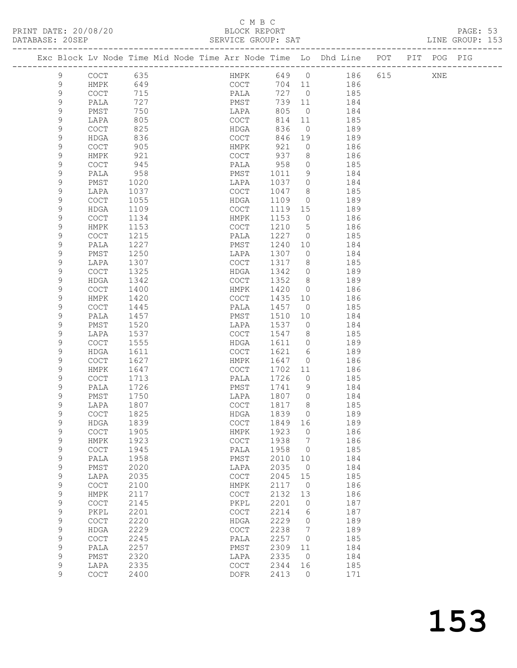PRINT DATE: 20/08/20<br>DATABASE: 20SEP

## C M B C<br>BLOCK REPORT<br>SERVICE GROUP: SAT

PAGE: 53<br>LINE GROUP: 153

| DAIADAOL. |                  |                      |              |  | OLAVICL GAUUF. OAI                         |              |                 |                                                                    |     |     |     |     |  |
|-----------|------------------|----------------------|--------------|--|--------------------------------------------|--------------|-----------------|--------------------------------------------------------------------|-----|-----|-----|-----|--|
|           |                  |                      |              |  |                                            |              |                 | Exc Block Lv Node Time Mid Node Time Arr Node Time Lo Dhd Line POT |     | PIT | POG | PIG |  |
|           | 9                | COCT                 | 635          |  | HMPK                                       | 649          | $\overline{0}$  | 186                                                                | 615 |     | XNE |     |  |
|           | 9                | HMPK                 | 649          |  | COCT                                       | 704          | 11              | 186                                                                |     |     |     |     |  |
|           | 9                | COCT                 | 715          |  | PALA                                       | 727          | $\overline{0}$  | 185                                                                |     |     |     |     |  |
|           | 9                | PALA                 | 727          |  | PMST                                       | 739          | 11              | 184                                                                |     |     |     |     |  |
|           | 9                | PMST                 | 750          |  | LAPA                                       | 805          | $\overline{0}$  | 184                                                                |     |     |     |     |  |
|           | 9                | LAPA                 | 805          |  | COCT                                       | 814          | 11              | 185                                                                |     |     |     |     |  |
|           | 9                | COCT                 | 825          |  | HDGA                                       | 836          | $\overline{0}$  | 189                                                                |     |     |     |     |  |
|           | 9                | HDGA                 | 836          |  | COCT                                       | 846          | 19              | 189                                                                |     |     |     |     |  |
|           | 9                | COCT                 | 905<br>921   |  | HMPK<br>COCT                               | 921<br>937   | $\circ$<br>8    | 186<br>186                                                         |     |     |     |     |  |
|           | 9<br>9           | HMPK<br>COCT         | 945          |  | PALA                                       | 958          | $\circ$         | 185                                                                |     |     |     |     |  |
|           | 9                | PALA                 | 958          |  | PMST                                       | 1011         | 9               | 184                                                                |     |     |     |     |  |
|           | 9                | PMST                 | 1020         |  | LAPA                                       | 1037         | $\circ$         | 184                                                                |     |     |     |     |  |
|           | 9                | LAPA                 | 1037         |  | COCT                                       | 1047         | 8               | 185                                                                |     |     |     |     |  |
|           | 9                | COCT                 | 1055         |  | HDGA                                       | 1109         | $\overline{0}$  | 189                                                                |     |     |     |     |  |
|           | 9                | HDGA                 | 1109         |  | COCT                                       | 1119         | 15              | 189                                                                |     |     |     |     |  |
|           | 9                | $\operatorname{COT}$ | 1134         |  | HMPK                                       | 1153         | $\circ$         | 186                                                                |     |     |     |     |  |
|           | 9                | HMPK                 | 1153         |  | COCT                                       | 1210         | $5\phantom{.0}$ | 186                                                                |     |     |     |     |  |
|           | 9                | COCT                 | 1215         |  | PALA                                       | 1227         | $\circ$         | 185                                                                |     |     |     |     |  |
|           | 9                | PALA                 | 1227         |  | PMST                                       | 1240         | 10              | 184                                                                |     |     |     |     |  |
|           | 9                | PMST                 | 1250         |  | LAPA                                       | 1307         | $\circ$         | 184                                                                |     |     |     |     |  |
|           | 9<br>9           | LAPA<br>COCT         | 1307<br>1325 |  | COCT<br>HDGA                               | 1317<br>1342 | 8<br>$\circ$    | 185<br>189                                                         |     |     |     |     |  |
|           | 9                | HDGA                 | 1342         |  | COCT                                       | 1352         | 8               | 189                                                                |     |     |     |     |  |
|           | 9                | COCT                 | 1400         |  | HMPK                                       | 1420         | $\circ$         | 186                                                                |     |     |     |     |  |
|           | 9                | HMPK                 | 1420         |  | COCT                                       | 1435         | 10              | 186                                                                |     |     |     |     |  |
|           | 9                | COCT                 | 1445         |  | PALA                                       | 1457         | $\overline{0}$  | 185                                                                |     |     |     |     |  |
|           | 9                | PALA                 | 1457         |  | PMST                                       | 1510         | 10              | 184                                                                |     |     |     |     |  |
|           | 9                | PMST                 | 1520         |  | LAPA                                       | 1537         | $\overline{0}$  | 184                                                                |     |     |     |     |  |
|           | 9                | LAPA                 | 1537         |  | COCT                                       | 1547         | 8               | 185                                                                |     |     |     |     |  |
|           | 9                | COCT                 | 1555         |  | HDGA                                       | 1611         | $\circ$         | 189                                                                |     |     |     |     |  |
|           | 9                | HDGA                 | 1611         |  | COCT                                       | 1621         | 6               | 189                                                                |     |     |     |     |  |
|           | 9                | COCT                 | 1627         |  | HMPK                                       | 1647         | $\circ$         | 186                                                                |     |     |     |     |  |
|           | 9<br>9           | HMPK<br>COCT         | 1647<br>1713 |  | COCT<br>PALA                               | 1702<br>1726 | 11<br>$\circ$   | 186<br>185                                                         |     |     |     |     |  |
|           | 9                | PALA                 | 1726         |  | PMST                                       | 1741         | 9               | 184                                                                |     |     |     |     |  |
|           | 9                | PMST                 | 1750         |  | LAPA                                       | 1807         | $\circ$         | 184                                                                |     |     |     |     |  |
|           | 9                | LAPA                 | 1807         |  | COCT                                       | 1817         | 8               | 185                                                                |     |     |     |     |  |
|           | 9                | COCT                 | 1825         |  | HDGA                                       | 1839         | $\Omega$        | 189                                                                |     |     |     |     |  |
|           | 9                | HDGA                 | 1839         |  | $\mathtt{C}\mathtt{O}\mathtt{C}\mathtt{T}$ | 1849         | 16              | 189                                                                |     |     |     |     |  |
|           | 9                | COCT                 | 1905         |  | HMPK                                       | 1923         | 0               | 186                                                                |     |     |     |     |  |
|           | $\mathsf 9$      | HMPK                 | 1923         |  | COCT                                       | 1938         | 7               | 186                                                                |     |     |     |     |  |
|           | $\mathsf 9$      | COCT                 | 1945         |  | PALA                                       | 1958         | 0               | 185                                                                |     |     |     |     |  |
|           | 9                | PALA                 | 1958         |  | PMST                                       | 2010         | 10              | 184                                                                |     |     |     |     |  |
|           | 9<br>$\mathsf 9$ | PMST<br>LAPA         | 2020<br>2035 |  | LAPA<br>COCT                               | 2035<br>2045 | 0<br>15         | 184<br>185                                                         |     |     |     |     |  |
|           | $\mathsf 9$      | COCT                 | 2100         |  | ${\tt HMPK}$                               | 2117         | $\circ$         | 186                                                                |     |     |     |     |  |
|           | $\mathsf 9$      | ${\tt HMPK}$         | 2117         |  | COCT                                       | 2132         | 13              | 186                                                                |     |     |     |     |  |
|           | $\mathsf 9$      | COCT                 | 2145         |  | PKPL                                       | 2201         | 0               | 187                                                                |     |     |     |     |  |
|           | $\mathsf 9$      | PKPL                 | 2201         |  | COCT                                       | 2214         | 6               | 187                                                                |     |     |     |     |  |
|           | $\mathsf 9$      | COCT                 | 2220         |  | HDGA                                       | 2229         | 0               | 189                                                                |     |     |     |     |  |
|           | $\mathsf 9$      | <b>HDGA</b>          | 2229         |  | COCT                                       | 2238         | 7               | 189                                                                |     |     |     |     |  |
|           | 9                | COCT                 | 2245         |  | PALA                                       | 2257         | 0               | 185                                                                |     |     |     |     |  |
|           | $\mathsf 9$      | PALA                 | 2257         |  | PMST                                       | 2309         | 11              | 184                                                                |     |     |     |     |  |
|           | 9                | PMST                 | 2320         |  | LAPA                                       | 2335         | $\circ$         | 184                                                                |     |     |     |     |  |
|           | $\mathsf 9$<br>9 | LAPA<br>COCT         | 2335<br>2400 |  | COCT<br><b>DOFR</b>                        | 2344<br>2413 | 16<br>$\circ$   | 185<br>171                                                         |     |     |     |     |  |
|           |                  |                      |              |  |                                            |              |                 |                                                                    |     |     |     |     |  |
|           |                  |                      |              |  |                                            |              |                 |                                                                    |     |     |     |     |  |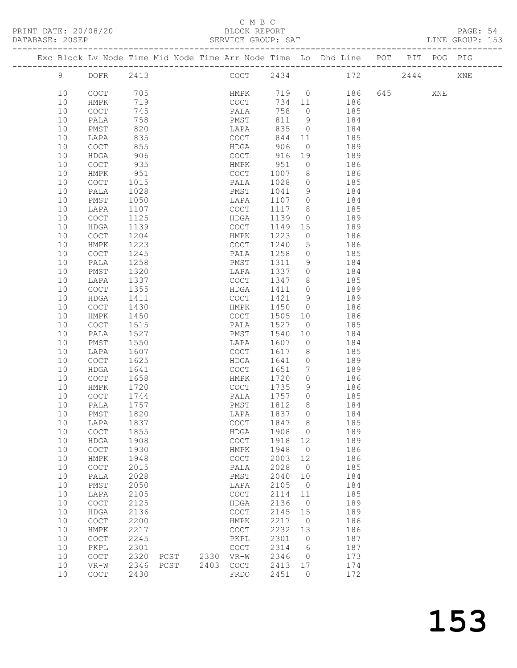#### C M B C<br>BLOCK REPORT

| PRINT DATE: 20/08/20<br>DATABASE: 20SEP |      |              |      |                         |  | BLOCK REPORT<br>SERVICE GROUP: SAT         |                                               |                |                                                                                |  |     | PAGE: 54<br>LINE GROUP: 153 |  |
|-----------------------------------------|------|--------------|------|-------------------------|--|--------------------------------------------|-----------------------------------------------|----------------|--------------------------------------------------------------------------------|--|-----|-----------------------------|--|
|                                         |      |              |      |                         |  |                                            |                                               |                | Exc Block Lv Node Time Mid Node Time Arr Node Time Lo Dhd Line POT PIT POG PIG |  |     |                             |  |
|                                         |      |              |      |                         |  |                                            |                                               |                | 9 DOFR 2413 COCT 2434 172 2444 XNE                                             |  |     |                             |  |
|                                         | 10   | COCT         |      | 05<br>119<br>745<br>758 |  |                                            |                                               |                | HMPK 719 0 186 645<br>COCT 734 11 186                                          |  | XNE |                             |  |
|                                         | 10   | HMPK         |      |                         |  |                                            |                                               |                |                                                                                |  |     |                             |  |
|                                         | 10   | COCT         |      |                         |  | PALA                                       | 758                                           |                | $\overline{0}$ 185                                                             |  |     |                             |  |
|                                         | 10   | PALA         |      |                         |  | PMST                                       |                                               | 811 9          | 184                                                                            |  |     |                             |  |
|                                         | 10   | PMST         | 820  |                         |  | LAPA                                       |                                               |                |                                                                                |  |     |                             |  |
|                                         | 10   | LAPA         | 835  |                         |  | COCT                                       |                                               | 844 11         | 835 0 184<br>185                                                               |  |     |                             |  |
|                                         | 10   | COCT         | 855  |                         |  | HDGA                                       | 906                                           |                | $\overline{0}$ 189                                                             |  |     |                             |  |
|                                         | 10   | HDGA         | 906  |                         |  | COCT 916 19                                |                                               |                | 189                                                                            |  |     |                             |  |
|                                         | 10   | <b>COCT</b>  | 935  |                         |  |                                            | 951                                           | $\overline{0}$ |                                                                                |  |     |                             |  |
|                                         | 10   | HMPK         | 951  |                         |  | HMPK                                       |                                               |                | 186<br>186                                                                     |  |     |                             |  |
|                                         | 10   |              |      |                         |  | COCT 1007 8<br>PALA 1028 0                 |                                               |                |                                                                                |  |     |                             |  |
|                                         |      | COCT         | 1015 |                         |  |                                            |                                               |                | 1041 9 184                                                                     |  |     |                             |  |
|                                         | 10   | PALA         | 1028 |                         |  | PMST                                       |                                               |                |                                                                                |  |     |                             |  |
|                                         | 10   | PMST         | 1050 |                         |  | LAPA                                       |                                               |                | 1107 0 184                                                                     |  |     |                             |  |
|                                         | 10   | LAPA         | 1107 |                         |  | COCT                                       | 1117 8                                        |                | 185<br>$\overline{0}$                                                          |  |     |                             |  |
|                                         | 10   | COCT         | 1125 |                         |  | HDGA                                       | 1139                                          |                | 189                                                                            |  |     |                             |  |
|                                         | 10   | HDGA         | 1139 |                         |  | COCT                                       |                                               |                | 1149 15 189                                                                    |  |     |                             |  |
|                                         | 10   | <b>COCT</b>  | 1204 |                         |  | HMPK                                       | 1223                                          |                | $0$ 186                                                                        |  |     |                             |  |
|                                         | 10   | HMPK         | 1223 |                         |  | COCT                                       | 1240                                          | $\overline{5}$ | 186<br>185                                                                     |  |     |                             |  |
|                                         | 10   | COCT         | 1245 |                         |  | PALA                                       | 1258                                          | $\overline{0}$ |                                                                                |  |     |                             |  |
|                                         | 10   | PALA         | 1258 |                         |  | PMST 1311                                  |                                               |                | 9 184                                                                          |  |     |                             |  |
|                                         | 10   | PMST         | 1320 |                         |  | LAPA                                       |                                               |                | 1337 0 184                                                                     |  |     |                             |  |
|                                         | 10   | LAPA         | 1337 |                         |  | COCT                                       | $\begin{array}{c}\n 1347 \\  8\n \end{array}$ |                | $-185$                                                                         |  |     |                             |  |
|                                         | 10   | COCT         | 1355 |                         |  | HDGA                                       | 1411 0                                        |                | 189                                                                            |  |     |                             |  |
|                                         | 10   | HDGA         | 1411 |                         |  |                                            |                                               |                | COCT 1421 9 189                                                                |  |     |                             |  |
|                                         | 10   | <b>COCT</b>  | 1430 |                         |  | HMPK                                       |                                               |                | 1450 0 186                                                                     |  |     |                             |  |
|                                         | 10   | HMPK         | 1450 |                         |  | COCT                                       | 1505 10                                       |                | 186                                                                            |  |     |                             |  |
|                                         | 10   | COCT         | 1515 |                         |  | PALA                                       | 1527                                          | $\overline{0}$ | 185                                                                            |  |     |                             |  |
|                                         | 10   | PALA         | 1527 |                         |  | PMST 1540                                  |                                               | 10             | 184                                                                            |  |     |                             |  |
|                                         | 10   | PMST         | 1550 |                         |  | LAPA                                       | 1607                                          |                | $0$ 184                                                                        |  |     |                             |  |
|                                         | 10   | LAPA         | 1607 |                         |  | COCT                                       | 1617                                          |                | 8 185                                                                          |  |     |                             |  |
|                                         | 10   | COCT         | 1625 |                         |  | HDGA                                       | 1641 0                                        |                | 189                                                                            |  |     |                             |  |
|                                         | 10   | HDGA         | 1641 |                         |  | COCT 1651                                  |                                               |                | 7 189                                                                          |  |     |                             |  |
|                                         | 10   | COCT         | 1658 |                         |  | HMPK                                       |                                               |                | 1720 0 186                                                                     |  |     |                             |  |
|                                         | 10   | HMPK         | 1720 |                         |  | COCT                                       | 1735                                          | 9              | 186                                                                            |  |     |                             |  |
|                                         | 10   | <b>COCT</b>  | 1744 |                         |  | PALA                                       | 1757 0                                        |                | 185                                                                            |  |     |                             |  |
|                                         |      | 10 PALA 1757 |      |                         |  | PMST 1812                                  |                                               | 8              | 184                                                                            |  |     |                             |  |
|                                         | 10   | PMST         | 1820 |                         |  | LAPA                                       | 1837                                          | $\overline{0}$ | 184                                                                            |  |     |                             |  |
|                                         | 10   | LAPA         | 1837 |                         |  | COCT                                       | 1847                                          | 8              | 185                                                                            |  |     |                             |  |
|                                         | 10   | COCT         | 1855 |                         |  | HDGA                                       | 1908                                          | $\overline{0}$ | 189                                                                            |  |     |                             |  |
|                                         | $10$ | <b>HDGA</b>  | 1908 |                         |  | $\mathtt{C}\mathtt{O}\mathtt{C}\mathtt{T}$ | 1918                                          | 12             | 189                                                                            |  |     |                             |  |
|                                         | $10$ | COCT         | 1930 |                         |  | HMPK                                       | 1948                                          | $\overline{0}$ | 186                                                                            |  |     |                             |  |
|                                         | $10$ | HMPK         | 1948 |                         |  | COCT                                       | 2003                                          | 12             | 186                                                                            |  |     |                             |  |
|                                         | $10$ | COCT         | 2015 |                         |  | PALA                                       | 2028                                          | $\overline{0}$ | 185                                                                            |  |     |                             |  |
|                                         | $10$ | PALA         | 2028 |                         |  | PMST                                       | 2040                                          | 10             | 184                                                                            |  |     |                             |  |
|                                         | $10$ |              | 2050 |                         |  | LAPA                                       | 2105                                          | $\overline{0}$ | 184                                                                            |  |     |                             |  |
|                                         |      | PMST         |      |                         |  | <b>COCT</b>                                |                                               |                |                                                                                |  |     |                             |  |
|                                         | 10   | LAPA         | 2105 |                         |  |                                            | 2114                                          | 11             | 185                                                                            |  |     |                             |  |
|                                         | $10$ | COCT         | 2125 |                         |  | HDGA                                       | 2136                                          | $\overline{0}$ | 189                                                                            |  |     |                             |  |
|                                         | $10$ | HDGA         | 2136 |                         |  | COCT                                       | 2145                                          | 15             | 189                                                                            |  |     |                             |  |
|                                         | 10   | COCT         | 2200 |                         |  | HMPK                                       | 2217                                          | $\overline{0}$ | 186                                                                            |  |     |                             |  |
|                                         | 10   | HMPK         | 2217 |                         |  | COCT                                       | 2232                                          | 13             | 186                                                                            |  |     |                             |  |
|                                         | 10   | COCT         | 2245 |                         |  | PKPL                                       | 2301                                          | $\circ$        | 187                                                                            |  |     |                             |  |
|                                         | 10   | PKPL         | 2301 |                         |  | COCT                                       | 2314                                          | 6              | 187                                                                            |  |     |                             |  |

 10 COCT 2320 PCST 2330 VR-W 2346 0 173 10 VR-W 2346 PCST 2403 COCT 2413 17 174 10 COCT 2430 FRDO 2451 0 172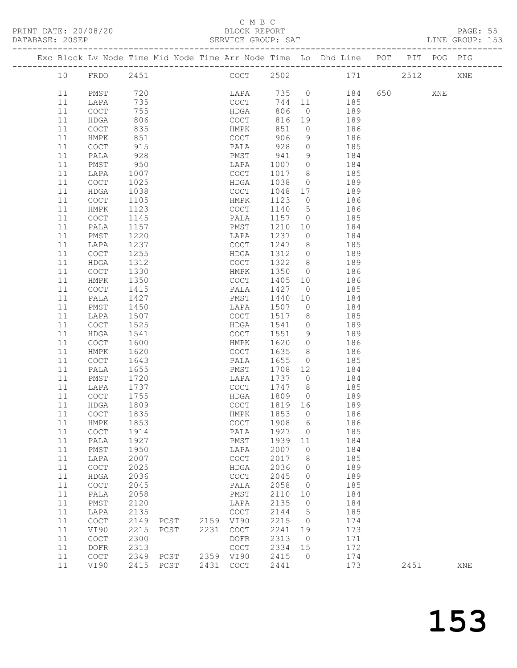#### C M B C<br>BLOCK REPORT

| DATABASE: 20SEP |    |                                            |      |                     |      | SERVICE GROUP: SAT |         |                |                                                                                |         |     | LINE GROUP: 153 |  |
|-----------------|----|--------------------------------------------|------|---------------------|------|--------------------|---------|----------------|--------------------------------------------------------------------------------|---------|-----|-----------------|--|
|                 |    |                                            |      |                     |      |                    |         |                | Exc Block Lv Node Time Mid Node Time Arr Node Time Lo Dhd Line POT PIT POG PIG |         |     |                 |  |
|                 | 10 | FRDO 2451                                  |      |                     |      |                    |         |                | COCT 2502 171 2512 XNE                                                         |         |     |                 |  |
|                 | 11 | PMST                                       | 720  |                     |      | LAPA 735 0         |         |                | 184                                                                            | 650 000 | XNE |                 |  |
|                 | 11 | LAPA                                       | 735  |                     |      |                    | 744 11  |                | 185                                                                            |         |     |                 |  |
|                 | 11 | COCT                                       | 755  |                     |      | COCT<br>HDGA       | 806     | $\overline{0}$ | 189                                                                            |         |     |                 |  |
|                 | 11 | HDGA                                       | 806  |                     |      | COCT               | 816     |                | 19<br>189                                                                      |         |     |                 |  |
|                 | 11 | COCT                                       | 835  |                     |      | HMPK               | 851     | $\overline{0}$ | 186                                                                            |         |     |                 |  |
|                 | 11 | HMPK                                       | 851  |                     |      | COCT               | 906     | 9              | 186                                                                            |         |     |                 |  |
|                 | 11 | COCT                                       | 915  |                     |      | PALA               | 928     | $\overline{0}$ | 185                                                                            |         |     |                 |  |
|                 | 11 | PALA                                       | 928  |                     |      | PMST               | 941     | - 9            | 184                                                                            |         |     |                 |  |
|                 | 11 | PMST                                       | 950  |                     |      | LAPA               | 1007    | $\overline{0}$ | 184                                                                            |         |     |                 |  |
|                 | 11 | LAPA                                       | 1007 |                     |      | COCT               | 1017    | 8 <sup>8</sup> | 185                                                                            |         |     |                 |  |
|                 | 11 | COCT                                       | 1025 |                     |      | HDGA               | 1038    | $\overline{0}$ | 189                                                                            |         |     |                 |  |
|                 | 11 | HDGA                                       | 1038 |                     |      | COCT               |         |                | 1048 17 189                                                                    |         |     |                 |  |
|                 | 11 | COCT                                       | 1105 |                     |      | HMPK               | 1123    | $\overline{0}$ | 186                                                                            |         |     |                 |  |
|                 | 11 | HMPK                                       | 1123 |                     |      | COCT               | 1140 5  |                | 186                                                                            |         |     |                 |  |
|                 | 11 | COCT                                       | 1145 |                     |      | PALA               | 1157 0  |                | 185                                                                            |         |     |                 |  |
|                 | 11 | PALA                                       | 1157 |                     |      | PMST               | 1210 10 |                | 184                                                                            |         |     |                 |  |
|                 | 11 | PMST                                       | 1220 |                     |      | LAPA               | 1237 0  |                | 184                                                                            |         |     |                 |  |
|                 | 11 | LAPA                                       | 1237 |                     |      | COCT               | 1247    | 8 <sup>8</sup> | 185                                                                            |         |     |                 |  |
|                 |    |                                            |      |                     |      |                    |         | $\overline{0}$ |                                                                                |         |     |                 |  |
|                 | 11 | COCT                                       | 1255 |                     |      | HDGA               | 1312    |                | 189                                                                            |         |     |                 |  |
|                 | 11 | HDGA                                       | 1312 |                     |      | COCT               | 1322    | 8 <sup>8</sup> | 189                                                                            |         |     |                 |  |
|                 | 11 | COCT                                       | 1330 |                     |      | HMPK               | 1350    | $\overline{0}$ | 186                                                                            |         |     |                 |  |
|                 | 11 | HMPK                                       | 1350 |                     |      | COCT               | 1405    | 10             | 186                                                                            |         |     |                 |  |
|                 | 11 | COCT                                       | 1415 |                     |      | PALA               | 1427    | $\overline{0}$ | 185                                                                            |         |     |                 |  |
|                 | 11 | PALA                                       | 1427 |                     |      | PMST               | 1440    | 10             | 184                                                                            |         |     |                 |  |
|                 | 11 | PMST                                       | 1450 |                     |      | LAPA               | 1507 0  |                | 184                                                                            |         |     |                 |  |
|                 | 11 | LAPA                                       | 1507 |                     |      | COCT               | 1517    | 8 <sup>8</sup> | 185                                                                            |         |     |                 |  |
|                 | 11 | COCT                                       | 1525 |                     |      | HDGA               | 1541    | $\overline{0}$ | 189                                                                            |         |     |                 |  |
|                 | 11 | HDGA                                       | 1541 |                     |      | COCT               | 1551    | 9              | 189                                                                            |         |     |                 |  |
|                 | 11 | COCT                                       | 1600 |                     |      | HMPK               | 1620    | $\overline{0}$ | 186                                                                            |         |     |                 |  |
|                 | 11 | HMPK                                       | 1620 |                     |      | COCT               | 1635    | 8 <sup>8</sup> | 186                                                                            |         |     |                 |  |
|                 | 11 | COCT                                       | 1643 |                     |      | PALA               | 1655    | $\overline{0}$ | 185                                                                            |         |     |                 |  |
|                 | 11 | PALA                                       | 1655 |                     |      | PMST               | 1708 12 |                | 184                                                                            |         |     |                 |  |
|                 | 11 | PMST                                       | 1720 |                     |      | LAPA               |         |                | 1737 0 184                                                                     |         |     |                 |  |
|                 | 11 | LAPA                                       | 1737 |                     |      | COCT               | 1747 8  |                | 185                                                                            |         |     |                 |  |
|                 | 11 | COCT                                       | 1755 |                     |      | HDGA               | 1809    | $\overline{0}$ | 189                                                                            |         |     |                 |  |
|                 | 11 | HDGA                                       | 1809 |                     |      | COCT               | 1819 16 |                | 189                                                                            |         |     |                 |  |
|                 |    | 11 COCT 1835                               |      |                     |      |                    |         |                | HMPK 1853 0 186                                                                |         |     |                 |  |
|                 | 11 | HMPK                                       | 1853 |                     |      | COCT               | 1908 6  |                | 186                                                                            |         |     |                 |  |
|                 | 11 | COCT                                       | 1914 |                     |      | PALA               | 1927 0  |                | 185                                                                            |         |     |                 |  |
|                 | 11 | PALA                                       | 1927 |                     |      | PMST               | 1939    | 11             | 184                                                                            |         |     |                 |  |
|                 | 11 | PMST                                       | 1950 |                     |      | LAPA               | 2007    | $\overline{0}$ | 184                                                                            |         |     |                 |  |
|                 | 11 | LAPA                                       | 2007 |                     |      | COCT               | 2017    | 8 <sup>8</sup> | 185                                                                            |         |     |                 |  |
|                 | 11 | COCT                                       | 2025 |                     |      | HDGA               | 2036    | $\overline{0}$ | 189                                                                            |         |     |                 |  |
|                 | 11 | HDGA                                       | 2036 |                     |      | COCT               | 2045    | $\overline{0}$ | 189                                                                            |         |     |                 |  |
|                 | 11 | $\mathtt{C}\mathtt{O}\mathtt{C}\mathtt{T}$ | 2045 |                     |      | PALA               | 2058    | $\overline{0}$ | 185                                                                            |         |     |                 |  |
|                 | 11 | PALA                                       | 2058 |                     |      | PMST               | 2110    | 10             | 184                                                                            |         |     |                 |  |
|                 | 11 | PMST                                       | 2120 |                     |      | LAPA               | 2135    | $\overline{0}$ | 184                                                                            |         |     |                 |  |
|                 | 11 | LAPA                                       | 2135 |                     |      | COCT               | 2144    | $5^{\circ}$    | 185                                                                            |         |     |                 |  |
|                 | 11 | COCT                                       | 2149 | PCST 2159 VI90      |      |                    | 2215    | $\overline{0}$ | 174                                                                            |         |     |                 |  |
|                 | 11 | VI90                                       | 2215 | PCST                | 2231 | COCT               | 2241    | 19             | 173                                                                            |         |     |                 |  |
|                 | 11 | COCT                                       | 2300 |                     |      | DOFR               | 2313    | $\overline{0}$ | 171                                                                            |         |     |                 |  |
|                 | 11 | DOFR                                       | 2313 |                     |      | COCT               | 2334 15 |                | 172                                                                            |         |     |                 |  |
|                 | 11 | COCT                                       |      | 2349 PCST 2359 VI90 |      |                    | 2415    | $\overline{0}$ | 174                                                                            |         |     |                 |  |
|                 | 11 | VI90                                       |      | 2415 PCST 2431 COCT |      |                    | 2441    |                | 173                                                                            | 2451    |     | XNE             |  |
|                 |    |                                            |      |                     |      |                    |         |                |                                                                                |         |     |                 |  |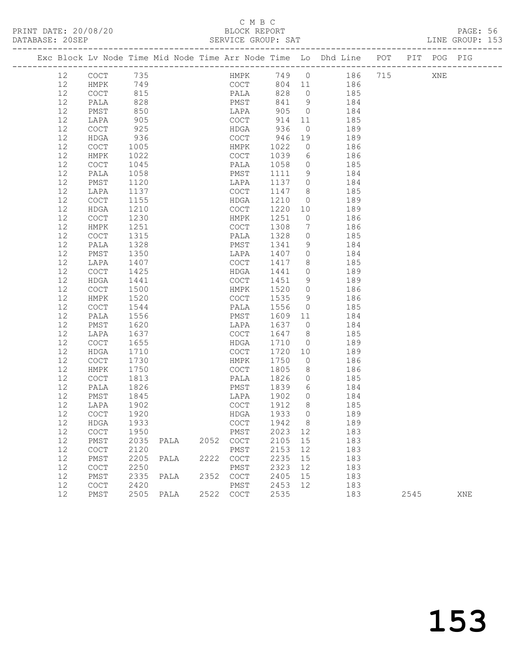### C M B C<br>BLOCK REPORT

PAGE: 56<br>LINE GROUP: 153

|  |          |              |              |      |      |                                            |              |              |                      |            |            | Exc Block Lv Node Time Mid Node Time Arr Node Time Lo Dhd Line POT PIT POG PIG |      |     |     |
|--|----------|--------------|--------------|------|------|--------------------------------------------|--------------|--------------|----------------------|------------|------------|--------------------------------------------------------------------------------|------|-----|-----|
|  | 12       | COCT         | 735          |      |      |                                            | HMPK         |              |                      | 749 0 186  |            | 715                                                                            |      | XNE |     |
|  | 12       | HMPK         | 749          |      |      |                                            | COCT         |              |                      | 804 11 186 |            |                                                                                |      |     |     |
|  | 12       | COCT         | 815          |      |      |                                            |              | 828          | $\overline{0}$       |            | 185        |                                                                                |      |     |     |
|  | 12       | PALA         | 828          |      |      |                                            | PALA<br>PMST | 841          | 9                    |            | 184        |                                                                                |      |     |     |
|  | 12       | PMST         | 850          |      |      | LAPA                                       |              | 905          | $\overline{0}$       | 184        |            |                                                                                |      |     |     |
|  | 12       | LAPA         | 905          |      |      | COCT                                       |              | 914          | 11                   |            | 185        |                                                                                |      |     |     |
|  | 12       | COCT         | 925          |      |      | HDGA                                       |              | 936          | $\overline{0}$       |            | 189        |                                                                                |      |     |     |
|  | 12       | HDGA         | 936          |      |      | COCT                                       |              | 946          | 19                   |            | 189        |                                                                                |      |     |     |
|  | 12       | <b>COCT</b>  | 1005         |      |      | HMPK                                       |              | 1022         | $\overline{0}$       | 186        |            |                                                                                |      |     |     |
|  | 12       | HMPK         | 1022         |      |      | COCT                                       |              | 1039         | 6                    |            | 186        |                                                                                |      |     |     |
|  | 12       | COCT         | 1045         |      |      | PALA                                       |              | 1058         | $\overline{0}$       |            | 185        |                                                                                |      |     |     |
|  | 12       | PALA         | 1058         |      |      | PMST                                       |              | 1111         | 9                    |            | 184        |                                                                                |      |     |     |
|  | 12       | PMST         | 1120         |      |      | LAPA                                       |              | 1137         | $\overline{0}$       | 184        |            |                                                                                |      |     |     |
|  | 12       | LAPA         | 1137         |      |      | COCT                                       |              | 1147         | 8 <sup>8</sup>       |            | 185        |                                                                                |      |     |     |
|  | 12       | COCT         | 1155         |      |      | HDGA                                       |              | 1210         | $\overline{0}$       |            | 189        |                                                                                |      |     |     |
|  | 12       | HDGA         | 1210         |      |      | COCT                                       |              | 1220         | 10                   |            | 189        |                                                                                |      |     |     |
|  | 12       | COCT         | 1230         |      |      | HMPK                                       |              | 1251         | $\overline{0}$       |            | 186        |                                                                                |      |     |     |
|  | 12       | HMPK         | 1251         |      |      | COCT                                       |              | 1308         | 7                    |            | 186        |                                                                                |      |     |     |
|  | 12       | COCT         | 1315         |      |      | PALA                                       |              | 1328         | $\circ$              |            | 185        |                                                                                |      |     |     |
|  | 12       | PALA         | 1328         |      |      | PMST                                       |              | 1341         | 9                    |            | 184        |                                                                                |      |     |     |
|  | 12       | PMST         | 1350         |      |      | LAPA                                       |              | 1407         | $\overline{0}$       |            | 184        |                                                                                |      |     |     |
|  | 12       | LAPA         | 1407         |      |      | COCT                                       |              | 1417         | 8                    |            | 185        |                                                                                |      |     |     |
|  | 12       | COCT         | 1425         |      |      | HDGA                                       |              | 1441         | $\circ$              |            | 189        |                                                                                |      |     |     |
|  | 12       | HDGA         | 1441         |      |      | COCT                                       |              | 1451         | 9                    |            | 189        |                                                                                |      |     |     |
|  | 12       | COCT         | 1500         |      |      | HMPK                                       |              | 1520         | $\overline{0}$       |            | 186        |                                                                                |      |     |     |
|  | 12       | HMPK         | 1520         |      |      | COCT                                       |              | 1535         | 9                    |            | 186        |                                                                                |      |     |     |
|  | 12       | COCT         | 1544         |      |      | PALA                                       |              | 1556         | $\overline{0}$       |            | 185        |                                                                                |      |     |     |
|  | 12<br>12 | PALA         | 1556<br>1620 |      |      | PMST                                       |              | 1609<br>1637 | 11<br>$\overline{0}$ |            | 184        |                                                                                |      |     |     |
|  | 12       | PMST<br>LAPA | 1637         |      |      | LAPA<br>COCT                               |              | 1647         | 8 <sup>8</sup>       |            | 184<br>185 |                                                                                |      |     |     |
|  | 12       | COCT         | 1655         |      |      | HDGA                                       |              | 1710         | $\overline{0}$       |            | 189        |                                                                                |      |     |     |
|  | 12       | HDGA         | 1710         |      |      | COCT                                       |              | 1720         | 10                   |            | 189        |                                                                                |      |     |     |
|  | 12       | COCT         | 1730         |      |      | HMPK                                       |              | 1750         | $\overline{0}$       |            | 186        |                                                                                |      |     |     |
|  | 12       | HMPK         | 1750         |      |      | COCT                                       |              | 1805         | 8 <sup>8</sup>       |            | 186        |                                                                                |      |     |     |
|  | 12       | COCT         | 1813         |      |      | PALA                                       |              | 1826         | $\circ$              |            | 185        |                                                                                |      |     |     |
|  | 12       | PALA         | 1826         |      |      | PMST                                       |              | 1839         | 6                    |            | 184        |                                                                                |      |     |     |
|  | 12       | PMST         | 1845         |      |      | LAPA                                       |              | 1902         | $\overline{0}$       |            | 184        |                                                                                |      |     |     |
|  | 12       | LAPA         | 1902         |      |      | COCT                                       |              | 1912         | 8 <sup>8</sup>       |            | 185        |                                                                                |      |     |     |
|  | 12       | <b>COCT</b>  | 1920         |      |      | HDGA                                       |              | 1933         | $\bigcirc$           |            | 189        |                                                                                |      |     |     |
|  | 12       | HDGA         | 1933         |      |      |                                            |              | COCT 1942 8  |                      |            | 189        |                                                                                |      |     |     |
|  | 12       | COCT         | 1950         |      |      | PMST                                       |              | 2023         | 12                   |            | 183        |                                                                                |      |     |     |
|  | 12       | PMST         | 2035         | PALA | 2052 | $\mathtt{C}\mathtt{O}\mathtt{C}\mathtt{T}$ |              | 2105         | 15                   |            | 183        |                                                                                |      |     |     |
|  | 12       | COCT         | 2120         |      |      | PMST                                       |              | 2153         | 12                   |            | 183        |                                                                                |      |     |     |
|  | 12       | PMST         | 2205         | PALA | 2222 | COCT                                       |              | 2235         | 15                   |            | 183        |                                                                                |      |     |     |
|  | 12       | COCT         | 2250         |      |      | PMST                                       |              | 2323         | 12                   |            | 183        |                                                                                |      |     |     |
|  | 12       | PMST         | 2335         | PALA | 2352 | $\mathtt{C}\mathtt{O}\mathtt{C}\mathtt{T}$ |              | 2405         | 15                   |            | 183        |                                                                                |      |     |     |
|  | 12       | COCT         | 2420         |      |      | PMST                                       |              | 2453         | 12                   |            | 183        |                                                                                |      |     |     |
|  | 12       | PMST         | 2505         | PALA | 2522 | $\mathtt{C}\mathtt{O}\mathtt{C}\mathtt{T}$ |              | 2535         |                      |            | 183        |                                                                                | 2545 |     | XNE |
|  |          |              |              |      |      |                                            |              |              |                      |            |            |                                                                                |      |     |     |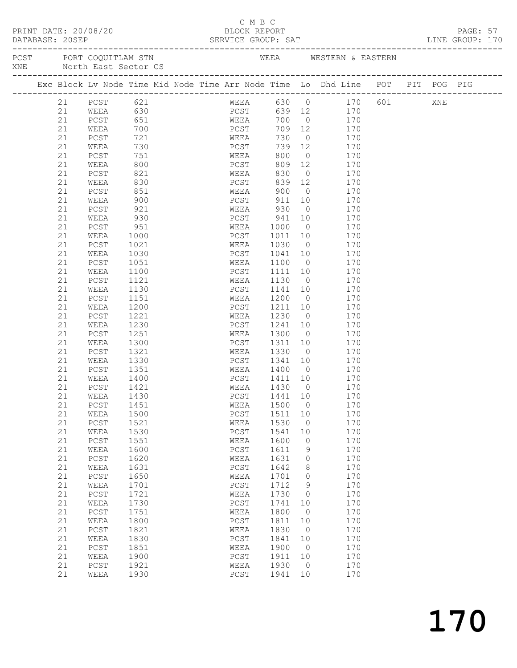|  | PRINT DATE: 20/08/20 |  |
|--|----------------------|--|
|  |                      |  |

## C M B C

|  | DATABASE: 20SEP | PRINT DATE: 20/08/20             |                   |  |      |                    |      |                                                   |                |                                   | BLOCK REPORT<br>SERVICE GROUP: SAT<br>--------                                 |  | PAGE: 57<br>LINE GROUP: 170 |  |
|--|-----------------|----------------------------------|-------------------|--|------|--------------------|------|---------------------------------------------------|----------------|-----------------------------------|--------------------------------------------------------------------------------|--|-----------------------------|--|
|  |                 | XNE North East Sector CS         |                   |  |      |                    |      |                                                   |                |                                   | PCST PORT COQUITLAM STN NE WEEA WESTERN & EASTERN                              |  |                             |  |
|  |                 |                                  |                   |  |      |                    |      |                                                   |                |                                   | Exc Block Lv Node Time Mid Node Time Arr Node Time Lo Dhd Line POT PIT POG PIG |  |                             |  |
|  | 21              | PCST 621                         |                   |  |      |                    |      |                                                   |                |                                   | WEEA 630 0 170 601 XNE                                                         |  |                             |  |
|  | 21              | WEEA 630<br>PCST 651<br>WEEA 700 |                   |  |      |                    |      |                                                   |                | PCST 639 12 170<br>WEEA 700 0 170 |                                                                                |  |                             |  |
|  | 21              |                                  |                   |  |      |                    |      |                                                   |                |                                   |                                                                                |  |                             |  |
|  | 21              |                                  |                   |  | PCST |                    |      | 709 12                                            |                | 170                               |                                                                                |  |                             |  |
|  | 21              | PCST                             | 721               |  |      | WEEA               |      | 730                                               |                | 0 170                             |                                                                                |  |                             |  |
|  | 21              | WEEA                             |                   |  |      | PCST               |      | 739                                               | 12             | 170                               |                                                                                |  |                             |  |
|  | 21              | PCST                             | 730<br>751<br>800 |  |      | WEEA               |      | 800                                               | $\overline{0}$ | 170                               |                                                                                |  |                             |  |
|  | 21              | WEEA                             |                   |  |      |                    | PCST | 809                                               | 12             | 170                               |                                                                                |  |                             |  |
|  | 21              | PCST                             | 821               |  |      | WEEA               |      | 830                                               |                | $\overline{0}$<br>170             |                                                                                |  |                             |  |
|  | 21              | WEEA                             | 830               |  |      | PCST               |      | 839                                               | 12             | 170                               |                                                                                |  |                             |  |
|  | 21              | PCST                             | 851               |  |      | WEEA               |      | 900                                               | $\overline{0}$ | 170                               |                                                                                |  |                             |  |
|  | 21              | WEEA                             | 900               |  |      | PCST               |      | 911                                               | 10             | 170                               |                                                                                |  |                             |  |
|  | 21              | PCST                             | 921               |  |      | WEEA               |      | 930                                               | $\overline{0}$ | 170                               |                                                                                |  |                             |  |
|  | 21              | WEEA                             | 930               |  |      | PCST               |      | 941<br>$\begin{array}{c} 941 \\ 1000 \end{array}$ | 10             | 170                               |                                                                                |  |                             |  |
|  | 21              | PCST                             | 951               |  |      | WEEA               |      |                                                   | $\overline{0}$ | 170                               |                                                                                |  |                             |  |
|  | 21              | WEEA                             | 1000              |  |      | PCST               |      | 1011                                              | 10             | 170                               |                                                                                |  |                             |  |
|  | 21              | PCST                             | 1021              |  |      | WEEA               |      | 1030                                              | $\overline{0}$ | 170                               |                                                                                |  |                             |  |
|  | 21              | WEEA                             | 1030              |  |      | PCST               |      | 1041                                              | 10             | 170                               |                                                                                |  |                             |  |
|  | 21              | PCST                             | 1051              |  |      | WEEA               |      | 1100                                              | $\overline{0}$ | 170                               |                                                                                |  |                             |  |
|  | 21              | WEEA                             | 1100              |  |      | PCST               |      | 1111                                              | 10             | 170                               |                                                                                |  |                             |  |
|  | 21              | PCST                             | 1121              |  |      | WEEA               |      | 1130                                              | $\overline{0}$ | 170                               |                                                                                |  |                             |  |
|  | 21              | WEEA                             | 1130              |  |      | PCST               |      | 1141                                              | 10             | 170                               |                                                                                |  |                             |  |
|  | 21              | PCST                             | 1151              |  |      | WEEA               |      | 1200                                              | $\overline{0}$ | 170                               |                                                                                |  |                             |  |
|  | 21              | WEEA                             | 1200              |  |      | PCST               |      | 1211                                              | 10             | 170                               |                                                                                |  |                             |  |
|  | 21              | PCST                             | 1221              |  |      | WEEA               |      | 1230                                              | $\overline{0}$ | 170                               |                                                                                |  |                             |  |
|  | 21              | WEEA                             | 1230              |  |      | PCST               |      | 1241                                              | 10             | 170                               |                                                                                |  |                             |  |
|  | 21              | PCST                             | 1251              |  |      | WEEA               |      | 1300                                              | $\overline{0}$ | 170                               |                                                                                |  |                             |  |
|  | 21              | WEEA                             | 1300              |  |      | PCST               |      | 1311                                              | 10             | 170                               |                                                                                |  |                             |  |
|  | 21              | PCST                             | 1321              |  |      | WEEA               |      | 1330                                              | $\overline{0}$ | 170                               |                                                                                |  |                             |  |
|  | 21              | WEEA                             | 1330              |  |      | PCST               |      | 1341                                              | 10             | 170                               |                                                                                |  |                             |  |
|  | 21              | PCST                             | 1351              |  |      | WEEA               |      | 1400 0<br>1411 10                                 |                | 170                               |                                                                                |  |                             |  |
|  | 21              | WEEA                             | 1400              |  |      | PCST               |      | 1430 0                                            |                | 170<br>170                        |                                                                                |  |                             |  |
|  | 21              | PCST                             | 1421              |  |      | WEEA               |      | 1441 10                                           |                |                                   |                                                                                |  |                             |  |
|  | 21              | WEEA<br>21   PCST   1451         | 1430              |  |      | PCST               |      | WEEA 1500 0                                       |                | 170<br>170                        |                                                                                |  |                             |  |
|  | 21              | WEEA                             | 1500              |  |      | PCST               |      | 1511                                              | 10             | 170                               |                                                                                |  |                             |  |
|  | 21              | $PCST$                           | 1521              |  |      | WEEA               |      | 1530                                              | 0              | 170                               |                                                                                |  |                             |  |
|  | 21              | WEEA                             | 1530              |  |      | PCST               |      | 1541                                              | 10             | 170                               |                                                                                |  |                             |  |
|  | 21              | PCST                             | 1551              |  |      | WEEA               |      | 1600                                              | 0              | 170                               |                                                                                |  |                             |  |
|  | 21              | WEEA                             | 1600              |  |      | PCST               |      | 1611                                              | 9              | 170                               |                                                                                |  |                             |  |
|  | 21              | $PCST$                           | 1620              |  |      | WEEA               |      | 1631                                              | 0              | 170                               |                                                                                |  |                             |  |
|  | 21              | WEEA                             | 1631              |  |      | PCST               |      | 1642                                              | 8              | 170                               |                                                                                |  |                             |  |
|  | 21              | PCST                             | 1650              |  |      | WEEA               |      | 1701                                              | 0              | 170                               |                                                                                |  |                             |  |
|  | 21              | WEEA                             | 1701              |  |      | $_{\mathrm{PCST}}$ |      | 1712                                              | 9              | 170                               |                                                                                |  |                             |  |
|  | 21              | PCST                             | 1721              |  |      | WEEA               |      | 1730                                              | 0              | 170                               |                                                                                |  |                             |  |
|  | 21              | WEEA                             | 1730              |  |      | PCST               |      | 1741                                              | 10             | 170                               |                                                                                |  |                             |  |
|  | 21              | PCST                             | 1751              |  |      | WEEA               |      | 1800                                              | 0              | 170                               |                                                                                |  |                             |  |
|  | 21              | WEEA                             | 1800              |  |      | PCST               |      | 1811                                              | 10             | 170                               |                                                                                |  |                             |  |
|  | 21              | PCST                             | 1821              |  |      | WEEA               |      | 1830                                              | $\circ$        | 170                               |                                                                                |  |                             |  |
|  | 21              | WEEA                             | 1830              |  |      | PCST               |      | 1841                                              | 10             | 170                               |                                                                                |  |                             |  |
|  | 21              | PCST                             | 1851              |  |      | WEEA               |      | 1900                                              | 0              | 170                               |                                                                                |  |                             |  |
|  | 21              | WEEA                             | 1900              |  |      | PCST               |      | 1911                                              | 10             | 170                               |                                                                                |  |                             |  |
|  | 21              | PCST                             | 1921              |  |      | WEEA               |      | 1930                                              | 0              | 170                               |                                                                                |  |                             |  |
|  | 21              | WEEA                             | 1930              |  |      | PCST               |      | 1941                                              | 10             | 170                               |                                                                                |  |                             |  |
|  |                 |                                  |                   |  |      |                    |      |                                                   |                |                                   |                                                                                |  |                             |  |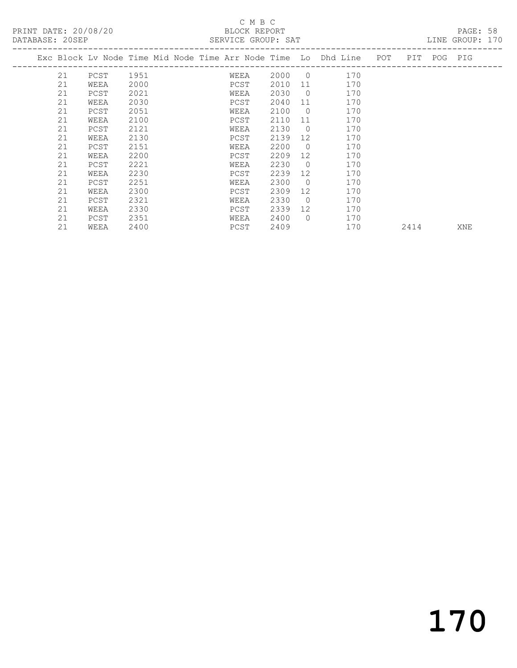## C M B C<br>BLOCK REPORT

| DATABASE: 20SEP |      |      |  | SERVICE GROUP: SAT |      |                |                                                                    |      |             | LINE GROUP: 170 |  |
|-----------------|------|------|--|--------------------|------|----------------|--------------------------------------------------------------------|------|-------------|-----------------|--|
|                 |      |      |  |                    |      |                | Exc Block Lv Node Time Mid Node Time Arr Node Time Lo Dhd Line POT |      | PIT POG PIG |                 |  |
| 21              | PCST | 1951 |  | WEEA               | 2000 | $\overline{0}$ | 170                                                                |      |             |                 |  |
| 21              | WEEA | 2000 |  | PCST               | 2010 | 11             | 170                                                                |      |             |                 |  |
| 21              | PCST | 2021 |  | WEEA               | 2030 | $\overline{0}$ | 170                                                                |      |             |                 |  |
| 21              | WEEA | 2030 |  | PCST               | 2040 | 11             | 170                                                                |      |             |                 |  |
| 21              | PCST | 2051 |  | WEEA               | 2100 | $\circ$        | 170                                                                |      |             |                 |  |
| 21              | WEEA | 2100 |  | PCST               | 2110 | 11             | 170                                                                |      |             |                 |  |
| 21              | PCST | 2121 |  | WEEA               | 2130 | $\overline{0}$ | 170                                                                |      |             |                 |  |
| 21              | WEEA | 2130 |  | PCST               | 2139 | 12             | 170                                                                |      |             |                 |  |
| 21              | PCST | 2151 |  | WEEA               | 2200 | $\Omega$       | 170                                                                |      |             |                 |  |
| 21              | WEEA | 2200 |  | PCST               | 2209 | 12             | 170                                                                |      |             |                 |  |
| 21              | PCST | 2221 |  | WEEA               | 2230 | $\overline{0}$ | 170                                                                |      |             |                 |  |
| 21              | WEEA | 2230 |  | PCST               | 2239 | 12             | 170                                                                |      |             |                 |  |
| 21              | PCST | 2251 |  | WEEA               | 2300 | $\overline{0}$ | 170                                                                |      |             |                 |  |
| 21              | WEEA | 2300 |  | PCST               | 2309 | 12             | 170                                                                |      |             |                 |  |
| 21              | PCST | 2321 |  | WEEA               | 2330 | $\Omega$       | 170                                                                |      |             |                 |  |
| 21              | WEEA | 2330 |  | PCST               | 2339 | 12             | 170                                                                |      |             |                 |  |
| 21              | PCST | 2351 |  | WEEA               | 2400 | $\Omega$       | 170                                                                |      |             |                 |  |
| 21              | WEEA | 2400 |  | PCST               | 2409 |                | 170                                                                | 2414 |             | XNE             |  |
|                 |      |      |  |                    |      |                |                                                                    |      |             |                 |  |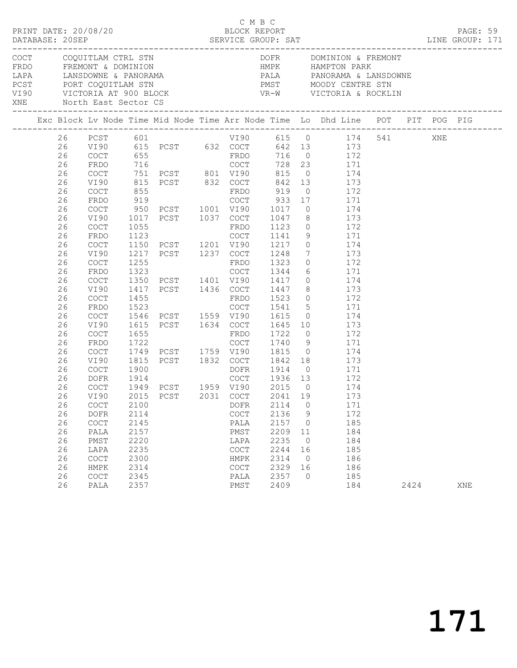|  |          | PRINT DATE: 20/08/20                       |              |                          | C M B C<br>BLOCK REPORT |              |                |                                                                                                                                |      | PAGE: 59 |  |
|--|----------|--------------------------------------------|--------------|--------------------------|-------------------------|--------------|----------------|--------------------------------------------------------------------------------------------------------------------------------|------|----------|--|
|  |          | XNE North East Sector CS                   |              |                          |                         |              |                |                                                                                                                                |      |          |  |
|  |          |                                            |              |                          |                         |              |                |                                                                                                                                |      |          |  |
|  | 26<br>26 |                                            |              |                          |                         |              |                | 26 PCST 601 VI90 615 0 174 541 XNE<br>VI90 615 PCST 632 COCT 642 13 173<br>COCT 655 FRDO 716 0 172<br>FRDO 716 COCT 728 23 171 |      |          |  |
|  | 26<br>26 | COCT                                       |              |                          |                         |              |                | 751 PCST 801 VI90 815 0 174                                                                                                    |      |          |  |
|  | 26       | VI90                                       |              |                          |                         |              |                | 815 PCST 832 COCT 842 13 173                                                                                                   |      |          |  |
|  | 26       | COCT                                       |              |                          |                         |              |                |                                                                                                                                |      |          |  |
|  | 26       | FRDO                                       |              |                          |                         |              |                |                                                                                                                                |      |          |  |
|  | 26       | COCT                                       |              |                          |                         |              |                | 950 PCST 1001 VI90 1017 0 174                                                                                                  |      |          |  |
|  | 26       | VI90                                       |              |                          |                         |              |                | 1017 PCST 1037 COCT 1047 8 173                                                                                                 |      |          |  |
|  | 26       | COCT                                       |              |                          |                         |              |                | FRDO 1123 0 172<br>COCT 1141 9 171                                                                                             |      |          |  |
|  | 26       | FRDO                                       |              |                          |                         |              |                |                                                                                                                                |      |          |  |
|  | 26       | COCT                                       |              |                          |                         |              |                | 1150 PCST 1201 VI90 1217 0 174                                                                                                 |      |          |  |
|  | 26       | VI90                                       |              | 1217 PCST 1237 COCT 1248 |                         |              |                | 7 173                                                                                                                          |      |          |  |
|  | 26       | COCT                                       |              |                          |                         |              |                |                                                                                                                                |      |          |  |
|  | 26<br>26 | FRDO                                       |              |                          |                         |              |                |                                                                                                                                |      |          |  |
|  | 26       | COCT<br>VI90                               |              |                          |                         |              |                | 1417 PCST 1436 COCT 1447 8 173                                                                                                 |      |          |  |
|  | 26       | COCT                                       | 1455         |                          | FRDO                    | 1523         |                | 172                                                                                                                            |      |          |  |
|  | 26       | FRDO                                       | 1523         |                          |                         |              |                |                                                                                                                                |      |          |  |
|  | 26       | COCT                                       |              | 1546 PCST 1559 VI90 1615 |                         |              |                | COCT 1541 5 171<br>VI90 1615 0 174                                                                                             |      |          |  |
|  | 26       | VI90                                       |              |                          |                         |              |                | 1615 PCST 1634 COCT 1645 10 173                                                                                                |      |          |  |
|  | 26       | COCT                                       | 1655         |                          |                         | 1722         |                |                                                                                                                                |      |          |  |
|  | 26       | FRDO                                       |              |                          |                         |              |                |                                                                                                                                |      |          |  |
|  | 26       | COCT                                       |              |                          |                         |              |                |                                                                                                                                |      |          |  |
|  | 26       | VI90                                       |              |                          |                         |              |                | 1815 PCST 1832 COCT 1842 18 173                                                                                                |      |          |  |
|  | 26       | COCT                                       | 1900         |                          | DOFR 1914               |              |                | $0$ 171                                                                                                                        |      |          |  |
|  | 26       | DOFR                                       |              |                          |                         |              |                | $\begin{array}{c} 172 \\ 174 \end{array}$                                                                                      |      |          |  |
|  | 26       | COCT                                       |              |                          |                         |              |                |                                                                                                                                |      |          |  |
|  | 26       | COCT                                       | 2100         |                          | DOFR                    | 2114         | $\circ$        | 26 VI90 2015 PCST 2031 COCT 2041 19 173<br>171                                                                                 |      |          |  |
|  | 26       | <b>DOFR</b>                                | 2114         |                          | COCT                    | 2136         | 9              | 172                                                                                                                            |      |          |  |
|  | 26       | $\mathtt{C}\mathtt{O}\mathtt{C}\mathtt{T}$ | 2145         |                          | PALA                    | 2157         | $\circ$        | 185                                                                                                                            |      |          |  |
|  | 26       | PALA                                       | 2157         |                          | PMST                    | 2209         | 11             | 184                                                                                                                            |      |          |  |
|  | 26       | PMST                                       | 2220         |                          | LAPA                    | 2235         | $\overline{0}$ | 184                                                                                                                            |      |          |  |
|  | 26       | LAPA                                       | 2235         |                          | COCT                    | 2244         | 16             | 185                                                                                                                            |      |          |  |
|  | 26       | COCT                                       | 2300         |                          | HMPK                    | 2314         | $\overline{0}$ | 186                                                                                                                            |      |          |  |
|  | 26       | HMPK                                       | 2314         |                          | COCT                    | 2329         | 16             | 186                                                                                                                            |      |          |  |
|  | 26<br>26 | <b>COCT</b><br>PALA                        | 2345<br>2357 |                          | PALA<br>PMST            | 2357<br>2409 | $\Omega$       | 185<br>184                                                                                                                     | 2424 | XNE      |  |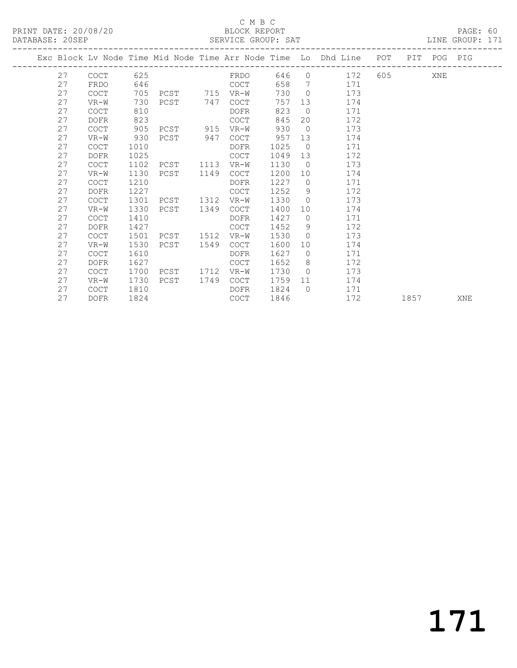#### C M B C<br>BLOCK REPORT SERVICE GROUP: SAT

|  |    |                                  |      |           |      |             |      |                | Exc Block Lv Node Time Mid Node Time Arr Node Time Lo Dhd Line POT |            | PIT POG PIG |     |
|--|----|----------------------------------|------|-----------|------|-------------|------|----------------|--------------------------------------------------------------------|------------|-------------|-----|
|  | 27 | -----------------<br><b>COCT</b> | 625  |           |      | FRDO        | 646  |                | $0 \t 172$                                                         |            | XNE         |     |
|  | 27 | FRDO                             | 646  |           |      | COCT        | 658  | $\overline{7}$ | 171                                                                |            |             |     |
|  | 27 | <b>COCT</b>                      | 705  | PCST 715  |      | VR-W        | 730  | $\Omega$       | 173                                                                |            |             |     |
|  | 27 | $VR-W$                           | 730  | PCST 747  |      | <b>COCT</b> | 757  | 13             | 174                                                                |            |             |     |
|  | 27 | <b>COCT</b>                      | 810  |           |      | DOFR        | 823  | $\overline{0}$ | 171                                                                |            |             |     |
|  | 27 | <b>DOFR</b>                      | 823  |           |      | <b>COCT</b> | 845  | 20             | 172                                                                |            |             |     |
|  | 27 | <b>COCT</b>                      | 905  | PCST      | 915  | $VR-W$      | 930  | $\overline{0}$ | 173                                                                |            |             |     |
|  | 27 | $VR-W$                           | 930  | PCST      | 947  | <b>COCT</b> | 957  | 13             | 174                                                                |            |             |     |
|  | 27 | <b>COCT</b>                      | 1010 |           |      | DOFR        | 1025 | $\bigcirc$     | 171                                                                |            |             |     |
|  | 27 | <b>DOFR</b>                      | 1025 |           |      | <b>COCT</b> | 1049 | 13             | 172                                                                |            |             |     |
|  | 27 | COCT                             | 1102 | PCST      | 1113 | VR-W        | 1130 | $\bigcirc$     | 173                                                                |            |             |     |
|  | 27 | $VR-W$                           | 1130 | PCST      | 1149 | <b>COCT</b> | 1200 | 10             | 174                                                                |            |             |     |
|  | 27 | COCT                             | 1210 |           |      | DOFR        | 1227 | $\bigcirc$     | 171                                                                |            |             |     |
|  | 27 | <b>DOFR</b>                      | 1227 |           |      | <b>COCT</b> | 1252 | 9              | 172                                                                |            |             |     |
|  | 27 | <b>COCT</b>                      | 1301 | PCST      | 1312 | $VR-W$      | 1330 | $\Omega$       | 173                                                                |            |             |     |
|  | 27 | $VR-W$                           | 1330 | PCST      | 1349 | COCT        | 1400 | 10             | 174                                                                |            |             |     |
|  | 27 | <b>COCT</b>                      | 1410 |           |      | <b>DOFR</b> | 1427 | $\Omega$       | 171                                                                |            |             |     |
|  | 27 | <b>DOFR</b>                      | 1427 |           |      | <b>COCT</b> | 1452 | - 9            | 172                                                                |            |             |     |
|  | 27 | <b>COCT</b>                      | 1501 | PCST 1512 |      | VR-W        | 1530 | $\Omega$       | 173                                                                |            |             |     |
|  | 27 | $VR-W$                           | 1530 | PCST      | 1549 | <b>COCT</b> | 1600 | 10             | 174                                                                |            |             |     |
|  | 27 | <b>COCT</b>                      | 1610 |           |      | <b>DOFR</b> | 1627 | $\overline{0}$ | 171                                                                |            |             |     |
|  | 27 | <b>DOFR</b>                      | 1627 |           |      | COCT        | 1652 | 8              | 172                                                                |            |             |     |
|  | 27 | <b>COCT</b>                      | 1700 | PCST 1712 |      | VR-W        | 1730 | $\bigcirc$     | 173                                                                |            |             |     |
|  | 27 | $VR-W$                           | 1730 | PCST      | 1749 | <b>COCT</b> | 1759 | 11             | 174                                                                |            |             |     |
|  | 27 | <b>COCT</b>                      | 1810 |           |      | DOFR        | 1824 | $\bigcirc$     | 171                                                                |            |             |     |
|  | 27 | <b>DOFR</b>                      | 1824 |           |      | <b>COCT</b> | 1846 |                | 172                                                                | 1857 — 187 |             | XNE |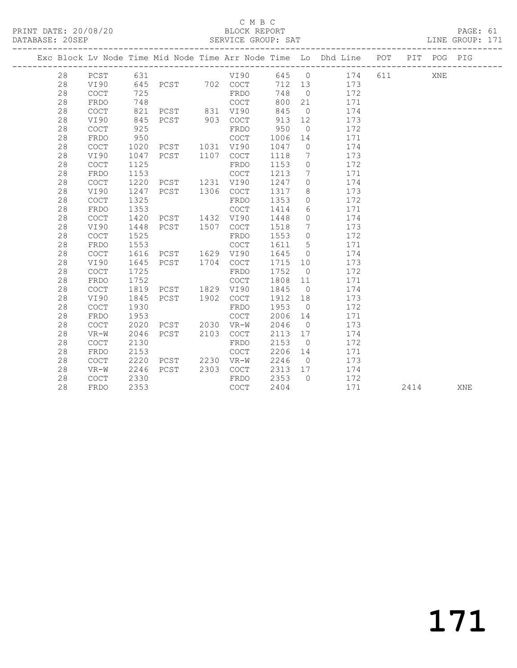#### C M B C<br>BLOCK REPORT

PRINT DATE: 20/08/20 BLOCK REPORT BATABASE: 20SEP

PAGE: 61<br>LINE GROUP: 171

|    |                                            |      |                                  |      |                                            |         |                              | Exc Block Lv Node Time Mid Node Time Arr Node Time Lo Dhd Line POT |       |      | PIT POG PIG |     |
|----|--------------------------------------------|------|----------------------------------|------|--------------------------------------------|---------|------------------------------|--------------------------------------------------------------------|-------|------|-------------|-----|
| 28 | PCST                                       | 631  |                                  |      | <b>VI90</b>                                |         |                              | 645 0 174                                                          | 611 0 |      | XNE         |     |
| 28 | VI90                                       |      | 645 PCST 702 COCT                |      |                                            |         |                              | 712 13 173                                                         |       |      |             |     |
| 28 | COCT                                       | 725  |                                  |      | FRDO                                       | 748     | $\overline{0}$               | 172                                                                |       |      |             |     |
| 28 | FRDO                                       | 748  |                                  |      | COCT                                       | 800     | 21                           | 171                                                                |       |      |             |     |
| 28 | COCT                                       | 821  | PCST 831 VI90                    |      |                                            | 845     | $\overline{0}$               | 174                                                                |       |      |             |     |
| 28 | VI90                                       | 845  | PCST 903 COCT                    |      |                                            | 913     | 12                           | 173                                                                |       |      |             |     |
| 28 | $\mathtt{C}\mathtt{O}\mathtt{C}\mathtt{T}$ | 925  |                                  |      | FRDO                                       | 950     | $\overline{0}$               | 172                                                                |       |      |             |     |
| 28 | FRDO                                       | 950  |                                  |      | COCT                                       | 1006    | 14                           | 171                                                                |       |      |             |     |
| 28 | $\mathtt{C}\mathtt{O}\mathtt{C}\mathtt{T}$ | 1020 | PCST 1031 VI90                   |      |                                            | 1047    | $\overline{0}$               | 174                                                                |       |      |             |     |
| 28 | VI90                                       | 1047 | PCST 1107 COCT                   |      |                                            | 1118    | $\overline{7}$               | 173                                                                |       |      |             |     |
| 28 | COCT                                       | 1125 |                                  |      | FRDO                                       | 1153    | $\overline{0}$               | 172                                                                |       |      |             |     |
| 28 | FRDO                                       | 1153 |                                  |      | COCT                                       | 1213    | $\overline{7}$               | 171                                                                |       |      |             |     |
| 28 | <b>COCT</b>                                | 1220 | PCST 1231 VI90                   |      |                                            | 1247    | $\overline{0}$               | 174                                                                |       |      |             |     |
| 28 | VI90                                       | 1247 | PCST 1306 COCT                   |      |                                            | 1317    | 8                            | 173                                                                |       |      |             |     |
| 28 | COCT                                       | 1325 |                                  |      | FRDO                                       | 1353    | $\circ$                      | 172                                                                |       |      |             |     |
| 28 | FRDO                                       | 1353 |                                  |      | $\mathtt{C}\mathtt{O}\mathtt{C}\mathtt{T}$ | 1414    | 6                            | 171                                                                |       |      |             |     |
| 28 | COCT                                       | 1420 | PCST 1432 VI90                   |      |                                            | 1448    | $\circ$                      | 174                                                                |       |      |             |     |
| 28 | VI90                                       | 1448 | PCST 1507 COCT                   |      |                                            | 1518    | $7\phantom{.0}\phantom{.0}7$ | 173                                                                |       |      |             |     |
| 28 | COCT                                       | 1525 |                                  |      | FRDO                                       | 1553    | $\overline{0}$               | 172                                                                |       |      |             |     |
| 28 | FRDO                                       | 1553 |                                  |      | COCT                                       | 1611    | 5                            | 171                                                                |       |      |             |     |
| 28 | COCT                                       | 1616 | PCST                             |      | 1629 VI90                                  | 1645    | $\overline{0}$               | 174                                                                |       |      |             |     |
| 28 | VI90                                       | 1645 | PCST 1704 COCT                   |      |                                            | 1715    | 10                           | 173                                                                |       |      |             |     |
| 28 | <b>COCT</b>                                | 1725 |                                  |      | FRDO                                       | 1752    | $\overline{0}$               | 172                                                                |       |      |             |     |
| 28 | FRDO                                       | 1752 |                                  |      | COCT                                       | 1808    | 11                           | 171                                                                |       |      |             |     |
| 28 | $\mathtt{C}\mathtt{O}\mathtt{C}\mathtt{T}$ | 1819 | PCST 1829 VI90                   |      |                                            | 1845    | $\overline{0}$               | 174                                                                |       |      |             |     |
| 28 | VI90                                       | 1845 | PCST 1902                        |      | COCT                                       | 1912    | 18                           | 173                                                                |       |      |             |     |
| 28 | $\operatorname{COT}$                       | 1930 |                                  |      | FRDO                                       | 1953    | $\overline{0}$               | 172                                                                |       |      |             |     |
| 28 | FRDO                                       | 1953 |                                  |      | COCT                                       | 2006    | 14                           | 171                                                                |       |      |             |     |
| 28 | COCT                                       | 2020 | PCST 2030 VR-W<br>PCST 2103 COCT |      |                                            | 2046    | $\overline{0}$               | 173                                                                |       |      |             |     |
| 28 | $VR-W$                                     | 2046 | PCST                             | 2103 | COCT                                       | 2113    | 17                           | 174                                                                |       |      |             |     |
| 28 | COCT                                       | 2130 |                                  |      | FRDO                                       | 2153    | $\overline{0}$               | 172                                                                |       |      |             |     |
| 28 | FRDO                                       | 2153 |                                  |      | COCT                                       | 2206 14 |                              | 171                                                                |       |      |             |     |
| 28 | COCT                                       | 2220 | PCST 2230 VR-W                   |      |                                            | 2246    | $\overline{0}$               | 173                                                                |       |      |             |     |
| 28 | VR-W                                       | 2246 | PCST 2303                        |      | COCT                                       | 2313 17 |                              | 174                                                                |       |      |             |     |
| 28 | <b>COCT</b>                                | 2330 |                                  |      | FRDO                                       | 2353    | $\bigcirc$                   | 172                                                                |       |      |             |     |
| 28 | FRDO                                       | 2353 |                                  |      | COCT                                       | 2404    |                              | 171                                                                |       | 2414 |             | XNE |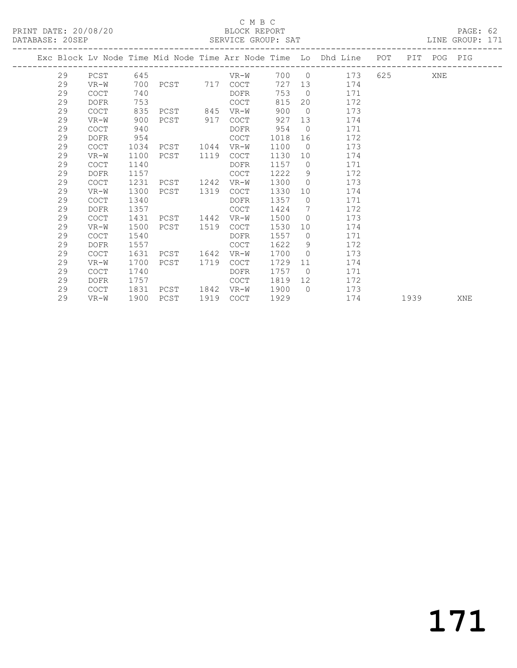### C M B C<br>BLOCK REPORT

| DATABASE: 20SEP |    |             |      |           |      |                   |         |                | SERVICE GROUP: SAT                                                             |         |     | LINE GROUP: 171 |
|-----------------|----|-------------|------|-----------|------|-------------------|---------|----------------|--------------------------------------------------------------------------------|---------|-----|-----------------|
|                 |    |             |      |           |      |                   |         |                | Exc Block Lv Node Time Mid Node Time Arr Node Time Lo Dhd Line POT PIT POG PIG |         |     |                 |
|                 | 29 | PCST        | 645  |           |      | VR-W              |         |                | 700 0 173                                                                      | 625 000 | XNE |                 |
|                 | 29 | $VR-W$      |      |           |      | 700 PCST 717 COCT |         |                | 727 13<br>174                                                                  |         |     |                 |
|                 | 29 | <b>COCT</b> | 740  |           |      | DOFR              | 753     |                | $\overline{0}$<br>171                                                          |         |     |                 |
|                 | 29 | DOFR        | 753  |           |      | COCT              | 815     |                | 20<br>172                                                                      |         |     |                 |
|                 | 29 | COCT        | 835  | PCST 845  |      | VR-W              | 900     | $\bigcirc$     | 173                                                                            |         |     |                 |
|                 | 29 | VR-W        | 900  | PCST 917  |      | COCT              | 927     |                | 13<br>174                                                                      |         |     |                 |
|                 | 29 | <b>COCT</b> | 940  |           |      | DOFR              | 954     | $\bigcirc$     | 171                                                                            |         |     |                 |
|                 | 29 | DOFR        | 954  |           |      | COCT              | 1018    | 16             | 172                                                                            |         |     |                 |
|                 | 29 | COCT        | 1034 | PCST 1044 |      | VR-W              | 1100    | $\bigcirc$     | 173                                                                            |         |     |                 |
|                 | 29 | VR-W        | 1100 | PCST      | 1119 | COCT              | 1130    |                | 10<br>174                                                                      |         |     |                 |
|                 | 29 | COCT        | 1140 |           |      | DOFR              | 1157    | $\bigcirc$     | 171                                                                            |         |     |                 |
|                 | 29 | DOFR        | 1157 |           |      | COCT              | 1222    | 9              | 172                                                                            |         |     |                 |
|                 | 29 | COCT        | 1231 | PCST      | 1242 | VR-W              | 1300    | $\overline{0}$ | 173                                                                            |         |     |                 |
|                 | 29 | $VR-W$      | 1300 | PCST      | 1319 | COCT              | 1330    | 10             | 174                                                                            |         |     |                 |
|                 | 29 | <b>COCT</b> | 1340 |           |      | DOFR              | 1357    | $\bigcirc$     | 171                                                                            |         |     |                 |
|                 | 29 | <b>DOFR</b> | 1357 |           |      | COCT              | 1424    | $\overline{7}$ | 172                                                                            |         |     |                 |
|                 | 29 | <b>COCT</b> | 1431 | PCST      | 1442 | VR-W              | 1500    | $\overline{0}$ | 173                                                                            |         |     |                 |
|                 | 29 | $VR-W$      | 1500 | PCST      | 1519 | COCT              | 1530    | 10             | 174                                                                            |         |     |                 |
|                 | 29 | <b>COCT</b> | 1540 |           |      | DOFR              | 1557    | $\overline{0}$ | 171                                                                            |         |     |                 |
|                 | 29 | DOFR        | 1557 |           |      | COCT              | 1622    | 9              | 172                                                                            |         |     |                 |
|                 | 29 | COCT        | 1631 | PCST      | 1642 | VR-W              | 1700    | $\bigcirc$     | 173                                                                            |         |     |                 |
|                 | 29 | VR-W        |      | 1700 PCST | 1719 | COCT              | 1729 11 |                | 174                                                                            |         |     |                 |

 29 COCT 1740 DOFR 1757 0 171 29 DOFR 1757 COCT 1819 12 172 29 COCT 1831 PCST 1842 VR-W 1900 0 173

29 VR-W 1900 PCST 1919 COCT 1929 174 1939 XNE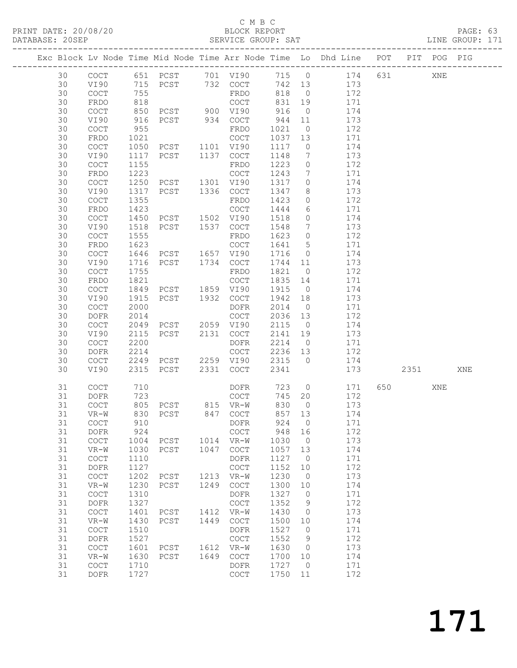#### C M B C<br>BLOCK REPORT

| DATABASE: 20SEP |    |                                            |      |                                          |      |                                            |         |                              | SERVICE GROUP: SAT LINE GROUP: 171                                             |         |     |     |  |
|-----------------|----|--------------------------------------------|------|------------------------------------------|------|--------------------------------------------|---------|------------------------------|--------------------------------------------------------------------------------|---------|-----|-----|--|
|                 |    |                                            |      |                                          |      |                                            |         |                              | Exc Block Lv Node Time Mid Node Time Arr Node Time Lo Dhd Line POT PIT POG PIG |         |     |     |  |
|                 | 30 |                                            |      |                                          |      |                                            |         |                              | COCT 651 PCST 701 VI90 715 0 174 631                                           |         | XNE |     |  |
|                 | 30 | VI90                                       |      |                                          |      | 715 PCST 732 COCT                          |         |                              | 742 13 173                                                                     |         |     |     |  |
|                 | 30 | COCT                                       | 755  |                                          |      | FRDO                                       | 818     |                              | 0 $172$                                                                        |         |     |     |  |
|                 | 30 | FRDO                                       | 818  |                                          |      | COCT                                       | 831     | 19                           | 171                                                                            |         |     |     |  |
|                 | 30 | $\mathtt{C}\mathtt{O}\mathtt{C}\mathtt{T}$ | 850  |                                          |      |                                            | 916     | $\overline{0}$               | 174                                                                            |         |     |     |  |
|                 | 30 | VI90                                       | 916  | COCT<br>PCST 900 VI90<br>PCST 934 COCT   |      |                                            | 944 11  |                              | 173                                                                            |         |     |     |  |
|                 | 30 | COCT                                       | 955  |                                          |      | FRDO                                       | 1021    | $\overline{0}$               | 172                                                                            |         |     |     |  |
|                 | 30 | FRDO                                       | 1021 |                                          |      |                                            | 1037    | 13                           | 171                                                                            |         |     |     |  |
|                 | 30 | COCT                                       | 1050 | COCT<br>PCST 1101 VI90                   |      |                                            | 1117    | $\overline{0}$               | 174                                                                            |         |     |     |  |
|                 | 30 | VI90                                       | 1117 | PCST 1137 COCT                           |      |                                            | 1148    | $7\phantom{.0}\phantom{.0}7$ | 173                                                                            |         |     |     |  |
|                 | 30 | <b>COCT</b>                                | 1155 |                                          |      | FRDO                                       | 1223    | $\overline{0}$               | 172                                                                            |         |     |     |  |
|                 | 30 | FRDO                                       | 1223 |                                          |      |                                            | 1243    | $\overline{7}$               | 171                                                                            |         |     |     |  |
|                 | 30 | $\mathtt{C}\mathtt{O}\mathtt{C}\mathtt{T}$ | 1250 | COCT<br>PCST 1301 VI90<br>PCST 1336 COCT |      |                                            | 1317    | $\overline{0}$               | 174                                                                            |         |     |     |  |
|                 | 30 | VI90                                       | 1317 |                                          |      |                                            | 1347    | 8 <sup>8</sup>               | 173                                                                            |         |     |     |  |
|                 | 30 | COCT                                       | 1355 |                                          |      | FRDO                                       | 1423    | $\overline{0}$               | 172                                                                            |         |     |     |  |
|                 | 30 | FRDO                                       | 1423 |                                          |      |                                            | 1444    | 6                            | 171                                                                            |         |     |     |  |
|                 | 30 | COCT                                       | 1450 | COCT<br>PCST 1502 VI90<br>PCST 1537 COCT |      |                                            | 1518    | $\overline{0}$               | 174                                                                            |         |     |     |  |
|                 | 30 | VI90                                       | 1518 |                                          |      |                                            | 1548    | $\overline{7}$               | 173                                                                            |         |     |     |  |
|                 | 30 | COCT                                       | 1555 |                                          |      | FRDO                                       | 1623    | $\overline{0}$               | 172                                                                            |         |     |     |  |
|                 | 30 | FRDO                                       | 1623 |                                          |      | COCT                                       | 1641    | $5\overline{)}$              | 171                                                                            |         |     |     |  |
|                 | 30 | $\mathtt{C}\mathtt{O}\mathtt{C}\mathtt{T}$ | 1646 |                                          |      |                                            | 1716    | $\overline{0}$               | 174                                                                            |         |     |     |  |
|                 | 30 | VI90                                       | 1716 | PCST 1657 VI90<br>PCST 1734 COCT         |      |                                            | 1744 11 |                              | 173                                                                            |         |     |     |  |
|                 | 30 | COCT                                       | 1755 |                                          |      | FRDO                                       | 1821    | $\overline{0}$               | 172                                                                            |         |     |     |  |
|                 | 30 | FRDO                                       | 1821 |                                          |      |                                            | 1835    | 14                           | 171                                                                            |         |     |     |  |
|                 | 30 | COCT                                       | 1849 | COCT<br>PCST 1859 VI90<br>PCST 1932 COCT |      |                                            | 1915    | $\overline{0}$               | 174                                                                            |         |     |     |  |
|                 | 30 | VI90                                       | 1915 |                                          |      |                                            | 1942 18 |                              | 173                                                                            |         |     |     |  |
|                 | 30 | $\mathtt{C}\mathtt{O}\mathtt{C}\mathtt{T}$ | 2000 |                                          |      | DOFR                                       | 2014    | $\overline{0}$               | 171                                                                            |         |     |     |  |
|                 | 30 | DOFR                                       | 2014 |                                          |      | COCT                                       | 2036 13 |                              | 172                                                                            |         |     |     |  |
|                 | 30 | $\mathtt{C}\mathtt{O}\mathtt{C}\mathtt{T}$ | 2049 | PCST 2059 VI90                           |      |                                            | 2115    | $\overline{0}$               | 174                                                                            |         |     |     |  |
|                 | 30 | VI90                                       | 2115 | PCST 2131 COCT                           |      |                                            | 2141 19 |                              | 173                                                                            |         |     |     |  |
|                 | 30 | COCT                                       | 2200 |                                          |      | DOFR                                       | 2214    | $\overline{0}$               | 171                                                                            |         |     |     |  |
|                 | 30 | DOFR                                       | 2214 |                                          |      | COCT                                       | 2236 13 |                              | 172                                                                            |         |     |     |  |
|                 | 30 | COCT                                       |      | 2249 PCST 2259 VI90                      |      |                                            | 2315 0  |                              | 174                                                                            |         |     |     |  |
|                 | 30 | VI90                                       | 2315 | PCST                                     |      | 2331 COCT                                  | 2341    |                              | 173                                                                            | 2351    |     | XNE |  |
|                 | 31 | <b>COCT</b>                                | 710  |                                          |      | DOFR                                       |         |                              | 723 0<br>171                                                                   | 650 000 | XNE |     |  |
|                 | 31 | DOFR                                       |      |                                          |      | COCT                                       | 745 20  |                              | 172                                                                            |         |     |     |  |
|                 | 31 | COCT                                       |      |                                          |      |                                            | 830     | $\overline{0}$               | 173                                                                            |         |     |     |  |
|                 |    |                                            |      |                                          |      | 31 VR-W 830 PCST 847 COCT 857 13           |         |                              | 174                                                                            |         |     |     |  |
|                 | 31 | COCT                                       | 910  |                                          |      | DOFR                                       | 924     | $\overline{0}$               | 171                                                                            |         |     |     |  |
|                 | 31 | DOFR                                       | 924  |                                          |      | COCT                                       | 948     | 16                           | 172                                                                            |         |     |     |  |
|                 | 31 | COCT                                       | 1004 | PCST                                     |      | 1014 VR-W                                  | 1030    | $\overline{0}$               | 173                                                                            |         |     |     |  |
|                 | 31 | $VR-W$                                     | 1030 | PCST                                     | 1047 | $\mathtt{C}\mathtt{O}\mathtt{C}\mathtt{T}$ | 1057    | 13                           | 174                                                                            |         |     |     |  |
|                 | 31 | COCT                                       | 1110 |                                          |      | DOFR                                       | 1127    | $\overline{0}$               | 171                                                                            |         |     |     |  |
|                 | 31 | DOFR                                       | 1127 |                                          |      | $\mathtt{C}\mathtt{O}\mathtt{C}\mathtt{T}$ | 1152    | 10                           | 172                                                                            |         |     |     |  |
|                 | 31 | $\operatorname{COT}$                       | 1202 | PCST                                     |      | 1213 VR-W                                  | 1230    | $\overline{0}$               | 173                                                                            |         |     |     |  |
|                 | 31 | $VR-W$                                     | 1230 | PCST                                     | 1249 | COCT                                       | 1300    | 10                           | 174                                                                            |         |     |     |  |
|                 | 31 | $\operatorname{COT}$                       | 1310 |                                          |      | DOFR                                       | 1327    | $\overline{0}$               | 171                                                                            |         |     |     |  |
|                 | 31 | DOFR                                       | 1327 |                                          |      | COCT                                       | 1352    | 9                            | 172                                                                            |         |     |     |  |
|                 | 31 | COCT                                       | 1401 | PCST                                     |      | 1412 VR-W                                  | 1430    | $\overline{0}$               | 173                                                                            |         |     |     |  |
|                 | 31 | $VR-W$                                     | 1430 | PCST                                     | 1449 | COCT                                       | 1500    | 10                           | 174                                                                            |         |     |     |  |
|                 | 31 | $\mathtt{C}\mathtt{O}\mathtt{C}\mathtt{T}$ | 1510 |                                          |      | DOFR                                       | 1527    | $\overline{0}$               | 171                                                                            |         |     |     |  |
|                 | 31 | DOFR                                       | 1527 |                                          |      | $\mathtt{C}\mathtt{O}\mathtt{C}\mathtt{T}$ | 1552    | - 9                          | 172                                                                            |         |     |     |  |
|                 | 31 | $\operatorname{COT}$                       | 1601 | PCST                                     | 1612 | $VR-W$                                     | 1630    | $\overline{0}$               | 173                                                                            |         |     |     |  |
|                 | 31 | $VR-W$                                     | 1630 | PCST                                     | 1649 | COCT                                       | 1700    | 10                           | 174                                                                            |         |     |     |  |
|                 | 31 | COCT                                       | 1710 |                                          |      | DOFR                                       | 1727    | $\overline{0}$               | 171                                                                            |         |     |     |  |
|                 | 31 | DOFR                                       | 1727 |                                          |      | COCT                                       | 1750 11 |                              | 172                                                                            |         |     |     |  |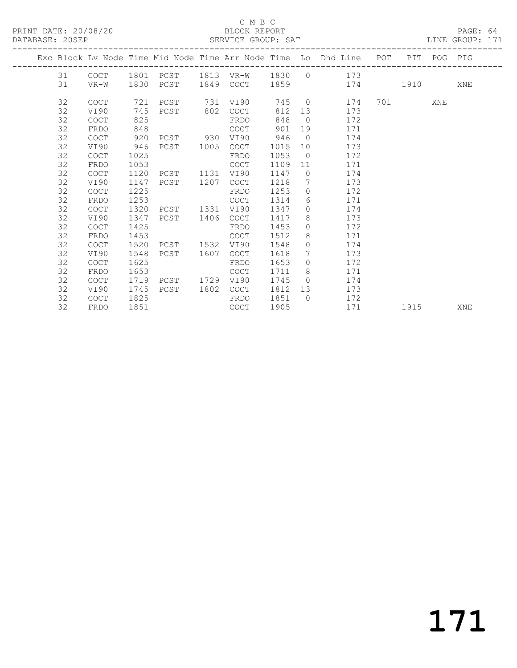#### C M B C<br>BLOCK REPORT

#### SERVICE GROUP: SAT

|  |    |             |      |           |      |             |      |            | Exc Block Lv Node Time Mid Node Time Arr Node Time Lo Dhd Line POT |           | PIT POG PIG |     |
|--|----|-------------|------|-----------|------|-------------|------|------------|--------------------------------------------------------------------|-----------|-------------|-----|
|  | 31 | COCT        | 1801 |           |      |             |      |            | PCST 1813 VR-W 1830 0 173                                          |           |             |     |
|  | 31 | VR-W        |      | 1830 PCST | 1849 | COCT        | 1859 |            | 174 1910                                                           |           |             | XNE |
|  |    |             |      |           |      |             |      |            | $\overline{0}$                                                     |           |             |     |
|  | 32 | <b>COCT</b> | 721  | PCST      | 731  | VI90        | 745  |            | 174                                                                | 701 — 201 | XNE         |     |
|  | 32 | VI90        | 745  | PCST 802  |      | <b>COCT</b> | 812  | 13         | 173                                                                |           |             |     |
|  | 32 | <b>COCT</b> | 825  |           |      | FRDO        | 848  | $\bigcirc$ | 172                                                                |           |             |     |
|  | 32 | FRDO        | 848  |           |      | COCT        | 901  | 19         | 171                                                                |           |             |     |
|  | 32 | <b>COCT</b> | 920  | PCST 930  |      | VI90        | 946  | $\Omega$   | 174                                                                |           |             |     |
|  | 32 | VI90        | 946  | PCST      | 1005 | <b>COCT</b> | 1015 | 10         | 173                                                                |           |             |     |
|  | 32 | <b>COCT</b> | 1025 |           |      | FRDO        | 1053 | $\bigcirc$ | 172                                                                |           |             |     |
|  | 32 | FRDO        | 1053 |           |      | <b>COCT</b> | 1109 | 11         | 171                                                                |           |             |     |
|  | 32 | <b>COCT</b> | 1120 | PCST      | 1131 | VI90        | 1147 | $\Omega$   | 174                                                                |           |             |     |
|  | 32 | VI90        | 1147 | PCST      | 1207 | <b>COCT</b> | 1218 | 7          | 173                                                                |           |             |     |
|  | 32 | <b>COCT</b> | 1225 |           |      | FRDO        | 1253 | $\Omega$   | 172                                                                |           |             |     |
|  | 32 | FRDO        | 1253 |           |      | <b>COCT</b> | 1314 | 6          | 171                                                                |           |             |     |
|  | 32 | <b>COCT</b> | 1320 | PCST      | 1331 | VI90        | 1347 | $\Omega$   | 174                                                                |           |             |     |
|  | 32 | VI90        | 1347 | PCST      | 1406 | COCT        | 1417 | 8          | 173                                                                |           |             |     |
|  | 32 | COCT        | 1425 |           |      | FRDO        | 1453 | $\circ$    | 172                                                                |           |             |     |
|  | 32 | FRDO        | 1453 |           |      | <b>COCT</b> | 1512 | 8          | 171                                                                |           |             |     |
|  | 32 | <b>COCT</b> | 1520 | PCST      | 1532 | VI90        | 1548 | $\circ$    | 174                                                                |           |             |     |
|  | 32 | VI90        | 1548 | PCST      | 1607 | <b>COCT</b> | 1618 | 7          | 173                                                                |           |             |     |
|  | 32 | <b>COCT</b> | 1625 |           |      | FRDO        | 1653 | $\Omega$   | 172                                                                |           |             |     |
|  | 32 | FRDO        | 1653 |           |      | <b>COCT</b> | 1711 | 8          | 171                                                                |           |             |     |
|  | 32 | <b>COCT</b> | 1719 | PCST      | 1729 | VI90        | 1745 | $\bigcirc$ | 174                                                                |           |             |     |
|  | 32 | VI90        | 1745 | PCST      | 1802 | <b>COCT</b> | 1812 | 13         | 173                                                                |           |             |     |
|  | 32 | <b>COCT</b> | 1825 |           |      | FRDO        | 1851 | $\bigcirc$ | 172                                                                |           |             |     |
|  | 32 | FRDO        | 1851 |           |      | <b>COCT</b> | 1905 |            | 171                                                                | 1915      |             | XNE |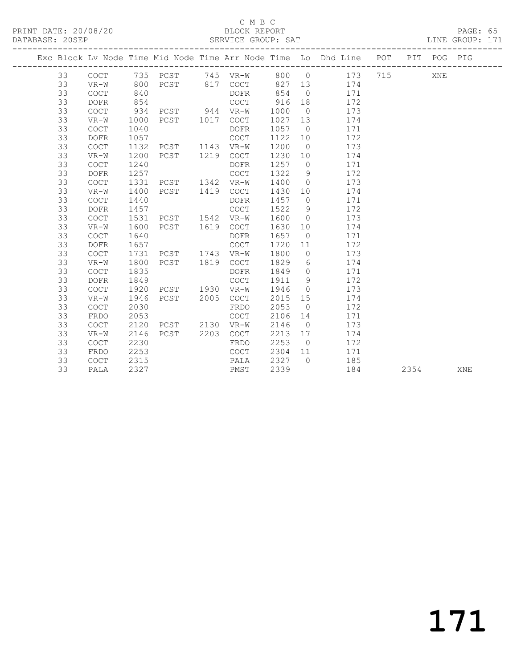#### C M B C<br>BLOCK REPORT SERVICE GROUP: SAT

|  |    |             |      |               |      |                                            |        |                 | Exc Block Lv Node Time Mid Node Time Arr Node Time Lo Dhd Line POT PIT POG PIG |      |     |     |
|--|----|-------------|------|---------------|------|--------------------------------------------|--------|-----------------|--------------------------------------------------------------------------------|------|-----|-----|
|  | 33 |             |      |               |      |                                            |        |                 | COCT 735 PCST 745 VR-W 800 0 173 715                                           |      | XNE |     |
|  | 33 | VR-W        | 800  |               |      | PCST 817 COCT                              | 827 13 |                 | 174                                                                            |      |     |     |
|  | 33 | <b>COCT</b> | 840  |               |      | DOFR                                       | 854    | $\overline{0}$  | 171                                                                            |      |     |     |
|  | 33 | <b>DOFR</b> | 854  |               |      | COCT                                       | 916    | 18              | 172                                                                            |      |     |     |
|  | 33 | COCT        | 934  | PCST 944 VR-W |      |                                            | 1000   | $\overline{0}$  | 173                                                                            |      |     |     |
|  | 33 | $VR-W$      | 1000 | PCST 1017     |      | COCT                                       | 1027   | 13              | 174                                                                            |      |     |     |
|  | 33 | <b>COCT</b> | 1040 |               |      | DOFR                                       | 1057   | $\overline{0}$  | 171                                                                            |      |     |     |
|  | 33 | <b>DOFR</b> | 1057 |               |      | $\mathtt{C}\mathtt{O}\mathtt{C}\mathtt{T}$ | 1122   | 10              | 172                                                                            |      |     |     |
|  | 33 | <b>COCT</b> | 1132 | PCST          |      | 1143 VR-W                                  | 1200   | $\overline{0}$  | 173                                                                            |      |     |     |
|  | 33 | $VR-W$      | 1200 | PCST          | 1219 | COCT                                       | 1230   | 10              | 174                                                                            |      |     |     |
|  | 33 | <b>COCT</b> | 1240 |               |      | DOFR                                       | 1257   | $\overline{0}$  | 171                                                                            |      |     |     |
|  | 33 | <b>DOFR</b> | 1257 |               |      | COCT                                       | 1322   | 9               | 172                                                                            |      |     |     |
|  | 33 | COCT        | 1331 | PCST          | 1342 | $VR-W$                                     | 1400   | $\overline{0}$  | 173                                                                            |      |     |     |
|  | 33 | $VR-W$      | 1400 | PCST          | 1419 | $\mathtt{C}\mathtt{O}\mathtt{C}\mathtt{T}$ | 1430   | 10 <sup>°</sup> | 174                                                                            |      |     |     |
|  | 33 | <b>COCT</b> | 1440 |               |      | DOFR                                       | 1457   | $\overline{0}$  | 171                                                                            |      |     |     |
|  | 33 | <b>DOFR</b> | 1457 |               |      | COCT                                       | 1522   | - 9             | 172                                                                            |      |     |     |
|  | 33 | COCT        | 1531 | PCST 1542     |      | $VR-W$                                     | 1600   | $\overline{0}$  | 173                                                                            |      |     |     |
|  | 33 | $VR-W$      | 1600 | PCST          | 1619 | COCT                                       | 1630   | 10              | 174                                                                            |      |     |     |
|  | 33 | <b>COCT</b> | 1640 |               |      | DOFR                                       | 1657   | $\overline{0}$  | 171                                                                            |      |     |     |
|  | 33 | <b>DOFR</b> | 1657 |               |      | COCT                                       | 1720   | 11              | 172                                                                            |      |     |     |
|  | 33 | COCT        | 1731 | PCST 1743     |      | $VR-W$                                     | 1800   | $\overline{0}$  | 173                                                                            |      |     |     |
|  | 33 | $VR-W$      | 1800 | PCST          | 1819 | COCT                                       | 1829   | 6               | 174                                                                            |      |     |     |
|  | 33 | COCT        | 1835 |               |      | DOFR                                       | 1849   | $\overline{0}$  | 171                                                                            |      |     |     |
|  | 33 | <b>DOFR</b> | 1849 |               |      | COCT                                       | 1911   | 9               | 172                                                                            |      |     |     |
|  | 33 | <b>COCT</b> | 1920 | PCST 1930     |      | $VR-W$                                     | 1946   | $\overline{0}$  | 173                                                                            |      |     |     |
|  | 33 | $VR-W$      | 1946 | PCST          | 2005 | COCT                                       | 2015   | 15              | 174                                                                            |      |     |     |
|  | 33 | COCT        | 2030 |               |      | FRDO                                       | 2053   | $\overline{0}$  | 172                                                                            |      |     |     |
|  | 33 | FRDO        | 2053 |               |      | COCT                                       | 2106   | 14              | 171                                                                            |      |     |     |
|  | 33 | <b>COCT</b> | 2120 | PCST 2130     |      | VR-W                                       | 2146   | $\overline{0}$  | 173                                                                            |      |     |     |
|  | 33 | $VR-W$      | 2146 | PCST          | 2203 | COCT                                       | 2213   | 17              | 174                                                                            |      |     |     |
|  | 33 | COCT        | 2230 |               |      | FRDO                                       | 2253   | $\overline{0}$  | 172                                                                            |      |     |     |
|  | 33 | FRDO        | 2253 |               |      | COCT                                       | 2304   | 11              | 171                                                                            |      |     |     |
|  | 33 | COCT        | 2315 |               |      | PALA                                       | 2327   | $\bigcirc$      | 185                                                                            |      |     |     |
|  | 33 | PALA        | 2327 |               |      | PMST                                       | 2339   |                 | 184                                                                            | 2354 |     | XNE |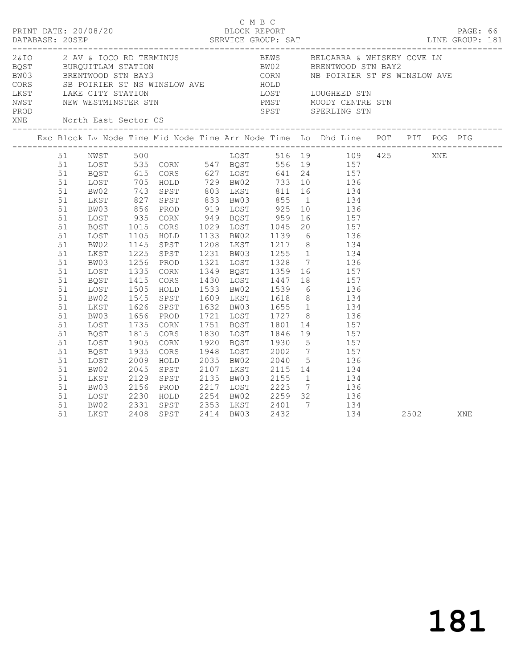| PRINT DATE: 20/08/20 |                                                                                              |                                                                                                                              |                                                                                   |                                                                                        | C M B C<br>BLOCK REPORT |  |                                                                                                                                                                                                                                                                                                                                                                                                                                                                                                                                                          |      | PAGE: 66 |  |
|----------------------|----------------------------------------------------------------------------------------------|------------------------------------------------------------------------------------------------------------------------------|-----------------------------------------------------------------------------------|----------------------------------------------------------------------------------------|-------------------------|--|----------------------------------------------------------------------------------------------------------------------------------------------------------------------------------------------------------------------------------------------------------------------------------------------------------------------------------------------------------------------------------------------------------------------------------------------------------------------------------------------------------------------------------------------------------|------|----------|--|
| PROD                 |                                                                                              |                                                                                                                              |                                                                                   |                                                                                        |                         |  | CORS SE POIRIER ST NS WINSLOW AVE HOLD LOST LOUGHEED STN LAKE CITY STATION DUST LOUGHEED STN NEW WESTMINSTER STN PMST MOODY CENTRE STN<br>SPST SPERLING STN                                                                                                                                                                                                                                                                                                                                                                                              |      |          |  |
|                      |                                                                                              |                                                                                                                              |                                                                                   |                                                                                        |                         |  | Exc Block Lv Node Time Mid Node Time Arr Node Time Lo Dhd Line POT PIT POG PIG                                                                                                                                                                                                                                                                                                                                                                                                                                                                           |      |          |  |
|                      | 51<br>51<br>51<br>51<br>51<br>51<br>51<br>51<br>51<br>51<br>51<br>51<br>51<br>51<br>51<br>51 | BW02<br>LKST<br>BW03<br>LOST<br>BQST<br>LOST<br>BW02<br>LKST<br>BW03<br>LOST<br>BQST<br>LOST<br>BW02<br>LKST<br>BW03<br>LOST | $935$<br>$1015$<br>$1105$<br>1145<br>1335<br>1415<br>1505<br>1545<br>1626<br>1656 | SPST<br>1225 SPST<br>1256 PROD<br>CORN<br>CORS<br>HOLD<br>SPST<br>SPST<br>PROD<br>CORN |                         |  | 51 NWST 500<br>108T 535 CORN 547 BQST 516 19 109 425 XNE<br>51 BQST 615 CORS 627 LOST 641 24 157<br>51 LOST 705 HOLD 729 BW02 733 10 136<br>743 SPST 803 LKST 811 16 134<br>827 SPST 833 BW03 855 1 134<br>856 PROD 919 LOST 925 10 136<br>CORN 949 BOST 959 16 157<br>CORS 1029 LOST 1045 20 157<br>HOLD 1133 BW02 1139 6 136<br>1208 LKST 1217 8 134<br>1231 BW03 1255 1 134<br>1321 LOST 1328 7 136<br>1349 BOST 1359 16 157<br>1430 LOST 1447 18 157<br>1533 BW02 1539 6 136<br>1609 LKST 1618 8 134<br>1632 BW03 1655 1 134<br>1721 LOST 1727 8 136 |      |          |  |
|                      | 51<br>51<br>51<br>51<br>51<br>51<br>51<br>51<br>51<br>51                                     | BQST<br>LOST<br>BQST<br>LOST<br>BW02<br>LKST<br>BW03<br>LOST<br>BW02<br>LKST                                                 | 1735<br>1815<br>1905<br>1935<br>2009<br>2045<br>2129                              | CORS<br>CORN<br>CORS<br>HOLD<br>SPST<br>SPST<br>2156 PROD<br>2230 HOLD                 |                         |  | 1751 BQST 1801 14 157<br>1830 LOST 1846 19 157<br>1920 BQST 1930 5 157<br>1948 LOST 2002 7 157<br>2035 BW02 2040 5 136<br>2107 LKST 2115 14 134<br>2135 BW03 2155 1 134<br>2217 LOST 2223 7 136<br>2254 BW02 2259 32 136<br>2331 SPST 2353 LKST 2401 7 134<br>2408 SPST 2414 BW03 2432 134<br>134                                                                                                                                                                                                                                                        | 2502 | XNE      |  |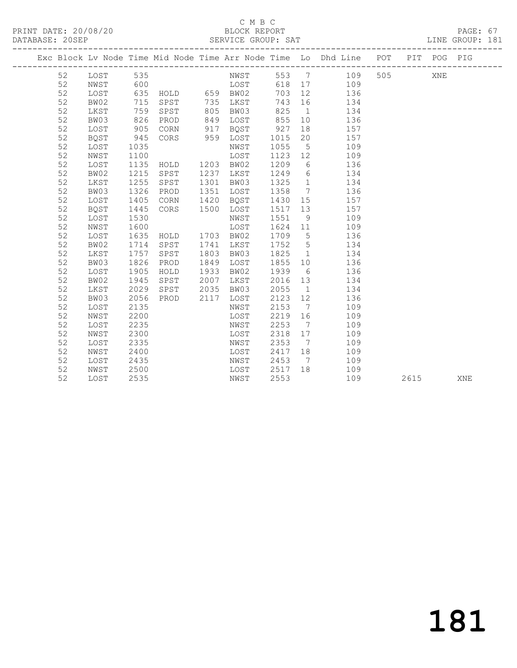### C M B C<br>BLOCK REPORT

|  | DATABASE: 20SEP | ----------------- |            |               |      | SERVICE GROUP: SAT |      |                              |                                                                    |     |             | LINE GROUP: 181 |  |
|--|-----------------|-------------------|------------|---------------|------|--------------------|------|------------------------------|--------------------------------------------------------------------|-----|-------------|-----------------|--|
|  |                 |                   |            |               |      |                    |      |                              | Exc Block Lv Node Time Mid Node Time Arr Node Time Lo Dhd Line POT |     | PIT POG PIG |                 |  |
|  | 52              | LOST              | 535        |               |      | NWST               |      |                              | 553 7 109                                                          | 505 | XNE         |                 |  |
|  | 52              | NWST              | 600        |               |      | <b>LOST</b>        |      |                              | 618 17<br>109                                                      |     |             |                 |  |
|  | 52              | LOST              | 635        | HOLD 659 BW02 |      |                    | 703  | 12                           | 136                                                                |     |             |                 |  |
|  | 52              | BW02              | 715        | SPST          |      | 735 LKST           | 743  | 16                           | 134                                                                |     |             |                 |  |
|  | 52              | LKST              | 759        | SPST          | 805  | BW03               | 825  | $\overline{1}$               | 134                                                                |     |             |                 |  |
|  | 52              | BW03              | 826        | PROD          | 849  | LOST               | 855  | 10                           | 136                                                                |     |             |                 |  |
|  | 52              | LOST              | 8∠u<br>905 | CORN          | 917  | BQST               | 927  | 18                           | 157                                                                |     |             |                 |  |
|  | 52              | BQST              | 945        | CORS          | 959  | LOST               | 1015 | 20                           | 157                                                                |     |             |                 |  |
|  | 52              | LOST              | 1035       |               |      | NWST               | 1055 | $5\overline{)}$              | 109                                                                |     |             |                 |  |
|  | 52              | NWST              | 1100       |               |      | LOST               | 1123 | 12                           | 109                                                                |     |             |                 |  |
|  | 52              | LOST              | 1135       | HOLD          |      | 1203 BW02          | 1209 | 6                            | 136                                                                |     |             |                 |  |
|  | 52              | BW02              | 1215       | SPST          | 1237 | LKST               | 1249 |                              | $6\overline{6}$<br>134                                             |     |             |                 |  |
|  | 52              | LKST              | 1255       | SPST          | 1301 | BW03               | 1325 |                              | 1<br>134                                                           |     |             |                 |  |
|  | 52              | BW03              | 1326       | PROD          | 1351 | LOST               | 1358 |                              | $7\overline{ }$<br>136                                             |     |             |                 |  |
|  | 52              | LOST              | 1405       | CORN          | 1420 | BQST               | 1430 | 15                           | 157                                                                |     |             |                 |  |
|  | 52              | BQST              | 1445       | CORS          | 1500 | LOST               | 1517 | 13                           | 157                                                                |     |             |                 |  |
|  | 52              | LOST              | 1530       |               |      | NWST               | 1551 | 9                            | 109                                                                |     |             |                 |  |
|  | 52              | NWST              | 1600       |               |      | LOST               | 1624 | 11                           | 109                                                                |     |             |                 |  |
|  | 52              | LOST              | 1635       | HOLD          |      | 1703 BW02          | 1709 | $5\overline{)}$              | 136                                                                |     |             |                 |  |
|  | 52              | BW02              | 1714       | SPST          | 1741 | LKST               | 1752 | $5\overline{)}$              | 134                                                                |     |             |                 |  |
|  | 52              | LKST              | 1757       | SPST          | 1803 | BW03               | 1825 | 1                            | 134                                                                |     |             |                 |  |
|  | 52              | BW03              | 1826       | PROD          | 1849 | LOST               | 1855 | 10                           | 136                                                                |     |             |                 |  |
|  | 52              | LOST              | 1905       | HOLD          | 1933 | BW02               | 1939 | 6                            | 136                                                                |     |             |                 |  |
|  | 52              | BW02              | 1945       | SPST          | 2007 | LKST               | 2016 | 13                           | 134                                                                |     |             |                 |  |
|  | 52              | LKST              | 2029       | SPST          | 2035 | BW03               | 2055 | 1                            | 134                                                                |     |             |                 |  |
|  | 52              | BW03              | 2056       | PROD          | 2117 | LOST               | 2123 |                              | 136                                                                |     |             |                 |  |
|  | 52              | LOST              | 2135       |               |      | NWST               | 2153 | $7\overline{ }$              | 109                                                                |     |             |                 |  |
|  | 52              | NWST              | 2200       |               |      | LOST               | 2219 | 16                           | 109                                                                |     |             |                 |  |
|  | 52              | LOST              | 2235       |               |      | NWST               | 2253 | $7\phantom{.0}\phantom{.0}7$ | 109                                                                |     |             |                 |  |
|  | 52              | NWST              | 2300       |               |      | LOST               | 2318 | 17                           | 109                                                                |     |             |                 |  |
|  | 52              | LOST              | 2335       |               |      | NWST               | 2353 | $\overline{7}$               | 109                                                                |     |             |                 |  |
|  | 52              | NWST              | 2400       |               |      | LOST               | 2417 | 18                           | 109                                                                |     |             |                 |  |
|  | 52              | LOST              | 2435       |               |      | NWST               | 2453 | $7\overline{ }$              | 109                                                                |     |             |                 |  |
|  | 52              | NWST              | 2500       |               |      | LOST               | 2517 | 18                           | 109                                                                |     |             |                 |  |
|  | 52              | LOST              | 2535       |               |      | NWST               | 2553 |                              | 109                                                                |     | 2615        | XNE             |  |
|  |                 |                   |            |               |      |                    |      |                              |                                                                    |     |             |                 |  |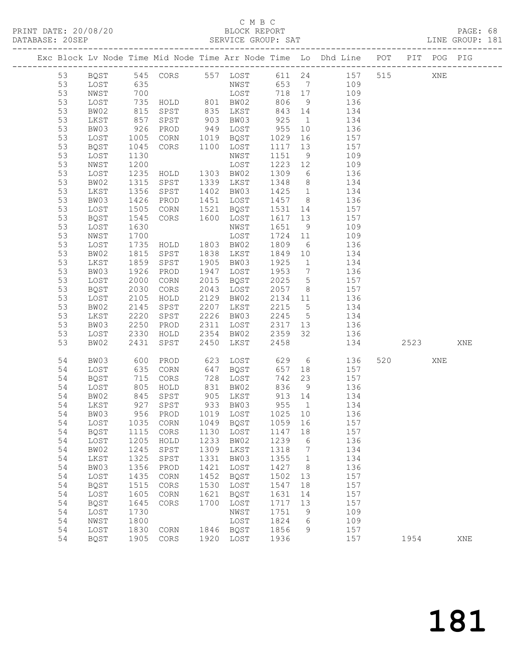## C M B C<br>BLOCK REPORT

PRINT DATE: 20/08/20 BLOCK REPORT PAGE: 68 SERVICE GROUP: SAT LINE GROUP: 181 ------------------------------------------------------------------------------------------------- Exc Block Lv Node Time Mid Node Time Arr Node Time Lo Dhd Line POT PIT POG PIG ------------------------------------------------------------------------------------------------- 53 BQST 545 CORS 557 LOST 611 24 157 515 XNE 53 LOST 635 NWST 653 7 109 53 NWST 700 LOST 718 17 109 53 LOST 735 HOLD 801 BW02 806 9 136 53 BW02 815 SPST 835 LKST 843 14 134 53 LKST 857 SPST 903 BW03 925 1 134 53 BW03 926 PROD 949 LOST 955 10 136 53 LOST 1005 CORN 1019 BQST 1029 16 157 53 BQST 1045 CORS 1100 LOST 1117 13 157 53 LOST 1130 NWST 1151 9 109 53 NWST 1200 LOST 1223 12 109 53 LOST 1235 HOLD 1303 BW02 1309 6 136 53 BW02 1315 SPST 1339 LKST 1348 8 134 53 LKST 1356 SPST 1402 BW03 1425 1 134 53 BW03 1426 PROD 1451 LOST 1457 8 136 53 LOST 1505 CORN 1521 BQST 1531 14 157

53 BW02 2431 SPST 2450 LKST 2458 134 2523 XNE

54 BQST 1905 CORS 1920 LOST 1936 157 1954 XNE

54 BW03 600 PROD 623 LOST 629 6 136 520 XNE

 53 BQST 1545 CORS 1600 LOST 1617 13 157 53 LOST 1630 NWST 1651 9 109 53 NWST 1700 LOST 1724 11 109 53 LOST 1735 HOLD 1803 BW02 1809 6 136 53 BW02 1815 SPST 1838 LKST 1849 10 134 53 LKST 1859 SPST 1905 BW03 1925 1 134 53 BW03 1926 PROD 1947 LOST 1953 7 136 53 LOST 2000 CORN 2015 BQST 2025 5 157 53 BQST 2030 CORS 2043 LOST 2057 8 157 53 LOST 2105 HOLD 2129 BW02 2134 11 136 53 BW02 2145 SPST 2207 LKST 2215 5 134 53 LKST 2220 SPST 2226 BW03 2245 5 134 53 BW03 2250 PROD 2311 LOST 2317 13 136 53 LOST 2330 HOLD 2354 BW02 2359 32 136

 54 LOST 635 CORN 647 BQST 657 18 157 54 BQST 715 CORS 728 LOST 742 23 157 54 LOST 805 HOLD 831 BW02 836 9 136 54 BW02 845 SPST 905 LKST 913 14 134 54 LKST 927 SPST 933 BW03 955 1 134 54 BW03 956 PROD 1019 LOST 1025 10 136 54 LOST 1035 CORN 1049 BQST 1059 16 157 54 BQST 1115 CORS 1130 LOST 1147 18 157 54 LOST 1205 HOLD 1233 BW02 1239 6 136 54 BW02 1245 SPST 1309 LKST 1318 7 134 54 LKST 1325 SPST 1331 BW03 1355 1 134 54 BW03 1356 PROD 1421 LOST 1427 8 136 54 LOST 1435 CORN 1452 BQST 1502 13 157 54 BQST 1515 CORS 1530 LOST 1547 18 157 54 LOST 1605 CORN 1621 BQST 1631 14 157 54 BQST 1645 CORS 1700 LOST 1717 13 157 54 LOST 1730 NWST 1751 9 109 54 NWST 1800 LOST 1824 6 109 54 LOST 1830 CORN 1846 BQST 1856 9 157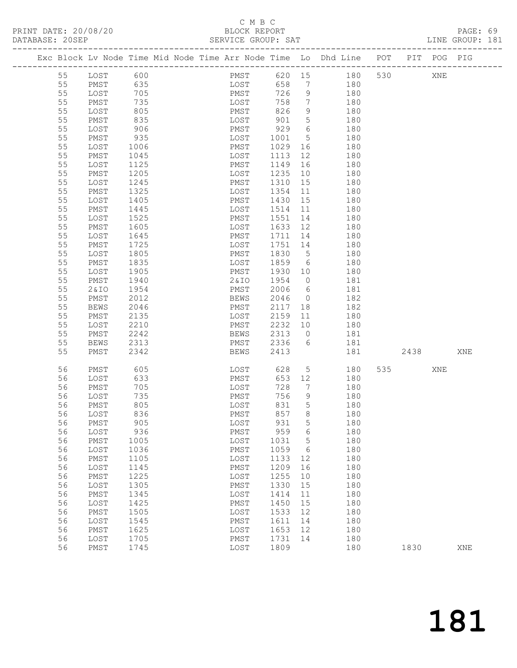#### C M B C DATABASE: 20SEP SERVICE GROUP: SAT LINE GROUP: 181

 55 PMST 1445 LOST 1514 11 180 55 LOST 1525 PMST 1551 14 180 55 PMST 1605 LOST 1633 12 180 55 LOST 1645 PMST 1711 14 180 55 PMST 1725 LOST 1751 14 180

-------------------------------------------------------------------------------------------------

|  |    |      |      |  |      |      |    | Exc Block Lv Node Time Mid Node Time Arr Node Time Lo Dhd Line | POT | PIT | <b>POG</b> | PIG |
|--|----|------|------|--|------|------|----|----------------------------------------------------------------|-----|-----|------------|-----|
|  | 55 | LOST | 600  |  | PMST | 620  | 15 | 180                                                            | 530 |     | XNE        |     |
|  | 55 | PMST | 635  |  | LOST | 658  | 7  | 180                                                            |     |     |            |     |
|  | 55 | LOST | 705  |  | PMST | 726  | 9  | 180                                                            |     |     |            |     |
|  | 55 | PMST | 735  |  | LOST | 758  | 7  | 180                                                            |     |     |            |     |
|  | 55 | LOST | 805  |  | PMST | 826  | 9  | 180                                                            |     |     |            |     |
|  | 55 | PMST | 835  |  | LOST | 901  | 5. | 180                                                            |     |     |            |     |
|  | 55 | LOST | 906  |  | PMST | 929  | 6  | 180                                                            |     |     |            |     |
|  | 55 | PMST | 935  |  | LOST | 1001 | 5. | 180                                                            |     |     |            |     |
|  | 55 | LOST | 1006 |  | PMST | 1029 | 16 | 180                                                            |     |     |            |     |
|  | 55 | PMST | 1045 |  | LOST | 1113 | 12 | 180                                                            |     |     |            |     |
|  | 55 | LOST | 1125 |  | PMST | 1149 | 16 | 180                                                            |     |     |            |     |
|  | 55 | PMST | 1205 |  | LOST | 1235 | 10 | 180                                                            |     |     |            |     |
|  | 55 | LOST | 1245 |  | PMST | 1310 | 15 | 180                                                            |     |     |            |     |
|  | 55 | PMST | 1325 |  | LOST | 1354 | 11 | 180                                                            |     |     |            |     |
|  | 55 | LOST | 1405 |  | PMST | 1430 | 15 | 180                                                            |     |     |            |     |

| 55 | LOST        | 1805 | PMST        | 1830 | 5            | 180 |     |      |     |     |
|----|-------------|------|-------------|------|--------------|-----|-----|------|-----|-----|
| 55 | PMST        | 1835 | LOST        | 1859 | 6            | 180 |     |      |     |     |
| 55 | LOST        | 1905 | PMST        | 1930 | 10           | 180 |     |      |     |     |
| 55 | PMST        | 1940 | 2&10        | 1954 | $\mathbf{0}$ | 181 |     |      |     |     |
| 55 | 2&10        | 1954 | PMST        | 2006 | 6            | 181 |     |      |     |     |
| 55 | PMST        | 2012 | <b>BEWS</b> | 2046 | $\mathbf{0}$ | 182 |     |      |     |     |
| 55 | <b>BEWS</b> | 2046 | PMST        | 2117 | 18           | 182 |     |      |     |     |
| 55 | PMST        | 2135 | LOST        | 2159 | 11           | 180 |     |      |     |     |
| 55 | LOST        | 2210 | PMST        | 2232 | 10           | 180 |     |      |     |     |
| 55 | PMST        | 2242 | <b>BEWS</b> | 2313 | $\mathbf{0}$ | 181 |     |      |     |     |
| 55 | <b>BEWS</b> | 2313 | PMST        | 2336 | 6            | 181 |     |      |     |     |
| 55 | PMST        | 2342 | <b>BEWS</b> | 2413 |              | 181 |     | 2438 |     | XNE |
|    |             |      |             |      |              |     |     |      |     |     |
| 56 | PMST        | 605  | LOST        | 628  | 5            | 180 | 535 |      | XNE |     |
| 56 | LOST        | 633  | PMST        | 653  | 12           | 180 |     |      |     |     |
| 56 | PMST        | 705  | LOST        | 728  | 7            | 180 |     |      |     |     |
| 56 | LOST        | 735  | PMST        | 756  | 9            | 180 |     |      |     |     |
| 56 | PMST        | 805  | LOST        | 831  | 5            | 180 |     |      |     |     |
| 56 | LOST        | 836  | PMST        | 857  | 8            | 180 |     |      |     |     |
| 56 | PMST        | 905  | LOST        | 931  | 5            | 180 |     |      |     |     |
| 56 | LOST        | 936  | PMST        | 959  | 6            | 180 |     |      |     |     |
| 56 | PMST        | 1005 | LOST        | 1031 | 5            | 180 |     |      |     |     |
| 56 | LOST        | 1036 | PMST        | 1059 | 6            | 180 |     |      |     |     |
| 56 | PMST        | 1105 | LOST        | 1133 | 12           | 180 |     |      |     |     |
| 56 | LOST        | 1145 | PMST        | 1209 | 16           | 180 |     |      |     |     |
| 56 | PMST        | 1225 | LOST        | 1255 | 10           | 180 |     |      |     |     |
| 56 | LOST        | 1305 | PMST        | 1330 | 15           | 180 |     |      |     |     |
| 56 | PMST        | 1345 | LOST        | 1414 | 11           | 180 |     |      |     |     |
| 56 | LOST        | 1425 | PMST        | 1450 | 15           | 180 |     |      |     |     |
| 56 | PMST        | 1505 | LOST        | 1533 | 12           | 180 |     |      |     |     |
| 56 | LOST        | 1545 | PMST        | 1611 | 14           | 180 |     |      |     |     |
| 56 | PMST        | 1625 | LOST        | 1653 | 12           | 180 |     |      |     |     |
| 56 | LOST        | 1705 | PMST        | 1731 | 14           | 180 |     |      |     |     |
| 56 | PMST        | 1745 | LOST        | 1809 |              | 180 |     | 1830 |     | XNE |
|    |             |      |             |      |              |     |     |      |     |     |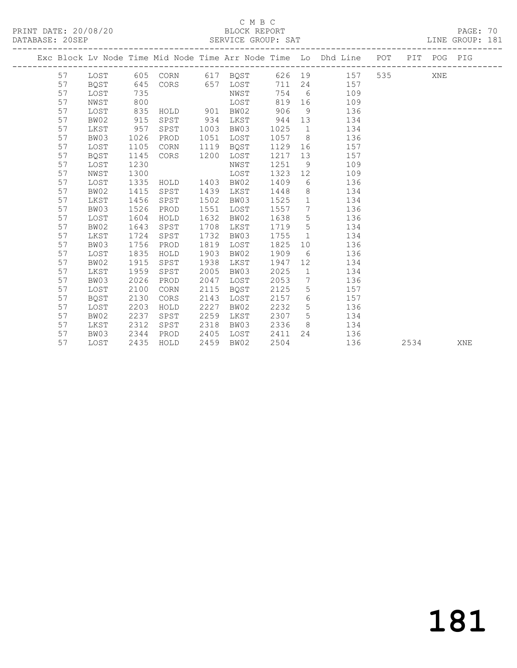PRINT DATE: 20/08/20 BLOCK REPORT<br>
DATABASE: 20SEP<br>
SERVICE GROUP: SAT

#### C M B C<br>BLOCK REPORT

PAGE: 70<br>LINE GROUP: 181

|    |             |      |               |      |               |      |                 | Exc Block Lv Node Time Mid Node Time Arr Node Time Lo Dhd Line POT PIT POG PIG |      |     |     |
|----|-------------|------|---------------|------|---------------|------|-----------------|--------------------------------------------------------------------------------|------|-----|-----|
| 57 |             |      |               |      |               |      |                 | LOST 605 CORN 617 BQST 626 19 157                                              |      | XNE |     |
| 57 | BOST        | 645  |               |      | CORS 657 LOST |      |                 | 711 24 157                                                                     |      |     |     |
| 57 | LOST        | 735  |               |      | NWST          | 754  |                 | $6\degree$<br>109                                                              |      |     |     |
| 57 | NWST        | 800  |               |      | LOST          | 819  |                 | 109                                                                            |      |     |     |
| 57 | LOST        | 835  | HOLD 901 BW02 |      |               | 906  | 9               | 136                                                                            |      |     |     |
| 57 | BW02        | 915  | SPST          | 934  | LKST          | 944  | 13              | 134                                                                            |      |     |     |
| 57 | LKST        | 957  | SPST          | 1003 | BW03          | 1025 | $\overline{1}$  | 134                                                                            |      |     |     |
| 57 | BW03        | 1026 | PROD          | 1051 | LOST          | 1057 |                 | 8<br>136                                                                       |      |     |     |
| 57 | LOST        | 1105 | CORN          | 1119 | BQST          | 1129 |                 | 157                                                                            |      |     |     |
| 57 | <b>BOST</b> | 1145 | CORS          | 1200 | LOST          | 1217 | 13              | 157                                                                            |      |     |     |
| 57 | LOST        | 1230 |               |      | NWST          | 1251 | 9               | 109                                                                            |      |     |     |
| 57 | NWST        | 1300 |               |      | LOST          | 1323 | 12              | 109                                                                            |      |     |     |
| 57 | LOST        | 1335 | HOLD          | 1403 | BW02          | 1409 |                 | 136<br>$6\degree$                                                              |      |     |     |
| 57 | BW02        | 1415 | SPST          | 1439 | LKST          | 1448 |                 | $8 - 8$<br>134                                                                 |      |     |     |
| 57 | LKST        | 1456 | SPST          | 1502 | BW03          | 1525 | 1               | 134                                                                            |      |     |     |
| 57 | BW03        | 1526 | PROD          | 1551 | LOST          | 1557 | $7\overline{ }$ | 136                                                                            |      |     |     |
| 57 | LOST        | 1604 | HOLD          | 1632 | BW02          | 1638 | 5 <sup>5</sup>  | 136                                                                            |      |     |     |
| 57 | BW02        | 1643 | SPST          | 1708 | LKST          | 1719 | $5\overline{)}$ | 134                                                                            |      |     |     |
| 57 | LKST        | 1724 | SPST          | 1732 | BW03          | 1755 |                 | $1 \qquad \qquad$<br>134                                                       |      |     |     |
| 57 | BW03        | 1756 | PROD          | 1819 | LOST          | 1825 |                 | 136<br>10                                                                      |      |     |     |
| 57 | LOST        | 1835 | HOLD          | 1903 | BW02          | 1909 | 6               | 136                                                                            |      |     |     |
| 57 | BW02        | 1915 | SPST          | 1938 | LKST          | 1947 | 12 <sup>°</sup> | 134                                                                            |      |     |     |
| 57 | LKST        | 1959 | SPST          | 2005 | BW03          | 2025 | $\mathbf{1}$    | 134                                                                            |      |     |     |
| 57 | BW03        | 2026 | PROD          | 2047 | LOST          | 2053 |                 | $7\overline{ }$<br>136                                                         |      |     |     |
| 57 | LOST        | 2100 | CORN          | 2115 | BQST          | 2125 | $5\overline{)}$ | 157                                                                            |      |     |     |
| 57 | BQST        | 2130 | CORS          | 2143 | LOST          | 2157 | 6               | 157                                                                            |      |     |     |
| 57 | LOST        | 2203 | HOLD          | 2227 | BW02          | 2232 | 5 <sup>5</sup>  | 136                                                                            |      |     |     |
| 57 | BW02        | 2237 | SPST          | 2259 | LKST          | 2307 | $5\overline{)}$ | 134                                                                            |      |     |     |
| 57 | LKST        | 2312 | SPST          | 2318 | BW03          | 2336 |                 | $8 - 2$<br>134                                                                 |      |     |     |
| 57 | BW03        | 2344 | PROD          | 2405 | LOST          | 2411 |                 | 24 136                                                                         |      |     |     |
| 57 | LOST        | 2435 | HOLD          | 2459 | BW02          | 2504 |                 | 136                                                                            | 2534 |     | XNE |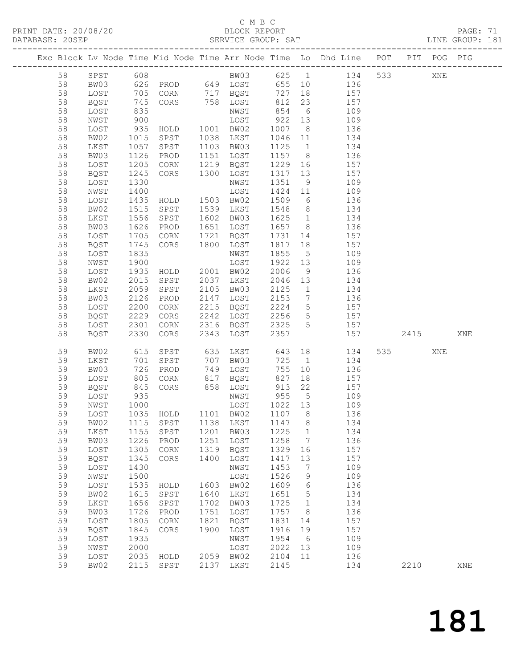#### C M B C<br>BLOCK REPORT

PAGE: 71<br>LINE GROUP: 181

|    |                                 |                      |                |      |                                        |                   |                 | Exc Block Lv Node Time Mid Node Time Arr Node Time Lo Dhd Line POT PIT POG PIG |         |     |     |
|----|---------------------------------|----------------------|----------------|------|----------------------------------------|-------------------|-----------------|--------------------------------------------------------------------------------|---------|-----|-----|
| 58 | SPST 608                        |                      |                |      |                                        |                   |                 | BW03 625 1 134                                                                 | 533 000 | XNE |     |
| 58 | BW03                            |                      |                |      |                                        |                   |                 | 626 PROD 649 LOST 655 10 136                                                   |         |     |     |
| 58 | LOST                            | 705                  |                |      | CORN 717 BOST                          | 727               |                 | 18 157                                                                         |         |     |     |
| 58 | BQST                            | 745                  | CORS           |      | 758 LOST                               | 812               | 23              | 157                                                                            |         |     |     |
| 58 | LOST                            | 835                  |                |      | NWST                                   |                   |                 | 109                                                                            |         |     |     |
| 58 | NWST                            | 900                  |                |      | LOST                                   | $854$ b<br>922 13 |                 | 109                                                                            |         |     |     |
| 58 |                                 | 935                  | HOLD           |      | 1001 BW02                              | 1007              | 8 <sup>8</sup>  | 136                                                                            |         |     |     |
| 58 | LOST<br>BW02                    |                      | SPST           |      | 1038 LKST                              | 1046              |                 |                                                                                |         |     |     |
|    |                                 | 1015                 |                |      |                                        |                   | 11              | 134                                                                            |         |     |     |
| 58 | LKST                            | 1057                 | SPST           |      | 1103 BW03                              | 1125              | 1               | 134                                                                            |         |     |     |
| 58 | BW03                            | 1126                 | PROD           |      | 1151 LOST                              | 1157 8            |                 | 136                                                                            |         |     |     |
| 58 | LOST                            | 1205                 | CORN           |      | 1219 BQST                              | 1229 16           |                 | 157                                                                            |         |     |     |
| 58 | BQST                            | 1245                 | CORS           | 1300 | LOST                                   | 1317              | 13              | 157                                                                            |         |     |     |
| 58 | LOST                            | 1330                 |                |      | NWST                                   | 1351              | 9               | 109                                                                            |         |     |     |
| 58 | NWST                            | 1400                 |                |      | LOST                                   | 1424 11           |                 | 109                                                                            |         |     |     |
| 58 | LOST                            | 1435                 | HOLD 1503 BW02 |      |                                        | 1509              | 6               | 136                                                                            |         |     |     |
| 58 | BW02                            | 1515                 | SPST           |      | 1539 LKST                              | 1548              | 8 <sup>8</sup>  | 134                                                                            |         |     |     |
| 58 | LKST                            | 1556                 | SPST           |      | 1602 BW03                              | 1625              | 1               | 134                                                                            |         |     |     |
| 58 | BW03                            | 1626                 | PROD           |      | 1651 LOST                              | 1657 8            |                 | 136                                                                            |         |     |     |
| 58 | LOST                            | 1705                 | CORN           |      | 1721 BQST                              | 1731 14           |                 | 157                                                                            |         |     |     |
| 58 | BQST                            | 1745                 | CORS           |      | 1800 LOST                              | 1817              | 18              | 157                                                                            |         |     |     |
| 58 | LOST                            | 1835                 |                |      | NWST                                   | 1855              | $5\overline{)}$ | 109                                                                            |         |     |     |
| 58 | NWST                            | 1900                 |                |      | LOST                                   | 1922 13           |                 | 109                                                                            |         |     |     |
| 58 | LOST                            | 1935                 | HOLD           |      | 2001 BW02                              | 2006              | 9               | 136                                                                            |         |     |     |
| 58 | BW02                            | 2015                 | SPST 2037 LKST |      |                                        | 2046 13           |                 | 134                                                                            |         |     |     |
| 58 | LKST                            | 2059                 | SPST           |      | 2105 BW03                              | 2125              | $\overline{1}$  | 134                                                                            |         |     |     |
| 58 | BW03                            | 2126                 | PROD           |      | 2147 LOST                              | 2153              | $7\overline{ }$ | 136                                                                            |         |     |     |
| 58 | LOST                            | 2200                 | CORN           |      | 2215 BQST                              | 2224 5            |                 | 157                                                                            |         |     |     |
| 58 | BQST                            | 2229                 | CORS           |      | 2242 LOST                              | 2256              | $5\overline{)}$ | 157                                                                            |         |     |     |
| 58 | LOST                            | 2301                 | CORN           |      | 2316 BQST                              | 2325 5            |                 | 157                                                                            |         |     |     |
| 58 | BQST                            | 2330                 | CORS           |      | 2343 LOST                              | 2357              |                 | 157                                                                            | 2415    |     | XNE |
|    |                                 |                      |                |      |                                        |                   |                 |                                                                                |         |     |     |
| 59 | BW02                            | 615                  | SPST           |      | 635 LKST                               | 643               |                 | 134                                                                            | 535 7   | XNE |     |
| 59 | LKST                            | 701                  | SPST           |      | 707 BW03                               | 725 1             |                 | 134                                                                            |         |     |     |
| 59 | BW03                            | 726<br>$rac{1}{805}$ | PROD           |      | 749 LOST<br>$749$ $1000 -$<br>817 BQST | 755               | 10              | 136                                                                            |         |     |     |
| 59 | LOST                            |                      | CORN           |      |                                        | 827               | 18              | 157                                                                            |         |     |     |
| 59 | BQST                            | 845                  | CORS           |      | 858 LOST                               | 913 22            |                 | 157                                                                            |         |     |     |
| 59 | LOST                            | 935                  |                |      | NWST                                   | 955               | $5\overline{)}$ | 109                                                                            |         |     |     |
| 59 | NWST                            |                      |                |      |                                        | 1022 13           |                 | 109                                                                            |         |     |     |
| 59 | LOST                            |                      |                |      |                                        | 1107 8            |                 | 136                                                                            |         |     |     |
| 59 | BW02 1115 SPST 1138 LKST 1147 8 |                      |                |      |                                        |                   |                 | 134                                                                            |         |     |     |
| 59 | LKST                            | 1155                 | SPST           | 1201 | BW03                                   | 1225              | $\mathbf{1}$    | 134                                                                            |         |     |     |
| 59 | BW03                            | 1226                 | PROD           | 1251 | LOST                                   | 1258              | $\overline{7}$  | 136                                                                            |         |     |     |
| 59 | LOST                            | 1305                 | CORN           | 1319 | BQST                                   | 1329              | 16              | 157                                                                            |         |     |     |
| 59 | BQST                            | 1345                 | CORS           | 1400 | LOST                                   | 1417              | 13              | 157                                                                            |         |     |     |
| 59 | LOST                            | 1430                 |                |      | NWST                                   | 1453              | 7               | 109                                                                            |         |     |     |
| 59 | NWST                            | 1500                 |                |      | LOST                                   | 1526              | $\mathcal{G}$   | 109                                                                            |         |     |     |
| 59 | LOST                            | 1535                 | HOLD           | 1603 | BW02                                   | 1609              | 6               | 136                                                                            |         |     |     |
| 59 | BW02                            | 1615                 | SPST           | 1640 | LKST                                   | 1651              | $5\phantom{.0}$ | 134                                                                            |         |     |     |
| 59 | LKST                            | 1656                 | SPST           | 1702 | BW03                                   | 1725              | $\overline{1}$  | 134                                                                            |         |     |     |
| 59 | BW03                            | 1726                 | PROD           | 1751 | LOST                                   | 1757              | 8 <sup>8</sup>  | 136                                                                            |         |     |     |
| 59 | LOST                            | 1805                 | CORN           | 1821 | BQST                                   | 1831              | 14              | 157                                                                            |         |     |     |
| 59 | <b>BQST</b>                     | 1845                 | CORS           | 1900 | LOST                                   | 1916              | 19              | 157                                                                            |         |     |     |
| 59 | LOST                            | 1935                 |                |      | NWST                                   | 1954              | 6               | 109                                                                            |         |     |     |
| 59 | NWST                            | 2000                 |                |      | LOST                                   | 2022              | 13              | 109                                                                            |         |     |     |
| 59 | LOST                            | 2035                 | HOLD           |      | 2059 BW02                              | 2104              | 11              | 136                                                                            |         |     |     |
| 59 | BW02                            |                      | 2115 SPST      |      | 2137 LKST                              | 2145              |                 | 134                                                                            | 2210    |     | XNE |
|    |                                 |                      |                |      |                                        |                   |                 |                                                                                |         |     |     |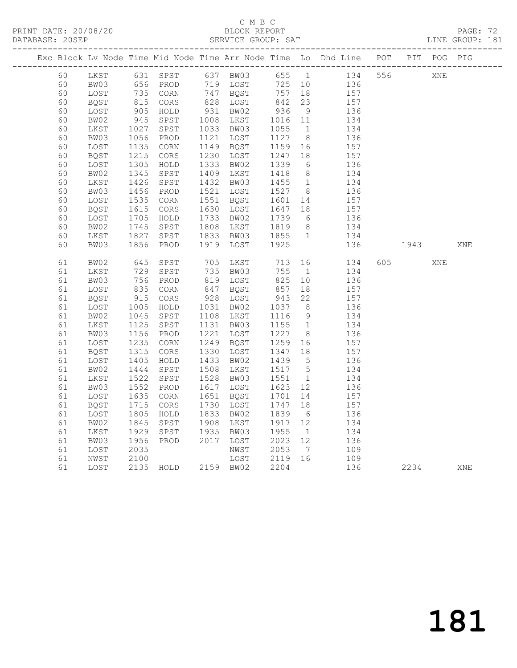## C M B C<br>BLOCK REPORT

PAGE: 72<br>LINE GROUP: 181

|  |    |      |                |                     |       |           |               |                 | Exc Block Lv Node Time Mid Node Time Arr Node Time Lo Dhd Line POT PIT POG PIG |      |     |     |
|--|----|------|----------------|---------------------|-------|-----------|---------------|-----------------|--------------------------------------------------------------------------------|------|-----|-----|
|  | 60 |      |                |                     |       |           |               |                 | LKST 631 SPST 637 BW03 655 1 134 556                                           |      | XNE |     |
|  | 60 | BW03 |                |                     |       |           |               |                 | 725 10 136<br>757 18 157                                                       |      |     |     |
|  | 60 | LOST |                |                     |       |           |               |                 |                                                                                |      |     |     |
|  | 60 | BQST | 815<br>905     |                     |       |           | 842           | 23              | 157                                                                            |      |     |     |
|  | 60 | LOST |                | HOLD                |       | 931 BW02  | $936$<br>1016 | 9               | 136                                                                            |      |     |     |
|  | 60 | BW02 | 945            | SPST                |       | 1008 LKST | 1016 11       |                 | 134                                                                            |      |     |     |
|  | 60 | LKST | 1027           | SPST                |       | 1033 BW03 | 1055          | 1               | 134                                                                            |      |     |     |
|  | 60 | BW03 | 1056           | PROD                | 1121  | LOST      | 1127          | 8 <sup>8</sup>  | 136                                                                            |      |     |     |
|  | 60 | LOST | 1135           | $\rm CORN$          | 1149  | BQST      | 1159          | 16              | 157                                                                            |      |     |     |
|  | 60 | BQST | $1133$<br>1215 | CORS                | 1230  | LOST      | 1247          | 18              | 157                                                                            |      |     |     |
|  | 60 | LOST | 1305           | HOLD                | 1333  | BW02      | 1339          | 6               | $\frac{136}{1}$                                                                |      |     |     |
|  | 60 | BW02 | 1345           | SPST                | 1409  | LKST      | 1418          | 8 <sup>8</sup>  | 134                                                                            |      |     |     |
|  | 60 | LKST | 1426           | SPST                | 1432  | BW03      | 1455          | 1               | 134                                                                            |      |     |     |
|  | 60 | BW03 | 1456           | PROD                |       | 1521 LOST | 1527 8        |                 | 136                                                                            |      |     |     |
|  | 60 | LOST | 1535           | CORN                |       | 1551 BQST | 1601 14       |                 | 157                                                                            |      |     |     |
|  | 60 | BQST | 1615           | $\mbox{CORS}$       | 1630  | LOST      | 1647          | 18              | 157                                                                            |      |     |     |
|  | 60 | LOST | 1705           | HOLD                | 1733  | BW02      | 1739          | 6               | $\overline{136}$                                                               |      |     |     |
|  | 60 | BW02 | 1745           | SPST                | 1808  | LKST      | 1819          | 8 <sup>8</sup>  | 134                                                                            |      |     |     |
|  | 60 | LKST | 1827           | SPST                | 1833  | BW03      | 1855 1        |                 | 134                                                                            |      |     |     |
|  | 60 | BW03 | 1856           | PROD                | 1919  | LOST      | 1925          |                 | 136                                                                            | 1943 |     | XNE |
|  |    |      |                |                     |       |           |               |                 |                                                                                |      |     |     |
|  | 61 | BW02 | 645<br>729     | SPST                | $705$ | LKST      | 713           |                 | 134                                                                            | 605  | XNE |     |
|  | 61 | LKST |                | SPST                |       | 735 BW03  | 755           | $\overline{1}$  | 134                                                                            |      |     |     |
|  | 61 | BW03 | 756            | PROD                |       | 819 LOST  | 825           | 10              | 136                                                                            |      |     |     |
|  | 61 | LOST | 835            | CORN                |       | 847 BQST  | 857           | 18              | 157                                                                            |      |     |     |
|  | 61 | BQST | 915            | CORS                |       | 928 LOST  | 943           | 22              | 157                                                                            |      |     |     |
|  | 61 | LOST | 1005           | HOLD                |       | 1031 BW02 | 1037          | 8 <sup>8</sup>  | 136                                                                            |      |     |     |
|  | 61 | BW02 | 1045           | SPST                |       | 1108 LKST | 1116          | 9               | 134                                                                            |      |     |     |
|  | 61 | LKST | 1125           | SPST                | 1131  | BW03      | 1155          | 1               | 134                                                                            |      |     |     |
|  | 61 | BW03 | 1156           | PROD                | 1221  | LOST      | 1227          | 8 <sup>8</sup>  | 136                                                                            |      |     |     |
|  | 61 | LOST | 1235           | CORN                | 1249  | BQST      | 1259          | 16              | 157                                                                            |      |     |     |
|  | 61 | BQST | 1315           | $\mbox{CORS}$       | 1330  | LOST      | 1347          | 18              | 157                                                                            |      |     |     |
|  | 61 | LOST | 1405           | HOLD                | 1433  | BW02      | 1439          | $5\overline{)}$ | 136                                                                            |      |     |     |
|  | 61 | BW02 | 1444           | SPST                | 1508  | LKST      | 1517 5        |                 | 134                                                                            |      |     |     |
|  | 61 | LKST | 1522           | SPST                | 1528  | BW03      | 1551          | $\overline{1}$  | 134                                                                            |      |     |     |
|  | 61 | BW03 | 1552           | PROD                | 1617  | LOST      | 1623          | 12              | 136                                                                            |      |     |     |
|  | 61 | LOST | 1635           | $\rm{CORN}$         | 1651  | BQST      | 1701          | 14              | 157                                                                            |      |     |     |
|  | 61 | BQST | 1715           | CORS                | 1730  | LOST      | 1747          | 18              | 157                                                                            |      |     |     |
|  | 61 | LOST | 1805           | HOLD                | 1833  | BW02      | 1839          | $6\overline{6}$ | 136                                                                            |      |     |     |
|  | 61 | BW02 | 1845           | SPST                | 1908  | LKST      | 1917 12       |                 | 134                                                                            |      |     |     |
|  | 61 | LKST | 1929           | SPST                | 1935  | BW03      | 1955          | 1               | 134                                                                            |      |     |     |
|  | 61 | BW03 | 1956           | PROD                | 2017  | LOST      | 2023          | 12              | 136                                                                            |      |     |     |
|  | 61 | LOST | 2035           |                     |       | NWST      | 2053          | $\overline{7}$  | 109                                                                            |      |     |     |
|  | 61 | NWST | 2100           |                     |       | LOST      | 2119 16       |                 | 109                                                                            |      |     |     |
|  | 61 | LOST |                | 2135 HOLD 2159 BW02 |       |           | 2204          |                 | 136                                                                            | 2234 |     | XNE |
|  |    |      |                |                     |       |           |               |                 |                                                                                |      |     |     |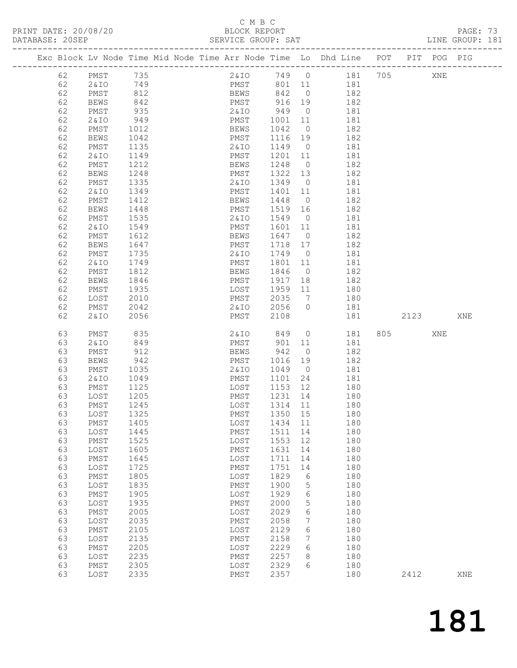#### C M B C<br>BLOCK REPORT

| PRINT DATE: 20/08/20 | BLOCK REPORT       | PAGE: 73        |  |
|----------------------|--------------------|-----------------|--|
| DATABASE: 20SEP      | SERVICE GROUP: SAT | LINE GROUP: 181 |  |

|          |              |                                  |  |              |              |                | Exc Block Lv Node Time Mid Node Time Arr Node Time Lo Dhd Line POT |         | PIT POG PIG |     |
|----------|--------------|----------------------------------|--|--------------|--------------|----------------|--------------------------------------------------------------------|---------|-------------|-----|
|          |              |                                  |  |              |              |                |                                                                    |         |             |     |
| 62       | PMST         | $735$<br>$749$<br>$812$<br>$942$ |  |              |              |                | 2&IO 749 0 181 705                                                 |         | XNE         |     |
| 62       | 2&IO         |                                  |  |              |              |                | PMST 801 11 181                                                    |         |             |     |
| 62       | PMST         |                                  |  | <b>BEWS</b>  | 842          | $\overline{0}$ | 182                                                                |         |             |     |
| 62       | BEWS         |                                  |  | PMST         | 916          | 19             | 182                                                                |         |             |     |
| 62       | PMST         | 935                              |  | 2&IO         | 949          | $\overline{0}$ | 181                                                                |         |             |     |
| 62       | 2& IO        | 949                              |  | PMST         | 1001<br>1042 | 11             | 181                                                                |         |             |     |
| 62       | PMST         | 1012                             |  | BEWS         |              | $\overline{0}$ | 182                                                                |         |             |     |
| 62       | <b>BEWS</b>  | 1042                             |  | PMST         | 1116         | 19             | 182                                                                |         |             |     |
| 62       | PMST         | 1135                             |  | 2 & I O      | 1149         | $\overline{0}$ | 181                                                                |         |             |     |
| 62       | 2&10         | 1149                             |  | PMST         | 1201         | 11             | 181                                                                |         |             |     |
| 62       | PMST         | 1212                             |  | BEWS         | 1248         | $\overline{0}$ | 182                                                                |         |             |     |
| 62       | BEWS         | 1248                             |  | PMST         | 1322         | 13             | 182                                                                |         |             |     |
| 62       | PMST         | 1335                             |  | 2 & I O      | 1349         | $\overline{0}$ | 181                                                                |         |             |     |
| 62       | 2& IO        | 1349                             |  | PMST         | 1401         | 11             | 181                                                                |         |             |     |
| 62       | PMST         | 1412                             |  | BEWS         | 1448         | $\overline{0}$ | 182                                                                |         |             |     |
| 62       | <b>BEWS</b>  | 1448                             |  | PMST         | 1519         | 16             | 182                                                                |         |             |     |
| 62       | PMST         | 1535                             |  | 2 & I O      | 1549         | $\overline{0}$ | 181                                                                |         |             |     |
| 62       | 2& IO        | 1549                             |  | PMST         | 1601         | 11             | 181                                                                |         |             |     |
| 62       | PMST         | 1612                             |  | BEWS         | 1647<br>1718 | $\overline{0}$ | 182                                                                |         |             |     |
| 62       | BEWS         | 1647                             |  | PMST         |              | 17             | 182                                                                |         |             |     |
| 62       | PMST         | 1735                             |  | 2 & I O      | 1749         | $\overline{0}$ | 181                                                                |         |             |     |
| 62       | 2& IO        | 1749                             |  | PMST         | 1801         | 11             | 181                                                                |         |             |     |
| 62       | PMST         | 1812                             |  | BEWS         | 1846<br>1917 | $\overline{0}$ | 182                                                                |         |             |     |
| 62       | <b>BEWS</b>  | 1846                             |  | PMST         |              | 18             | 182                                                                |         |             |     |
| 62       | PMST         | 1935                             |  | LOST         | 1959         | 11             | 180                                                                |         |             |     |
| 62       | LOST         | 2010                             |  | PMST         | 2035         | $\overline{7}$ | 180                                                                |         |             |     |
| 62       | PMST         | 2042                             |  | 2 & I O      | 2056<br>2108 | $\circ$        | 181                                                                |         |             |     |
|          |              |                                  |  |              |              |                |                                                                    |         |             |     |
| 62       | 2& IO        | 2056                             |  | PMST         |              |                | 181                                                                | 2123    |             | XNE |
|          |              |                                  |  |              |              |                |                                                                    |         |             |     |
| 63       | PMST         | 835                              |  | 2 & I O      | 849          | $\overline{0}$ | 181                                                                | 805 700 | XNE         |     |
| 63       | 2& IO        | 849                              |  | PMST         | 901          | 11             | 181                                                                |         |             |     |
| 63       | PMST         | 912                              |  | BEWS         | 942          | $\overline{0}$ | 182                                                                |         |             |     |
| 63       | <b>BEWS</b>  | 942                              |  | PMST         | 1016         | 19             | 182                                                                |         |             |     |
| 63       | PMST         | 1035                             |  | 2 & IO       | 1049         | $\overline{0}$ | 181                                                                |         |             |     |
| 63       | 2&10         | 1049                             |  | PMST         | 1101         | 24             | 181                                                                |         |             |     |
| 63       | PMST         | 1125                             |  | LOST         | 1153         | 12             | 180                                                                |         |             |     |
| 63       | LOST         | 1205                             |  | PMST         | 1231         | 14             | 180                                                                |         |             |     |
| 63       | PMST         | 1245                             |  | LOST         | 1314 11      |                | 180                                                                |         |             |     |
| 63       | LOST         | 1325                             |  | PMST         | 1350 15      |                | 180                                                                |         |             |     |
| 63 PMST  |              | 1405                             |  | LOST 1434 11 |              |                | 180                                                                |         |             |     |
| 63       | LOST         | 1445                             |  | PMST         | 1511         | 14             | 180                                                                |         |             |     |
| 63       | PMST         | 1525                             |  | LOST         | 1553         | 12             | 180                                                                |         |             |     |
| 63       | LOST         | 1605                             |  | PMST         | 1631         | 14             | 180                                                                |         |             |     |
| 63       | PMST         | 1645                             |  | LOST         | 1711         | 14             | 180                                                                |         |             |     |
| 63       | LOST         | 1725                             |  | PMST         | 1751         | 14             | 180                                                                |         |             |     |
| 63       | PMST         | 1805                             |  | LOST         | 1829         | 6              | 180                                                                |         |             |     |
| 63       | LOST         | 1835                             |  | PMST         | 1900         | 5              | 180                                                                |         |             |     |
| 63       | PMST         | 1905                             |  | LOST         | 1929         | 6              | 180                                                                |         |             |     |
| 63       | LOST         | 1935                             |  | PMST         | 2000         | 5              | 180                                                                |         |             |     |
| 63       | PMST         | 2005                             |  | LOST         | 2029         | 6              | 180                                                                |         |             |     |
| 63       | LOST         | 2035                             |  | PMST         | 2058         | 7              | 180                                                                |         |             |     |
| 63       | PMST         | 2105                             |  | LOST         | 2129         | 6              | 180                                                                |         |             |     |
| 63       | LOST         | 2135                             |  | PMST         | 2158         | 7              | 180                                                                |         |             |     |
| 63       | PMST         | 2205                             |  | LOST         | 2229         | 6              | 180                                                                |         |             |     |
| 63       | LOST         | 2235                             |  | PMST         | 2257         | 8              | 180                                                                |         |             |     |
| 63<br>63 | PMST<br>LOST | 2305<br>2335                     |  | LOST<br>PMST | 2329<br>2357 | 6              | 180<br>180                                                         | 2412    |             | XNE |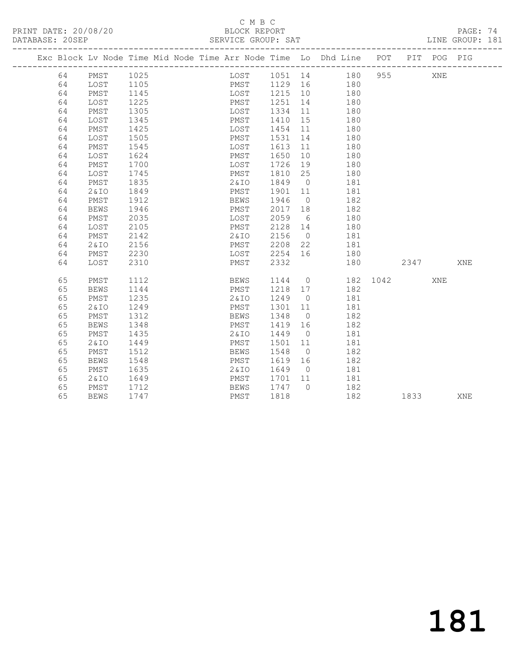PRINT DATE: 20/08/20 BLOCK REPORT<br>
DATABASE: 20SEP<br>
SERVICE GROUP: SAT

#### C M B C<br>BLOCK REPORT

PAGE: 74<br>LINE GROUP: 181

|    |             |      |  |              |           |                 | Exc Block Lv Node Time Mid Node Time Arr Node Time Lo Dhd Line POT PIT POG PIG |          |         |     |     |
|----|-------------|------|--|--------------|-----------|-----------------|--------------------------------------------------------------------------------|----------|---------|-----|-----|
| 64 | PMST        | 1025 |  | LOST         |           |                 | 1051 14 180                                                                    |          | 955 700 | XNE |     |
| 64 | LOST        | 1105 |  | PMST         | $1129$ 16 |                 | 180                                                                            |          |         |     |     |
| 64 | PMST        | 1145 |  | LOST 1215 10 |           |                 | 180                                                                            |          |         |     |     |
| 64 | LOST        | 1225 |  | PMST 1251 14 |           |                 | 180                                                                            |          |         |     |     |
| 64 | PMST        | 1305 |  | LOST         | 1334 11   |                 | 180                                                                            |          |         |     |     |
| 64 | LOST        | 1345 |  | PMST         | 1410 15   |                 | 180                                                                            |          |         |     |     |
| 64 | PMST        | 1425 |  | LOST         | 1454 11   |                 | 180                                                                            |          |         |     |     |
| 64 | LOST        | 1505 |  | PMST         | 1531 14   |                 | 180                                                                            |          |         |     |     |
| 64 | PMST        | 1545 |  | LOST         | 1613 11   |                 | 180                                                                            |          |         |     |     |
| 64 | LOST        | 1624 |  | PMST         | 1650 10   |                 | 180                                                                            |          |         |     |     |
| 64 | PMST        | 1700 |  | LOST         | 1726 19   |                 | 180                                                                            |          |         |     |     |
| 64 | LOST        | 1745 |  | PMST         | 1810 25   |                 | 180                                                                            |          |         |     |     |
| 64 | PMST        | 1835 |  | 2&IO         | 1849 0    |                 | 181                                                                            |          |         |     |     |
| 64 | 2&IO        | 1849 |  | PMST         | 1901 11   |                 | 181                                                                            |          |         |     |     |
| 64 | PMST        | 1912 |  | BEWS         | 1946      | $\overline{0}$  | 182                                                                            |          |         |     |     |
| 64 | <b>BEWS</b> | 1946 |  | PMST         | 2017 18   |                 | 182                                                                            |          |         |     |     |
| 64 | PMST        | 2035 |  | LOST         | 2059      | $6\overline{6}$ | 180                                                                            |          |         |     |     |
| 64 | LOST        | 2105 |  | PMST         | 2128 14   |                 | 180                                                                            |          |         |     |     |
| 64 | PMST        | 2142 |  | 2 & I O      | 2156      | $\overline{0}$  | 181                                                                            |          |         |     |     |
| 64 | 2&10        | 2156 |  | PMST         | 2208 22   |                 | 181                                                                            |          |         |     |     |
| 64 | PMST        | 2230 |  | LOST         | 2254      | 16              | 180                                                                            |          |         |     |     |
| 64 | LOST        | 2310 |  | PMST         | 2332      |                 | 180                                                                            |          | 2347    |     | XNE |
| 65 | PMST        | 1112 |  | BEWS         |           |                 | 1144 0                                                                         | 182 1042 |         | XNE |     |
| 65 | <b>BEWS</b> | 1144 |  | PMST         | 1218 17   |                 | 182                                                                            |          |         |     |     |
| 65 | PMST        | 1235 |  | 2&IO         | 1249 0    |                 | 181                                                                            |          |         |     |     |
| 65 | 2 & IO      | 1249 |  | PMST         | 1301      | 11              | 181                                                                            |          |         |     |     |
| 65 | PMST        | 1312 |  | BEWS         | 1348      | $\overline{0}$  | 182                                                                            |          |         |     |     |
| 65 | <b>BEWS</b> | 1348 |  | PMST         | 1419 16   |                 | 182                                                                            |          |         |     |     |
| 65 | PMST        | 1435 |  | 2&IO         | 1449      | $\overline{0}$  | 181                                                                            |          |         |     |     |
| 65 | 2 & IO      | 1449 |  | PMST         | 1501 11   |                 | 181                                                                            |          |         |     |     |
| 65 | PMST        | 1512 |  | BEWS         | 1548      | $\overline{0}$  | 182                                                                            |          |         |     |     |
| 65 | <b>BEWS</b> | 1548 |  | PMST         | 1619 16   |                 | 182                                                                            |          |         |     |     |
| 65 | PMST        | 1635 |  | 2&IO         | 1649 0    |                 | 181                                                                            |          |         |     |     |
| 65 | 2&IO        | 1649 |  | PMST         | 1701 11   |                 | 181                                                                            |          |         |     |     |
| 65 | PMST        | 1712 |  | BEWS         | 1747      | $\bigcirc$      | 182                                                                            |          |         |     |     |
| 65 | <b>BEWS</b> | 1747 |  | PMST         | 1818      |                 | 182                                                                            |          | 1833    |     | XNE |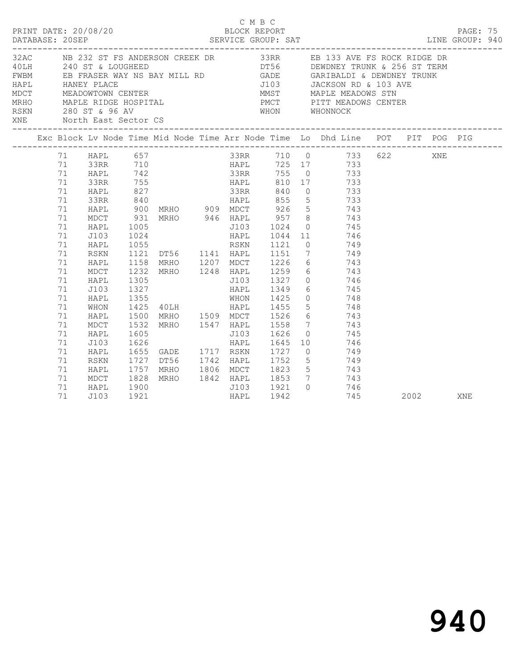|                                  |                                                    |                                                                             |                              |                          | C M B C |      |                                                                                                                                                                                                                                                                                                                                                                                                                                |      |            |  |
|----------------------------------|----------------------------------------------------|-----------------------------------------------------------------------------|------------------------------|--------------------------|---------|------|--------------------------------------------------------------------------------------------------------------------------------------------------------------------------------------------------------------------------------------------------------------------------------------------------------------------------------------------------------------------------------------------------------------------------------|------|------------|--|
|                                  |                                                    |                                                                             |                              |                          |         |      | 32AC NB 232 ST FS ANDERSON CREEK DR 33RR EB 133 AVE FS ROCK RIDGE DR<br>AOLH 240 ST & LOUGHEED<br>FWBM EB FRASER WAY NS BAY MILL RD GADE GARIBALDI & DEWDNEY TRUNK & 256 ST TERM<br>HAPL HANEY PLACE 7103 JACKSON RD & 103 AVE<br>MDCT MEADOWTOWN CENTER MAST MAPLE MEADOWS STN<br>MRHO MAPLE RIDGE HOSPITAL PMCT PITT MEADOWS CENTER<br>RSKN 280 ST & 96 AV WHON WHONNOCK<br>XNE North East Sector CS                         |      |            |  |
|                                  |                                                    |                                                                             |                              |                          |         |      | Exc Block Lv Node Time Mid Node Time Arr Node Time Lo Dhd Line POT PIT POG PIG                                                                                                                                                                                                                                                                                                                                                 |      |            |  |
|                                  | 71<br>71<br>71<br>71<br>71<br>71<br>71<br>71<br>71 | 71 HAPL 657<br>HAPL<br>33RR<br>HAPL<br>33RR<br>HAPL<br>MDCT<br>HAPL<br>J103 | 931<br>1005                  | 33RR 710                 |         |      | 33RR 710 0 733 622 XNE<br>HAPL 725 17 733<br>142<br>142<br>142<br>155<br>133RR 155<br>155<br>133RR 840<br>1733<br>133RR 840<br>1733<br>1840<br>1840<br>1840<br>1840<br>1840<br>1840<br>1845<br>1855<br>1836<br>1845<br>1855<br>1846<br>1855<br>1846<br>1855<br>1846<br>1855<br>1846<br>1855<br>1846<br>1855<br>1846<br>1855<br>1846<br>1855<br>18<br>900 MRHO 909 MDCT 926 5 743<br>MRHO 946 HAPL 957 8 743<br>J103 1024 0 745 |      |            |  |
| 71<br>71<br>71<br>71<br>71<br>71 | 71<br>71                                           | HAPL<br>RSKN<br>HAPL<br>MDCT<br>HAPL<br>J103<br>HAPL<br>WHON                | 1305<br>1327<br>1355         |                          |         |      | 1005 1024 0 745<br>1024 1044 11 746<br>1055 RSKN 1121 0 749<br>1121 DT56 1141 HAPL 1151 7 749<br>1158 MRHO 1207 MDCT 1226 6 743<br>1232 MRHO 1248 HAPL 1259 6 743<br>J103 1327 0 746<br>HAPL 1349 6 745<br>WHON 1425 0 748<br>1425 40LH HAPL 1455 5 748                                                                                                                                                                        |      |            |  |
| 71<br>71<br>71<br>71<br>71       | 71<br>71                                           | HAPL<br>MDCT<br>HAPL<br>J103<br>HAPL<br>RSKN<br>HAPL                        | 1500<br>1532<br>1605<br>1626 | 1655 GADE 1717 RSKN 1727 |         |      | MRHO 1509 MDCT 1526 6 743<br>MRHO 1547 HAPL 1558 7 743<br>J103 1626 0 745<br>HAPL 1645 10 746<br>$0 \hspace{1.5cm} 749$<br>1727 DT56 1742 HAPL 1752 5 749<br>1757 MRHO 1806 MDCT 1823 5 743                                                                                                                                                                                                                                    |      |            |  |
| 71<br>71                         | 71                                                 | MDCT<br>HAPL<br>J103                                                        | 1828<br>1900<br>1921         |                          | HAPL    | 1942 | MRHO 1842 HAPL 1853 7 743<br>J103 1921 0 746<br>745                                                                                                                                                                                                                                                                                                                                                                            | 2002 | <b>XNE</b> |  |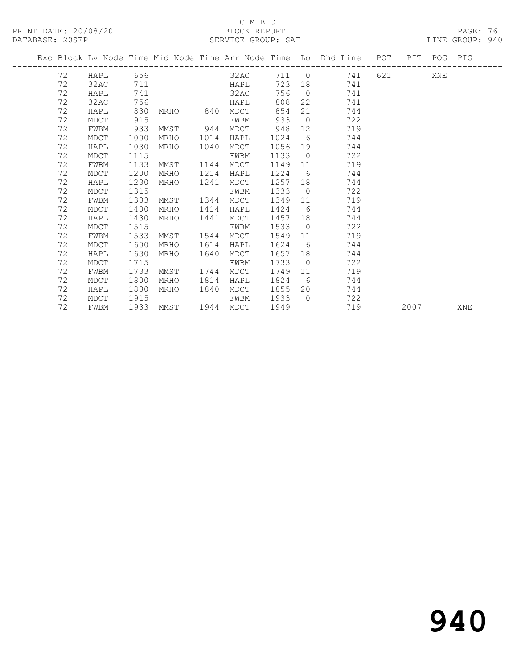#### C M B C<br>BLOCK REPORT

PAGE: 76<br>LINE GROUP: 940

|    |      |      |                     |      |      |      |                | Exc Block Lv Node Time Mid Node Time Arr Node Time Lo Dhd Line POT |         |                                                                                                                                                                                                                                 | PIT POG PIG |     |
|----|------|------|---------------------|------|------|------|----------------|--------------------------------------------------------------------|---------|---------------------------------------------------------------------------------------------------------------------------------------------------------------------------------------------------------------------------------|-------------|-----|
| 72 | HAPL | 656  |                     |      | 32AC |      |                | 711 0<br>741                                                       | 621 XNE |                                                                                                                                                                                                                                 |             |     |
| 72 | 32AC | 711  |                     |      | HAPL |      |                | 723 18<br>741                                                      |         |                                                                                                                                                                                                                                 |             |     |
| 72 | HAPL | 741  |                     |      | 32AC | 756  | $\bigcirc$     | 741                                                                |         |                                                                                                                                                                                                                                 |             |     |
| 72 | 32AC | 756  |                     |      | HAPL | 808  | 22             | 741                                                                |         |                                                                                                                                                                                                                                 |             |     |
| 72 | HAPL | 830  | MRHO 840            |      | MDCT | 854  | 21             | 744                                                                |         |                                                                                                                                                                                                                                 |             |     |
| 72 | MDCT | 915  |                     |      | FWBM | 933  | $\overline{0}$ | 722                                                                |         |                                                                                                                                                                                                                                 |             |     |
| 72 | FWBM | 933  | MMST 944            |      | MDCT | 948  | 12             | 719                                                                |         |                                                                                                                                                                                                                                 |             |     |
| 72 | MDCT | 1000 | MRHO                | 1014 | HAPL | 1024 | 6              | 744                                                                |         |                                                                                                                                                                                                                                 |             |     |
| 72 | HAPL | 1030 | MRHO                | 1040 | MDCT | 1056 | 19             | 744                                                                |         |                                                                                                                                                                                                                                 |             |     |
| 72 | MDCT | 1115 |                     |      | FWBM | 1133 | $\overline{0}$ | 722                                                                |         |                                                                                                                                                                                                                                 |             |     |
| 72 | FWBM | 1133 | MMST                | 1144 | MDCT | 1149 | 11             | 719                                                                |         |                                                                                                                                                                                                                                 |             |     |
| 72 | MDCT | 1200 | MRHO                | 1214 | HAPL | 1224 | 6              | 744                                                                |         |                                                                                                                                                                                                                                 |             |     |
| 72 | HAPL | 1230 | MRHO                | 1241 | MDCT | 1257 | 18             | 744                                                                |         |                                                                                                                                                                                                                                 |             |     |
| 72 | MDCT | 1315 |                     |      | FWBM | 1333 | $\overline{0}$ | 722                                                                |         |                                                                                                                                                                                                                                 |             |     |
| 72 | FWBM | 1333 | MMST                | 1344 | MDCT | 1349 | 11             | 719                                                                |         |                                                                                                                                                                                                                                 |             |     |
| 72 | MDCT | 1400 | MRHO                | 1414 | HAPL | 1424 | 6              | 744                                                                |         |                                                                                                                                                                                                                                 |             |     |
| 72 | HAPL | 1430 | MRHO                | 1441 | MDCT | 1457 | 18             | 744                                                                |         |                                                                                                                                                                                                                                 |             |     |
| 72 | MDCT | 1515 |                     |      | FWBM | 1533 | $\overline{0}$ | 722                                                                |         |                                                                                                                                                                                                                                 |             |     |
| 72 | FWBM | 1533 | MMST                | 1544 | MDCT | 1549 | 11             | 719                                                                |         |                                                                                                                                                                                                                                 |             |     |
| 72 | MDCT | 1600 | MRHO                | 1614 | HAPL | 1624 | 6              | 744                                                                |         |                                                                                                                                                                                                                                 |             |     |
| 72 | HAPL | 1630 | MRHO                | 1640 | MDCT | 1657 | 18             | 744                                                                |         |                                                                                                                                                                                                                                 |             |     |
| 72 | MDCT | 1715 |                     |      | FWBM | 1733 | $\overline{0}$ | 722                                                                |         |                                                                                                                                                                                                                                 |             |     |
| 72 | FWBM | 1733 | MMST                | 1744 | MDCT | 1749 | 11             | 719                                                                |         |                                                                                                                                                                                                                                 |             |     |
| 72 | MDCT | 1800 | MRHO                | 1814 | HAPL | 1824 | 6              | 744                                                                |         |                                                                                                                                                                                                                                 |             |     |
| 72 | HAPL | 1830 | MRHO                | 1840 | MDCT | 1855 | 20             | 744                                                                |         |                                                                                                                                                                                                                                 |             |     |
| 72 | MDCT | 1915 |                     |      | FWBM | 1933 | $\bigcirc$     | 722                                                                |         |                                                                                                                                                                                                                                 |             |     |
| 72 | FWBM |      | 1933 MMST 1944 MDCT |      |      | 1949 |                | 719                                                                |         | 2007 — 2007 — 2007 — 2008 — 2007 — 2008 — 2008 — 2008 — 2008 — 2008 — 2008 — 2008 — 2008 — 2008 — 2008 — 2008 — 2008 — 2008 — 2008 — 2008 — 2008 — 2008 — 2008 — 2008 — 2008 — 2008 — 2008 — 2008 — 2008 — 2008 — 2008 — 2008 — |             | XNE |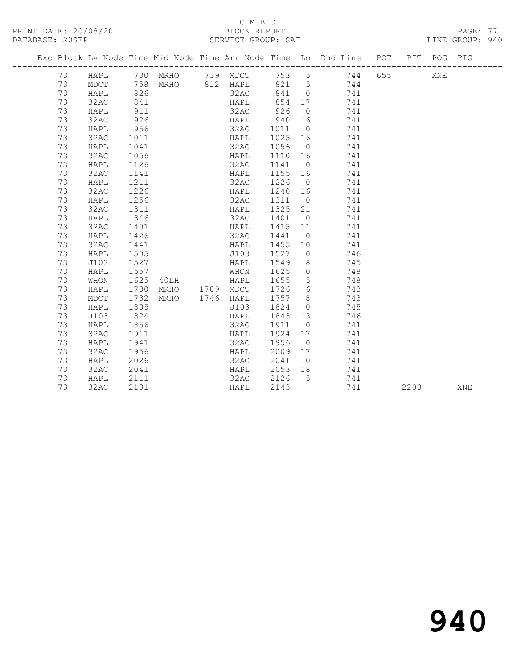PRINT DATE: 20/08/20 BLOCK REPORT BATABASE: 20SEP

### C M B C<br>BLOCK REPORT

PAGE: 77<br>LINE GROUP: 940

|  |    |      |      |                         |           |         |                | Exc Block Lv Node Time Mid Node Time Arr Node Time Lo Dhd Line POT |      | PIT POG PIG |     |
|--|----|------|------|-------------------------|-----------|---------|----------------|--------------------------------------------------------------------|------|-------------|-----|
|  | 73 | HAPL |      | 730 MRHO 739 MDCT 753 5 |           |         |                | 744 655                                                            |      | XNE         |     |
|  | 73 | MDCT |      | 758 MRHO 812 HAPL       |           | 821 5   |                | 744                                                                |      |             |     |
|  | 73 | HAPL | 826  |                         | 32AC      | 841 0   |                | 741                                                                |      |             |     |
|  | 73 | 32AC | 841  |                         | HAPL      | 854 17  |                | 741                                                                |      |             |     |
|  | 73 | HAPL | 911  |                         | 32AC      | 926     | $\overline{0}$ | 741                                                                |      |             |     |
|  | 73 | 32AC | 926  |                         | HAPL      | 940     | 16             | 741                                                                |      |             |     |
|  | 73 | HAPL | 956  |                         | 32AC      | 1011    | $\overline{0}$ | 741                                                                |      |             |     |
|  | 73 | 32AC | 1011 |                         | HAPL      | 1025 16 |                | 741                                                                |      |             |     |
|  | 73 | HAPL | 1041 |                         | 32AC      | 1056    | $\overline{0}$ | 741                                                                |      |             |     |
|  | 73 | 32AC | 1056 |                         | HAPL      | 1110 16 |                | 741                                                                |      |             |     |
|  | 73 | HAPL | 1126 |                         | 32AC      | 1141    | $\overline{0}$ | 741                                                                |      |             |     |
|  | 73 | 32AC | 1141 |                         | HAPL      | 1155 16 |                | 741                                                                |      |             |     |
|  | 73 | HAPL | 1211 |                         | 32AC      | 1226    | $\overline{0}$ | 741                                                                |      |             |     |
|  | 73 | 32AC | 1226 |                         | HAPL      | 1240 16 |                | 741                                                                |      |             |     |
|  | 73 | HAPL | 1256 |                         | 32AC      | 1311    | $\overline{0}$ | 741                                                                |      |             |     |
|  | 73 | 32AC | 1311 |                         | HAPL      | 1325 21 |                | 741                                                                |      |             |     |
|  | 73 | HAPL | 1346 |                         | 32AC      | 1401    | $\overline{0}$ | 741                                                                |      |             |     |
|  | 73 | 32AC | 1401 |                         | HAPL      | 1415    | 11             | 741                                                                |      |             |     |
|  | 73 | HAPL | 1426 |                         | 32AC      | 1441    | $\overline{0}$ | 741                                                                |      |             |     |
|  | 73 | 32AC | 1441 |                         | HAPL      | 1455    | 10             | 741                                                                |      |             |     |
|  | 73 | HAPL | 1505 |                         | J103      | 1527    | $\overline{0}$ | 746                                                                |      |             |     |
|  | 73 | J103 | 1527 |                         | HAPL      | 1549    | 8              | 745                                                                |      |             |     |
|  | 73 | HAPL | 1557 |                         | WHON      | 1625    | $\overline{0}$ | 748                                                                |      |             |     |
|  | 73 | WHON | 1625 | 40LH                    | HAPL      | 1655    | $5^{\circ}$    | 748                                                                |      |             |     |
|  | 73 | HAPL | 1700 | MRHO 1709 MDCT          |           | 1726    | 6              | 743                                                                |      |             |     |
|  | 73 | MDCT | 1732 | MRHO                    | 1746 HAPL | 1757    | 8 <sup>8</sup> | 743                                                                |      |             |     |
|  | 73 | HAPL | 1805 |                         | J103      | 1824    | $\overline{0}$ | 745                                                                |      |             |     |
|  | 73 | J103 | 1824 |                         | HAPL      | 1843 13 |                | 746                                                                |      |             |     |
|  | 73 | HAPL | 1856 |                         | 32AC      | 1911    | $\overline{0}$ | 741                                                                |      |             |     |
|  | 73 | 32AC | 1911 |                         | HAPL      | 1924    | 17             | 741                                                                |      |             |     |
|  | 73 | HAPL | 1941 |                         | 32AC      | 1956    | $\overline{0}$ | 741                                                                |      |             |     |
|  | 73 | 32AC | 1956 |                         | HAPL      | 2009    | 17             | 741                                                                |      |             |     |
|  | 73 | HAPL | 2026 |                         | 32AC      | 2041    | $\overline{0}$ | 741                                                                |      |             |     |
|  | 73 | 32AC | 2041 |                         | HAPL      | 2053    | 18             | 741                                                                |      |             |     |
|  | 73 | HAPL | 2111 |                         | 32AC      | 2126    | $5^{\circ}$    | 741                                                                |      |             |     |
|  | 73 | 32AC | 2131 |                         | HAPL      | 2143    |                | 741                                                                | 2203 |             | XNE |

# 940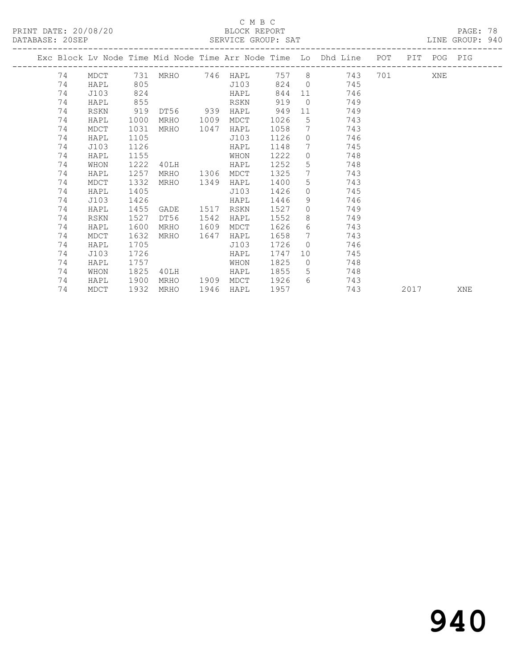#### C M B C<br>BLOCK REPORT

| PRINT DATE: 20/08/20<br>DATABASE: 20SEP SERVICE GROUP: SAT |      |      |               |      | BLOCK REPORT |      |                 |                                                                                                           |  |             | PAGE: 78<br>LINE GROUP: 940 |  |
|------------------------------------------------------------|------|------|---------------|------|--------------|------|-----------------|-----------------------------------------------------------------------------------------------------------|--|-------------|-----------------------------|--|
|                                                            |      |      |               |      |              |      |                 | Exc Block Lv Node Time Mid Node Time Arr Node Time Lo Dhd Line POT<br>----------------------------------- |  | PIT POG PIG |                             |  |
| 74                                                         |      |      |               |      |              |      |                 | MDCT 731 MRHO 746 HAPL 757 8 743 701                                                                      |  | XNE         |                             |  |
| 74                                                         | HAPL | 805  |               |      |              |      |                 | J103 824 0 745                                                                                            |  |             |                             |  |
| 74                                                         | J103 | 824  |               |      | HAPL         | 844  |                 | 11 — 1<br>746                                                                                             |  |             |                             |  |
| 74                                                         | HAPL | 855  |               |      | RSKN         | 919  |                 | $\overline{0}$<br>749                                                                                     |  |             |                             |  |
| 74                                                         | RSKN | 919  | DT56 939 HAPL |      |              | 949  |                 | 11 7<br>749                                                                                               |  |             |                             |  |
| 74                                                         | HAPL | 1000 | MRHO          | 1009 | MDCT         | 1026 | $5\overline{)}$ | 743                                                                                                       |  |             |                             |  |
| 74                                                         | MDCT | 1031 | MRHO          | 1047 | HAPL         | 1058 | $7\overline{ }$ | 743                                                                                                       |  |             |                             |  |
| 74                                                         | HAPL | 1105 |               |      | J103         | 1126 | $\overline{0}$  | 746                                                                                                       |  |             |                             |  |
| 74                                                         | J103 | 1126 |               |      | HAPL         | 1148 | $7\phantom{.0}$ | 745                                                                                                       |  |             |                             |  |
| 74                                                         | HAPL | 1155 |               |      | WHON         | 1222 | $\overline{0}$  | 748                                                                                                       |  |             |                             |  |
| 74                                                         | WHON | 1222 | 40LH          |      | HAPL         | 1252 | 5               | 748                                                                                                       |  |             |                             |  |
| 74                                                         | HAPL | 1257 | MRHO          | 1306 | MDCT         | 1325 | $7\overline{ }$ | 743                                                                                                       |  |             |                             |  |
| 74                                                         | MDCT | 1332 | MRHO          | 1349 | HAPL         | 1400 | 5 <sub>5</sub>  | 743                                                                                                       |  |             |                             |  |
| 74                                                         | HAPL | 1405 |               |      | J103         | 1426 | $\circ$         | 745                                                                                                       |  |             |                             |  |
| 74                                                         | J103 | 1426 |               |      | HAPL         | 1446 | 9               | 746                                                                                                       |  |             |                             |  |
| 74                                                         | HAPL | 1455 | GADE          | 1517 | RSKN         | 1527 | $\overline{0}$  | 749                                                                                                       |  |             |                             |  |
| 74                                                         | RSKN | 1527 | DT56          | 1542 | HAPL         | 1552 |                 | $8 \overline{)}$<br>749                                                                                   |  |             |                             |  |
| 74                                                         | HAPL | 1600 | MRHO          | 1609 | MDCT         | 1626 | 6               | 743                                                                                                       |  |             |                             |  |
| 74                                                         | MDCT | 1632 | MRHO          | 1647 | HAPL         | 1658 | $7\overline{ }$ | 743                                                                                                       |  |             |                             |  |
| 74                                                         | HAPL | 1705 |               |      | J103         | 1726 | $\circ$         | 746                                                                                                       |  |             |                             |  |
| 74                                                         | J103 | 1726 |               |      | HAPL         | 1747 | 10              | 745                                                                                                       |  |             |                             |  |
| 74                                                         | HAPL | 1757 |               |      | WHON         | 1825 | $\overline{0}$  | 748                                                                                                       |  |             |                             |  |
| 74                                                         | WHON |      | 1825 40LH     |      | HAPL         | 1855 | 5 <sup>1</sup>  | 748                                                                                                       |  |             |                             |  |

74 MDCT 1932 MRHO 1946 HAPL 1957 743 2017 XNE

74 HAPL 1900 MRHO 1909 MDCT 1926 6 743

# 940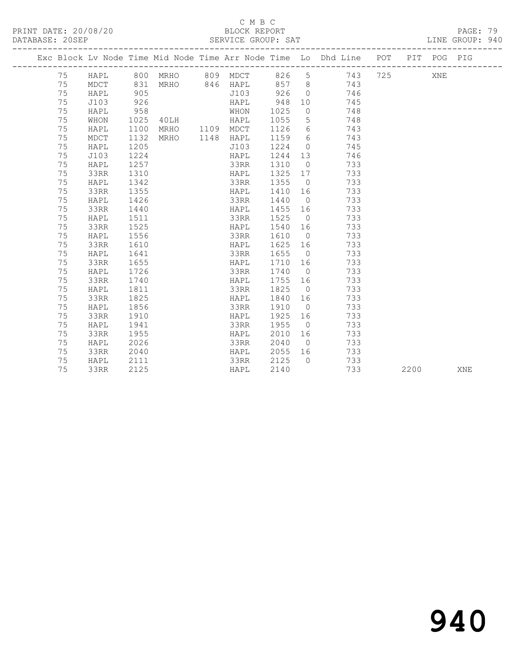PRINT DATE: 20/08/20 BLOCK REPORT BATABASE: 20SEP

#### C M B C<br>BLOCK REPORT

PAGE: 79<br>LINE GROUP: 940

|  |    |      |      |                |      |         |                 | Exc Block Lv Node Time Mid Node Time Arr Node Time Lo Dhd Line POT PIT POG PIG            |      |     |     |
|--|----|------|------|----------------|------|---------|-----------------|-------------------------------------------------------------------------------------------|------|-----|-----|
|  |    |      |      |                |      |         |                 | 75 HAPL 800 MRHO 809 MDCT 826 5 743 725                                                   |      | XNE |     |
|  | 75 |      |      |                |      |         |                 | MDCT 831 MRHO 846 HAPL 857 8 743<br>HAPL 905 5 7103 926 0 746<br>J103 926 HAPL 948 10 745 |      |     |     |
|  | 75 |      |      |                |      |         |                 |                                                                                           |      |     |     |
|  | 75 |      |      |                |      |         |                 |                                                                                           |      |     |     |
|  | 75 | HAPL | 958  |                | WHON | 1025    | $\overline{0}$  | 748                                                                                       |      |     |     |
|  | 75 | WHON | 1025 | 40LH           | HAPL | 1055    | $5\overline{)}$ | 748                                                                                       |      |     |     |
|  | 75 | HAPL | 1100 | MRHO 1109 MDCT |      | 1126    | 6               | 743                                                                                       |      |     |     |
|  | 75 | MDCT | 1132 | MRHO 1148 HAPL |      | 1159 6  |                 | 743                                                                                       |      |     |     |
|  | 75 | HAPL | 1205 |                | J103 | 1224 0  |                 | 745                                                                                       |      |     |     |
|  | 75 | J103 | 1224 |                | HAPL | 1244 13 |                 | 746                                                                                       |      |     |     |
|  | 75 | HAPL | 1257 |                | 33RR | 1310    | $\overline{0}$  | 733                                                                                       |      |     |     |
|  | 75 | 33RR | 1310 |                | HAPL | 1325    | 17              | 733                                                                                       |      |     |     |
|  | 75 | HAPL | 1342 |                | 33RR | 1355    | $\overline{0}$  | 733                                                                                       |      |     |     |
|  | 75 | 33RR | 1355 |                | HAPL | 1410    | 16              | 733                                                                                       |      |     |     |
|  | 75 | HAPL | 1426 |                | 33RR | 1440    | $\overline{0}$  | 733                                                                                       |      |     |     |
|  | 75 | 33RR | 1440 |                | HAPL | 1455 16 |                 | 733                                                                                       |      |     |     |
|  | 75 | HAPL | 1511 |                | 33RR | 1525    |                 | 733<br>$\overline{0}$                                                                     |      |     |     |
|  | 75 | 33RR | 1525 |                | HAPL | 1540 16 |                 | 733                                                                                       |      |     |     |
|  | 75 | HAPL | 1556 |                | 33RR | 1610    |                 | $\overline{0}$<br>733                                                                     |      |     |     |
|  | 75 | 33RR | 1610 |                | HAPL | 1625 16 |                 | 733                                                                                       |      |     |     |
|  | 75 | HAPL | 1641 |                | 33RR | 1655    |                 | $\overline{0}$<br>733                                                                     |      |     |     |
|  | 75 | 33RR | 1655 |                | HAPL | 1710 16 |                 | 733                                                                                       |      |     |     |
|  | 75 | HAPL | 1726 |                | 33RR | 1740 0  |                 | 733                                                                                       |      |     |     |
|  | 75 | 33RR | 1740 |                | HAPL | 1755 16 |                 | 733                                                                                       |      |     |     |
|  | 75 | HAPL | 1811 |                | 33RR | 1825    |                 | $\overline{0}$<br>733                                                                     |      |     |     |
|  | 75 | 33RR | 1825 |                | HAPL | 1840 16 |                 | 733                                                                                       |      |     |     |
|  | 75 | HAPL | 1856 |                | 33RR | 1910    | $\overline{0}$  | 733                                                                                       |      |     |     |
|  | 75 | 33RR | 1910 |                | HAPL | 1925 16 |                 | 733                                                                                       |      |     |     |
|  | 75 | HAPL | 1941 |                | 33RR | 1955    | $\overline{0}$  | 733                                                                                       |      |     |     |
|  | 75 | 33RR | 1955 |                | HAPL | 2010 16 |                 | 733                                                                                       |      |     |     |
|  | 75 | HAPL | 2026 |                | 33RR | 2040    |                 | $\overline{0}$<br>733                                                                     |      |     |     |
|  | 75 | 33RR | 2040 |                | HAPL | 2055 16 |                 | 733                                                                                       |      |     |     |
|  | 75 | HAPL | 2111 |                | 33RR | 2125    | $\bigcap$       | 733                                                                                       |      |     |     |
|  | 75 | 33RR | 2125 |                | HAPL | 2140    |                 | 733                                                                                       | 2200 |     | XNE |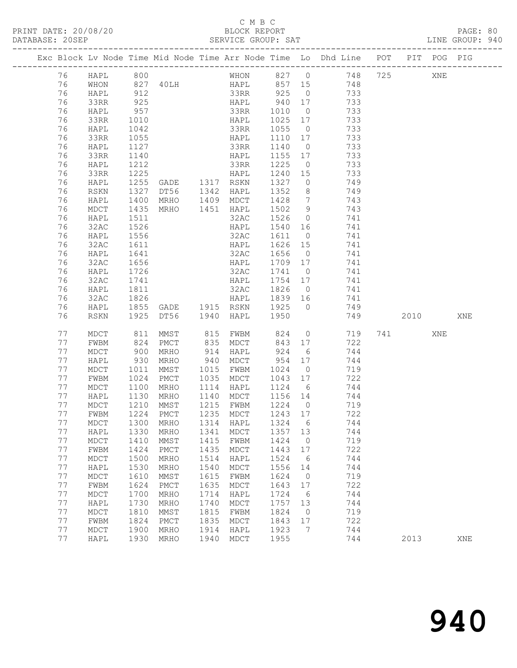#### C M B C<br>BLOCK REPORT

| DATABASE: 20SEP |    | ------------------- |                          |                                  |      | SERVICE GROUP: SAT          |                                                      |                              |                                                                                |           |     | LINE GROUP: 940 |  |
|-----------------|----|---------------------|--------------------------|----------------------------------|------|-----------------------------|------------------------------------------------------|------------------------------|--------------------------------------------------------------------------------|-----------|-----|-----------------|--|
|                 |    |                     |                          |                                  |      |                             |                                                      |                              | Exc Block Lv Node Time Mid Node Time Arr Node Time Lo Dhd Line POT PIT POG PIG |           |     |                 |  |
|                 | 76 | HAPL 800            |                          |                                  |      |                             |                                                      |                              | WHON 827 0 748 725 XNE                                                         |           |     |                 |  |
|                 | 76 | WHON                |                          |                                  |      |                             |                                                      |                              | 827 40LH HAPL 857 15 748                                                       |           |     |                 |  |
|                 | 76 | HAPL                | 912<br>925<br>957        |                                  |      |                             |                                                      |                              | 33RR 925 0 733                                                                 |           |     |                 |  |
|                 | 76 | 33RR                |                          |                                  |      |                             |                                                      |                              | 733                                                                            |           |     |                 |  |
|                 | 76 | HAPL                |                          |                                  |      |                             |                                                      |                              | 733                                                                            |           |     |                 |  |
|                 | 76 | 33RR                | 1010                     |                                  |      |                             |                                                      |                              | HAPL 1025 17 733                                                               |           |     |                 |  |
|                 | 76 | HAPL                | 1042                     |                                  |      | 33RR                        | 1055 0                                               |                              | 733                                                                            |           |     |                 |  |
|                 | 76 | 33RR                |                          |                                  |      |                             |                                                      |                              | 733                                                                            |           |     |                 |  |
|                 | 76 | HAPL                | 1055<br>1127             |                                  |      | HAPL 1110 17<br>33RR 1140 0 |                                                      |                              | 733                                                                            |           |     |                 |  |
|                 | 76 | 33RR                | 1140                     |                                  |      |                             |                                                      |                              | HAPL 1155 17 733                                                               |           |     |                 |  |
|                 | 76 | HAPL                | 1212                     |                                  |      | 33RR                        | 1225                                                 | $\overline{0}$               | 733                                                                            |           |     |                 |  |
|                 | 76 | 33RR                | 1225                     |                                  |      | HAPL                        | 1240 15                                              |                              | 733                                                                            |           |     |                 |  |
|                 | 76 | HAPL                |                          |                                  |      |                             | 1327 0                                               |                              | 749                                                                            |           |     |                 |  |
|                 | 76 | RSKN                | 1327                     |                                  |      | DT56 1342 HAPL 1352         |                                                      |                              | 8 749                                                                          |           |     |                 |  |
|                 | 76 | HAPL                | 1400                     |                                  |      |                             |                                                      |                              | MRHO 1409 MDCT 1428 7 743                                                      |           |     |                 |  |
|                 | 76 | MDCT                |                          | MRHO 1451 HAPL                   |      |                             | 1502 9                                               |                              | 743                                                                            |           |     |                 |  |
|                 | 76 | HAPL                | 1435<br>1511             |                                  |      | 32AC                        | 1526 0                                               |                              | 741                                                                            |           |     |                 |  |
|                 | 76 | 32AC                | 1526                     |                                  |      | HAPL 1540 16                |                                                      |                              | 741                                                                            |           |     |                 |  |
|                 | 76 | HAPL                | 1556                     |                                  |      | 32AC                        | 1611                                                 |                              | $\overline{0}$<br>741                                                          |           |     |                 |  |
|                 | 76 | 32AC                | 1611                     |                                  |      | HAPL                        |                                                      |                              | 1626 15 741                                                                    |           |     |                 |  |
|                 | 76 | HAPL                | 1641                     |                                  |      | 32AC                        | 1656 0                                               |                              | 741                                                                            |           |     |                 |  |
|                 | 76 | 32AC                | 1656                     |                                  |      | <b>HAPL</b>                 |                                                      |                              | 1709 17 741                                                                    |           |     |                 |  |
|                 | 76 | HAPL                | 1726                     |                                  |      | 32AC                        | 1741 0                                               |                              | 741                                                                            |           |     |                 |  |
|                 | 76 | 32AC                | 1741                     |                                  |      | HAPL                        |                                                      |                              | 1754 17 741                                                                    |           |     |                 |  |
|                 | 76 | HAPL                | 1811                     |                                  |      | 32AC 1826 0                 |                                                      |                              | 741                                                                            |           |     |                 |  |
|                 | 76 | 32AC                | 1826                     |                                  |      |                             |                                                      |                              | HAPL 1839 16 741                                                               |           |     |                 |  |
|                 | 76 | HAPL                |                          |                                  |      |                             |                                                      |                              | 1855 GADE 1915 RSKN 1925 0 749                                                 |           |     |                 |  |
|                 | 76 | RSKN                | 1925                     |                                  |      | DT56 1940 HAPL 1950         |                                                      |                              | 749                                                                            | 2010 70   |     | XNE             |  |
|                 | 77 | MDCT                | 811                      |                                  |      | MMST 815 FWBM 824           |                                                      |                              | $\overline{O}$<br>719                                                          | 741 — 200 | XNE |                 |  |
|                 | 77 | FWBM                | 824                      | PMCT                             |      | 835 MDCT                    |                                                      |                              | 843 17<br>722                                                                  |           |     |                 |  |
|                 | 77 | MDCT                |                          | MRHO                             |      | 914 HAPL                    | 924 6                                                |                              | 744                                                                            |           |     |                 |  |
|                 | 77 | HAPL                | $900$<br>$930$<br>$1011$ | MRHO                             |      | 940 MDCT                    | $\begin{array}{cc} 954 & 17 \\ 1024 & 0 \end{array}$ |                              | 744                                                                            |           |     |                 |  |
|                 | 77 | MDCT                |                          | MMST                             |      | 1015 FWBM                   |                                                      |                              | 719                                                                            |           |     |                 |  |
|                 | 77 | FWBM                | 1024                     |                                  |      |                             |                                                      |                              | PMCT 1035 MDCT 1043 17 722                                                     |           |     |                 |  |
|                 | 77 | MDCT                | 1100<br>1130<br>1210     | MRHO 1114 HAPL                   |      |                             | 1124 6                                               |                              | 744                                                                            |           |     |                 |  |
|                 | 77 | HAPL                |                          | MRHO 1140 MDCT<br>MMST 1215 FWBM |      |                             | 1156 14<br>1224 0                                    |                              | 744                                                                            |           |     |                 |  |
|                 | 77 | MDCT                |                          | MMST                             |      |                             |                                                      |                              | 719                                                                            |           |     |                 |  |
|                 | 77 |                     |                          | FWBM 1224 PMCT 1235 MDCT 1243 17 |      |                             |                                                      |                              | 722                                                                            |           |     |                 |  |
|                 | 77 | MDCT                | 1300                     | MRHO                             | 1314 | HAPL                        | 1324                                                 | 6                            | 744                                                                            |           |     |                 |  |
|                 | 77 | HAPL                | 1330                     | MRHO                             | 1341 | MDCT                        | 1357 13                                              |                              | 744                                                                            |           |     |                 |  |
|                 | 77 | MDCT                | 1410                     | MMST                             | 1415 | FWBM                        | 1424                                                 | $\overline{0}$               | 719                                                                            |           |     |                 |  |
|                 | 77 | FWBM                | 1424                     | PMCT                             | 1435 | MDCT                        | 1443                                                 | 17                           | 722                                                                            |           |     |                 |  |
|                 | 77 | MDCT                | 1500                     | MRHO                             | 1514 | HAPL                        | 1524                                                 | $6\overline{6}$              | 744                                                                            |           |     |                 |  |
|                 | 77 | HAPL                | 1530                     | MRHO                             | 1540 | ${\tt MDCT}$                | 1556                                                 | 14                           | 744                                                                            |           |     |                 |  |
|                 | 77 | MDCT                | 1610                     | MMST                             | 1615 | FWBM                        | 1624                                                 | $\overline{0}$               | 719                                                                            |           |     |                 |  |
|                 | 77 | FWBM                | 1624                     | PMCT                             | 1635 | MDCT                        | 1643                                                 | 17                           | 722                                                                            |           |     |                 |  |
|                 | 77 | MDCT                | 1700                     | MRHO                             | 1714 | HAPL                        | 1724                                                 | $6\overline{6}$              | 744                                                                            |           |     |                 |  |
|                 | 77 | HAPL                | 1730                     | MRHO                             | 1740 | ${\tt MDCT}$                | 1757                                                 | 13                           | 744                                                                            |           |     |                 |  |
|                 | 77 | MDCT                | 1810                     | MMST                             | 1815 | FWBM                        | 1824                                                 | $\overline{0}$               | 719                                                                            |           |     |                 |  |
|                 | 77 | FWBM                | 1824                     | ${\tt PMCT}$                     | 1835 | ${\tt MDCT}$                | 1843                                                 | 17                           | 722                                                                            |           |     |                 |  |
|                 | 77 | MDCT                | 1900                     | <b>MRHO</b>                      | 1914 | HAPL                        | 1923                                                 | $7\phantom{.0}\phantom{.0}7$ | 744                                                                            |           |     |                 |  |
|                 | 77 | HAPL                | 1930                     | MRHO                             | 1940 | MDCT                        | 1955                                                 |                              | 744                                                                            | 2013      |     | XNE             |  |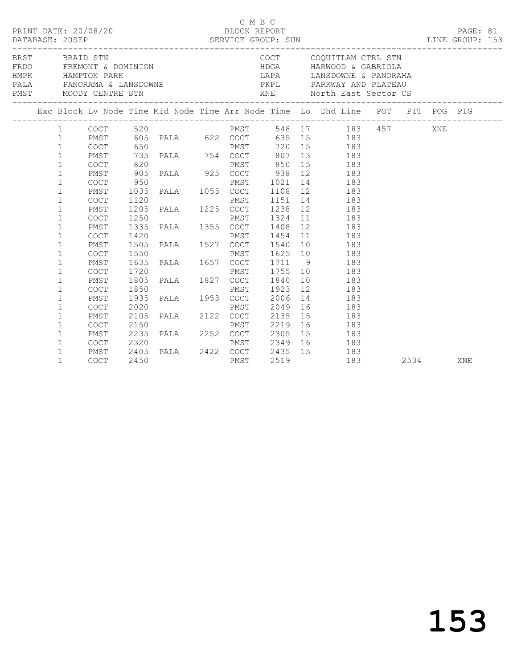|  |                                              |                                    |      |                                            | C M B C |              | PRINT DATE: 20/08/20<br>BLOCK REPORT BLOCK PERT SUN DATABASE: 20SEP SERVICE GROUP: SUN LINE GROUP: 15<br>LINE GROUP: 153                                                                                                    |      |  | PAGE: 81 |  |
|--|----------------------------------------------|------------------------------------|------|--------------------------------------------|---------|--------------|-----------------------------------------------------------------------------------------------------------------------------------------------------------------------------------------------------------------------------|------|--|----------|--|
|  |                                              | BRST BRAID STN                     |      | FRDO FREMONT & DOMINION                    |         |              | COCT COQUITLAM CTRL STN<br>HDGA HARWOOD & GABRIOLA<br>${\small\hbox{HMPK}}\\{\small\hbox{PANPTON} \begin{tabular}{lcccc} HAMP & HAMP & HAMP & HAMP \\ & FALA & & HAND & HAMP \\ \end{tabular}$<br>LAPA LANSDOWNE & PANORAMA |      |  |          |  |
|  |                                              |                                    |      |                                            |         |              | Exc Block Lv Node Time Mid Node Time Arr Node Time Lo Dhd Line POT PIT POG PIG                                                                                                                                              |      |  |          |  |
|  | $\mathbf{1}$<br>$\mathbf{1}$                 | PMST<br>COCT                       |      | 650                                        |         |              | 605 PALA 622 COCT 635 15 183                                                                                                                                                                                                |      |  |          |  |
|  | $\mathbf{1}$<br>$\mathbf{1}$                 | PMST<br>COCT                       | 820  |                                            |         |              | PMST 850 15 183                                                                                                                                                                                                             |      |  |          |  |
|  | $\mathbf{1}$<br>$\mathbf{1}$                 | PMST<br><b>COCT</b>                | 950  | 950 PMST<br>1035 PALA 1055 COCT            |         |              | 905 PALA 925 COCT 938 12 183<br>PMST 1021 14 183                                                                                                                                                                            |      |  |          |  |
|  | $\mathbf{1}$<br>$\mathbf 1$<br>$\mathbf{1}$  | PMST<br>COCT<br>PMST               |      |                                            |         |              | 1108 12 183<br>1151 14 183<br>1238 12 183                                                                                                                                                                                   |      |  |          |  |
|  | $\mathbf{1}$<br>$\mathbf{1}$                 | COCT<br>PMST                       |      |                                            |         |              |                                                                                                                                                                                                                             |      |  |          |  |
|  | $\mathbf{1}$<br>$\mathbf{1}$                 | <b>COCT</b><br>PMST                |      |                                            |         |              |                                                                                                                                                                                                                             |      |  |          |  |
|  | $\mathbf{1}$<br>$\mathbf{1}$                 | <b>COCT</b><br>PMST                |      |                                            |         |              | 1250 PMST 1324 11 183<br>1335 PALA 1355 COCT 1408 12 183<br>1420 PMST 1454 11 183<br>1505 PALA 1527 COCT 1540 10 183<br>1550 PMST 1625 10 183<br>1635 PALA 1657 COCT 1711 9 183<br>1635 PALA 1657 COCT 1711 9 183           |      |  |          |  |
|  | $\mathbf{1}$<br>$\mathbf 1$                  | COCT<br>PMST                       |      | 1720 PMST 1755<br>1805 PALA 1827 COCT 1840 |         | 1923         | 1755 10 183<br>10 183<br>12 183                                                                                                                                                                                             |      |  |          |  |
|  | $\mathbf{1}$<br>$\mathbf{1}$<br>$\mathbf{1}$ | <b>COCT</b><br>PMST<br><b>COCT</b> |      | 1850 PMST<br>1935 PALA 1953 COCT           |         | 2006<br>2049 | 14 183<br>16 183                                                                                                                                                                                                            |      |  |          |  |
|  | $\mathbf{1}$<br>$\mathbf{1}$                 | PMST<br>COCT                       |      | 2020 PMST<br>2105 PALA 2122 COCT           |         | 2219         | 2135 15 183<br>16 183                                                                                                                                                                                                       |      |  |          |  |
|  | $\mathbf{1}$<br>$\mathbf{1}$                 | PMST<br>COCT                       |      |                                            |         |              | 2235 PALA 2252 COCT 2305 15 183<br>2320 PMST 2349 16 183<br>2405 PALA 2422 COCT 2435 15 183<br>183                                                                                                                          |      |  |          |  |
|  | $\mathbf{1}$<br>$\mathbf{1}$                 | PMST<br>COCT                       | 2450 |                                            | PMST    | 2519         | 183<br>183                                                                                                                                                                                                                  | 2534 |  | XNE      |  |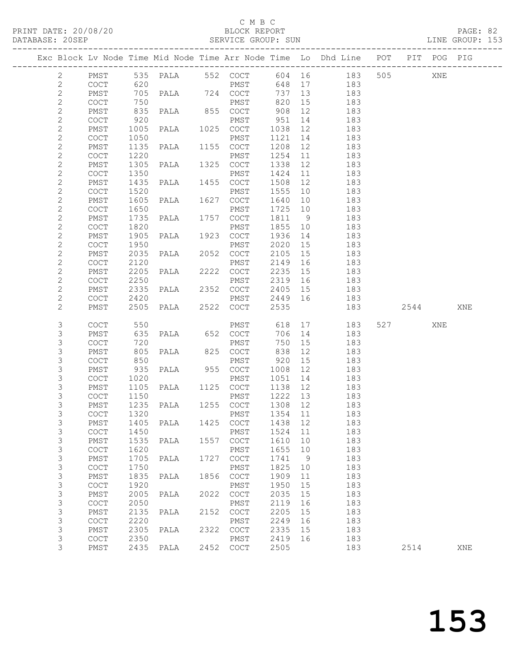PRINT DATE: 20/08/20 BLOCK REPORT BATABASE: 20SEP

#### C M B C<br>BLOCK REPORT

PAGE: 82<br>LINE GROUP: 153

|                              |                                            |              |                   |      |                                                    |              |          | Exc Block Lv Node Time Mid Node Time Arr Node Time Lo Dhd Line POT PIT POG PIG |                |     |     |
|------------------------------|--------------------------------------------|--------------|-------------------|------|----------------------------------------------------|--------------|----------|--------------------------------------------------------------------------------|----------------|-----|-----|
| $\overline{2}$               | PMST                                       |              | 535 PALA 552 COCT |      |                                                    |              |          | 604 16 183                                                                     | 505            | XNE |     |
| 2                            | <b>COCT</b>                                | 620          |                   |      | PMST                                               | 648          | 17       | 183                                                                            |                |     |     |
| $\overline{c}$               | PMST                                       | 705          | PALA 724 COCT     |      |                                                    | 737          | 13       | 183                                                                            |                |     |     |
| $\mathbf{2}$                 | COCT                                       | 750          |                   |      | PMST                                               | 820          | 15       | 183                                                                            |                |     |     |
| $\mathbf{2}$                 | PMST                                       | 835          | PALA 855 COCT     |      |                                                    | 908          | 12       | 183                                                                            |                |     |     |
| $\mathbf{2}$                 | COCT                                       | 920          |                   |      | PMST                                               | 951          | 14       | 183                                                                            |                |     |     |
| $\sqrt{2}$                   | PMST                                       | 1005         | PALA 1025 COCT    |      |                                                    | 1038         | 12       | 183                                                                            |                |     |     |
| $\mathbf{2}$                 | COCT                                       | 1050         |                   |      | PMST                                               | 1121         | 14       | 183                                                                            |                |     |     |
| $\sqrt{2}$                   | PMST                                       | 1135         | PALA              |      | 1155 COCT                                          | 1208         | 12       | 183                                                                            |                |     |     |
| $\mathbf{2}$                 | COCT                                       | 1220         |                   |      | PMST                                               | 1254         | 11       | 183                                                                            |                |     |     |
| $\mathbf{2}$                 | PMST                                       | 1305         | PALA              |      | 1325 COCT                                          | 1338         | 12       | 183                                                                            |                |     |     |
| $\sqrt{2}$                   | COCT                                       | 1350         |                   |      | PMST                                               | 1424         | 11       | 183                                                                            |                |     |     |
| $\mathbf{2}$                 | PMST                                       | 1435         | PALA 1455 COCT    |      |                                                    | 1508         | 12       | 183                                                                            |                |     |     |
| $\mathbf{2}$                 | COCT                                       | 1520         |                   |      | PMST                                               | 1555         | 10       | 183                                                                            |                |     |     |
| $\mathbf{2}$                 | PMST                                       | 1605         | PALA              |      | 1627 COCT                                          | 1640         | 10       | 183                                                                            |                |     |     |
| $\sqrt{2}$                   | COCT                                       | 1650         |                   |      | PMST                                               | 1725         | 10       | 183                                                                            |                |     |     |
| $\sqrt{2}$                   | PMST                                       | 1735         | PALA              |      | 1757 COCT                                          | 1811         | 9        | 183                                                                            |                |     |     |
| $\mathbf{2}$                 | COCT                                       | 1820         |                   |      | PMST                                               | 1855         | 10       | 183                                                                            |                |     |     |
| $\sqrt{2}$                   | PMST                                       | 1905         | PALA              |      | 1923 COCT                                          | 1936         | 14       | 183                                                                            |                |     |     |
| $\sqrt{2}$                   | COCT                                       | 1950         |                   |      | PMST                                               | 2020         | 15       | 183                                                                            |                |     |     |
| $\mathbf 2$                  | PMST                                       | 2035         | PALA              |      | 2052 COCT                                          | 2105         | 15       | 183                                                                            |                |     |     |
| $\mathbf{2}$                 | COCT                                       | 2120         |                   |      | PMST                                               | 2149         | 16       | 183                                                                            |                |     |     |
| $\mathbf{2}$<br>$\mathbf{2}$ | PMST                                       | 2205<br>2250 | PALA              |      | 2222 COCT                                          | 2235<br>2319 | 15       | 183<br>183                                                                     |                |     |     |
| $\mathbf{2}$                 | COCT<br>PMST                               | 2335         | PALA 2352 COCT    |      | PMST                                               | 2405         | 16<br>15 | 183                                                                            |                |     |     |
| $\mathbf{2}$                 | COCT                                       | 2420         |                   |      | PMST                                               | 2449         | 16       | 183                                                                            |                |     |     |
| $\mathbf{2}$                 | PMST                                       | 2505         | PALA              |      | 2522 COCT                                          | 2535         |          | 183                                                                            | 2544           |     | XNE |
|                              |                                            |              |                   |      |                                                    |              |          |                                                                                |                |     |     |
| 3                            | COCT                                       | 550          |                   |      | PMST                                               | 618          |          | 17<br>183                                                                      | 527 and $\sim$ | XNE |     |
| 3                            | PMST                                       | 635          | PALA 652 COCT     |      |                                                    | 706          | 14       | 183                                                                            |                |     |     |
| 3                            | COCT                                       | 720          |                   |      | PMST                                               | 750          | 15       | 183                                                                            |                |     |     |
| $\mathsf S$                  | PMST                                       | 805          | PALA              |      | 825 COCT                                           | 838          | 12       | 183                                                                            |                |     |     |
| $\mathsf S$                  | COCT                                       | 850          |                   |      | PMST                                               | 920          | 15       | 183                                                                            |                |     |     |
| 3                            | PMST                                       | 935          | PALA              |      | 955 COCT                                           | 1008         | 12       | 183                                                                            |                |     |     |
| $\mathsf S$                  | COCT                                       | 1020         |                   |      | PMST                                               | 1051         | 14       | 183                                                                            |                |     |     |
| $\mathsf S$                  | PMST                                       | 1105         | PALA 1125 COCT    |      |                                                    | 1138         | 12       | 183                                                                            |                |     |     |
| $\mathsf S$                  | COCT                                       | 1150         |                   |      | PMST                                               | 1222         | 13       | 183                                                                            |                |     |     |
| 3                            | PMST                                       | 1235         | PALA 1255 COCT    |      |                                                    | 1308 12      |          | 183                                                                            |                |     |     |
| 3                            | <b>COCT</b>                                | 1320         |                   |      | PMST                                               | 1354 11      |          | 183                                                                            |                |     |     |
| 3                            | ${\tt PMST}$                               |              | 1405 PALA         |      | 1425 COCT 1438 12                                  |              |          | 183                                                                            |                |     |     |
| 3<br>3                       | COCT                                       | 1450         |                   |      | PMST                                               | 1524<br>1610 | 11<br>10 | 183<br>183                                                                     |                |     |     |
| 3                            | PMST<br>COCT                               | 1535<br>1620 | PALA              | 1557 | $\mathtt{C}\mathtt{O}\mathtt{C}\mathtt{T}$<br>PMST | 1655         | 10       | 183                                                                            |                |     |     |
| $\mathsf S$                  | PMST                                       | 1705         | PALA              | 1727 | COCT                                               | 1741         | 9        | 183                                                                            |                |     |     |
| $\mathfrak{Z}$               | COCT                                       | 1750         |                   |      | PMST                                               | 1825         | 10       | 183                                                                            |                |     |     |
| $\mathsf 3$                  | PMST                                       | 1835         | PALA              | 1856 | $\mathtt{C}\mathtt{O}\mathtt{C}\mathtt{T}$         | 1909         | 11       | 183                                                                            |                |     |     |
| $\mathfrak{Z}$               | $\mathtt{C}\mathtt{O}\mathtt{C}\mathtt{T}$ | 1920         |                   |      | PMST                                               | 1950         | 15       | 183                                                                            |                |     |     |
| $\mathsf S$                  | PMST                                       | 2005         | PALA              | 2022 | $\mathtt{C}\mathtt{O}\mathtt{C}\mathtt{T}$         | 2035         | 15       | 183                                                                            |                |     |     |
| $\mathfrak{Z}$               | COCT                                       | 2050         |                   |      | PMST                                               | 2119         | 16       | 183                                                                            |                |     |     |
| $\mathsf 3$                  | PMST                                       | 2135         | PALA              | 2152 | $\mathtt{C}\mathtt{O}\mathtt{C}\mathtt{T}$         | 2205         | 15       | 183                                                                            |                |     |     |
| 3                            | COCT                                       | 2220         |                   |      | PMST                                               | 2249         | 16       | 183                                                                            |                |     |     |
| 3                            | PMST                                       | 2305         | PALA              | 2322 | COCT                                               | 2335         | 15       | 183                                                                            |                |     |     |
| $\mathsf S$                  | COCT                                       | 2350         |                   |      | PMST                                               | 2419         | 16       | 183                                                                            |                |     |     |
| 3                            | PMST                                       | 2435         | PALA              | 2452 | COCT                                               | 2505         |          | 183                                                                            | 2514           |     | XNE |
|                              |                                            |              |                   |      |                                                    |              |          |                                                                                |                |     |     |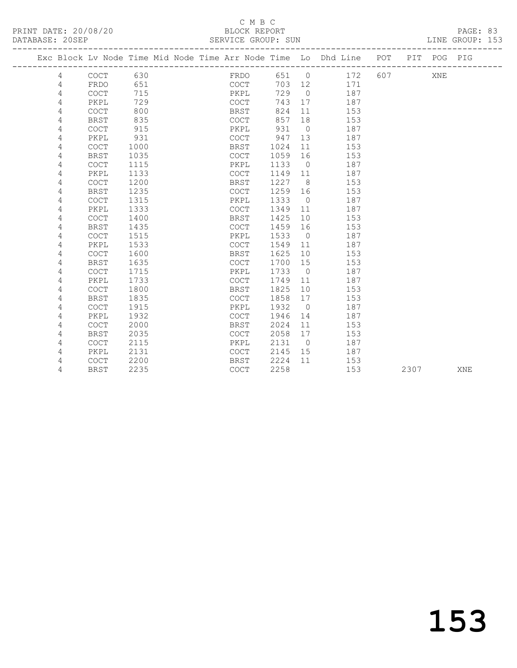PRINT DATE: 20/08/20 BLOCK REPORT BATABASE: 20SEP

### C M B C<br>BLOCK REPORT

PAGE: 83<br>LINE GROUP: 153

|  |   |             |      |  | Exc Block Lv Node Time Mid Node Time Arr Node Time Lo Dhd Line POT |      |                 |     |     |      | PIT POG PIG |            |
|--|---|-------------|------|--|--------------------------------------------------------------------|------|-----------------|-----|-----|------|-------------|------------|
|  | 4 | COCT        | 630  |  | FRDO                                                               | 651  | $\overline{0}$  | 172 | 607 |      | XNE         |            |
|  | 4 | FRDO        | 651  |  | COCT                                                               | 703  | 12              | 171 |     |      |             |            |
|  | 4 | <b>COCT</b> | 715  |  | PKPL                                                               | 729  | $\bigcirc$      | 187 |     |      |             |            |
|  | 4 | PKPL        | 729  |  | COCT                                                               | 743  | 17              | 187 |     |      |             |            |
|  | 4 | COCT        | 800  |  | BRST                                                               | 824  | 11              | 153 |     |      |             |            |
|  | 4 | <b>BRST</b> | 835  |  | COCT                                                               | 857  | 18              | 153 |     |      |             |            |
|  | 4 | <b>COCT</b> | 915  |  | PKPL                                                               | 931  | $\overline{0}$  | 187 |     |      |             |            |
|  | 4 | PKPL        | 931  |  | <b>COCT</b>                                                        | 947  | 13              | 187 |     |      |             |            |
|  | 4 | <b>COCT</b> | 1000 |  | BRST                                                               | 1024 | 11              | 153 |     |      |             |            |
|  | 4 | <b>BRST</b> | 1035 |  | COCT                                                               | 1059 | 16              | 153 |     |      |             |            |
|  | 4 | <b>COCT</b> | 1115 |  | PKPL                                                               | 1133 | $\overline{0}$  | 187 |     |      |             |            |
|  | 4 | PKPL        | 1133 |  | <b>COCT</b>                                                        | 1149 | 11              | 187 |     |      |             |            |
|  | 4 | <b>COCT</b> | 1200 |  | BRST                                                               | 1227 | - 8             | 153 |     |      |             |            |
|  | 4 | <b>BRST</b> | 1235 |  | COCT                                                               | 1259 | 16              | 153 |     |      |             |            |
|  | 4 | COCT        | 1315 |  | PKPL                                                               | 1333 | $\overline{0}$  | 187 |     |      |             |            |
|  | 4 | PKPL        | 1333 |  | COCT                                                               | 1349 | 11              | 187 |     |      |             |            |
|  | 4 | <b>COCT</b> | 1400 |  | BRST                                                               | 1425 | 10 <sup>°</sup> | 153 |     |      |             |            |
|  | 4 | BRST        | 1435 |  | COCT                                                               | 1459 | 16              | 153 |     |      |             |            |
|  | 4 | COCT        | 1515 |  | PKPL                                                               | 1533 | $\overline{0}$  | 187 |     |      |             |            |
|  | 4 | PKPL        | 1533 |  | COCT                                                               | 1549 | 11              | 187 |     |      |             |            |
|  | 4 | COCT        | 1600 |  | <b>BRST</b>                                                        | 1625 | 10              | 153 |     |      |             |            |
|  | 4 | <b>BRST</b> | 1635 |  | COCT                                                               | 1700 | 15              | 153 |     |      |             |            |
|  | 4 | COCT        | 1715 |  | PKPL                                                               | 1733 | $\overline{0}$  | 187 |     |      |             |            |
|  | 4 | PKPL        | 1733 |  | <b>COCT</b>                                                        | 1749 | 11              | 187 |     |      |             |            |
|  | 4 | <b>COCT</b> | 1800 |  | <b>BRST</b>                                                        | 1825 | 10              | 153 |     |      |             |            |
|  | 4 | <b>BRST</b> | 1835 |  | <b>COCT</b>                                                        | 1858 | 17              | 153 |     |      |             |            |
|  | 4 | <b>COCT</b> | 1915 |  | PKPL                                                               | 1932 | $\bigcirc$      | 187 |     |      |             |            |
|  | 4 | PKPL        | 1932 |  | <b>COCT</b>                                                        | 1946 | 14              | 187 |     |      |             |            |
|  | 4 | <b>COCT</b> | 2000 |  | BRST                                                               | 2024 | 11              | 153 |     |      |             |            |
|  | 4 | BRST        | 2035 |  | COCT                                                               | 2058 | 17              | 153 |     |      |             |            |
|  | 4 | COCT        | 2115 |  | PKPL                                                               | 2131 | $\overline{0}$  | 187 |     |      |             |            |
|  | 4 | PKPL        | 2131 |  | COCT                                                               | 2145 | 15              | 187 |     |      |             |            |
|  | 4 | <b>COCT</b> | 2200 |  | <b>BRST</b>                                                        | 2224 | 11              | 153 |     |      |             |            |
|  | 4 | <b>BRST</b> | 2235 |  | <b>COCT</b>                                                        | 2258 |                 | 153 |     | 2307 |             | <b>XNE</b> |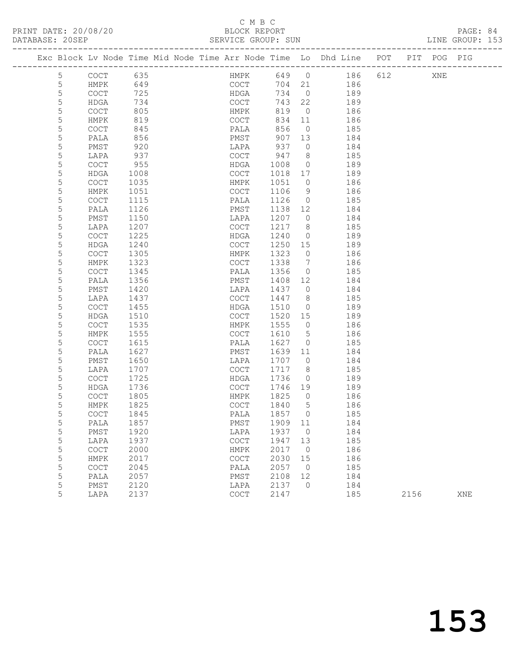#### C M B C<br>BLOCK REPORT SERVICE GROUP: SUN

5 LAPA 1207 COCT 1217 8 185

|    |             |      | Exc Block Lv Node Time Mid Node Time Arr Node Time Lo Dhd Line |      |            |     | POT | PIT | POG | PIG |  |
|----|-------------|------|----------------------------------------------------------------|------|------------|-----|-----|-----|-----|-----|--|
| 5  | COCT        | 635  | HMPK                                                           | 649  | $\bigcirc$ | 186 | 612 |     | XNE |     |  |
| 5  | HMPK        | 649  | <b>COCT</b>                                                    | 704  | 21         | 186 |     |     |     |     |  |
| 5  | <b>COCT</b> | 725  | HDGA                                                           | 734  | $\bigcirc$ | 189 |     |     |     |     |  |
| 5  | HDGA        | 734  | <b>COCT</b>                                                    | 743  | 22         | 189 |     |     |     |     |  |
| 5. | <b>COCT</b> | 805  | HMPK                                                           | 819  | $\bigcirc$ | 186 |     |     |     |     |  |
| 5  | HMPK        | 819  | <b>COCT</b>                                                    | 834  | 11         | 186 |     |     |     |     |  |
| 5  | <b>COCT</b> | 845  | PALA                                                           | 856  | $\bigcirc$ | 185 |     |     |     |     |  |
| 5  | PALA        | 856  | PMST                                                           | 907  | 13         | 184 |     |     |     |     |  |
| 5  | PMST        | 920  | LAPA                                                           | 937  | $\Omega$   | 184 |     |     |     |     |  |
| 5. | LAPA        | 937  | COCT                                                           | 947  | 8          | 185 |     |     |     |     |  |
| 5  | <b>COCT</b> | 955  | HDGA                                                           | 1008 | $\Omega$   | 189 |     |     |     |     |  |
| 5. | <b>HDGA</b> | 1008 | <b>COCT</b>                                                    | 1018 | 17         | 189 |     |     |     |     |  |
| 5  | <b>COCT</b> | 1035 | HMPK                                                           | 1051 | $\Omega$   | 186 |     |     |     |     |  |
| 5  | HMPK        | 1051 | <b>COCT</b>                                                    | 1106 | 9          | 186 |     |     |     |     |  |
| 5  | <b>COCT</b> | 1115 | PALA                                                           | 1126 | $\circ$    | 185 |     |     |     |     |  |
| 5. | PALA        | 1126 | PMST                                                           | 1138 | 12         | 184 |     |     |     |     |  |
|    | PMST        | 1150 | LAPA                                                           | 1207 | $\bigcap$  | 184 |     |     |     |     |  |
|    |             |      |                                                                |      |            |     |     |     |     |     |  |

| 5 | <b>COCT</b> | 1225 | HDGA        | 1240 | $\circ$        | 189 |      |     |
|---|-------------|------|-------------|------|----------------|-----|------|-----|
| 5 | <b>HDGA</b> | 1240 | COCT        | 1250 | 15             | 189 |      |     |
| 5 | <b>COCT</b> | 1305 | HMPK        | 1323 | 0              | 186 |      |     |
| 5 | <b>HMPK</b> | 1323 | <b>COCT</b> | 1338 | 7              | 186 |      |     |
| 5 | <b>COCT</b> | 1345 | PALA        | 1356 | $\circ$        | 185 |      |     |
| 5 | PALA        | 1356 | PMST        | 1408 | 12             | 184 |      |     |
| 5 | PMST        | 1420 | LAPA        | 1437 | 0              | 184 |      |     |
| 5 | LAPA        | 1437 | COCT        | 1447 | 8              | 185 |      |     |
| 5 | <b>COCT</b> | 1455 | <b>HDGA</b> | 1510 | $\circ$        | 189 |      |     |
| 5 | <b>HDGA</b> | 1510 | <b>COCT</b> | 1520 | 15             | 189 |      |     |
| 5 | <b>COCT</b> | 1535 | HMPK        | 1555 | 0              | 186 |      |     |
| 5 | HMPK        | 1555 | <b>COCT</b> | 1610 | 5              | 186 |      |     |
| 5 | <b>COCT</b> | 1615 | PALA        | 1627 | $\circ$        | 185 |      |     |
| 5 | PALA        | 1627 | PMST        | 1639 | 11             | 184 |      |     |
| 5 | PMST        | 1650 | LAPA        | 1707 | 0              | 184 |      |     |
| 5 | LAPA        | 1707 | COCT        | 1717 | 8              | 185 |      |     |
| 5 | <b>COCT</b> | 1725 | <b>HDGA</b> | 1736 | $\circ$        | 189 |      |     |
| 5 | <b>HDGA</b> | 1736 | COCT        | 1746 | 19             | 189 |      |     |
| 5 | <b>COCT</b> | 1805 | HMPK        | 1825 | 0              | 186 |      |     |
| 5 | HMPK        | 1825 | <b>COCT</b> | 1840 | 5              | 186 |      |     |
| 5 | <b>COCT</b> | 1845 | PALA        | 1857 | $\circ$        | 185 |      |     |
| 5 | PALA        | 1857 | PMST        | 1909 | 11             | 184 |      |     |
| 5 | PMST        | 1920 | LAPA        | 1937 | $\circ$        | 184 |      |     |
| 5 | LAPA        | 1937 | COCT        | 1947 | 13             | 185 |      |     |
| 5 | <b>COCT</b> | 2000 | HMPK        | 2017 | $\overline{0}$ | 186 |      |     |
| 5 | <b>HMPK</b> | 2017 | <b>COCT</b> | 2030 | 15             | 186 |      |     |
| 5 | <b>COCT</b> | 2045 | PALA        | 2057 | $\circ$        | 185 |      |     |
| 5 | PALA        | 2057 | PMST        | 2108 | 12             | 184 |      |     |
| 5 | PMST        | 2120 | LAPA        | 2137 | $\circ$        | 184 |      |     |
| 5 | LAPA        | 2137 | COCT        | 2147 |                | 185 | 2156 | XNE |
|   |             |      |             |      |                |     |      |     |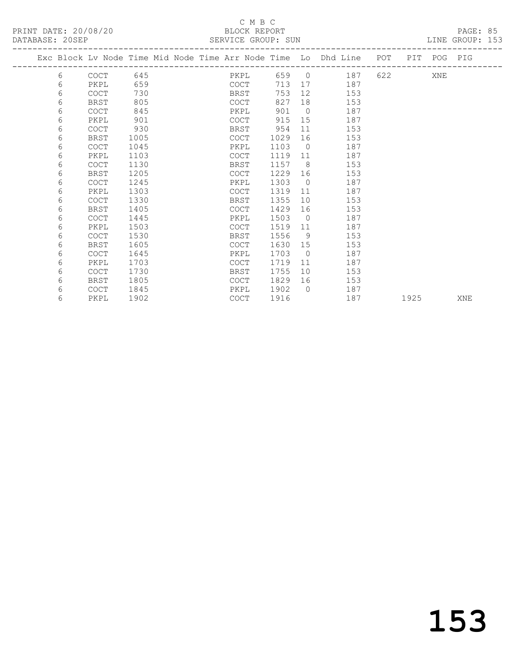## C M B C<br>BLOCK REPORT

| DATABASE: 20SEP | SERVICE GROUP: SUN |
|-----------------|--------------------|

LINE GROUP: 153 -------------------------------------------------------------------------------------------------

|   |             |      |  |             |      |                | Exc Block Lv Node Time Mid Node Time Arr Node Time Lo Dhd Line | POT |      | PIT POG PIG |     |
|---|-------------|------|--|-------------|------|----------------|----------------------------------------------------------------|-----|------|-------------|-----|
| 6 | <b>COCT</b> | 645  |  | PKPL        | 659  | $\bigcirc$     | 187                                                            | 622 |      | XNE         |     |
| 6 | PKPL        | 659  |  | COCT        | 713  | 17             | 187                                                            |     |      |             |     |
| 6 | <b>COCT</b> | 730  |  | BRST        | 753  | 12             | 153                                                            |     |      |             |     |
| 6 | <b>BRST</b> | 805  |  | COCT        | 827  | 18             | 153                                                            |     |      |             |     |
| 6 | <b>COCT</b> | 845  |  | PKPL        | 901  | $\bigcirc$     | 187                                                            |     |      |             |     |
| 6 | PKPL        | 901  |  | <b>COCT</b> | 915  | 15             | 187                                                            |     |      |             |     |
| 6 | COCT        | 930  |  | BRST        | 954  | 11             | 153                                                            |     |      |             |     |
| 6 | <b>BRST</b> | 1005 |  | <b>COCT</b> | 1029 | 16             | 153                                                            |     |      |             |     |
| 6 | COCT        | 1045 |  | PKPL        | 1103 | $\bigcirc$     | 187                                                            |     |      |             |     |
| 6 | PKPL        | 1103 |  | COCT        | 1119 | 11             | 187                                                            |     |      |             |     |
| 6 | <b>COCT</b> | 1130 |  | BRST        | 1157 | 8              | 153                                                            |     |      |             |     |
| 6 | BRST        | 1205 |  | <b>COCT</b> | 1229 | 16             | 153                                                            |     |      |             |     |
| 6 | <b>COCT</b> | 1245 |  | PKPL        | 1303 | $\bigcirc$     | 187                                                            |     |      |             |     |
| 6 | PKPL        | 1303 |  | COCT        | 1319 | 11             | 187                                                            |     |      |             |     |
| 6 | <b>COCT</b> | 1330 |  | BRST        | 1355 | 10             | 153                                                            |     |      |             |     |
| 6 | BRST        | 1405 |  | COCT        | 1429 | 16             | 153                                                            |     |      |             |     |
| 6 | COCT        | 1445 |  | PKPL        | 1503 | $\overline{0}$ | 187                                                            |     |      |             |     |
| 6 | PKPL        | 1503 |  | COCT        | 1519 | 11             | 187                                                            |     |      |             |     |
| 6 | COCT        | 1530 |  | BRST        | 1556 | - 9            | 153                                                            |     |      |             |     |
| 6 | <b>BRST</b> | 1605 |  | <b>COCT</b> | 1630 | 15             | 153                                                            |     |      |             |     |
| 6 | COCT        | 1645 |  | PKPL        | 1703 | $\bigcirc$     | 187                                                            |     |      |             |     |
| 6 | PKPL        | 1703 |  | <b>COCT</b> | 1719 | 11             | 187                                                            |     |      |             |     |
| 6 | COCT        | 1730 |  | BRST        | 1755 | 10             | 153                                                            |     |      |             |     |
| 6 | BRST        | 1805 |  | COCT        | 1829 | 16             | 153                                                            |     |      |             |     |
| 6 | <b>COCT</b> | 1845 |  | PKPL        | 1902 | $\bigcap$      | 187                                                            |     |      |             |     |
| 6 | PKPL        | 1902 |  | COCT        | 1916 |                | 187                                                            |     | 1925 |             | XNE |
|   |             |      |  |             |      |                |                                                                |     |      |             |     |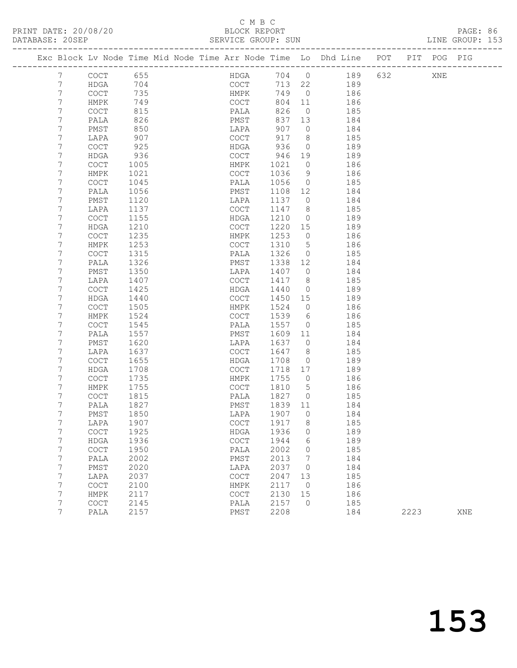#### C M B C<br>BLOCK REPORT SERVICE GROUP: SUN LINE GROUP: 153

|                |             |      | Exc Block Lv Node Time Mid Node Time Arr Node Time Lo Dhd Line POT |        |                |     |     | PIT POG PIG |  |
|----------------|-------------|------|--------------------------------------------------------------------|--------|----------------|-----|-----|-------------|--|
| 7              | COCT        | 655  | HDGA                                                               | 704 0  |                | 189 | 632 | XNE         |  |
| 7              | HDGA        | 704  | COCT                                                               | 713 22 |                | 189 |     |             |  |
| $\overline{7}$ | COCT        | 735  | HMPK                                                               | 749    | $\overline{0}$ | 186 |     |             |  |
| 7              | HMPK        | 749  | COCT                                                               | 804 11 |                | 186 |     |             |  |
| 7              | COCT        | 815  | PALA                                                               | 826    | $\mathbf{0}$   | 185 |     |             |  |
| 7              | PALA        | 826  | PMST                                                               | 837 13 |                | 184 |     |             |  |
| 7              | PMST        | 850  | LAPA                                                               | 907    | $\circ$        | 184 |     |             |  |
| 7              | LAPA        | 907  | COCT                                                               | 917    | 8              | 185 |     |             |  |
| 7              | <b>COCT</b> | 925  | HDGA                                                               | 936    | $\mathbf 0$    | 189 |     |             |  |
| 7              | HDGA        | 936  | COCT                                                               | 946    | 19             | 189 |     |             |  |
| 7              | COCT        | 1005 | HMPK                                                               | 1021   | $\circ$        | 186 |     |             |  |
| 7              | HMPK        | 1021 | COCT                                                               | 1036   | 9              | 186 |     |             |  |
| 7              | <b>COCT</b> | 1045 | PALA                                                               | 1056   | $\circ$        | 185 |     |             |  |
| 7              | PALA        | 1056 | PMST                                                               | 1108   | 12             | 184 |     |             |  |
| 7              | PMST        | 1120 | LAPA                                                               | 1137   | $\circ$        | 184 |     |             |  |
| 7              | LAPA        | 1137 | COCT                                                               | 1147   | 8              | 185 |     |             |  |
| 7              | COCT        | 1155 | HDGA                                                               | 1210   | $\circ$        | 189 |     |             |  |
| 7              | HDGA        | 1210 | COCT                                                               | 1220   | 15             | 189 |     |             |  |
| 7              | <b>COCT</b> | 1235 | HMPK                                                               | 1253   | $\circ$        | 186 |     |             |  |
| 7              | HMPK        | 1253 | COCT                                                               | 1310   | 5              | 186 |     |             |  |
| 7              | <b>COCT</b> | 1315 | PALA                                                               | 1326   | $\mathbf 0$    | 185 |     |             |  |
| 7              | PALA        | 1326 | PMST                                                               | 1338   | 12             | 184 |     |             |  |
| 7              | PMST        | 1350 | LAPA                                                               | 1407   | $\circ$        | 184 |     |             |  |
| 7              | LAPA        | 1407 | COCT                                                               | 1417   | 8              | 185 |     |             |  |
| 7              | COCT        | 1425 | HDGA                                                               | 1440   | $\circ$        | 189 |     |             |  |
| 7              | HDGA        | 1440 | COCT                                                               | 1450   | 15             | 189 |     |             |  |
| 7              | COCT        | 1505 | HMPK                                                               | 1524   | $\circ$        | 186 |     |             |  |
| 7              | HMPK        | 1524 | COCT                                                               | 1539   | 6              | 186 |     |             |  |
| 7              | COCT        | 1545 | PALA                                                               | 1557   | $\circ$        | 185 |     |             |  |
| 7              | PALA        | 1557 | PMST                                                               | 1609   | 11             | 184 |     |             |  |
| 7              | PMST        | 1620 | LAPA                                                               | 1637   | $\circ$        | 184 |     |             |  |
| 7              | LAPA        | 1637 | COCT                                                               | 1647   | 8              | 185 |     |             |  |
| 7              | <b>COCT</b> | 1655 | HDGA                                                               | 1708   | $\mathbf 0$    | 189 |     |             |  |
| 7              | HDGA        | 1708 | COCT                                                               | 1718   | 17             | 189 |     |             |  |
| 7              | <b>COCT</b> | 1735 | HMPK                                                               | 1755   | $\circ$        | 186 |     |             |  |
| 7              | HMPK        | 1755 | COCT                                                               | 1810   | 5              | 186 |     |             |  |
| 7              | <b>COCT</b> | 1815 | PALA                                                               | 1827   | 0              | 185 |     |             |  |
| 7              | PALA        | 1827 | PMST                                                               | 1839   | 11             | 184 |     |             |  |
| 7              | PMST        | 1850 | LAPA                                                               | 1907   | $\circ$        | 184 |     |             |  |

 7 LAPA 1907 COCT 1917 8 185 7 COCT 1925 HDGA 1936 0 189 7 HDGA 1936 COCT 1944 6 189 7 COCT 1950 PALA 2002 0 185 7 PALA 2002 PMST 2013 7 184 7 PMST 2020 LAPA 2037 0 184

7 COCT 2100 HMPK 2117 0 186

7 LAPA 2037 COCT 2047 13 185

 7 HMPK 2117 COCT 2130 15 186 7 COCT 2145 PALA 2157 0 185

2223 XNE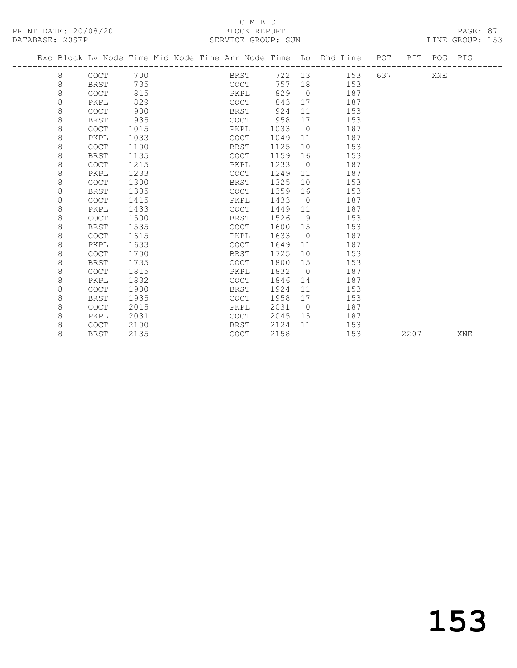### C M B C<br>BLOCK REPORT

| PRINT DATE: 20/08/20<br>DATABASE: 20SEP |   |             |      |  | . C 11 D C<br>BLOCK REPORT<br>SERVICE GROUP: SUN |         |                |                                                                    |      |             | PAGE: 87<br>LINE GROUP: 153 |  |
|-----------------------------------------|---|-------------|------|--|--------------------------------------------------|---------|----------------|--------------------------------------------------------------------|------|-------------|-----------------------------|--|
|                                         |   |             |      |  |                                                  |         |                | Exc Block Lv Node Time Mid Node Time Arr Node Time Lo Dhd Line POT |      | PIT POG PIG |                             |  |
|                                         | 8 | COCT 700    |      |  |                                                  |         |                | BRST 722 13 153 637                                                |      | XNE         |                             |  |
|                                         | 8 | BRST        | 735  |  | COCT                                             |         |                | 757 18 153                                                         |      |             |                             |  |
|                                         | 8 | COCT        | 815  |  | PKPL                                             | 829 0   |                | 187                                                                |      |             |                             |  |
|                                         | 8 | PKPL        | 829  |  | COCT                                             | 843     |                | 17<br>187                                                          |      |             |                             |  |
|                                         | 8 | <b>COCT</b> | 900  |  | <b>BRST</b>                                      | 924 11  |                | 153                                                                |      |             |                             |  |
|                                         | 8 | BRST        | 935  |  | COCT                                             | 958     | 17             | 153                                                                |      |             |                             |  |
|                                         | 8 | <b>COCT</b> | 1015 |  | PKPL                                             | 1033    | $\overline{0}$ | 187                                                                |      |             |                             |  |
|                                         | 8 | PKPL        | 1033 |  | COCT                                             | 1049 11 |                | 187                                                                |      |             |                             |  |
|                                         | 8 | <b>COCT</b> | 1100 |  | BRST                                             | 1125    |                | 10 153                                                             |      |             |                             |  |
|                                         | 8 | BRST        | 1135 |  | COCT                                             | 1159 16 |                | 153                                                                |      |             |                             |  |
|                                         | 8 | COCT        | 1215 |  | PKPL                                             | 1233 0  |                | 187                                                                |      |             |                             |  |
|                                         | 8 | PKPL        | 1233 |  | COCT                                             |         |                | 1249 11 187                                                        |      |             |                             |  |
|                                         | 8 | <b>COCT</b> | 1300 |  | BRST                                             | 1325 10 |                | 153                                                                |      |             |                             |  |
|                                         | 8 | BRST        | 1335 |  | COCT                                             | 1359 16 |                | 153                                                                |      |             |                             |  |
|                                         | 8 | <b>COCT</b> | 1415 |  | PKPL                                             | 1433    | $\overline{0}$ | 187                                                                |      |             |                             |  |
|                                         | 8 | PKPL        | 1433 |  | COCT                                             |         |                | 1449 11 187                                                        |      |             |                             |  |
|                                         | 8 | <b>COCT</b> | 1500 |  | BRST                                             | 1526    |                | 9 153                                                              |      |             |                             |  |
|                                         | 8 | BRST        | 1535 |  | COCT                                             | 1600 15 |                | 153                                                                |      |             |                             |  |
|                                         | 8 | <b>COCT</b> | 1615 |  | PKPL                                             | 1633 0  |                | 187                                                                |      |             |                             |  |
|                                         | 8 | PKPL        | 1633 |  | COCT                                             | 1649 11 |                | 187                                                                |      |             |                             |  |
|                                         | 8 | <b>COCT</b> | 1700 |  | BRST                                             | 1725    | 10             | 153                                                                |      |             |                             |  |
|                                         | 8 | BRST        | 1735 |  | COCT                                             | 1800 15 |                | 153                                                                |      |             |                             |  |
|                                         | 8 | <b>COCT</b> | 1815 |  | PKPL                                             | 1832    | $\overline{0}$ | 187                                                                |      |             |                             |  |
|                                         | 8 | PKPL        | 1832 |  | <b>COCT</b>                                      | 1846 14 |                | 187                                                                |      |             |                             |  |
|                                         | 8 | <b>COCT</b> | 1900 |  | BRST                                             | 1924    | 11             | 153                                                                |      |             |                             |  |
|                                         | 8 | BRST        | 1935 |  | COCT                                             |         |                | 1958 17 153                                                        |      |             |                             |  |
|                                         | 8 | COCT        | 2015 |  | PKPL                                             | 2031    |                | 0 187                                                              |      |             |                             |  |
|                                         | 8 | PKPL        | 2031 |  | COCT                                             |         |                | 2045 15 187                                                        |      |             |                             |  |
|                                         | 8 | <b>COCT</b> | 2100 |  | BRST                                             | 2124 11 |                | 153                                                                |      |             |                             |  |
|                                         | 8 | <b>BRST</b> | 2135 |  | COCT                                             | 2158    |                | 153                                                                | 2207 |             | XNE                         |  |

# 153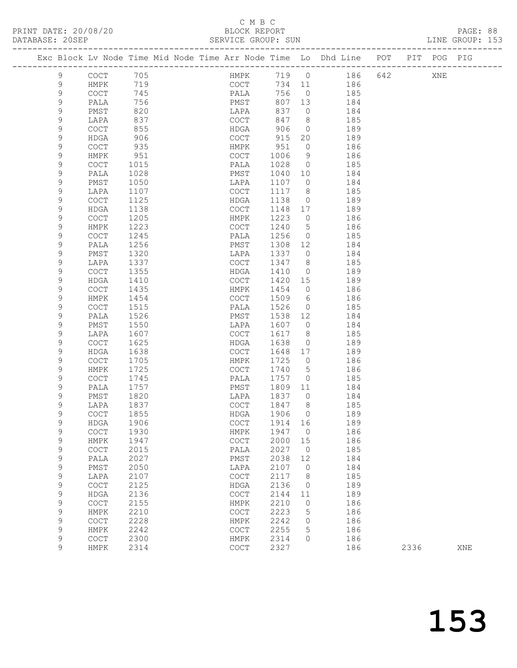PRINT DATE: 20/08/20<br>DATABASE: 20SEP

## C M B C<br>BLOCK REPORT<br>SERVICE GROUP: SUN

PAGE: 88<br>LINE GROUP: 153

| DAIADASE. |                            |                                            |              |  | OLAVICL GAUUF. OUN                         |              |                |                                                                    |     |      |     |     |
|-----------|----------------------------|--------------------------------------------|--------------|--|--------------------------------------------|--------------|----------------|--------------------------------------------------------------------|-----|------|-----|-----|
|           |                            |                                            |              |  |                                            |              |                | Exc Block Lv Node Time Mid Node Time Arr Node Time Lo Dhd Line POT |     | PIT  | POG | PIG |
|           | 9                          | COCT                                       | 705          |  | HMPK                                       | 719 0        |                | 186                                                                | 642 |      | XNE |     |
|           | 9                          | HMPK                                       | 719          |  | COCT                                       | 734          | 11             | 186                                                                |     |      |     |     |
|           | 9                          | $\mathtt{C}\mathtt{O}\mathtt{C}\mathtt{T}$ | 745          |  | PALA                                       | 756          | $\overline{0}$ | 185                                                                |     |      |     |     |
|           | 9                          | PALA                                       | 756          |  | PMST                                       | 807          | 13             | 184                                                                |     |      |     |     |
|           | $\mathsf 9$                | PMST                                       | 820          |  | LAPA                                       | 837          | $\overline{0}$ | 184                                                                |     |      |     |     |
|           | 9                          | LAPA                                       | 837          |  | COCT                                       | 847          | 8              | 185                                                                |     |      |     |     |
|           | 9                          | COCT                                       | 855          |  | HDGA                                       | 906          | $\overline{0}$ | 189                                                                |     |      |     |     |
|           | 9                          | <b>HDGA</b>                                | 906          |  | COCT                                       | 915          | 20             | 189                                                                |     |      |     |     |
|           | $\mathsf 9$                | COCT                                       | 935          |  | HMPK                                       | 951<br>1006  | $\circ$        | 186                                                                |     |      |     |     |
|           | $\mathsf 9$<br>9           | HMPK<br>COCT                               | 951<br>1015  |  | COCT<br>PALA                               | 1028         | 9<br>$\circ$   | 186<br>185                                                         |     |      |     |     |
|           | 9                          | PALA                                       | 1028         |  | PMST                                       | 1040         | 10             | 184                                                                |     |      |     |     |
|           | $\mathsf 9$                | PMST                                       | 1050         |  | LAPA                                       | 1107         | $\circ$        | 184                                                                |     |      |     |     |
|           | 9                          | LAPA                                       | 1107         |  | COCT                                       | 1117         | 8              | 185                                                                |     |      |     |     |
|           | 9                          | COCT                                       | 1125         |  | HDGA                                       | 1138         | $\overline{0}$ | 189                                                                |     |      |     |     |
|           | 9                          | HDGA                                       | 1138         |  | COCT                                       | 1148         | 17             | 189                                                                |     |      |     |     |
|           | 9                          | COCT                                       | 1205         |  | HMPK                                       | 1223         | $\circ$        | 186                                                                |     |      |     |     |
|           | 9                          | HMPK                                       | 1223         |  | COCT                                       | 1240         | 5              | 186                                                                |     |      |     |     |
|           | 9                          | COCT                                       | 1245         |  | PALA                                       | 1256         | $\circ$        | 185                                                                |     |      |     |     |
|           | 9                          | PALA                                       | 1256         |  | PMST                                       | 1308         | 12             | 184                                                                |     |      |     |     |
|           | 9                          | PMST                                       | 1320         |  | LAPA                                       | 1337         | $\circ$        | 184                                                                |     |      |     |     |
|           | 9                          | LAPA                                       | 1337         |  | COCT                                       | 1347         | 8              | 185                                                                |     |      |     |     |
|           | 9                          | COCT                                       | 1355         |  | HDGA                                       | 1410         | $\overline{0}$ | 189                                                                |     |      |     |     |
|           | 9                          | HDGA                                       | 1410         |  | COCT                                       | 1420         | 15             | 189                                                                |     |      |     |     |
|           | 9                          | COCT                                       | 1435         |  | HMPK                                       | 1454         | $\circ$        | 186                                                                |     |      |     |     |
|           | 9                          | HMPK                                       | 1454         |  | COCT                                       | 1509         | 6              | 186                                                                |     |      |     |     |
|           | 9                          | COCT                                       | 1515         |  | PALA                                       | 1526         | $\circ$        | 185                                                                |     |      |     |     |
|           | 9<br>9                     | PALA<br>PMST                               | 1526<br>1550 |  | PMST<br>LAPA                               | 1538<br>1607 | 12<br>$\circ$  | 184<br>184                                                         |     |      |     |     |
|           | $\mathsf 9$                | LAPA                                       | 1607         |  | COCT                                       | 1617         | 8              | 185                                                                |     |      |     |     |
|           | 9                          | COCT                                       | 1625         |  | HDGA                                       | 1638         | $\circ$        | 189                                                                |     |      |     |     |
|           | 9                          | HDGA                                       | 1638         |  | COCT                                       | 1648         | 17             | 189                                                                |     |      |     |     |
|           | 9                          | COCT                                       | 1705         |  | HMPK                                       | 1725         | $\circ$        | 186                                                                |     |      |     |     |
|           | $\mathsf 9$                | HMPK                                       | 1725         |  | COCT                                       | 1740         | 5              | 186                                                                |     |      |     |     |
|           | $\mathsf 9$                | COCT                                       | 1745         |  | PALA                                       | 1757         | $\circ$        | 185                                                                |     |      |     |     |
|           | 9                          | PALA                                       | 1757         |  | PMST                                       | 1809         | 11             | 184                                                                |     |      |     |     |
|           | 9                          | PMST                                       | 1820         |  | LAPA                                       | 1837         | $\circ$        | 184                                                                |     |      |     |     |
|           | 9                          | LAPA                                       | 1837         |  | COCT                                       | 1847         | 8              | 185                                                                |     |      |     |     |
|           | 9                          | COCT                                       | 1855         |  | HDGA                                       | 1906         | $\Omega$       | 189                                                                |     |      |     |     |
|           | 9                          | HDGA                                       | 1906         |  | COCT                                       | 1914         | 16             | 189                                                                |     |      |     |     |
|           | $\mathsf 9$                | $\mathtt{C}\mathtt{O}\mathtt{C}\mathtt{T}$ | 1930         |  | HMPK                                       | 1947         | 0              | 186                                                                |     |      |     |     |
|           | 9                          | HMPK                                       | 1947         |  | $\mathtt{C}\mathtt{O}\mathtt{C}\mathtt{T}$ | 2000         | 15             | 186                                                                |     |      |     |     |
|           | $\mathsf 9$<br>$\mathsf 9$ | COCT<br>PALA                               | 2015<br>2027 |  | PALA<br>${\tt PMST}$                       | 2027<br>2038 | $\circ$<br>12  | 185<br>184                                                         |     |      |     |     |
|           | $\mathsf 9$                | PMST                                       | 2050         |  | LAPA                                       | 2107         | 0              | 184                                                                |     |      |     |     |
|           | 9                          | LAPA                                       | 2107         |  | COCT                                       | 2117         | 8              | 185                                                                |     |      |     |     |
|           | $\mathsf 9$                | $\mathtt{C}\mathtt{O}\mathtt{C}\mathtt{T}$ | 2125         |  | HDGA                                       | 2136         | $\mathbf 0$    | 189                                                                |     |      |     |     |
|           | $\mathsf 9$                | HDGA                                       | 2136         |  | COCT                                       | 2144         | 11             | 189                                                                |     |      |     |     |
|           | $\mathsf 9$                | $\mathtt{C}\mathtt{O}\mathtt{C}\mathtt{T}$ | 2155         |  | HMPK                                       | 2210         | 0              | 186                                                                |     |      |     |     |
|           | $\mathsf 9$                | HMPK                                       | 2210         |  | COCT                                       | 2223         | 5              | 186                                                                |     |      |     |     |
|           | $\mathsf 9$                | $\mathtt{C}\mathtt{O}\mathtt{C}\mathtt{T}$ | 2228         |  | HMPK                                       | 2242         | 0              | 186                                                                |     |      |     |     |
|           | $\mathsf 9$                | HMPK                                       | 2242         |  | COCT                                       | 2255         | 5              | 186                                                                |     |      |     |     |
|           | 9                          | $\mathtt{C}\mathtt{O}\mathtt{C}\mathtt{T}$ | 2300         |  | HMPK                                       | 2314         | 0              | 186                                                                |     |      |     |     |
|           | 9                          | HMPK                                       | 2314         |  | $\mathtt{C}\mathtt{O}\mathtt{C}\mathtt{T}$ | 2327         |                | 186                                                                |     | 2336 |     | XNE |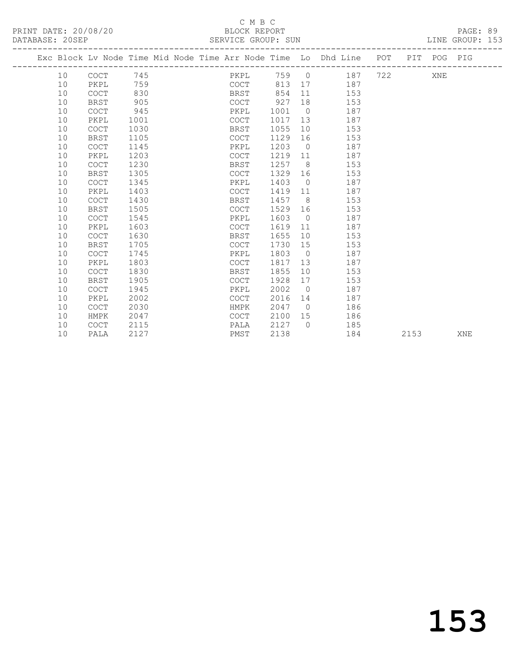### C M B C<br>
C M B C<br>
BLOCK REPOR

| DATABASE: 20SEP |                                                                                |  |  |  | SERVICE GROUP: SUN |  |  |  | LINE GROUP: 153 |  |
|-----------------|--------------------------------------------------------------------------------|--|--|--|--------------------|--|--|--|-----------------|--|
|                 | Exc Block Ly Node Time Mid Node Time Arr Node Time Lo Dhd Line POT PIT POG PIG |  |  |  |                    |  |  |  |                 |  |
|                 |                                                                                |  |  |  |                    |  |  |  |                 |  |

| 10 | COCT        | 745  | PKPL        | 759  | $\overline{0}$ | 187 | 722 | XNE  |     |
|----|-------------|------|-------------|------|----------------|-----|-----|------|-----|
| 10 | PKPL        | 759  | <b>COCT</b> | 813  | 17             | 187 |     |      |     |
| 10 | <b>COCT</b> | 830  | <b>BRST</b> | 854  | 11             | 153 |     |      |     |
| 10 | BRST        | 905  | <b>COCT</b> | 927  | 18             | 153 |     |      |     |
| 10 | <b>COCT</b> | 945  | PKPL        | 1001 | $\circ$        | 187 |     |      |     |
| 10 | PKPL        | 1001 | <b>COCT</b> | 1017 | 13             | 187 |     |      |     |
| 10 | COCT        | 1030 | <b>BRST</b> | 1055 | 10             | 153 |     |      |     |
| 10 | BRST        | 1105 | <b>COCT</b> | 1129 | 16             | 153 |     |      |     |
| 10 | <b>COCT</b> | 1145 | PKPL        | 1203 | $\overline{0}$ | 187 |     |      |     |
| 10 | PKPL        | 1203 | <b>COCT</b> | 1219 | 11             | 187 |     |      |     |
| 10 | <b>COCT</b> | 1230 | <b>BRST</b> | 1257 | 8              | 153 |     |      |     |
| 10 | <b>BRST</b> | 1305 | <b>COCT</b> | 1329 | 16             | 153 |     |      |     |
| 10 | <b>COCT</b> | 1345 | PKPL        | 1403 | $\overline{0}$ | 187 |     |      |     |
| 10 | PKPL        | 1403 | COCT        | 1419 | 11             | 187 |     |      |     |
| 10 | <b>COCT</b> | 1430 | <b>BRST</b> | 1457 | 8              | 153 |     |      |     |
| 10 | <b>BRST</b> | 1505 | COCT        | 1529 | 16             | 153 |     |      |     |
| 10 | <b>COCT</b> | 1545 | PKPL        | 1603 | $\overline{0}$ | 187 |     |      |     |
| 10 | PKPL        | 1603 | <b>COCT</b> | 1619 | 11             | 187 |     |      |     |
| 10 | <b>COCT</b> | 1630 | BRST        | 1655 | 10             | 153 |     |      |     |
| 10 | <b>BRST</b> | 1705 | COCT        | 1730 | 15             | 153 |     |      |     |
| 10 | COCT        | 1745 | PKPL        | 1803 | $\bigcirc$     | 187 |     |      |     |
| 10 | PKPL        | 1803 | COCT        | 1817 | 13             | 187 |     |      |     |
| 10 | <b>COCT</b> | 1830 | <b>BRST</b> | 1855 | 10             | 153 |     |      |     |
| 10 | <b>BRST</b> | 1905 | <b>COCT</b> | 1928 | 17             | 153 |     |      |     |
| 10 | <b>COCT</b> | 1945 | PKPL        | 2002 | $\overline{0}$ | 187 |     |      |     |
| 10 | PKPL        | 2002 | COCT        | 2016 | 14             | 187 |     |      |     |
| 10 | <b>COCT</b> | 2030 | HMPK        | 2047 | $\bigcirc$     | 186 |     |      |     |
| 10 | HMPK        | 2047 | <b>COCT</b> | 2100 | 15             | 186 |     |      |     |
| 10 | <b>COCT</b> | 2115 | PALA        | 2127 | $\Omega$       | 185 |     |      |     |
| 10 | PALA        | 2127 | PMST        | 2138 |                | 184 |     | 2153 | XNE |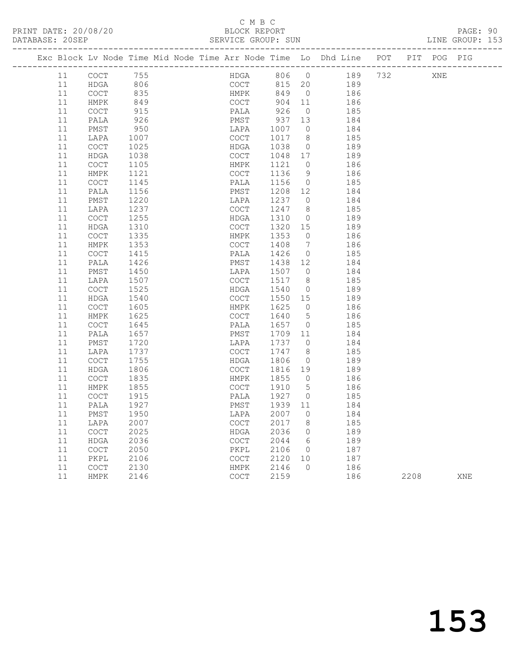### C M B C<br>BLOCK REPORT

| DATABASE: 20SEP |    |                      |      |  | SERVICE GROUP: SUN |         |                 |                                                                                |      |     | LINE GROUP: 153 |  |
|-----------------|----|----------------------|------|--|--------------------|---------|-----------------|--------------------------------------------------------------------------------|------|-----|-----------------|--|
|                 |    |                      |      |  |                    |         |                 | Exc Block Lv Node Time Mid Node Time Arr Node Time Lo Dhd Line POT PIT POG PIG |      |     |                 |  |
|                 | 11 | COCT                 | 755  |  |                    |         |                 | HDGA 806 0 189 732                                                             |      | XNE |                 |  |
|                 | 11 | HDGA                 | 806  |  |                    |         |                 | COCT 815 20 189                                                                |      |     |                 |  |
|                 | 11 | COCT                 | 835  |  | <b>HMPK</b>        | 849     | $\overline{0}$  | 186                                                                            |      |     |                 |  |
|                 | 11 | HMPK                 | 849  |  | COCT               | 904 11  |                 | 186                                                                            |      |     |                 |  |
|                 | 11 | COCT                 | 915  |  | PALA               | 926     | $\overline{0}$  | 185                                                                            |      |     |                 |  |
|                 | 11 | PALA                 | 926  |  | PMST               | 937 13  |                 | 184                                                                            |      |     |                 |  |
|                 | 11 | PMST                 | 950  |  | LAPA               | 1007    | $\overline{0}$  | 184                                                                            |      |     |                 |  |
|                 | 11 | LAPA                 | 1007 |  | COCT               | 1017    | 8 <sup>8</sup>  | 185                                                                            |      |     |                 |  |
|                 | 11 | COCT                 | 1025 |  | HDGA               | 1038    | $\overline{0}$  | 189                                                                            |      |     |                 |  |
|                 | 11 | HDGA                 | 1038 |  | COCT               | 1048 17 |                 | 189                                                                            |      |     |                 |  |
|                 | 11 | COCT                 | 1105 |  | HMPK               | 1121    | $\circ$         | 186                                                                            |      |     |                 |  |
|                 | 11 | HMPK                 | 1121 |  | COCT               | 1136    | 9               | 186                                                                            |      |     |                 |  |
|                 | 11 | COCT                 | 1145 |  | PALA               | 1156    | $\overline{0}$  | 185                                                                            |      |     |                 |  |
|                 | 11 | PALA                 | 1156 |  | PMST               | 1208    | 12              | 184                                                                            |      |     |                 |  |
|                 | 11 | PMST                 | 1220 |  | LAPA               | 1237    | $\circ$         | 184                                                                            |      |     |                 |  |
|                 | 11 | LAPA                 | 1237 |  | COCT               | 1247    | 8               | 185                                                                            |      |     |                 |  |
|                 | 11 | COCT                 | 1255 |  | HDGA               | 1310    | $\overline{0}$  | 189                                                                            |      |     |                 |  |
|                 | 11 | HDGA                 | 1310 |  | COCT               | 1320    | 15              | 189                                                                            |      |     |                 |  |
|                 | 11 | COCT                 | 1335 |  | HMPK               | 1353    | $\overline{0}$  | 186                                                                            |      |     |                 |  |
|                 | 11 | HMPK                 | 1353 |  | COCT               | 1408    | $\overline{7}$  | 186                                                                            |      |     |                 |  |
|                 | 11 | COCT                 | 1415 |  | PALA               | 1426    | $\overline{0}$  | 185                                                                            |      |     |                 |  |
|                 | 11 | PALA                 | 1426 |  | PMST               | 1438    | 12              | 184                                                                            |      |     |                 |  |
|                 | 11 | PMST                 | 1450 |  | LAPA               | 1507    | $\overline{0}$  | 184                                                                            |      |     |                 |  |
|                 | 11 | LAPA                 | 1507 |  | COCT               | 1517    | 8 <sup>8</sup>  | 185                                                                            |      |     |                 |  |
|                 | 11 | COCT                 | 1525 |  | HDGA               | 1540    | $\overline{0}$  | 189                                                                            |      |     |                 |  |
|                 | 11 | HDGA                 | 1540 |  | COCT               | 1550    | 15              | 189                                                                            |      |     |                 |  |
|                 | 11 | <b>COCT</b>          | 1605 |  | HMPK               | 1625    | $\overline{0}$  | 186                                                                            |      |     |                 |  |
|                 | 11 | HMPK                 | 1625 |  | COCT               | 1640    | $5\overline{)}$ | 186                                                                            |      |     |                 |  |
|                 | 11 | COCT                 | 1645 |  | PALA               | 1657    | $\overline{0}$  | 185                                                                            |      |     |                 |  |
|                 | 11 | PALA                 | 1657 |  | PMST               | 1709    | 11              | 184                                                                            |      |     |                 |  |
|                 | 11 | PMST                 | 1720 |  | LAPA               | 1737    | $\overline{0}$  | 184                                                                            |      |     |                 |  |
|                 | 11 | LAPA                 | 1737 |  | <b>COCT</b>        | 1747    | 8               | 185                                                                            |      |     |                 |  |
|                 | 11 | COCT                 | 1755 |  | HDGA               | 1806    | $\overline{0}$  | 189                                                                            |      |     |                 |  |
|                 | 11 | HDGA                 | 1806 |  | COCT               | 1816    | 19              | 189                                                                            |      |     |                 |  |
|                 | 11 | <b>COCT</b>          | 1835 |  | HMPK               | 1855    | $\overline{0}$  | 186                                                                            |      |     |                 |  |
|                 | 11 | HMPK                 | 1855 |  | COCT               | 1910    | $5\overline{)}$ | 186                                                                            |      |     |                 |  |
|                 | 11 | COCT                 | 1915 |  | PALA               | 1927    | $\overline{0}$  | 185                                                                            |      |     |                 |  |
|                 | 11 | PALA                 | 1927 |  | PMST               | 1939 11 |                 | 184                                                                            |      |     |                 |  |
|                 | 11 | PMST                 | 1950 |  | LAPA 2007 0        |         |                 | 184                                                                            |      |     |                 |  |
|                 | 11 | LAPA                 | 2007 |  | COCT               | 2017    | 8               | 185                                                                            |      |     |                 |  |
|                 | 11 | COCT                 | 2025 |  | HDGA               | 2036    | $\circ$         | 189                                                                            |      |     |                 |  |
|                 | 11 | HDGA                 | 2036 |  | COCT               | 2044    | 6               | 189                                                                            |      |     |                 |  |
|                 | 11 | COCT                 | 2050 |  | PKPL               | 2106    | 0               | 187                                                                            |      |     |                 |  |
|                 | 11 | PKPL                 | 2106 |  | COCT               | 2120    | 10              | 187                                                                            |      |     |                 |  |
|                 | 11 | $\operatorname{COT}$ | 2130 |  | HMPK               | 2146    | 0               | 186                                                                            |      |     |                 |  |
|                 | 11 | HMPK                 | 2146 |  | COCT               | 2159    |                 | 186                                                                            | 2208 |     | XNE             |  |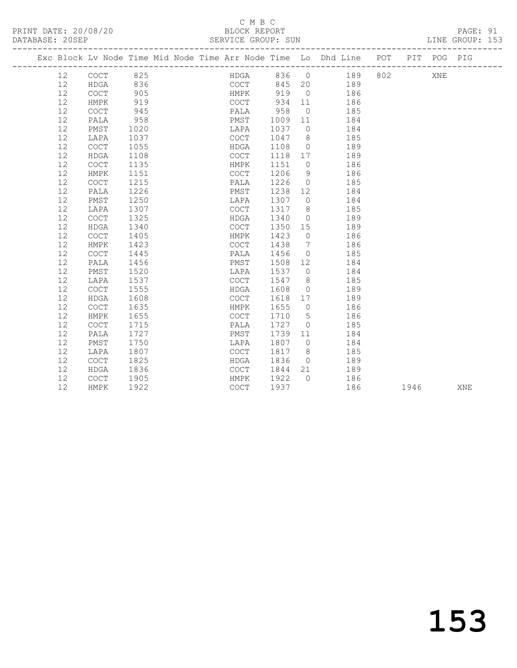PRINT DATE: 20/08/20 BLOCK REPORT BATABASE: 205EP

### C M B C<br>BLOCK REPORT

PAGE: 91<br>LINE GROUP: 153

|  |    |             |      |  |             |         |                | Exc Block Lv Node Time Mid Node Time Arr Node Time Lo Dhd Line POT PIT POG PIG |      |     |     |
|--|----|-------------|------|--|-------------|---------|----------------|--------------------------------------------------------------------------------|------|-----|-----|
|  | 12 | COCT 825    |      |  |             |         |                | HDGA 836 0 189 802                                                             |      | XNE |     |
|  | 12 | HDGA        | 836  |  | COCT        |         |                | 845 20 189                                                                     |      |     |     |
|  | 12 | COCT        | 905  |  | <b>HMPK</b> | 919     | $\overline{0}$ | 186                                                                            |      |     |     |
|  | 12 | HMPK        | 919  |  | COCT        | 934     | 11             | 186                                                                            |      |     |     |
|  | 12 | <b>COCT</b> | 945  |  | PALA        | 958     | $\overline{0}$ | 185                                                                            |      |     |     |
|  | 12 | PALA        | 958  |  | PMST        | 1009    | 11             | 184                                                                            |      |     |     |
|  | 12 | PMST        | 1020 |  | LAPA        | 1037    | $\bigcirc$     | 184                                                                            |      |     |     |
|  | 12 | LAPA        | 1037 |  | COCT        | 1047    | 8              | 185                                                                            |      |     |     |
|  | 12 | <b>COCT</b> | 1055 |  | HDGA        | 1108    | $\overline{0}$ | 189                                                                            |      |     |     |
|  | 12 | HDGA        | 1108 |  | COCT        | 1118 17 |                | 189                                                                            |      |     |     |
|  | 12 | <b>COCT</b> | 1135 |  | HMPK        | 1151    | $\overline{0}$ | 186                                                                            |      |     |     |
|  | 12 | HMPK        | 1151 |  | COCT        | 1206    | 9              | 186                                                                            |      |     |     |
|  | 12 | <b>COCT</b> | 1215 |  | PALA        | 1226    | $\overline{0}$ | 185                                                                            |      |     |     |
|  | 12 | PALA        | 1226 |  | PMST        | 1238 12 |                | 184                                                                            |      |     |     |
|  | 12 | PMST        | 1250 |  | LAPA        | 1307    |                | $\Omega$<br>184                                                                |      |     |     |
|  | 12 | LAPA        | 1307 |  | COCT        | 1317    | 8 <sup>8</sup> | 185                                                                            |      |     |     |
|  | 12 | <b>COCT</b> | 1325 |  | HDGA        | 1340    | $\bigcirc$     | 189                                                                            |      |     |     |
|  | 12 | HDGA        | 1340 |  | COCT        | 1350    | 15             | 189                                                                            |      |     |     |
|  | 12 | COCT        | 1405 |  | HMPK        | 1423    | $\bigcirc$     | 186                                                                            |      |     |     |
|  | 12 | HMPK        | 1423 |  | COCT        | 1438    | $\overline{7}$ | 186                                                                            |      |     |     |
|  | 12 | <b>COCT</b> | 1445 |  | PALA        | 1456    | $\overline{0}$ | 185                                                                            |      |     |     |
|  | 12 | PALA        | 1456 |  | PMST        | 1508    | 12             | 184                                                                            |      |     |     |
|  | 12 | PMST        | 1520 |  | LAPA        | 1537    | $\bigcirc$     | 184                                                                            |      |     |     |
|  | 12 | LAPA        | 1537 |  | COCT        | 1547    | 8 <sup>8</sup> | 185                                                                            |      |     |     |
|  | 12 | <b>COCT</b> | 1555 |  | HDGA        | 1608    | $\overline{0}$ | 189                                                                            |      |     |     |
|  | 12 | HDGA        | 1608 |  | COCT        | 1618    | 17             | 189                                                                            |      |     |     |
|  | 12 | <b>COCT</b> | 1635 |  | HMPK        | 1655    | $\overline{0}$ | 186                                                                            |      |     |     |
|  | 12 | HMPK        | 1655 |  | COCT        | 1710    | 5 <sup>5</sup> | 186                                                                            |      |     |     |
|  | 12 | <b>COCT</b> | 1715 |  | PALA        | 1727    | $\overline{0}$ | 185                                                                            |      |     |     |
|  | 12 | PALA        | 1727 |  | PMST        | 1739    | 11             | 184                                                                            |      |     |     |
|  | 12 | PMST        | 1750 |  | LAPA        | 1807    | $\overline{0}$ | 184                                                                            |      |     |     |
|  | 12 | LAPA        | 1807 |  | COCT        | 1817    | 8              | 185                                                                            |      |     |     |
|  | 12 | COCT        | 1825 |  | HDGA        | 1836    | $\overline{0}$ | 189                                                                            |      |     |     |
|  | 12 | HDGA        | 1836 |  | COCT        | 1844    | 21             | 189                                                                            |      |     |     |
|  | 12 | COCT        | 1905 |  | HMPK        | 1922    | $\bigcap$      | 186                                                                            |      |     |     |
|  | 12 | HMPK        | 1922 |  | <b>COCT</b> | 1937    |                | 186                                                                            | 1946 |     | XNE |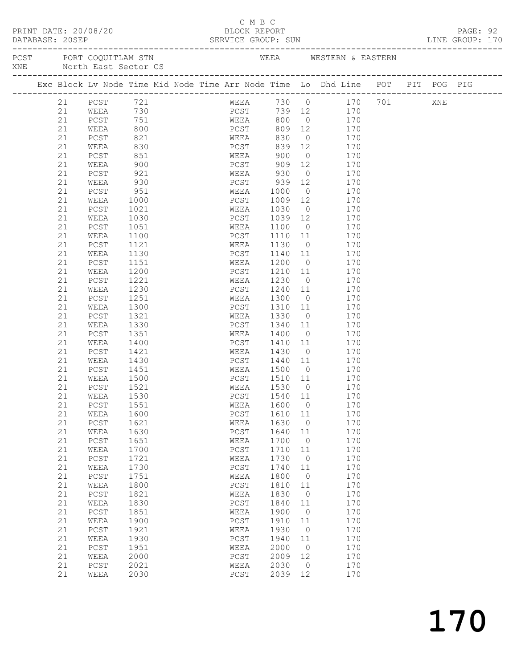|                                                                                                                                         |              |       | - - - - |
|-----------------------------------------------------------------------------------------------------------------------------------------|--------------|-------|---------|
| PRINT DATE: 20/08/20<br>the contract of the contract of the contract of the contract of the contract of the contract of the contract of | BLOCK REPORT | PAGE: | ۵ſ      |

### C M B C<br>BLOCK REPORT

| DATABASE: 20SEP                                                                          |    | SE: 20SEP<br>--------------------------------                                  |      |  |              |      | SERVICE GROUP: SUN |                |                       |         |     | LINE GROUP: 170 |  |
|------------------------------------------------------------------------------------------|----|--------------------------------------------------------------------------------|------|--|--------------|------|--------------------|----------------|-----------------------|---------|-----|-----------------|--|
| PCST PORT COQUITLAM STN WEEA WESTERN & EASTERN NESTERN AND MESTERN WESTERN ARREST<br>XNE |    | North East Sector CS                                                           |      |  |              |      |                    |                | --------------------- |         |     |                 |  |
|                                                                                          |    | Exc Block Lv Node Time Mid Node Time Arr Node Time Lo Dhd Line POT PIT POG PIG |      |  |              |      |                    |                |                       |         |     |                 |  |
|                                                                                          | 21 | PCST                                                                           | 721  |  |              | WEEA | 730 0              |                |                       | 170 701 | XNE |                 |  |
|                                                                                          | 21 | WEEA                                                                           | 730  |  |              | PCST | 739 12             |                | 170                   |         |     |                 |  |
|                                                                                          | 21 | PCST                                                                           | 751  |  | WEEA         |      | 800                | $\overline{0}$ | 170                   |         |     |                 |  |
|                                                                                          | 21 | WEEA                                                                           | 800  |  | PCST         |      | 809                | 12             | 170                   |         |     |                 |  |
|                                                                                          | 21 | PCST                                                                           | 821  |  | WEEA         |      | 830                | $\overline{0}$ | 170                   |         |     |                 |  |
|                                                                                          |    |                                                                                |      |  |              |      |                    |                |                       |         |     |                 |  |
|                                                                                          | 21 | WEEA                                                                           | 830  |  | PCST         |      | 839                | 12             | 170                   |         |     |                 |  |
|                                                                                          | 21 | PCST                                                                           | 851  |  | WEEA         |      | 900                | $\overline{0}$ | 170                   |         |     |                 |  |
|                                                                                          | 21 | WEEA                                                                           | 900  |  | PCST         |      | 909                | 12             | 170                   |         |     |                 |  |
|                                                                                          | 21 | PCST                                                                           | 921  |  | WEEA         |      | 930                | $\overline{0}$ | 170                   |         |     |                 |  |
|                                                                                          | 21 | WEEA                                                                           | 930  |  | PCST         |      | 939                | 12             | 170                   |         |     |                 |  |
|                                                                                          | 21 | PCST                                                                           | 951  |  | WEEA         |      | 1000               | $\overline{0}$ | 170                   |         |     |                 |  |
|                                                                                          | 21 | WEEA                                                                           | 1000 |  | PCST         |      | 1009               | 12             | 170                   |         |     |                 |  |
|                                                                                          | 21 | PCST                                                                           | 1021 |  | WEEA         |      | 1030               | $\overline{0}$ | 170                   |         |     |                 |  |
|                                                                                          | 21 | WEEA                                                                           | 1030 |  | PCST         |      | 1039               | 12             | 170                   |         |     |                 |  |
|                                                                                          | 21 | PCST                                                                           | 1051 |  | WEEA         |      | 1100               | $\overline{0}$ | 170                   |         |     |                 |  |
|                                                                                          | 21 | WEEA                                                                           | 1100 |  | PCST         |      | 1110               | 11             | 170                   |         |     |                 |  |
|                                                                                          | 21 | PCST                                                                           | 1121 |  | WEEA         |      | 1130               | $\overline{0}$ | 170                   |         |     |                 |  |
|                                                                                          | 21 | WEEA                                                                           | 1130 |  | PCST         |      | 1140               | 11             | 170                   |         |     |                 |  |
|                                                                                          | 21 |                                                                                |      |  |              |      |                    | $\overline{0}$ | 170                   |         |     |                 |  |
|                                                                                          |    | PCST                                                                           | 1151 |  | WEEA         |      | 1200               |                |                       |         |     |                 |  |
|                                                                                          | 21 | WEEA                                                                           | 1200 |  | PCST         |      | 1210               | 11             | 170                   |         |     |                 |  |
|                                                                                          | 21 | PCST                                                                           | 1221 |  | WEEA         |      | 1230               | $\overline{0}$ | 170                   |         |     |                 |  |
|                                                                                          | 21 | WEEA                                                                           | 1230 |  | PCST         |      | 1240               | 11             | 170                   |         |     |                 |  |
|                                                                                          | 21 | PCST                                                                           | 1251 |  | WEEA         |      | 1300               | $\overline{0}$ | 170                   |         |     |                 |  |
|                                                                                          | 21 | WEEA                                                                           | 1300 |  | PCST         |      | 1310               | 11             | 170                   |         |     |                 |  |
|                                                                                          | 21 | PCST                                                                           | 1321 |  | WEEA         |      | 1330               | $\overline{0}$ | 170                   |         |     |                 |  |
|                                                                                          | 21 | WEEA                                                                           | 1330 |  | PCST         |      | 1340               | 11             | 170                   |         |     |                 |  |
|                                                                                          | 21 | PCST                                                                           | 1351 |  | WEEA         |      | 1400               | $\overline{0}$ | 170                   |         |     |                 |  |
|                                                                                          | 21 | WEEA                                                                           | 1400 |  | PCST         |      | 1410               | 11             | 170                   |         |     |                 |  |
|                                                                                          | 21 | PCST                                                                           | 1421 |  | WEEA         |      | 1430               | $\overline{0}$ | 170                   |         |     |                 |  |
|                                                                                          | 21 | WEEA                                                                           | 1430 |  | PCST         |      | 1440               | 11             | 170                   |         |     |                 |  |
|                                                                                          | 21 | PCST                                                                           | 1451 |  | WEEA         |      | 1500               | $\overline{0}$ | 170                   |         |     |                 |  |
|                                                                                          | 21 | WEEA                                                                           | 1500 |  | PCST         |      | 1510               | 11             | 170                   |         |     |                 |  |
|                                                                                          | 21 | PCST                                                                           | 1521 |  | WEEA         |      | 1530               | $\overline{0}$ | 170                   |         |     |                 |  |
|                                                                                          | 21 | WEEA                                                                           | 1530 |  | PCST         |      | 1540               | 11             | 170                   |         |     |                 |  |
|                                                                                          | 21 | PCST                                                                           | 1551 |  | WEEA         |      | 1600               | $\overline{0}$ | 170                   |         |     |                 |  |
|                                                                                          | 21 | WEEA 1600                                                                      |      |  |              | PCST | 1610 11 170        |                |                       |         |     |                 |  |
|                                                                                          |    |                                                                                |      |  |              |      |                    |                | 170                   |         |     |                 |  |
|                                                                                          | 21 | PCST                                                                           | 1621 |  | WEEA         |      | 1630               | $\circ$        |                       |         |     |                 |  |
|                                                                                          | 21 | WEEA                                                                           | 1630 |  | PCST         |      | 1640               | 11             | 170                   |         |     |                 |  |
|                                                                                          | 21 | PCST                                                                           | 1651 |  | WEEA         |      | 1700               | $\overline{0}$ | 170                   |         |     |                 |  |
|                                                                                          | 21 | WEEA                                                                           | 1700 |  | PCST         |      | 1710               | 11             | 170                   |         |     |                 |  |
|                                                                                          | 21 | PCST                                                                           | 1721 |  | WEEA         |      | 1730               | $\overline{0}$ | 170                   |         |     |                 |  |
|                                                                                          | 21 | WEEA                                                                           | 1730 |  | PCST         |      | 1740               | 11             | 170                   |         |     |                 |  |
|                                                                                          | 21 | PCST                                                                           | 1751 |  | WEEA         |      | 1800               | $\overline{0}$ | 170                   |         |     |                 |  |
|                                                                                          | 21 | WEEA                                                                           | 1800 |  | ${\tt PCST}$ |      | 1810               | 11             | 170                   |         |     |                 |  |
|                                                                                          | 21 | PCST                                                                           | 1821 |  | WEEA         |      | 1830               | $\overline{0}$ | 170                   |         |     |                 |  |
|                                                                                          | 21 | WEEA                                                                           | 1830 |  | PCST         |      | 1840               | 11             | 170                   |         |     |                 |  |
|                                                                                          | 21 | PCST                                                                           | 1851 |  | WEEA         |      | 1900               | $\overline{0}$ | 170                   |         |     |                 |  |
|                                                                                          | 21 | WEEA                                                                           | 1900 |  | ${\tt PCST}$ |      | 1910               | 11             | 170                   |         |     |                 |  |
|                                                                                          | 21 | PCST                                                                           | 1921 |  | WEEA         |      | 1930               | $\overline{0}$ | 170                   |         |     |                 |  |
|                                                                                          | 21 | WEEA                                                                           | 1930 |  | PCST         |      | 1940               | 11             | 170                   |         |     |                 |  |
|                                                                                          | 21 | PCST                                                                           | 1951 |  | WEEA         |      | 2000               | $\overline{0}$ | 170                   |         |     |                 |  |
|                                                                                          | 21 | WEEA                                                                           | 2000 |  | PCST         |      | 2009               | 12             | 170                   |         |     |                 |  |
|                                                                                          | 21 | PCST                                                                           | 2021 |  | WEEA         |      | 2030               | $\overline{0}$ | 170                   |         |     |                 |  |
|                                                                                          | 21 |                                                                                | 2030 |  | PCST         |      | 2039               | 12             | 170                   |         |     |                 |  |
|                                                                                          |    | WEEA                                                                           |      |  |              |      |                    |                |                       |         |     |                 |  |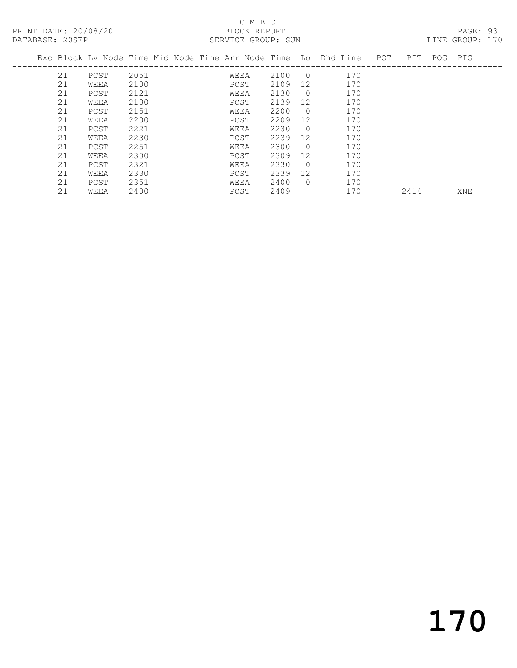#### C M B C<br>BLOCK REPORT

| DATABASE: 20SEP |    |                                                                    |      |  |      | SERVICE GROUP: SUN |                |     |      |             | LINE GROUP: 170 |  |
|-----------------|----|--------------------------------------------------------------------|------|--|------|--------------------|----------------|-----|------|-------------|-----------------|--|
|                 |    | Exc Block Lv Node Time Mid Node Time Arr Node Time Lo Dhd Line POT |      |  |      |                    |                |     |      | PIT POG PIG |                 |  |
|                 | 21 | PCST                                                               | 2051 |  | WEEA | 2100               | $\overline{0}$ | 170 |      |             |                 |  |
|                 | 21 | WEEA                                                               | 2100 |  | PCST | 2109               | 12             | 170 |      |             |                 |  |
|                 | 21 | PCST                                                               | 2121 |  | WEEA | 2130               | $\bigcirc$     | 170 |      |             |                 |  |
|                 | 21 | WEEA                                                               | 2130 |  | PCST | 2139               | 12             | 170 |      |             |                 |  |
|                 | 21 | PCST                                                               | 2151 |  | WEEA | 2200               | $\bigcirc$     | 170 |      |             |                 |  |
|                 | 21 | WEEA                                                               | 2200 |  | PCST | 2209               | 12             | 170 |      |             |                 |  |
|                 | 21 | PCST                                                               | 2221 |  | WEEA | 2230               | $\bigcirc$     | 170 |      |             |                 |  |
|                 | 21 | WEEA                                                               | 2230 |  | PCST | 2239               | 12             | 170 |      |             |                 |  |
|                 | 21 | PCST                                                               | 2251 |  | WEEA | 2300               | $\overline{0}$ | 170 |      |             |                 |  |
|                 | 21 | WEEA                                                               | 2300 |  | PCST | 2309               | 12             | 170 |      |             |                 |  |
|                 | 21 | PCST                                                               | 2321 |  | WEEA | 2330               | $\overline{0}$ | 170 |      |             |                 |  |
|                 | 21 | WEEA                                                               | 2330 |  | PCST | 2339               | 12             | 170 |      |             |                 |  |
|                 | 21 | PCST                                                               | 2351 |  | WEEA | 2400               | $\bigcirc$     | 170 |      |             |                 |  |
|                 | 21 | WEEA                                                               | 2400 |  | PCST | 2409               |                | 170 | 2414 |             | XNE             |  |

170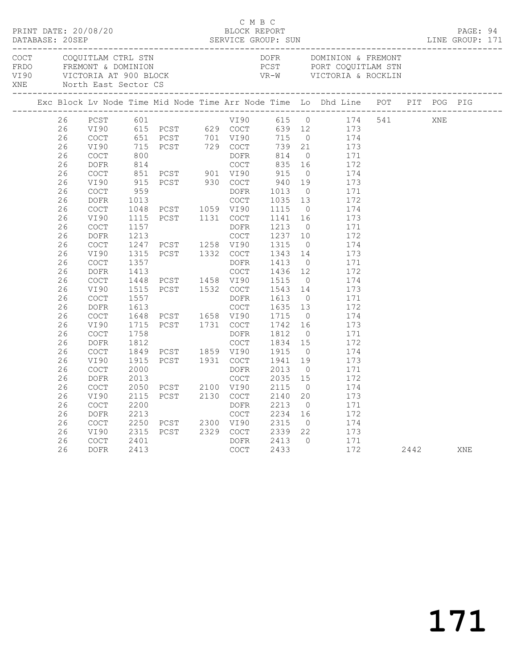|             |    |                                            |      | PRINT DATE: 20/08/20<br>PRINT DATE: 20/08/20<br>SERVICE GROUP: SUN | C M B C     |                                                   |                |                                                                                |         |      | PAGE: 94<br>LINE GROUP: 171 |  |
|-------------|----|--------------------------------------------|------|--------------------------------------------------------------------|-------------|---------------------------------------------------|----------------|--------------------------------------------------------------------------------|---------|------|-----------------------------|--|
| COCT<br>XNE |    | COQUITLAM CTRL STN<br>North East Sector CS |      |                                                                    |             | DOFR                                              |                | DOMINION & FREMONT                                                             |         |      |                             |  |
|             |    |                                            |      |                                                                    |             |                                                   |                | Exc Block Lv Node Time Mid Node Time Arr Node Time Lo Dhd Line POT PIT POG PIG |         |      |                             |  |
|             | 26 | PCST                                       | 601  |                                                                    | VI90 615 0  |                                                   |                |                                                                                | 174 541 | XNE  |                             |  |
|             | 26 | VI90                                       |      |                                                                    |             | 639 12                                            |                | 173                                                                            |         |      |                             |  |
|             | 26 | COCT                                       |      |                                                                    |             |                                                   | $\overline{0}$ | 174                                                                            |         |      |                             |  |
|             | 26 | VI90                                       |      | 651 PCST 701 VI90 715<br>715 PCST 729 COCT 739<br>800 DOFR 814     |             | 739 21                                            |                | 173                                                                            |         |      |                             |  |
|             | 26 | COCT                                       |      |                                                                    |             |                                                   | $\overline{0}$ | 171                                                                            |         |      |                             |  |
|             | 26 | DOFR                                       | 814  |                                                                    | COCT        | 835                                               | 16             | 172                                                                            |         |      |                             |  |
|             | 26 | COCT                                       |      | 851 PCST 901 VI90                                                  |             | 915                                               | $\overline{0}$ | 174                                                                            |         |      |                             |  |
|             | 26 | VI90                                       | 915  | PCST 930 COCT                                                      |             | 940<br>$\begin{array}{c} 940 \\ 1013 \end{array}$ | 19             | 173                                                                            |         |      |                             |  |
|             | 26 | <b>COCT</b>                                | 959  |                                                                    | DOFR        |                                                   | $\overline{0}$ | 171                                                                            |         |      |                             |  |
|             | 26 | <b>DOFR</b>                                | 1013 |                                                                    | COCT        | 1035                                              | 13             | 172                                                                            |         |      |                             |  |
|             | 26 | COCT                                       |      | 1048 PCST 1059 VI90                                                |             | 1115                                              | $\overline{0}$ | 174                                                                            |         |      |                             |  |
|             | 26 | VI90                                       | 1115 | PCST 1131 COCT                                                     |             | 1141                                              | 16             | 173                                                                            |         |      |                             |  |
|             | 26 | <b>COCT</b>                                | 1157 |                                                                    | DOFR        | 1213                                              | $\overline{0}$ | 171                                                                            |         |      |                             |  |
|             | 26 | DOFR                                       | 1213 |                                                                    | COCT        | 1237                                              | 10             | 172                                                                            |         |      |                             |  |
|             | 26 | COCT                                       |      | 1247 PCST 1258 VI90                                                |             | 1315                                              | $\overline{0}$ | 174                                                                            |         |      |                             |  |
|             | 26 | VI90                                       | 1315 | PCST 1332 COCT                                                     |             | 1343                                              | 14             | 173                                                                            |         |      |                             |  |
|             | 26 | <b>COCT</b>                                | 1357 |                                                                    | DOFR        | 1413                                              | $\overline{0}$ | 171                                                                            |         |      |                             |  |
|             | 26 | <b>DOFR</b>                                | 1413 |                                                                    | <b>COCT</b> | 1436 12                                           |                | 172                                                                            |         |      |                             |  |
|             | 26 | <b>COCT</b>                                | 1448 | PCST 1458 VI90                                                     |             | 1515                                              | $\overline{0}$ | 174                                                                            |         |      |                             |  |
|             | 26 | VI90                                       | 1515 | PCST 1532 COCT                                                     |             | 1543                                              | 14             | 173                                                                            |         |      |                             |  |
|             | 26 | COCT                                       | 1557 |                                                                    | DOFR        | 1613                                              | $\overline{0}$ | 171                                                                            |         |      |                             |  |
|             | 26 | <b>DOFR</b>                                | 1613 |                                                                    | <b>COCT</b> | 1635                                              | 13             | 172                                                                            |         |      |                             |  |
|             | 26 | <b>COCT</b>                                | 1648 | PCST 1658 VI90<br>PCST 1731 COCT                                   |             | 1715                                              | $\overline{0}$ | 174                                                                            |         |      |                             |  |
|             | 26 | VI90                                       | 1715 |                                                                    |             | 1742                                              | 16             | 173                                                                            |         |      |                             |  |
|             | 26 | <b>COCT</b>                                | 1758 |                                                                    | DOFR        | 1812                                              | $\overline{0}$ | 171                                                                            |         |      |                             |  |
|             | 26 | <b>DOFR</b>                                | 1812 |                                                                    | COCT        | 1834                                              | 15             | 172                                                                            |         |      |                             |  |
|             | 26 | COCT                                       | 1849 | PCST 1859 VI90<br>PCST 1931 COCT                                   |             | 1915                                              | $\overline{0}$ | 174                                                                            |         |      |                             |  |
|             | 26 | VI90                                       | 1915 |                                                                    |             | 1941                                              | 19             | 173                                                                            |         |      |                             |  |
|             | 26 | <b>COCT</b>                                | 2000 |                                                                    | DOFR        | 2013                                              | $\overline{0}$ | 171                                                                            |         |      |                             |  |
|             | 26 | DOFR                                       | 2013 |                                                                    | <b>COCT</b> | 2035                                              | 15             | 172                                                                            |         |      |                             |  |
|             | 26 | COCT                                       | 2050 | PCST 2100 VI90                                                     |             | 2115                                              | $\overline{0}$ | 174                                                                            |         |      |                             |  |
|             | 26 | VI90                                       | 2115 | PCST 2130 COCT                                                     |             | 2140                                              | 20             | 173                                                                            |         |      |                             |  |
|             | 26 | <b>COCT</b>                                | 2200 |                                                                    | DOFR        | 2213                                              | $\overline{0}$ | 171                                                                            |         |      |                             |  |
|             | 26 | DOFR                                       | 2213 |                                                                    | COCT        | 2234                                              | 16             | 172                                                                            |         |      |                             |  |
|             | 26 | <b>COCT</b>                                | 2250 | PCST 2300 VI90                                                     |             | 2315                                              | $\overline{0}$ | 174                                                                            |         |      |                             |  |
|             | 26 | VI90                                       | 2315 | PCST 2329 COCT                                                     |             | 2339                                              | 22             | 173                                                                            |         |      |                             |  |
|             | 26 | COCT                                       | 2401 |                                                                    | DOFR        | 2413                                              | $\overline{0}$ | 171                                                                            |         |      |                             |  |
|             | 26 | DOFR                                       | 2413 |                                                                    | COCT        | 2433                                              |                | 172                                                                            |         | 2442 | XNE                         |  |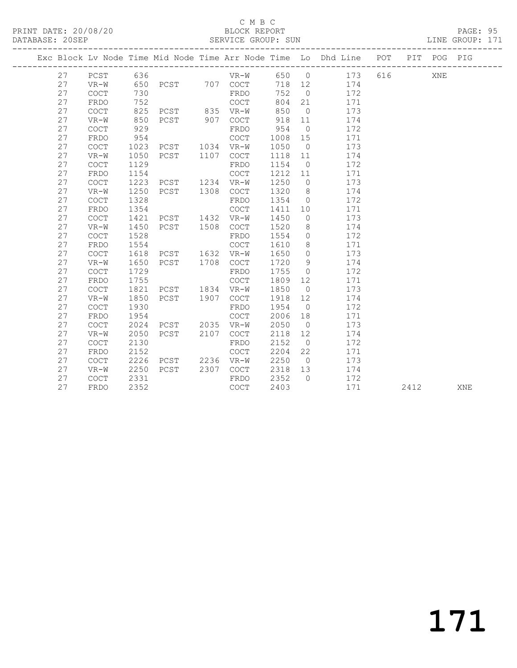PRINT DATE: 20/08/20 BLOCK REPORT BATABASE: 20SEP

#### C M B C<br>BLOCK REPORT

PAGE: 95<br>LINE GROUP: 171

|  |    |                                            |      |      |      |             |      |                | Exc Block Lv Node Time Mid Node Time Arr Node Time Lo Dhd Line POT |     |      | PIT POG PIG |     |
|--|----|--------------------------------------------|------|------|------|-------------|------|----------------|--------------------------------------------------------------------|-----|------|-------------|-----|
|  | 27 | PCST                                       | 636  |      |      | $VR-W$      | 650  | $\overline{0}$ | 173                                                                | 616 |      | XNE         |     |
|  | 27 | $VR-W$                                     | 650  | PCST |      | 707 COCT    | 718  | 12             | 174                                                                |     |      |             |     |
|  | 27 | $\operatorname{COT}$                       | 730  |      |      | FRDO        | 752  | $\overline{0}$ | 172                                                                |     |      |             |     |
|  | 27 | FRDO                                       | 752  |      |      | <b>COCT</b> | 804  | 21             | 171                                                                |     |      |             |     |
|  | 27 | COCT                                       | 825  | PCST | 835  | $VR-W$      | 850  | $\overline{0}$ | 173                                                                |     |      |             |     |
|  | 27 | $VR-W$                                     | 850  | PCST | 907  | <b>COCT</b> | 918  | 11             | 174                                                                |     |      |             |     |
|  | 27 | $\mathtt{C}\mathtt{O}\mathtt{C}\mathtt{T}$ | 929  |      |      | FRDO        | 954  | $\overline{0}$ | 172                                                                |     |      |             |     |
|  | 27 | FRDO                                       | 954  |      |      | <b>COCT</b> | 1008 | 15             | 171                                                                |     |      |             |     |
|  | 27 | $\mathtt{C}\mathtt{O}\mathtt{C}\mathtt{T}$ | 1023 | PCST | 1034 | $VR-W$      | 1050 | $\overline{0}$ | 173                                                                |     |      |             |     |
|  | 27 | $VR-W$                                     | 1050 | PCST | 1107 | COCT        | 1118 | 11             | 174                                                                |     |      |             |     |
|  | 27 | $\mathtt{C}\mathtt{O}\mathtt{C}\mathtt{T}$ | 1129 |      |      | FRDO        | 1154 | $\overline{0}$ | 172                                                                |     |      |             |     |
|  | 27 | FRDO                                       | 1154 |      |      | <b>COCT</b> | 1212 | 11             | 171                                                                |     |      |             |     |
|  | 27 | COCT                                       | 1223 | PCST | 1234 | $VR-W$      | 1250 | $\circ$        | 173                                                                |     |      |             |     |
|  | 27 | $VR-W$                                     | 1250 | PCST | 1308 | COCT        | 1320 | 8              | 174                                                                |     |      |             |     |
|  | 27 | COCT                                       | 1328 |      |      | FRDO        | 1354 | $\overline{0}$ | 172                                                                |     |      |             |     |
|  | 27 | FRDO                                       | 1354 |      |      | <b>COCT</b> | 1411 | 10             | 171                                                                |     |      |             |     |
|  | 27 | COCT                                       | 1421 | PCST | 1432 | $VR-W$      | 1450 | $\circ$        | 173                                                                |     |      |             |     |
|  | 27 | $VR-W$                                     | 1450 | PCST | 1508 | <b>COCT</b> | 1520 | 8              | 174                                                                |     |      |             |     |
|  | 27 | $\mathtt{C}\mathtt{O}\mathtt{C}\mathtt{T}$ | 1528 |      |      | FRDO        | 1554 | $\circ$        | 172                                                                |     |      |             |     |
|  | 27 | FRDO                                       | 1554 |      |      | <b>COCT</b> | 1610 | 8              | 171                                                                |     |      |             |     |
|  | 27 | COCT                                       | 1618 | PCST | 1632 | $VR-W$      | 1650 | $\circ$        | 173                                                                |     |      |             |     |
|  | 27 | $VR-W$                                     | 1650 | PCST | 1708 | COCT        | 1720 | 9              | 174                                                                |     |      |             |     |
|  | 27 | COCT                                       | 1729 |      |      | FRDO        | 1755 | $\circ$        | 172                                                                |     |      |             |     |
|  | 27 | FRDO                                       | 1755 |      |      | <b>COCT</b> | 1809 | 12             | 171                                                                |     |      |             |     |
|  | 27 | COCT                                       | 1821 | PCST | 1834 | $VR-W$      | 1850 | $\overline{0}$ | 173                                                                |     |      |             |     |
|  | 27 | $VR-W$                                     | 1850 | PCST | 1907 | COCT        | 1918 | 12             | 174                                                                |     |      |             |     |
|  | 27 | COCT                                       | 1930 |      |      | FRDO        | 1954 | $\overline{0}$ | 172                                                                |     |      |             |     |
|  | 27 | FRDO                                       | 1954 |      |      | <b>COCT</b> | 2006 | 18             | 171                                                                |     |      |             |     |
|  | 27 | <b>COCT</b>                                | 2024 | PCST | 2035 | $VR-W$      | 2050 | $\overline{0}$ | 173                                                                |     |      |             |     |
|  | 27 | $VR-W$                                     | 2050 | PCST | 2107 | <b>COCT</b> | 2118 | 12             | 174                                                                |     |      |             |     |
|  | 27 | <b>COCT</b>                                | 2130 |      |      | FRDO        | 2152 | $\circ$        | 172                                                                |     |      |             |     |
|  | 27 | FRDO                                       | 2152 |      |      | <b>COCT</b> | 2204 | 22             | 171                                                                |     |      |             |     |
|  | 27 | COCT                                       | 2226 | PCST | 2236 | $VR-W$      | 2250 | $\overline{0}$ | 173                                                                |     |      |             |     |
|  | 27 | $VR-W$                                     | 2250 | PCST | 2307 | COCT        | 2318 | 13             | 174                                                                |     |      |             |     |
|  | 27 | <b>COCT</b>                                | 2331 |      |      | FRDO        | 2352 | $\Omega$       | 172                                                                |     |      |             |     |
|  | 27 | FRDO                                       | 2352 |      |      | <b>COCT</b> | 2403 |                | 171                                                                |     | 2412 |             | XNE |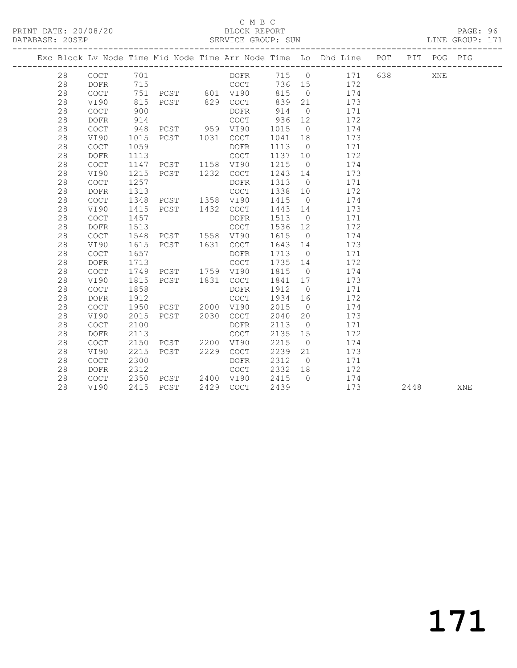PRINT DATE: 20/08/20 BLOCK REPORT BATABASE: 20SEP

#### C M B C<br>BLOCK REPORT

PAGE: 96<br>LINE GROUP: 171

|  |    |             |      |                                 |      |             |         |                | Exc Block Lv Node Time Mid Node Time Arr Node Time Lo Dhd Line POT |      | PIT POG PIG |     |
|--|----|-------------|------|---------------------------------|------|-------------|---------|----------------|--------------------------------------------------------------------|------|-------------|-----|
|  | 28 | $COCT$ 701  |      |                                 |      | <b>DOFR</b> |         |                | 715 0 171 638                                                      |      | XNE         |     |
|  | 28 | DOFR        | 715  |                                 |      | <b>COCT</b> |         |                | 736 15 172                                                         |      |             |     |
|  | 28 | COCT        |      | 751 PCST 801 VI90               |      |             | 815     |                | $0 \t 174$                                                         |      |             |     |
|  | 28 | VI90        | 815  | PCST 829 COCT                   |      |             | 839     |                | 21 173                                                             |      |             |     |
|  | 28 | COCT        | 900  |                                 |      | DOFR        | 914     | $\overline{0}$ | 171                                                                |      |             |     |
|  | 28 | <b>DOFR</b> | 914  |                                 |      | COCT        | 936     | 12             | 172                                                                |      |             |     |
|  | 28 | COCT        | 948  | PCST 959 VI90<br>PCST 1031 COCT |      |             | 1015    | $\overline{0}$ | 174                                                                |      |             |     |
|  | 28 | VI90        | 1015 |                                 |      |             | 1041    | 18             | 173                                                                |      |             |     |
|  | 28 | COCT        | 1059 |                                 |      | DOFR        | 1113    | $\overline{0}$ | 171                                                                |      |             |     |
|  | 28 | <b>DOFR</b> | 1113 |                                 |      | COCT        | 1137 10 |                | 172                                                                |      |             |     |
|  | 28 | COCT        | 1147 | PCST 1158 VI90                  |      |             | 1215    | $\overline{0}$ | 174                                                                |      |             |     |
|  | 28 | VI90        | 1215 | PCST 1232                       |      | COCT        | 1243 14 |                | 173                                                                |      |             |     |
|  | 28 | COCT        | 1257 |                                 |      | DOFR        | 1313    | $\overline{0}$ | 171                                                                |      |             |     |
|  | 28 | <b>DOFR</b> | 1313 |                                 |      | COCT        | 1338    | 10             | 172                                                                |      |             |     |
|  | 28 | COCT        | 1348 | PCST 1358 VI90                  |      |             | 1415    | $\overline{0}$ | 174                                                                |      |             |     |
|  | 28 | VI90        | 1415 | PCST 1432                       |      | COCT        | 1443 14 |                | 173                                                                |      |             |     |
|  | 28 | <b>COCT</b> | 1457 |                                 |      | DOFR        | 1513    | $\overline{0}$ | 171                                                                |      |             |     |
|  | 28 | <b>DOFR</b> | 1513 |                                 |      | COCT        | 1536    | 12             | 172                                                                |      |             |     |
|  | 28 | <b>COCT</b> | 1548 | PCST 1558 VI90                  |      |             | 1615    | $\overline{0}$ | 174                                                                |      |             |     |
|  | 28 | VI90        | 1615 | PCST 1631 COCT                  |      |             | 1643    | 14             | 173                                                                |      |             |     |
|  | 28 | COCT        | 1657 |                                 |      | DOFR        | 1713    | $\overline{0}$ | 171                                                                |      |             |     |
|  | 28 | <b>DOFR</b> | 1713 |                                 |      | COCT        | 1735    | 14             | 172                                                                |      |             |     |
|  | 28 | COCT        | 1749 | PCST 1759 VI90                  |      |             | 1815    | $\overline{0}$ | 174                                                                |      |             |     |
|  | 28 | VI90        | 1815 | PCST 1831 COCT                  |      |             | 1841    | 17             | 173                                                                |      |             |     |
|  | 28 | COCT        | 1858 |                                 |      | DOFR        | 1912    | $\overline{0}$ | 171                                                                |      |             |     |
|  | 28 | <b>DOFR</b> | 1912 |                                 |      | COCT        | 1934    | 16             | 172                                                                |      |             |     |
|  | 28 | <b>COCT</b> | 1950 | PCST 2000 VI90                  |      |             | 2015    | $\overline{0}$ | 174                                                                |      |             |     |
|  | 28 | VI90        | 2015 | PCST 2030                       |      | COCT        | 2040    | 20             | 173                                                                |      |             |     |
|  | 28 | COCT        | 2100 |                                 |      | DOFR        | 2113    | $\overline{0}$ | 171                                                                |      |             |     |
|  | 28 | <b>DOFR</b> | 2113 |                                 |      | COCT        | 2135    | 15             | 172                                                                |      |             |     |
|  | 28 | <b>COCT</b> | 2150 | PCST 2200                       |      | VI90        | 2215    | $\overline{0}$ | 174                                                                |      |             |     |
|  | 28 | VI90        | 2215 | PCST                            | 2229 | COCT        | 2239    | 21             | 173                                                                |      |             |     |
|  | 28 | COCT        | 2300 |                                 |      | DOFR        | 2312    | $\overline{0}$ | 171                                                                |      |             |     |
|  | 28 | <b>DOFR</b> | 2312 |                                 |      | COCT        | 2332    | 18             | 172                                                                |      |             |     |
|  | 28 | COCT        | 2350 | PCST 2400 VI90                  |      |             | 2415    | $\bigcirc$     | 174                                                                |      |             |     |
|  | 28 | VI90        | 2415 | PCST                            |      | 2429 COCT   | 2439    |                | 173                                                                | 2448 |             | XNE |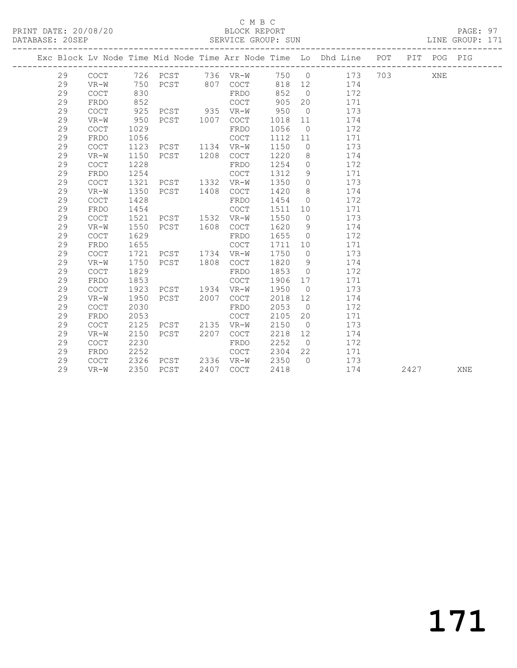#### C M B C<br>BLOCK REPORT SERVICE GROUP: SUN

|  |          |                                            |      |          |      |              |              |                      | Exc Block Lv Node Time Mid Node Time Arr Node Time Lo Dhd Line POT |     | PIT POG PIG |  |
|--|----------|--------------------------------------------|------|----------|------|--------------|--------------|----------------------|--------------------------------------------------------------------|-----|-------------|--|
|  | 29       | COCT                                       |      | 726 PCST |      | 736 VR-W     | 750 0        |                      | 173                                                                | 703 | XNE         |  |
|  | 29       | $VR-W$                                     | 750  | PCST     | 807  | <b>COCT</b>  | 818          | 12                   | 174                                                                |     |             |  |
|  | 29       | $\mathtt{C}\mathtt{O}\mathtt{C}\mathtt{T}$ | 830  |          |      | FRDO         | 852          | $\overline{0}$       | 172                                                                |     |             |  |
|  | 29       | FRDO                                       | 852  |          |      | <b>COCT</b>  | 905          | 20                   | 171                                                                |     |             |  |
|  | 29       | <b>COCT</b>                                | 925  | PCST     | 935  | $VR-W$       | 950          | $\overline{0}$       | 173                                                                |     |             |  |
|  | 29       | $VR-W$                                     | 950  | PCST     | 1007 | COCT         | 1018         | 11                   | 174                                                                |     |             |  |
|  | 29       | <b>COCT</b>                                | 1029 |          |      | FRDO         | 1056         | $\overline{0}$       | 172                                                                |     |             |  |
|  | 29       | FRDO                                       | 1056 |          |      | <b>COCT</b>  | 1112         | 11                   | 171                                                                |     |             |  |
|  | 29       | $\mathtt{C}\mathtt{O}\mathtt{C}\mathtt{T}$ | 1123 | PCST     | 1134 | $VR-W$       | 1150         | $\overline{0}$       | 173                                                                |     |             |  |
|  | 29       | $VR-W$                                     | 1150 | PCST     | 1208 | COCT         | 1220         | 8                    | 174                                                                |     |             |  |
|  | 29       | <b>COCT</b>                                | 1228 |          |      | FRDO         | 1254         | $\circ$              | 172                                                                |     |             |  |
|  | 29       | FRDO                                       | 1254 |          |      | <b>COCT</b>  | 1312         | 9                    | 171                                                                |     |             |  |
|  | 29       | COCT                                       | 1321 | PCST     | 1332 | VR-W         | 1350         | $\circ$              | 173                                                                |     |             |  |
|  | 29       | $VR-W$                                     | 1350 | PCST     | 1408 | COCT         | 1420         | 8                    | 174                                                                |     |             |  |
|  | 29       | $\mathtt{C}\mathtt{O}\mathtt{C}\mathtt{T}$ | 1428 |          |      | FRDO         | 1454         | $\Omega$             | 172                                                                |     |             |  |
|  | 29       | FRDO                                       | 1454 |          |      | COCT         | 1511         | 10                   | 171                                                                |     |             |  |
|  | 29       | <b>COCT</b>                                | 1521 | PCST     | 1532 | VR-W         | 1550         | $\circ$              | 173                                                                |     |             |  |
|  | 29       | $VR-W$                                     | 1550 | PCST     | 1608 | <b>COCT</b>  | 1620         | - 9                  | 174                                                                |     |             |  |
|  | 29       | <b>COCT</b>                                | 1629 |          |      | FRDO         | 1655         | $\bigcirc$           | 172                                                                |     |             |  |
|  | 29       | FRDO                                       | 1655 |          |      | <b>COCT</b>  | 1711         | 10                   | 171                                                                |     |             |  |
|  | 29       | COCT                                       | 1721 | PCST     | 1734 | $VR-W$       | 1750         | $\overline{0}$       | 173                                                                |     |             |  |
|  | 29       | $VR-W$                                     | 1750 | PCST     | 1808 | <b>COCT</b>  | 1820         | 9                    | 174                                                                |     |             |  |
|  | 29       | <b>COCT</b>                                | 1829 |          |      | FRDO         | 1853         | $\overline{0}$       | 172                                                                |     |             |  |
|  | 29       | FRDO                                       | 1853 |          |      | <b>COCT</b>  | 1906         | 17                   | 171                                                                |     |             |  |
|  | 29       | COCT                                       | 1923 | PCST     | 1934 | VR-W         | 1950         | $\overline{0}$       | 173                                                                |     |             |  |
|  | 29       | $VR-W$                                     | 1950 | PCST     | 2007 | COCT         | 2018         | 12                   | 174                                                                |     |             |  |
|  | 29       | $\mathtt{C}\mathtt{O}\mathtt{C}\mathtt{T}$ | 2030 |          |      | FRDO         | 2053         | $\overline{0}$       | 172                                                                |     |             |  |
|  | 29       | FRDO                                       | 2053 |          |      | COCT         | 2105         | 20                   | 171                                                                |     |             |  |
|  | 29       | <b>COCT</b>                                | 2125 | PCST     | 2135 | $VR-W$       | 2150         | $\overline{0}$       | 173                                                                |     |             |  |
|  | 29<br>29 | $VR-W$                                     | 2150 | PCST     | 2207 | <b>COCT</b>  | 2218         | 12                   | 174                                                                |     |             |  |
|  | 29       | <b>COCT</b><br>FRDO                        | 2230 |          |      | FRDO<br>COCT | 2252<br>2304 | $\overline{0}$<br>22 | 172<br>171                                                         |     |             |  |
|  | 29       |                                            | 2252 |          |      |              |              | $\bigcirc$           |                                                                    |     |             |  |
|  |          | COCT                                       | 2326 | PCST     |      | 2336 VR-W    | 2350         |                      | 173                                                                |     |             |  |

29 VR-W 2350 PCST 2407 COCT 2418 174 2427 XNE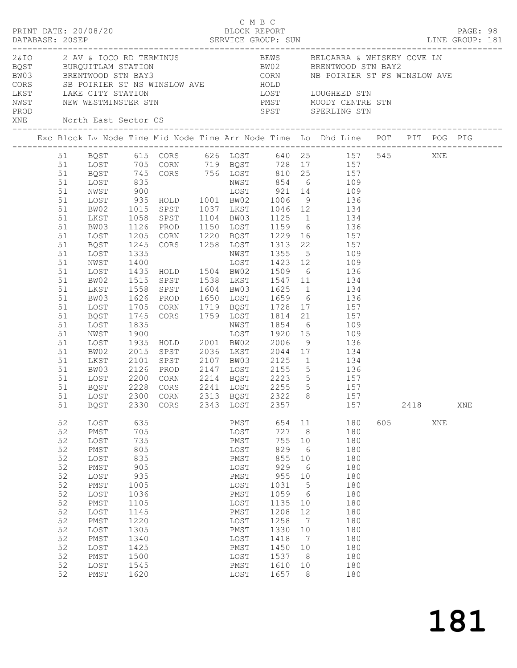|      |          |      |                      | C M B C<br>PRINT DATE: 20/08/20<br>BLOCK REPORT |                                                                        |        |                 |                                                                                                                                                                                                                                                              |     |      |     | PAGE: 98 |  |
|------|----------|------|----------------------|-------------------------------------------------|------------------------------------------------------------------------|--------|-----------------|--------------------------------------------------------------------------------------------------------------------------------------------------------------------------------------------------------------------------------------------------------------|-----|------|-----|----------|--|
| PROD |          |      |                      | XNE North East Sector CS                        |                                                                        |        |                 | 2 AN & IOCO RD TERMINUS<br>BOST BURQUITLAM STATION BEWS BELCARRA & WHISKEY COVE LN<br>BOST BURQUITLAM STATION BWO2 BRENTWOOD STN BAY2<br>CORS SB POIRIER ST NS WINSLOW AVE HOLD<br>LKST LAKE CITY STATION LOST LOUGHEED STN<br>NWST NEW<br>SPST SPERLING STN |     |      |     |          |  |
|      |          |      |                      |                                                 |                                                                        |        |                 | Exc Block Lv Node Time Mid Node Time Arr Node Time Lo Dhd Line POT PIT POG PIG                                                                                                                                                                               |     |      |     |          |  |
|      |          |      |                      |                                                 |                                                                        |        |                 |                                                                                                                                                                                                                                                              |     |      |     |          |  |
|      |          |      |                      |                                                 |                                                                        |        |                 | 51 BQST 615 CORS 626 LOST 640 25 157 545 XNE<br>51 LOST 705 CORN 719 BQST 728 17 157                                                                                                                                                                         |     |      |     |          |  |
|      | 51       |      |                      |                                                 |                                                                        |        |                 | BQST 745 CORS 756 LOST 810 25 157                                                                                                                                                                                                                            |     |      |     |          |  |
|      | 51       | LOST |                      |                                                 |                                                                        |        |                 |                                                                                                                                                                                                                                                              |     |      |     |          |  |
|      | 51       | NWST |                      |                                                 |                                                                        |        |                 |                                                                                                                                                                                                                                                              |     |      |     |          |  |
|      | 51       | LOST |                      |                                                 |                                                                        |        |                 |                                                                                                                                                                                                                                                              |     |      |     |          |  |
|      | 51       | BW02 | 1015                 |                                                 |                                                                        |        |                 | SPST 1037 LKST 1046 12 134                                                                                                                                                                                                                                   |     |      |     |          |  |
|      | 51       | LKST | 1058                 | SPST 1104 BW03                                  |                                                                        |        |                 | 1125 1 134                                                                                                                                                                                                                                                   |     |      |     |          |  |
|      | 51       | BW03 |                      |                                                 |                                                                        |        |                 |                                                                                                                                                                                                                                                              |     |      |     |          |  |
|      | 51       | LOST | 1126<br>1205         |                                                 |                                                                        |        |                 | PROD 1150 LOST 1159 6 136<br>CORN 1220 BQST 1229 16 157                                                                                                                                                                                                      |     |      |     |          |  |
|      | 51       | BQST | 1245                 |                                                 |                                                                        |        |                 | CORS 1258 LOST 1313 22 157                                                                                                                                                                                                                                   |     |      |     |          |  |
|      | 51       | LOST | 1335                 |                                                 |                                                                        |        |                 | 1355 5 109                                                                                                                                                                                                                                                   |     |      |     |          |  |
|      | 51       | NWST |                      | NWST<br>LOST<br>HOLD 1504 BW02                  |                                                                        |        |                 |                                                                                                                                                                                                                                                              |     |      |     |          |  |
|      | 51       | LOST | 1400<br>1435         |                                                 |                                                                        | 1509 6 |                 | 1423 12 109<br>136                                                                                                                                                                                                                                           |     |      |     |          |  |
|      | 51       | BW02 | 1515                 | SPST 1538 LKST                                  |                                                                        |        |                 | $1547$ $11$ $134$                                                                                                                                                                                                                                            |     |      |     |          |  |
|      |          |      | 1558                 |                                                 |                                                                        |        |                 |                                                                                                                                                                                                                                                              |     |      |     |          |  |
|      | 51<br>51 | LKST |                      | SPST                                            | 1650 LOST                                                              |        |                 | 1604 BW03 1625 1 134                                                                                                                                                                                                                                         |     |      |     |          |  |
|      |          | BW03 | 1626<br>1705<br>1745 | PROD                                            |                                                                        |        |                 | 1659 6 136                                                                                                                                                                                                                                                   |     |      |     |          |  |
|      | 51       | LOST |                      |                                                 | CORN 1719 BQST 1728 17<br>CORS 1759 LOST 1814 21                       |        |                 |                                                                                                                                                                                                                                                              |     |      |     |          |  |
|      | 51       | BQST |                      |                                                 |                                                                        |        |                 |                                                                                                                                                                                                                                                              |     |      |     |          |  |
|      | 51       | LOST | 1835                 | NWST<br>LOST<br>HOLD 2001 BW02                  |                                                                        |        |                 | 1854 6 109                                                                                                                                                                                                                                                   |     |      |     |          |  |
|      | 51       | NWST | 1900                 |                                                 |                                                                        |        |                 | 1920 15 109                                                                                                                                                                                                                                                  |     |      |     |          |  |
|      | 51       | LOST | 1935                 | SPST 2036 LKST                                  |                                                                        | 2006 9 |                 | 2006 9 136<br>2044 17 134                                                                                                                                                                                                                                    |     |      |     |          |  |
|      | 51       | BW02 | 2015                 |                                                 |                                                                        |        |                 |                                                                                                                                                                                                                                                              |     |      |     |          |  |
|      | 51       | LKST | 2101                 |                                                 |                                                                        |        |                 | SPST 2107 BW03 2125 1 134                                                                                                                                                                                                                                    |     |      |     |          |  |
|      | 51       | BW03 |                      | PROD                                            | 2147 LOST                                                              |        |                 | 2155 5 136                                                                                                                                                                                                                                                   |     |      |     |          |  |
|      | 51       | LOST |                      | 2126 PROD<br>2200 CORN<br>2228 CORS             | 2214    BQST         2223       5<br>2241    LOST         2255       5 |        |                 | $\begin{array}{c} 157 \\ 157 \end{array}$                                                                                                                                                                                                                    |     |      |     |          |  |
|      | 51       | BQST |                      |                                                 |                                                                        |        |                 |                                                                                                                                                                                                                                                              |     |      |     |          |  |
|      |          |      |                      |                                                 |                                                                        |        |                 | 51 LOST 2300 CORN 2313 BQST 2322 8 157                                                                                                                                                                                                                       |     |      |     |          |  |
|      | 51       | BQST |                      | 2330 CORS 2343 LOST                             |                                                                        | 2357   |                 | 157                                                                                                                                                                                                                                                          |     | 2418 |     | XNE      |  |
|      | 52       | LOST | 635                  |                                                 | PMST                                                                   | 654    | 11              | 180                                                                                                                                                                                                                                                          | 605 |      | XNE |          |  |
|      | 52       | PMST | 705                  |                                                 | LOST                                                                   | 727    | 8               | 180                                                                                                                                                                                                                                                          |     |      |     |          |  |
|      | 52       | LOST | 735                  |                                                 | PMST                                                                   | 755    | 10              | 180                                                                                                                                                                                                                                                          |     |      |     |          |  |
|      | 52       | PMST | 805                  |                                                 | LOST                                                                   | 829    | - 6             | 180                                                                                                                                                                                                                                                          |     |      |     |          |  |
|      | 52       | LOST | 835                  |                                                 | PMST                                                                   | 855    | 10              | 180                                                                                                                                                                                                                                                          |     |      |     |          |  |
|      | 52       | PMST | 905                  |                                                 | LOST                                                                   | 929    | 6               | 180                                                                                                                                                                                                                                                          |     |      |     |          |  |
|      | 52       | LOST | 935                  |                                                 | PMST                                                                   | 955    | 10              | 180                                                                                                                                                                                                                                                          |     |      |     |          |  |
|      | 52       | PMST | 1005                 |                                                 | LOST                                                                   | 1031   | 5               | 180                                                                                                                                                                                                                                                          |     |      |     |          |  |
|      | 52       | LOST | 1036                 |                                                 | PMST                                                                   | 1059   | $6\overline{6}$ | 180                                                                                                                                                                                                                                                          |     |      |     |          |  |
|      | 52       | PMST | 1105                 |                                                 | LOST                                                                   | 1135   | 10              | 180                                                                                                                                                                                                                                                          |     |      |     |          |  |
|      | 52       | LOST | 1145                 |                                                 | PMST                                                                   | 1208   | 12              | 180                                                                                                                                                                                                                                                          |     |      |     |          |  |
|      | 52       | PMST | 1220                 |                                                 | LOST                                                                   | 1258   | $\overline{7}$  | 180                                                                                                                                                                                                                                                          |     |      |     |          |  |
|      | 52       | LOST | 1305                 |                                                 | PMST                                                                   | 1330   | 10              | 180                                                                                                                                                                                                                                                          |     |      |     |          |  |
|      | 52       | PMST | 1340                 |                                                 | LOST                                                                   | 1418   | $\overline{7}$  | 180                                                                                                                                                                                                                                                          |     |      |     |          |  |
|      | 52       | LOST | 1425                 |                                                 | PMST                                                                   | 1450   | 10              | 180                                                                                                                                                                                                                                                          |     |      |     |          |  |
|      | 52       | PMST | 1500                 |                                                 | LOST                                                                   | 1537   | - 8             | 180                                                                                                                                                                                                                                                          |     |      |     |          |  |
|      | 52       | LOST | 1545                 |                                                 | PMST                                                                   | 1610   | 10              | 180                                                                                                                                                                                                                                                          |     |      |     |          |  |
|      | 52       | PMST | 1620                 |                                                 | LOST                                                                   | 1657   | 8               | 180                                                                                                                                                                                                                                                          |     |      |     |          |  |
|      |          |      |                      |                                                 |                                                                        |        |                 |                                                                                                                                                                                                                                                              |     |      |     |          |  |

# 181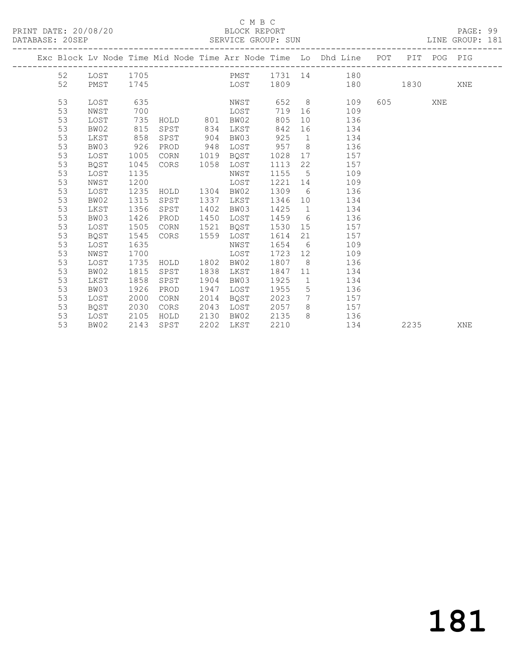#### C M B C

LINE GROUP: 181

| DAIADAJL. ZUJLF |    |      |      |          |     | SLKVICL GKUUF. SUN |         |      |                                                                |     |      |     | TIME GKAAR: TOT |  |
|-----------------|----|------|------|----------|-----|--------------------|---------|------|----------------------------------------------------------------|-----|------|-----|-----------------|--|
|                 |    |      |      |          |     |                    |         |      | Exc Block Ly Node Time Mid Node Time Arr Node Time Lo Dhd Line | POT | PIT  | POG | PIG             |  |
|                 | 52 | LOST | 1705 |          |     | PMST               | 1731 14 |      | 180                                                            |     |      |     |                 |  |
|                 | 52 | PMST | 1745 |          |     | LOST               | 1809    |      | 180                                                            |     | 1830 |     | XNE             |  |
|                 | 53 | LOST | 635  |          |     | NWST               | 652     | - 8  | 109                                                            | 605 |      | XNE |                 |  |
|                 | 53 | NWST | 700  |          |     | LOST               | 719     | - 16 | 109                                                            |     |      |     |                 |  |
|                 | 53 | LOST | 735  | HOLD     | 801 | BW02               | 805     | 10   | 136                                                            |     |      |     |                 |  |
|                 | 53 | BW02 |      | 815 SPST | 834 | LKST               | 842 16  |      | 134                                                            |     |      |     |                 |  |
|                 | 53 | LKST | 858  | SPST     | 904 | BW03               | 925     |      | 134                                                            |     |      |     |                 |  |
|                 | 53 | BW03 | 926  | PROD     | 948 | LOST               | 957     | 8    | 136                                                            |     |      |     |                 |  |
|                 |    |      |      |          |     |                    |         |      |                                                                |     |      |     |                 |  |

53 LOST 1005 CORN 1019 BQST 1028 17 157

 53 LOST 1135 NWST 1155 5 109 53 NWST 1200 LOST 1221 14 109

 53 BW02 1315 SPST 1337 LKST 1346 10 134 53 LKST 1356 SPST 1402 BW03 1425 1 134 53 BW03 1426 PROD 1450 LOST 1459 6 136 53 LOST 1505 CORN 1521 BQST 1530 15 157 53 BQST 1545 CORS 1559 LOST 1614 21 157 53 LOST 1635 NWST 1654 6 109 53 NWST 1700 LOST 1723 12 109

53 BW03 1926 PROD 1947 LOST 1955 5 136

53 BQST 1045 CORS 1058 LOST 1113 22 157

53 LOST 1235 HOLD 1304 BW02 1309 6 136

 53 LOST 1735 HOLD 1802 BW02 1807 8 136 53 BW02 1815 SPST 1838 LKST 1847 11 134 53 LKST 1858 SPST 1904 BW03 1925 1 134

 53 LOST 2000 CORN 2014 BQST 2023 7 157 53 BQST 2030 CORS 2043 LOST 2057 8 157 53 LOST 2105 HOLD 2130 BW02 2135 8 136

53 BW02 2143 SPST 2202 LKST 2210 134 2235 XNE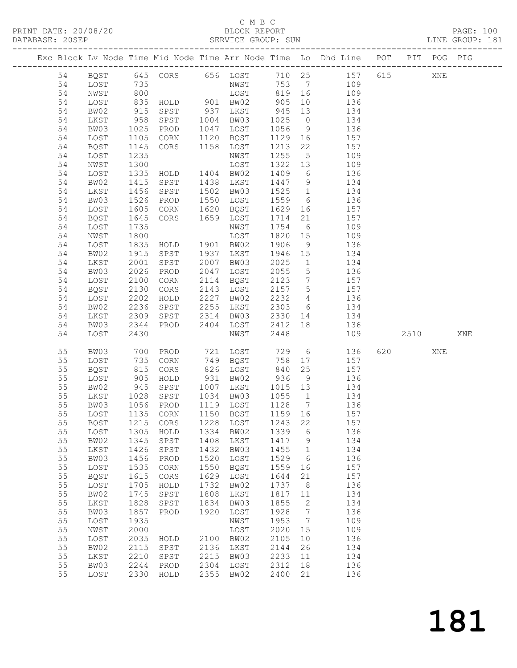#### C M B C<br>BLOCK REPORT

| PRINT DATE: 20/08/20<br>DATABASE: 20SEP                                |                                        |            | BLOCK REPORT<br>SERVICE GROUP: SUN |                                |    |                          |     |     | PAGE: 100<br>LINE GROUP: 181 |  |
|------------------------------------------------------------------------|----------------------------------------|------------|------------------------------------|--------------------------------|----|--------------------------|-----|-----|------------------------------|--|
| Exc Block Lv Node Time Mid Node Time Arr Node Time Lo Dhd Line POT PIT |                                        |            |                                    |                                |    |                          |     |     | POG PTG                      |  |
| BOST<br>54<br>LOST<br>54<br>NWST<br>54<br>T.O.S.T<br>54                | 645 CORS<br>735<br>800<br>835<br>HOT.D | 656<br>901 | LOST<br>NWST<br>LOST<br>BW02       | 710 25<br>753<br>819 16<br>905 | 10 | 157<br>109<br>109<br>136 | 615 | XNE |                              |  |

| 54 | BW02        | 915       | SPST          | 937       | LKST | 945    | 13              | 134 |     |      |     |     |
|----|-------------|-----------|---------------|-----------|------|--------|-----------------|-----|-----|------|-----|-----|
| 54 | LKST        | 958       | SPST          | 1004      | BW03 | 1025   | $\circ$         | 134 |     |      |     |     |
| 54 | BW03        | 1025      | PROD          | 1047      | LOST | 1056   | $\,9$           | 136 |     |      |     |     |
| 54 | LOST        | 1105      | CORN          | 1120      | BQST | 1129   | 16              | 157 |     |      |     |     |
| 54 | <b>BQST</b> | 1145      | $\mbox{CORS}$ | 1158      | LOST | 1213   | 22              | 157 |     |      |     |     |
| 54 | LOST        | 1235      |               |           | NWST | 1255   | $5\phantom{.0}$ | 109 |     |      |     |     |
| 54 | NWST        | 1300      |               |           | LOST | 1322   | 13              | 109 |     |      |     |     |
| 54 | LOST        | 1335      | HOLD          | 1404      | BW02 | 1409   | $\sqrt{6}$      | 136 |     |      |     |     |
| 54 | BW02        | 1415      | SPST          | 1438      | LKST | 1447   | 9               | 134 |     |      |     |     |
| 54 | LKST        | 1456      | SPST          | 1502      | BW03 | 1525   | $1\,$           | 134 |     |      |     |     |
|    |             |           |               |           |      |        |                 |     |     |      |     |     |
| 54 | BW03        | 1526      | PROD          | 1550      | LOST | 1559   | 6               | 136 |     |      |     |     |
| 54 | LOST        | 1605      | CORN          | 1620      | BQST | 1629   | 16              | 157 |     |      |     |     |
| 54 | <b>BQST</b> | 1645      | $\mbox{CORS}$ | 1659      | LOST | 1714   | 21              | 157 |     |      |     |     |
| 54 | LOST        | 1735      |               |           | NWST | 1754   | $6\,$           | 109 |     |      |     |     |
| 54 | NWST        | 1800      |               |           | LOST | 1820   | 15              | 109 |     |      |     |     |
| 54 | LOST        | 1835      | HOLD          | 1901      | BW02 | 1906   | $\overline{9}$  | 136 |     |      |     |     |
| 54 | BW02        | 1915      | SPST          | 1937      | LKST | 1946   | 15              | 134 |     |      |     |     |
| 54 | LKST        | 2001      | SPST          | 2007      | BW03 | 2025   | $\mathbf{1}$    | 134 |     |      |     |     |
| 54 | BW03        | 2026      | PROD          | 2047      | LOST | 2055   | $\mathsf S$     | 136 |     |      |     |     |
| 54 | LOST        | 2100      | CORN          | 2114      | BQST | 2123   | $7\phantom{.0}$ | 157 |     |      |     |     |
| 54 | <b>BQST</b> | 2130      | $\mbox{CORS}$ | 2143      | LOST | 2157   | $\mathsf S$     | 157 |     |      |     |     |
| 54 | LOST        | 2202      | HOLD          | 2227      | BW02 | 2232   | $\overline{4}$  | 136 |     |      |     |     |
| 54 | BW02        | 2236      | SPST          | 2255      | LKST | 2303   | $\sqrt{6}$      | 134 |     |      |     |     |
| 54 | LKST        | 2309      | SPST          | 2314      | BW03 | 2330   | 14              | 134 |     |      |     |     |
| 54 | BW03        | 2344      | PROD          | 2404      | LOST | 2412   | 18              | 136 |     |      |     |     |
| 54 | LOST        | 2430      |               |           | NWST | 2448   |                 | 109 |     | 2510 |     | XNE |
|    |             |           |               |           |      |        |                 |     |     |      |     |     |
| 55 | BW03        | 700       | PROD          | 721       | LOST | 729    | 6               | 136 | 620 |      | XNE |     |
| 55 | LOST        | 735       | CORN          | 749       | BQST | 758    | 17              | 157 |     |      |     |     |
| 55 | <b>BQST</b> | 815       | $\mbox{CORS}$ | 826       | LOST | 840    | 25              | 157 |     |      |     |     |
| 55 | LOST        | 905       | ${\tt HOLD}$  | 931       | BW02 | 936    | $\overline{9}$  | 136 |     |      |     |     |
| 55 | BW02        | 945       | ${\tt SPST}$  | 1007      | LKST | 1015   | 13              | 134 |     |      |     |     |
| 55 | LKST        | 1028      | SPST          | 1034      | BW03 | 1055   | $\mathbf{1}$    | 134 |     |      |     |     |
| 55 | BW03        | 1056      | PROD          | 1119      | LOST | 1128   | $7\phantom{.0}$ | 136 |     |      |     |     |
| 55 | LOST        | 1135      | CORN          | 1150      | BQST | 1159   | 16              | 157 |     |      |     |     |
| 55 | <b>BQST</b> | 1215      | $\mbox{CORS}$ | 1228      | LOST | 1243   | 22              | 157 |     |      |     |     |
| 55 | LOST        | 1305      | $\verb HOLD $ | 1334      | BW02 | 1339   | $\sqrt{6}$      | 136 |     |      |     |     |
| 55 | BW02        | 1345      | SPST          | 1408      | LKST | 1417   | $\,9$           | 134 |     |      |     |     |
| 55 | LKST        | 1426      | SPST          | 1432      | BW03 | 1455   | $\mathbf{1}$    | 134 |     |      |     |     |
| 55 | BW03        | 1456      | PROD          | 1520      | LOST | 1529   | 6               | 136 |     |      |     |     |
| 55 | LOST        | 1535      | CORN          | 1550      | BQST | 1559   | 16              | 157 |     |      |     |     |
| 55 | <b>BQST</b> | 1615      | $\rm{CORS}$   | 1629      | LOST | 1644   | 21              | 157 |     |      |     |     |
| 55 | LOST        | 1705 HOLD |               | 1732 BW02 |      | 1737 8 |                 | 136 |     |      |     |     |
| 55 | BW02        | 1745      | SPST          | 1808      | LKST | 1817   | 11              | 134 |     |      |     |     |
| 55 | LKST        | 1828      | SPST          | 1834      | BW03 | 1855   | 2               | 134 |     |      |     |     |
| 55 | BW03        | 1857 PROD |               | 1920      | LOST | 1928   | $7\phantom{.0}$ | 136 |     |      |     |     |
| 55 |             | 1935      |               |           | NWST | 1953   | $\overline{7}$  | 109 |     |      |     |     |
|    | LOST        |           |               |           |      |        |                 |     |     |      |     |     |
| 55 | NWST        | 2000      |               |           | LOST | 2020   | 15              | 109 |     |      |     |     |
| 55 | LOST        | 2035      | HOLD          | 2100      | BW02 | 2105   | 10              | 136 |     |      |     |     |
| 55 | BW02        | 2115      | SPST          | 2136      | LKST | 2144   | 26              | 134 |     |      |     |     |
| 55 | LKST        | 2210      | SPST          | 2215      | BW03 | 2233   | 11              | 134 |     |      |     |     |
| 55 | BW03        | 2244      | PROD          | 2304      | LOST | 2312   | 18              | 136 |     |      |     |     |
| 55 | LOST        | 2330      | HOLD          | 2355      | BW02 | 2400   | 21              | 136 |     |      |     |     |
|    |             |           |               |           |      |        |                 |     |     |      |     |     |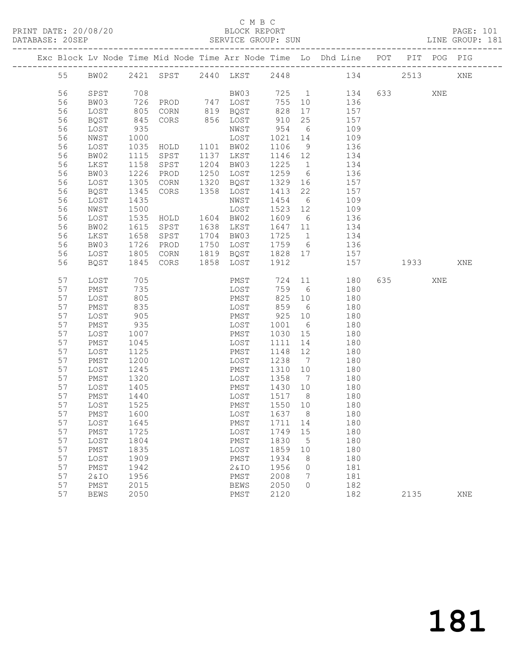#### C M B C<br>BLOCK REPORT

|  | DATABASE: 20SEP |                 |              |                                | SERVICE GROUP: SUN |                   |                 | LINE GROUP: 181                                                                |      |     |     |  |
|--|-----------------|-----------------|--------------|--------------------------------|--------------------|-------------------|-----------------|--------------------------------------------------------------------------------|------|-----|-----|--|
|  |                 |                 |              |                                |                    |                   |                 | Exc Block Lv Node Time Mid Node Time Arr Node Time Lo Dhd Line POT PIT POG PIG |      |     |     |  |
|  | 55              |                 |              |                                |                    |                   |                 | BW02 2421 SPST 2440 LKST 2448 134 2513 XNE                                     |      |     |     |  |
|  | 56              | SPST            | 708          |                                |                    |                   |                 | BW03 725 1 134                                                                 |      | XNE |     |  |
|  | 56              | BW03            |              |                                |                    | 755 10            |                 | 136                                                                            |      |     |     |  |
|  | 56              | LOST            | 726<br>805   |                                |                    | 828               |                 | 17<br>157                                                                      |      |     |     |  |
|  | 56              | BQST            | 845          | CORS 856 LOST                  |                    | 910               | 25              | 157                                                                            |      |     |     |  |
|  | 56              | LOST            | 935          |                                | NWST               | 954               | 6               | 109                                                                            |      |     |     |  |
|  | 56              | NWST            | 1000         |                                |                    | 1021 14           |                 | 109                                                                            |      |     |     |  |
|  | 56              | LOST            | 1035         | NWST<br>LOST<br>HOLD 1101 BW02 |                    | 1106              | 9               | 136                                                                            |      |     |     |  |
|  | 56              | BW02            | 1115         | SPST                           | 1137 LKST          | 1146 12           |                 | 134                                                                            |      |     |     |  |
|  | 56              | LKST            | 1158         | SPST                           | 1204 BW03          | 1225              | 1               | 134                                                                            |      |     |     |  |
|  | 56              | BW03            | 1226         | PROD                           | 1250 LOST          | 1259              | $6\overline{6}$ | 136                                                                            |      |     |     |  |
|  | 56              | LOST            | 1305         | CORN                           | 1320 BQST          | 1329              | 16              | 157                                                                            |      |     |     |  |
|  | 56              | BQST            | 1345         | CORS                           | 1358 LOST          | 1413              | 22              | 157                                                                            |      |     |     |  |
|  | 56              | LOST            | 1435         |                                | NWST               | 1454              | 6               | 109                                                                            |      |     |     |  |
|  | 56              | NWST            | 1500         |                                | LOST               | 1523 12           |                 | 109                                                                            |      |     |     |  |
|  | 56              | LOST            | 1535         |                                |                    | 1609 6            |                 | 136                                                                            |      |     |     |  |
|  | 56              | BW02            | 1615         | SPST                           | 1638 LKST          |                   |                 | 1647 11 134                                                                    |      |     |     |  |
|  | 56              | LKST            | 1658         | SPST                           | 1704 BW03          | 1725              |                 | $\mathbf{1}$<br>134                                                            |      |     |     |  |
|  | 56              | BW03            | 1726         | PROD                           | 1750 LOST          | 1759 6            |                 | 136                                                                            |      |     |     |  |
|  | 56              | LOST            | 1805         | CORN                           | 1819 BQST          | 1828 17           |                 | 157                                                                            |      |     |     |  |
|  | 56              | BQST            | 1845         | CORS                           | 1858 LOST          | 1912              |                 | 157                                                                            | 1933 |     | XNE |  |
|  | 57              | LOST            | 705          |                                | PMST               | 724               | 11              | 180                                                                            |      | XNE |     |  |
|  | 57              | PMST            | 735          |                                | LOST               | 759 6             |                 | 180                                                                            |      |     |     |  |
|  | 57              | LOST            | 805          |                                | PMST               |                   |                 | 825 10<br>180                                                                  |      |     |     |  |
|  | 57              | PMST            | 835          |                                | LOST               | 859               | 6               | 180                                                                            |      |     |     |  |
|  | 57              | LOST            | 905          |                                | PMST               | 925               | 10              | 180                                                                            |      |     |     |  |
|  | 57              | PMST            | 935          |                                | LOST               | 1001              | 6               | 180                                                                            |      |     |     |  |
|  | 57              | LOST            | 1007         |                                | PMST               | 1030              | 15              | 180                                                                            |      |     |     |  |
|  | 57              | PMST            | 1045         |                                | LOST               | 1111              | 14              | 180                                                                            |      |     |     |  |
|  | 57              | LOST            | 1125         |                                | PMST               | 1148              | 12              | 180                                                                            |      |     |     |  |
|  | 57              | PMST            | 1200         |                                | LOST               | 1238 7            |                 | 180                                                                            |      |     |     |  |
|  | 57              | LOST            | 1245         |                                | PMST               | 1310              | 10              | 180                                                                            |      |     |     |  |
|  | 57              | PMST            | 1320         |                                | LOST               | 1358              | $7\overline{ }$ | 180                                                                            |      |     |     |  |
|  | 57              | LOST            | 1405         |                                | PMST               | 1430              | 10              | 180                                                                            |      |     |     |  |
|  | 57<br>57        | PMST<br>LOST    | 1440<br>1525 |                                | LOST<br>PMST       | 1517 8<br>1550 10 |                 | 180<br>180                                                                     |      |     |     |  |
|  | 57              | PMST 1600       |              |                                |                    |                   |                 | LOST 1637 8 180                                                                |      |     |     |  |
|  |                 |                 |              |                                |                    |                   |                 |                                                                                |      |     |     |  |
|  | 57<br>57        | LOST            | 1645<br>1725 |                                | PMST               | 1711<br>1749      | 14<br>15        | 180<br>180                                                                     |      |     |     |  |
|  | 57              | PMST            | 1804         |                                | LOST               | 1830              |                 | 180                                                                            |      |     |     |  |
|  | 57              | LOST            |              |                                | PMST               |                   | 5               |                                                                                |      |     |     |  |
|  | 57              | PMST<br>LOST    | 1835<br>1909 |                                | LOST<br>PMST       | 1859<br>1934      | 10<br>8         | 180<br>180                                                                     |      |     |     |  |
|  | 57              | PMST            | 1942         |                                | 2&IO               | 1956              | 0               | 181                                                                            |      |     |     |  |
|  | 57              | <b>2&amp;IO</b> | 1956         |                                | PMST               | 2008              | 7               | 181                                                                            |      |     |     |  |
|  | 57              | PMST            | 2015         |                                | <b>BEWS</b>        | 2050              | $\circ$         | 182                                                                            |      |     |     |  |
|  | 57              | <b>BEWS</b>     | 2050         |                                | PMST               | 2120              |                 | 182                                                                            | 2135 |     | XNE |  |
|  |                 |                 |              |                                |                    |                   |                 |                                                                                |      |     |     |  |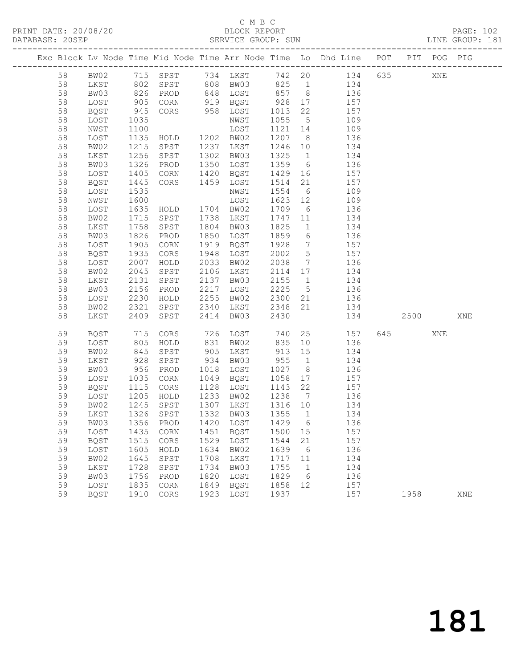## C M B C<br>BLOCK REPORT

LINE GROUP: 181

| DATABASE: 20SEP<br>SERVICE GROUP: SUN | PRINT DATE: 20/08/20 | BLOCK REPORT | PAGE: 102       |
|---------------------------------------|----------------------|--------------|-----------------|
|                                       |                      |              | LINE GROUP: 181 |

|    |                                 |            |                                             |      |                     |         |                 | Exc Block Lv Node Time Mid Node Time Arr Node Time Lo Dhd Line POT PIT POG PIG |     |      |     |     |
|----|---------------------------------|------------|---------------------------------------------|------|---------------------|---------|-----------------|--------------------------------------------------------------------------------|-----|------|-----|-----|
| 58 |                                 |            |                                             |      |                     |         |                 | BW02 715 SPST 734 LKST 742 20 134 635                                          |     |      | XNE |     |
| 58 | LKST                            | 802        |                                             |      | SPST 808 BW03 825 1 |         |                 | 134                                                                            |     |      |     |     |
| 58 | BW03                            | 826        | PROD                                        |      | 848 LOST 857 8      |         |                 | 136                                                                            |     |      |     |     |
| 58 | LOST                            | 905        | CORN                                        |      | 919 BQST            | 928     | 17              | 157                                                                            |     |      |     |     |
| 58 | BQST                            | 945        | CORS                                        |      | 958 LOST            | 1013    | 22              | 157                                                                            |     |      |     |     |
| 58 | LOST                            | 1035       |                                             |      | NWST                | 1055    | $5\overline{)}$ | 109                                                                            |     |      |     |     |
| 58 | NWST                            | 1100       |                                             |      | LOST                | 1121 14 |                 | 109                                                                            |     |      |     |     |
| 58 | LOST                            | 1135       | HOLD 1202 BW02                              |      |                     | 1207 8  |                 | 136                                                                            |     |      |     |     |
| 58 | BW02                            | 1215       | SPST                                        |      | 1237 LKST           | 1246 10 |                 | 134                                                                            |     |      |     |     |
| 58 | LKST                            | 1256       | SPST                                        |      | 1302 BW03           | 1325    | 1               | 134                                                                            |     |      |     |     |
| 58 | BW03                            | 1326       | PROD                                        |      | 1350 LOST           | 1359    | 6               | 136                                                                            |     |      |     |     |
| 58 | LOST                            | 1405       | CORN                                        | 1420 | BQST                | 1429    | 16              | 157                                                                            |     |      |     |     |
| 58 | BQST                            | 1445       | CORS                                        |      | 1459 LOST           | 1514    | 21              | 157                                                                            |     |      |     |     |
| 58 | LOST                            | 1535       |                                             |      | NWST                | 1554    | $6\overline{6}$ | 109                                                                            |     |      |     |     |
| 58 | NWST                            | 1600       |                                             |      | LOST                | 1623 12 |                 | 109                                                                            |     |      |     |     |
| 58 | LOST                            | 1635       | HOLD 1704 BW02                              |      |                     | 1709    | 6               | 136                                                                            |     |      |     |     |
| 58 | BW02                            | 1715       | SPST                                        |      | 1738 LKST           | 1747 11 |                 | 134                                                                            |     |      |     |     |
| 58 | LKST                            | 1758       | SPST                                        |      | 1804 BW03           | 1825    | 1               | 134                                                                            |     |      |     |     |
| 58 | BW03                            | 1826       | PROD                                        |      | 1850 LOST           | 1859    | $6\overline{6}$ | 136                                                                            |     |      |     |     |
| 58 | LOST                            | 1905       | CORN                                        | 1919 | BQST                | 1928    | $7\overline{ }$ | 157                                                                            |     |      |     |     |
| 58 | BQST                            | 1935       | CORS                                        | 1948 | LOST                | 2002    | 5 <sup>5</sup>  | 157                                                                            |     |      |     |     |
| 58 | LOST                            | 2007       | HOLD                                        | 2033 | BW02                | 2038    | $7\overline{ }$ | 136                                                                            |     |      |     |     |
| 58 | BW02                            | 2045       | SPST                                        | 2106 | LKST                | 2114 17 |                 | 134                                                                            |     |      |     |     |
| 58 | LKST                            | 2131       | SPST                                        | 2137 | BW03                | 2155    | $\overline{1}$  | 134                                                                            |     |      |     |     |
| 58 | BW03                            | 2156       | PROD                                        | 2217 | LOST                | 2225    | 5 <sup>5</sup>  | 136                                                                            |     |      |     |     |
| 58 | LOST                            | 2230       | HOLD                                        |      | 2255 BW02           | 2300 21 |                 | 136                                                                            |     |      |     |     |
| 58 | BW02                            | 2321       | SPST                                        |      | 2340 LKST           | 2348    | 21              | 134                                                                            |     |      |     |     |
| 58 | LKST                            | 2409       | SPST                                        | 2414 | BW03                | 2430    |                 |                                                                                | 134 | 2500 |     | XNE |
| 59 | BQST                            | 715<br>805 | CORS                                        |      | 726 LOST            | 740     |                 | 25 157                                                                         |     | 645  | XNE |     |
| 59 | LOST                            |            | HOLD                                        |      | 831 BW02            | 835     | 10              | 136                                                                            |     |      |     |     |
| 59 | BW02                            | 845        | SPST                                        |      | 905 LKST            | 913 15  |                 | 134                                                                            |     |      |     |     |
| 59 | LKST                            | 928        | SPST                                        | 934  | BW03                | 955     | 1               | 134                                                                            |     |      |     |     |
| 59 | BW03                            | 956        | PROD                                        |      | 1018 LOST           | 1027    | 8 <sup>8</sup>  | 136                                                                            |     |      |     |     |
| 59 | LOST                            | 1035       | CORN                                        |      | 1049 BQST           | 1058    | 17              | 157                                                                            |     |      |     |     |
| 59 | BQST                            | 1115       | CORS                                        |      | 1128 LOST           | 1143 22 |                 | 157                                                                            |     |      |     |     |
| 59 | LOST                            |            | 1205 HOLD<br>1245 SPST<br>1326 SPST<br>HOLD |      | 1233 BW02           | 1238    | $7\overline{)}$ | 136                                                                            |     |      |     |     |
| 59 | BW02                            |            |                                             |      | 1307 LKST           | 1316 10 |                 | 134                                                                            |     |      |     |     |
| 59 | LKST                            |            |                                             |      | 1332 BW03           | 1355    | $\overline{1}$  | 134                                                                            |     |      |     |     |
| 59 | BW03 1356 PROD 1420 LOST 1429 6 |            |                                             |      |                     |         |                 | 136                                                                            |     |      |     |     |
| 59 | LOST                            | 1435       | CORN                                        | 1451 | BQST                | 1500    | 15              | 157                                                                            |     |      |     |     |
| 59 | BQST                            | 1515       | CORS                                        | 1529 | LOST                | 1544    | 21              | 157                                                                            |     |      |     |     |
| 59 | LOST                            | 1605       | HOLD                                        | 1634 | BW02                | 1639    | 6               | 136                                                                            |     |      |     |     |
| 59 | BW02                            | 1645       | SPST                                        | 1708 | LKST                | 1717    | 11              | 134                                                                            |     |      |     |     |
| 59 | LKST                            | 1728       | SPST                                        | 1734 | BW03                | 1755    | 1               | 134                                                                            |     |      |     |     |
| 59 | BW03                            | 1756       | PROD                                        | 1820 | LOST                | 1829    | 6               | 136                                                                            |     |      |     |     |
| 59 | LOST                            | 1835       | CORN                                        | 1849 | BQST                | 1858    | 12              | 157                                                                            |     |      |     |     |
| 59 | BQST                            | 1910       | CORS                                        | 1923 | LOST                | 1937    |                 | 157                                                                            |     | 1958 |     | XNE |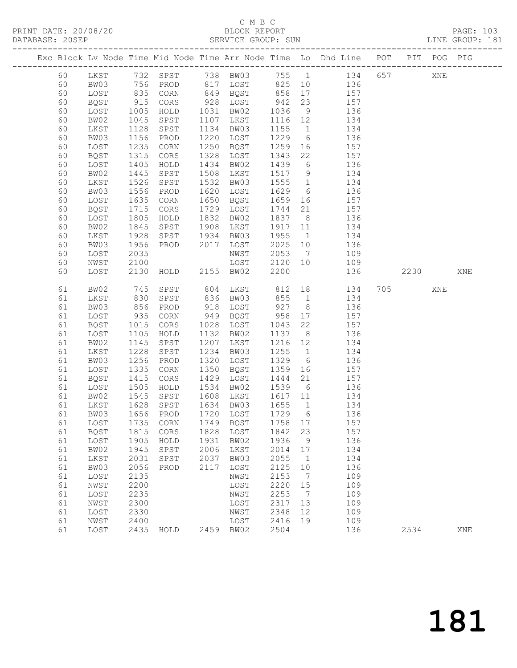## C M B C<br>BLOCK REPORT<br>SERVICE GROUP: SUN

| DATABASE: 20SEP |          |              |                    |                |              | SERVICE GROUP: SUN |              |                      | LINE GROUP: 181                                                                |           |     |     |  |
|-----------------|----------|--------------|--------------------|----------------|--------------|--------------------|--------------|----------------------|--------------------------------------------------------------------------------|-----------|-----|-----|--|
|                 |          |              |                    |                |              |                    |              |                      | Exc Block Lv Node Time Mid Node Time Arr Node Time Lo Dhd Line POT PIT POG PIG |           |     |     |  |
|                 | 60       |              |                    |                |              |                    |              |                      | LKST 732 SPST 738 BW03 755 1 134 657 XNE                                       |           |     |     |  |
|                 | 60       | BW03         | 756                |                |              |                    |              |                      | PROD 817 LOST 825 10 136                                                       |           |     |     |  |
|                 | 60       | LOST         |                    | CORN           |              | 849 BQST 858       |              |                      | $17 \qquad \qquad 157$                                                         |           |     |     |  |
|                 | 60       | BQST         |                    | CORS           |              | 928 LOST           | $858$<br>942 | 23                   | 157                                                                            |           |     |     |  |
|                 | 60       | LOST         | 835<br>915<br>1005 | HOLD           |              | 1031 BW02          | 1036         |                      | $\frac{15}{9}$ 136                                                             |           |     |     |  |
|                 | 60       | BW02         | 1045               | SPST           |              | 1107 LKST          | 1116 12      |                      | 134                                                                            |           |     |     |  |
|                 | 60       | LKST         | 1128               | SPST           |              | 1134 BW03          | 1155         | $\overline{1}$       | 134                                                                            |           |     |     |  |
|                 | 60       | BW03         | 1156               | PROD           |              | 1220 LOST          | 1229         | 6                    | 136                                                                            |           |     |     |  |
|                 | 60       | LOST         | 1235               | CORN           |              | 1250 BQST          | 1259         | 16                   | 157                                                                            |           |     |     |  |
|                 | 60       | BQST         | 1315               | CORS           | 1328         | LOST               | 1343         | 22                   | 157                                                                            |           |     |     |  |
|                 | 60       | LOST         | 1405               | HOLD           | 1434         | BW02               | 1439         | $6\overline{6}$      | 136                                                                            |           |     |     |  |
|                 | 60       | BW02         | 1445               | SPST           | 1508         | LKST               | 1517 9       |                      | 134                                                                            |           |     |     |  |
|                 | 60       | LKST         | 1526               | SPST           | 1532         | BW03               | 1555         | $\overline{1}$       | 134                                                                            |           |     |     |  |
|                 | 60       | BW03         | 1556               | PROD           | 1620         | LOST               | 1629         |                      | 6 136                                                                          |           |     |     |  |
|                 | 60       | LOST         | 1635               | CORN           | 1650         | BQST               | 1659         |                      | 16 157                                                                         |           |     |     |  |
|                 | 60       | BQST         | 1715               | CORS           |              | 1729 LOST          | 1744         | 21                   | 157                                                                            |           |     |     |  |
|                 | 60       | LOST         | 1805<br>1845       | HOLD           | 1832<br>1908 | BW02               | 1837 8       |                      | 136<br>134                                                                     |           |     |     |  |
|                 | 60<br>60 | BW02<br>LKST | 1928               | SPST<br>SPST   | 1934         | LKST<br>BW03       | 1917<br>1955 | 11<br>$\overline{1}$ | 134                                                                            |           |     |     |  |
|                 | 60       | BW03         | 1956               | PROD           | 2017         | LOST               | 2025         | 10                   | 136                                                                            |           |     |     |  |
|                 | 60       | LOST         | 2035               |                |              | NWST               | 2053         | $7\overline{ }$      | 109                                                                            |           |     |     |  |
|                 | 60       | NWST         | 2100               |                |              | LOST               | 2120         | 10                   | 109                                                                            |           |     |     |  |
|                 | 60       | LOST         | 2130               | HOLD 2155 BW02 |              |                    | 2200         |                      | 136                                                                            | 2230      |     | XNE |  |
|                 |          |              |                    |                |              |                    |              |                      |                                                                                |           |     |     |  |
|                 | 61       | BW02         | 745                | SPST           | 804          | LKST 812           |              |                      | 18 18<br>134                                                                   | 705 — 100 | XNE |     |  |
|                 | 61       | LKST         | 830                | SPST           |              | 836 BW03           | 855          |                      | 1<br>134                                                                       |           |     |     |  |
|                 | 61       | BW03         | 856                | PROD           | 918          | LOST               | 927          | 8 <sup>8</sup>       | 136                                                                            |           |     |     |  |
|                 | 61       | LOST         | 935<br>1015        | CORN           |              | 949 BQST           | 958          | 17                   | 157                                                                            |           |     |     |  |
|                 | 61       | BQST         |                    | CORS           |              | 1028 LOST          | 1043         | 22                   | 157                                                                            |           |     |     |  |
|                 | 61       | LOST         | 1105               | HOLD           |              | 1132 BW02          | 1137         |                      | 8 <sup>1</sup><br>136                                                          |           |     |     |  |
|                 | 61       | BW02         | 1145               | SPST           |              | 1207 LKST          | 1216 12      |                      | 134                                                                            |           |     |     |  |
|                 | 61       | LKST         | 1228               | SPST           | 1234         | BW03               | 1255         | $\overline{1}$       | 134                                                                            |           |     |     |  |
|                 | 61       | BW03         | 1256               | PROD           |              | 1320 LOST          | 1329         | 6                    | 136                                                                            |           |     |     |  |
|                 | 61       | LOST         | 1335               | CORN           | 1350         | BQST               | 1359         | 16                   | 157<br>157                                                                     |           |     |     |  |
|                 | 61<br>61 | BQST<br>LOST | 1415               | CORS<br>HOLD   | 1429<br>1534 | LOST<br>BW02       | 1444<br>1539 | 21<br>6              | 136                                                                            |           |     |     |  |
|                 | 61       | BW02         | 1505               | SPST           |              | 1608 LKST          | 1617 11      |                      | 134                                                                            |           |     |     |  |
|                 | 61       | LKST         | 1545<br>1628       | SPST           |              | 1634 BW03          | 1655         | $\overline{1}$       | 134                                                                            |           |     |     |  |
|                 | 61       |              |                    |                |              |                    |              |                      | BW03 1656 PROD 1720 LOST 1729 6 136                                            |           |     |     |  |
|                 | 61       | LOST         | 1735               | CORN           |              | 1749 BQST          | 1758 17      |                      | 157                                                                            |           |     |     |  |
|                 | 61       | <b>BQST</b>  | 1815               | CORS           |              | 1828 LOST          | 1842         | 23                   | 157                                                                            |           |     |     |  |
|                 | 61       | LOST         | 1905               | HOLD           | 1931         | BW02               | 1936         | 9                    | 136                                                                            |           |     |     |  |
|                 | 61       | BW02         | 1945               | SPST           | 2006         | LKST               | 2014         | 17                   | 134                                                                            |           |     |     |  |
|                 | 61       | LKST         | 2031               | SPST           | 2037         | BW03               | 2055         | $\overline{1}$       | 134                                                                            |           |     |     |  |
|                 | 61       | BW03         | 2056               | PROD           | 2117         | LOST               | 2125         | 10                   | 136                                                                            |           |     |     |  |
|                 | 61       | LOST         | 2135               |                |              | NWST               | 2153         | $\overline{7}$       | 109                                                                            |           |     |     |  |
|                 | 61       | NWST         | 2200               |                |              | LOST               | 2220         | 15                   | 109                                                                            |           |     |     |  |
|                 | 61       | LOST         | 2235               |                |              | NWST               | 2253         | $\overline{7}$       | 109                                                                            |           |     |     |  |
|                 | 61       | NWST         | 2300               |                |              | LOST               | 2317         | 13                   | 109                                                                            |           |     |     |  |
|                 | 61       | LOST         | 2330               |                |              | NWST               | 2348         | 12                   | 109                                                                            |           |     |     |  |
|                 | 61       | NWST         | 2400               |                |              | LOST               | 2416         | 19                   | 109                                                                            |           |     |     |  |
|                 | 61       | LOST         | 2435               | HOLD           |              | 2459 BW02          | 2504         |                      | 136                                                                            | 2534      |     | XNE |  |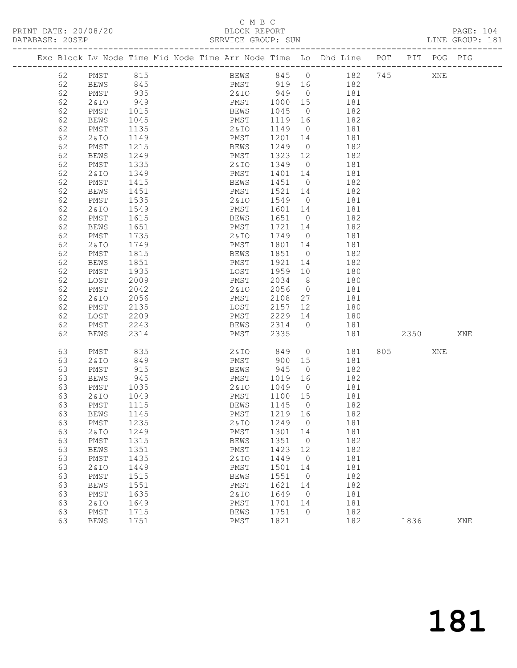#### C M B C<br>BLOCK BEPORT

| PRINT DATE: 20/08/20 | BLOCK REPORT       | PAGE: 104       |  |
|----------------------|--------------------|-----------------|--|
| DATABASE: 20SEP      | SERVICE GROUP: SUN | TINE GROUP: 181 |  |
|                      |                    |                 |  |

|  |          | Exc Block Lv Node Time Mid Node Time Arr Node Time Lo Dhd Line |              |  |                     |              |                          | POT        | PIT  | POG | PIG |
|--|----------|----------------------------------------------------------------|--------------|--|---------------------|--------------|--------------------------|------------|------|-----|-----|
|  | 62       | PMST                                                           | 815          |  | BEWS                | 845          | $\overline{0}$           | 182<br>745 |      | XNE |     |
|  | 62       | BEWS                                                           | 845          |  | PMST                | 919          | 16                       | 182        |      |     |     |
|  | 62       | PMST                                                           | 935          |  | 2&IO                | 949          | $\overline{0}$           | 181        |      |     |     |
|  | 62       | 2& IO                                                          | 949          |  | PMST                | 1000         | 15                       | 181        |      |     |     |
|  | 62       | PMST                                                           | 1015         |  | BEWS                | 1045         | $\overline{0}$           | 182        |      |     |     |
|  | 62       | BEWS                                                           | 1045         |  | PMST                | 1119         | 16                       | 182        |      |     |     |
|  | 62       | PMST                                                           | 1135         |  | 2 & IO              | 1149         | $\overline{0}$           | 181        |      |     |     |
|  | 62       | 2 & IO                                                         | 1149         |  | PMST                | 1201         | 14                       | 181        |      |     |     |
|  | 62       | PMST                                                           | 1215         |  | <b>BEWS</b>         | 1249         | $\overline{0}$           | 182        |      |     |     |
|  | 62       | <b>BEWS</b>                                                    | 1249         |  | PMST                | 1323         | 12                       | 182        |      |     |     |
|  | 62       | PMST                                                           | 1335         |  | 2&IO                | 1349         | $\overline{0}$           | 181        |      |     |     |
|  | 62       | 2 & IO                                                         | 1349         |  | PMST                | 1401         | 14                       | 181        |      |     |     |
|  | 62       | PMST                                                           | 1415         |  | BEWS                | 1451         | $\overline{0}$           | 182        |      |     |     |
|  | 62       | BEWS                                                           | 1451         |  | PMST                | 1521         | 14                       | 182        |      |     |     |
|  | 62       | PMST                                                           | 1535         |  | 2&10                | 1549         | $\overline{0}$           | 181        |      |     |     |
|  | 62       | 2& IO                                                          | 1549         |  | PMST                | 1601         | 14                       | 181        |      |     |     |
|  | 62       | PMST                                                           | 1615         |  | <b>BEWS</b>         | 1651         | $\overline{0}$           | 182        |      |     |     |
|  | 62       | <b>BEWS</b>                                                    | 1651         |  | PMST                | 1721         | 14                       | 182        |      |     |     |
|  | 62       | PMST                                                           | 1735         |  | 2 & IO              | 1749         | $\overline{0}$           | 181        |      |     |     |
|  | 62       | 2 & IO                                                         | 1749         |  | PMST                | 1801         | 14                       | 181        |      |     |     |
|  | 62       | PMST                                                           | 1815         |  | BEWS                | 1851         | $\overline{0}$           | 182        |      |     |     |
|  | 62       | BEWS                                                           | 1851         |  | PMST                | 1921         | 14                       | 182        |      |     |     |
|  | 62       | PMST                                                           | 1935         |  | LOST                | 1959         | 10                       | 180        |      |     |     |
|  | 62       | LOST                                                           | 2009         |  | PMST                | 2034         | 8 <sup>8</sup>           | 180        |      |     |     |
|  | 62       | PMST                                                           | 2042         |  | 2&IO                | 2056         | $\overline{0}$           | 181        |      |     |     |
|  | 62       | 2 & IO                                                         | 2056         |  | PMST                | 2108         | 27                       | 181        |      |     |     |
|  | 62       | PMST                                                           | 2135         |  | LOST                | 2157         | 12                       | 180        |      |     |     |
|  | 62       | LOST                                                           | 2209         |  | PMST                | 2229         | 14<br>$\overline{0}$     | 180        |      |     |     |
|  | 62<br>62 | PMST<br><b>BEWS</b>                                            | 2243<br>2314 |  | BEWS<br>PMST        | 2314<br>2335 |                          | 181<br>181 | 2350 |     | XNE |
|  |          |                                                                |              |  |                     |              |                          |            |      |     |     |
|  | 63       | PMST                                                           | 835          |  | 2&IO                | 849          | $\overline{0}$           | 805<br>181 |      | XNE |     |
|  | 63       | 2& IO                                                          | 849          |  | PMST                | 900          | 15                       | 181        |      |     |     |
|  | 63       | PMST                                                           | 915          |  | BEWS                | 945          | $\overline{0}$           | 182        |      |     |     |
|  | 63       | <b>BEWS</b>                                                    | 945          |  | PMST                | 1019         | 16                       | 182        |      |     |     |
|  | 63       | PMST                                                           | 1035         |  | 2 & IO              | 1049         | $\overline{\phantom{0}}$ | 181        |      |     |     |
|  | 63       | 2 & IO                                                         | 1049         |  | PMST                | 1100         | 15                       | 181        |      |     |     |
|  | 63       | PMST                                                           | 1115         |  | <b>BEWS</b>         | 1145         | $\overline{0}$           | 182        |      |     |     |
|  | 63       | BEWS                                                           | 1145         |  | PMST                | 1219         | 16                       | 182        |      |     |     |
|  | 63       | PMST                                                           | 1235         |  | 2 & IO              | 1249         | $\overline{0}$           | 181        |      |     |     |
|  | 63       | 2 & IO                                                         | 1249         |  | PMST                | 1301         | 14                       | 181        |      |     |     |
|  | 63       | PMST                                                           | 1315         |  | <b>BEWS</b>         | 1351<br>1423 | $\mathbb O$              | 182        |      |     |     |
|  | 63       | <b>BEWS</b>                                                    | 1351         |  | PMST<br>2&IO        |              | 12                       | 182        |      |     |     |
|  | 63<br>63 | PMST                                                           | 1435         |  |                     | 1449<br>1501 | $\circ$                  | 181<br>181 |      |     |     |
|  | 63       | 2 & IO<br>PMST                                                 | 1449<br>1515 |  | PMST                | 1551         | 14<br>$\circ$            | 182        |      |     |     |
|  | 63       | <b>BEWS</b>                                                    | 1551         |  | <b>BEWS</b><br>PMST | 1621         | 14                       | 182        |      |     |     |
|  | 63       | PMST                                                           | 1635         |  | <b>2&amp;IO</b>     | 1649         | $\circ$                  | 181        |      |     |     |
|  | 63       | <b>2&amp;IO</b>                                                | 1649         |  | PMST                | 1701         | 14                       | 181        |      |     |     |
|  | 63       | PMST                                                           | 1715         |  | <b>BEWS</b>         | 1751         | $\circ$                  | 182        |      |     |     |
|  | 63       | <b>BEWS</b>                                                    | 1751         |  | PMST                | 1821         |                          | 182        | 1836 |     | XNE |
|  |          |                                                                |              |  |                     |              |                          |            |      |     |     |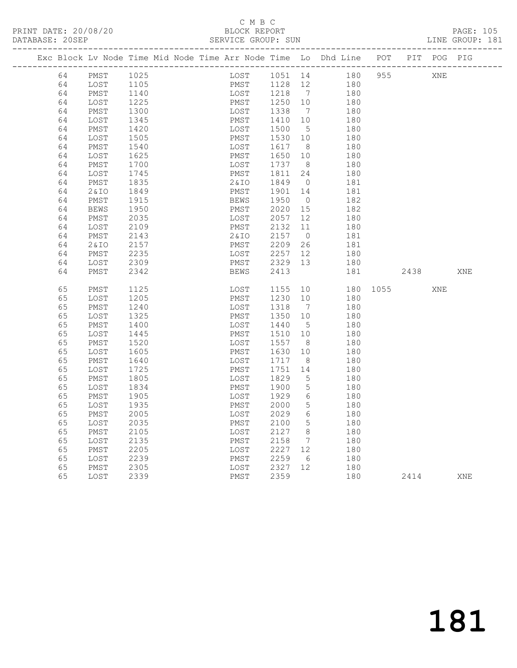#### C M B C<br>BLOCK REPORT SERVICE GROUP: SUN

|    |       | Exc Block Lv Node Time Mid Node Time Arr Node Time Lo Dhd Line POT PIT POG PIG |  |         |                                             |                 |     |     |                      |             |     |     |
|----|-------|--------------------------------------------------------------------------------|--|---------|---------------------------------------------|-----------------|-----|-----|----------------------|-------------|-----|-----|
| 64 | PMST  | 1025                                                                           |  |         |                                             |                 |     |     | LOST 1051 14 180 955 | XNE         |     |     |
| 64 | LOST  | 1105<br>1140                                                                   |  |         |                                             |                 |     |     |                      |             |     |     |
| 64 | PMST  |                                                                                |  |         | PMST 1128 12 180<br>LOST 1218 7 180         |                 |     |     |                      |             |     |     |
| 64 | LOST  |                                                                                |  |         |                                             |                 |     | 180 |                      |             |     |     |
| 64 | PMST  | 1225<br>1300                                                                   |  |         | PMST 1250 10<br>DMST 1250 10<br>LOST 1338 7 |                 |     | 180 |                      |             |     |     |
| 64 | LOST  | 1345                                                                           |  | PMST    | 1410                                        | 10              |     | 180 |                      |             |     |     |
| 64 | PMST  | 1420                                                                           |  | LOST    | 1500                                        | $5^{\circ}$     |     | 180 |                      |             |     |     |
| 64 | LOST  | 1505                                                                           |  | PMST    | 1530 10                                     |                 |     | 180 |                      |             |     |     |
| 64 | PMST  | 1540                                                                           |  | LOST    | 1617 8                                      |                 |     | 180 |                      |             |     |     |
| 64 | LOST  | 1625                                                                           |  | PMST    | 1650 10                                     |                 |     | 180 |                      |             |     |     |
| 64 | PMST  | 1700                                                                           |  | LOST    | 1737 8                                      |                 |     | 180 |                      |             |     |     |
| 64 | LOST  | 1745                                                                           |  | PMST    | 1811                                        | 24              |     | 180 |                      |             |     |     |
| 64 | PMST  | 1835                                                                           |  | 2 & I O | 1849 0                                      |                 |     | 181 |                      |             |     |     |
| 64 | 2& IO | 1849                                                                           |  | PMST    | 1901 14                                     |                 |     | 181 |                      |             |     |     |
| 64 | PMST  | 1915                                                                           |  | BEWS    | 1950                                        | $\overline{0}$  |     | 182 |                      |             |     |     |
| 64 | BEWS  | 1950                                                                           |  | PMST    | 2020 15                                     |                 |     | 182 |                      |             |     |     |
| 64 | PMST  | 2035                                                                           |  | LOST    | 2057 12                                     |                 |     | 180 |                      |             |     |     |
| 64 | LOST  | 2109                                                                           |  | PMST    | 2132 11                                     |                 |     | 180 |                      |             |     |     |
| 64 | PMST  | 2143                                                                           |  | 2&IO    | 2157 0                                      |                 |     | 181 |                      |             |     |     |
| 64 | 2& IO | 2157                                                                           |  | PMST    | 2209                                        | 26              |     | 181 |                      |             |     |     |
| 64 | PMST  | 2235                                                                           |  |         | LOST 2257 12<br>PMST 2329 13                |                 |     | 180 |                      |             |     |     |
| 64 | LOST  | 2309                                                                           |  |         |                                             |                 |     | 180 |                      |             |     |     |
| 64 | PMST  | 2342                                                                           |  | BEWS    | 2413                                        |                 |     | 181 |                      | 2438        |     | XNE |
|    |       |                                                                                |  |         |                                             |                 |     |     |                      |             |     |     |
| 65 | PMST  | 1125                                                                           |  |         | LOST 1155                                   |                 |     |     |                      | 10 180 1055 | XNE |     |
| 65 | LOST  | 1205                                                                           |  | PMST    | 1230                                        | 10              |     | 180 |                      |             |     |     |
| 65 | PMST  | 1240                                                                           |  | LOST    | 1318                                        | $7\overline{ }$ |     | 180 |                      |             |     |     |
| 65 | LOST  | 1325                                                                           |  | PMST    | 1350 10                                     |                 |     | 180 |                      |             |     |     |
| 65 | PMST  | 1400                                                                           |  | LOST    | 1440                                        | $5^{\circ}$     |     | 180 |                      |             |     |     |
| 65 | LOST  | 1445                                                                           |  | PMST    | 1510 10                                     |                 |     | 180 |                      |             |     |     |
| 65 | PMST  | 1520                                                                           |  | LOST    | 1557                                        | 8 <sup>8</sup>  |     | 180 |                      |             |     |     |
| 65 | LOST  | 1605                                                                           |  | PMST    | 1630                                        | 10              |     | 180 |                      |             |     |     |
| 65 | PMST  | 1640                                                                           |  | LOST    | 1717                                        | 8 <sup>8</sup>  |     | 180 |                      |             |     |     |
| 65 | LOST  | 1725                                                                           |  | PMST    | 1751                                        | 14              |     | 180 |                      |             |     |     |
| 65 | PMST  | 1805                                                                           |  | LOST    | 1829                                        | $5^{\circ}$     |     | 180 |                      |             |     |     |
| 65 | LOST  | 1834                                                                           |  | PMST    | 1900                                        | $5\overline{)}$ |     | 180 |                      |             |     |     |
| 65 | PMST  | 1905                                                                           |  | LOST    | 1929                                        | 6               |     | 180 |                      |             |     |     |
| 65 | LOST  | 1935                                                                           |  | PMST    | 2000                                        | $5\overline{)}$ |     | 180 |                      |             |     |     |
| 65 | PMST  | 2005                                                                           |  | LOST    | 2029                                        | 6               |     | 180 |                      |             |     |     |
| 65 | LOST  | 2035                                                                           |  | PMST    | 2100                                        | 5 <sup>5</sup>  |     | 180 |                      |             |     |     |
| 65 | PMST  | 2105                                                                           |  | LOST    | 2127                                        | 8 <sup>8</sup>  |     | 180 |                      |             |     |     |
| 65 | LOST  | 2135                                                                           |  | PMST    | 2158                                        | $7\overline{ }$ |     | 180 |                      |             |     |     |
| 65 | PMST  | 2205                                                                           |  | LOST    | 2227 12                                     |                 |     | 180 |                      |             |     |     |
| 65 | LOST  | 2239                                                                           |  | PMST    | 2259                                        | 6               |     | 180 |                      |             |     |     |
| 65 | PMST  | 2305                                                                           |  | LOST    | 2327 12                                     |                 | 180 |     |                      |             |     |     |
| 65 | LOST  | 2339                                                                           |  | PMST    | 2359                                        |                 |     | 180 |                      | 2414        |     | XNE |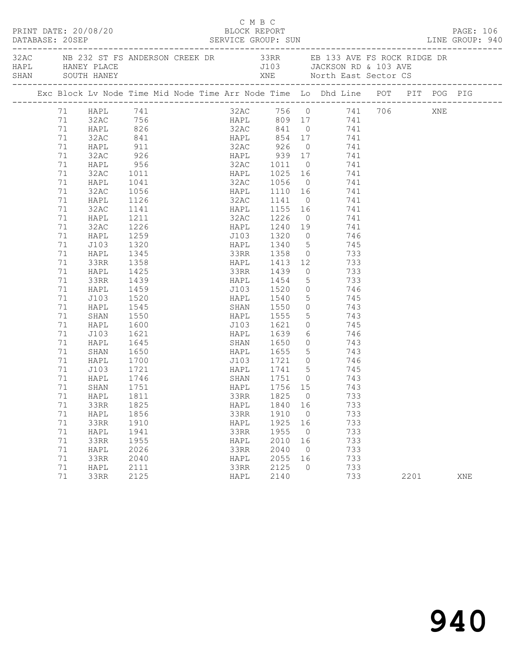|  | DATABASE: 20SEP | PRINT DATE: 20/08/20                 |                      |  |      | C M B C | BLOCK REPORT                |                |                                                                                                                                                                                                                                                                                                                                         |      | PAGE: 106<br>DATABASE: 20SEP SERVICE GROUP: SUN LINE GROUP: 940 |
|--|-----------------|--------------------------------------|----------------------|--|------|---------|-----------------------------|----------------|-----------------------------------------------------------------------------------------------------------------------------------------------------------------------------------------------------------------------------------------------------------------------------------------------------------------------------------------|------|-----------------------------------------------------------------|
|  |                 | HAPL HANEY PLACE<br>SHAN SOUTH HANEY |                      |  |      |         |                             |                | 32AC NB 232 ST FS ANDERSON CREEK DR 33RR EB 133 AVE FS ROCK RIDGE DR<br>J103 JACKSON RD & 103 AVE                                                                                                                                                                                                                                       |      |                                                                 |
|  |                 |                                      |                      |  |      |         |                             |                | Exc Block Lv Node Time Mid Node Time Arr Node Time Lo Dhd Line POT PIT POG PIG                                                                                                                                                                                                                                                          |      |                                                                 |
|  |                 |                                      |                      |  |      |         |                             |                | 32AC 756 0 741 706 XNE<br>HAPL 809 17 741<br>32AC 841 0 741<br>1 HAPL 741<br>1 HAPL 741<br>22AC 756<br>23AC 756<br>23AC 756<br>23AC 756<br>23AC 841<br>23AC 841<br>23AC 841<br>23AC 841<br>23AC 841<br>23AC 841<br>23AC 841<br>23AC 841<br>23AC 841<br>23AC 926<br>23AC 926<br>23AC 926<br>23AC 926<br>23AC 926<br>23AC 926<br>23AC 926 |      |                                                                 |
|  |                 |                                      |                      |  |      |         |                             |                |                                                                                                                                                                                                                                                                                                                                         |      |                                                                 |
|  |                 |                                      |                      |  |      |         |                             |                |                                                                                                                                                                                                                                                                                                                                         |      |                                                                 |
|  |                 |                                      |                      |  |      |         |                             |                |                                                                                                                                                                                                                                                                                                                                         |      |                                                                 |
|  |                 |                                      |                      |  |      |         |                             |                |                                                                                                                                                                                                                                                                                                                                         |      |                                                                 |
|  |                 |                                      |                      |  |      |         |                             |                |                                                                                                                                                                                                                                                                                                                                         |      |                                                                 |
|  |                 |                                      |                      |  |      |         |                             |                |                                                                                                                                                                                                                                                                                                                                         |      |                                                                 |
|  |                 |                                      |                      |  |      |         |                             |                |                                                                                                                                                                                                                                                                                                                                         |      |                                                                 |
|  | 71              | HAPL                                 | 1041                 |  |      |         |                             |                | 32AC 1056 0 741                                                                                                                                                                                                                                                                                                                         |      |                                                                 |
|  | 71              | 32AC<br>HAPL                         | 1056<br>1126<br>1141 |  |      |         | HAPL 1110 16<br>32AC 1141 0 |                | $741$                                                                                                                                                                                                                                                                                                                                   |      |                                                                 |
|  | 71              |                                      |                      |  |      |         |                             |                | 741                                                                                                                                                                                                                                                                                                                                     |      |                                                                 |
|  | 71              | 32AC                                 |                      |  |      |         |                             |                | HAPL 1155 16 741                                                                                                                                                                                                                                                                                                                        |      |                                                                 |
|  | 71              | HAPL                                 | 1211                 |  |      |         | 32AC 1226                   |                | $0$ 741                                                                                                                                                                                                                                                                                                                                 |      |                                                                 |
|  | 71              | 32AC                                 | 1226                 |  |      |         |                             |                |                                                                                                                                                                                                                                                                                                                                         |      |                                                                 |
|  | 71              | HAPL                                 | 1259<br>1320         |  |      |         |                             |                |                                                                                                                                                                                                                                                                                                                                         |      |                                                                 |
|  | 71              | J103                                 |                      |  |      |         |                             |                | HAPL 1340 5 745                                                                                                                                                                                                                                                                                                                         |      |                                                                 |
|  | 71              | HAPL                                 | 1345                 |  |      |         |                             |                | 33RR 1358 0 733                                                                                                                                                                                                                                                                                                                         |      |                                                                 |
|  | 71              | 33RR                                 | 1358                 |  |      |         |                             |                | 12 1413 12 733<br>33RR 1439 0 733<br>1454 5 733                                                                                                                                                                                                                                                                                         |      |                                                                 |
|  | 71              | HAPL                                 | 1425<br>1439         |  |      |         |                             |                |                                                                                                                                                                                                                                                                                                                                         |      |                                                                 |
|  | 71              | 33RR                                 |                      |  |      |         |                             |                |                                                                                                                                                                                                                                                                                                                                         |      |                                                                 |
|  | 71              | HAPL                                 | 1459                 |  |      |         |                             |                | J103 1520 0 746                                                                                                                                                                                                                                                                                                                         |      |                                                                 |
|  | 71              | J103                                 | 1520                 |  |      |         | HAPL 1540                   |                | 5 745                                                                                                                                                                                                                                                                                                                                   |      |                                                                 |
|  | 71              | HAPL                                 | 1545                 |  |      |         | SHAN 1550<br>HAPL 1555      | $\overline{0}$ | $\begin{array}{ccc} 0 & 743 \\ 5 & 743 \end{array}$                                                                                                                                                                                                                                                                                     |      |                                                                 |
|  | 71              | SHAN                                 | 1550                 |  |      |         |                             |                |                                                                                                                                                                                                                                                                                                                                         |      |                                                                 |
|  | 71              | HAPL                                 | 1600                 |  |      |         | J103 1621                   |                | 0 745                                                                                                                                                                                                                                                                                                                                   |      |                                                                 |
|  | 71              | J103                                 | 1621                 |  |      |         | HAPL 1639                   |                | 6 746                                                                                                                                                                                                                                                                                                                                   |      |                                                                 |
|  | 71<br>71        | HAPL                                 |                      |  |      |         |                             |                |                                                                                                                                                                                                                                                                                                                                         |      |                                                                 |
|  | 71              | SHAN<br>HAPL                         |                      |  |      |         |                             |                |                                                                                                                                                                                                                                                                                                                                         |      |                                                                 |
|  | 71              | J103                                 | 1721                 |  |      |         |                             |                |                                                                                                                                                                                                                                                                                                                                         |      |                                                                 |
|  | 71              | HAPL                                 |                      |  |      |         |                             |                | HAPL 1741 5 745                                                                                                                                                                                                                                                                                                                         |      |                                                                 |
|  | 71              | SHAN                                 | 1746<br>1751         |  |      |         | SHAN 1751 0<br>HAPL 1756 15 |                | 743<br>743                                                                                                                                                                                                                                                                                                                              |      |                                                                 |
|  | 71              | HAPL 1811                            |                      |  |      |         | 33RR 1825 0                 |                | 733                                                                                                                                                                                                                                                                                                                                     |      |                                                                 |
|  | 71              | 33RR                                 | 1825                 |  | HAPL |         | 1840 16                     |                | 733                                                                                                                                                                                                                                                                                                                                     |      |                                                                 |
|  | 71              | HAPL                                 | 1856                 |  | 33RR |         | 1910                        | $\overline{0}$ | 733                                                                                                                                                                                                                                                                                                                                     |      |                                                                 |
|  | 71              | 33RR                                 | 1910                 |  | HAPL |         | 1925                        | 16             | 733                                                                                                                                                                                                                                                                                                                                     |      |                                                                 |
|  | 71              | HAPL                                 | 1941                 |  | 33RR |         | 1955                        | $\overline{0}$ | 733                                                                                                                                                                                                                                                                                                                                     |      |                                                                 |
|  | 71              | 33RR                                 | 1955                 |  | HAPL |         | 2010                        | 16             | 733                                                                                                                                                                                                                                                                                                                                     |      |                                                                 |
|  | 71              | HAPL                                 | 2026                 |  | 33RR |         | 2040                        | $\overline{0}$ | 733                                                                                                                                                                                                                                                                                                                                     |      |                                                                 |
|  | 71              | 33RR                                 | 2040                 |  | HAPL |         | 2055                        | 16             | 733                                                                                                                                                                                                                                                                                                                                     |      |                                                                 |
|  | 71              | HAPL                                 | 2111                 |  | 33RR |         | 2125                        | 0              | 733                                                                                                                                                                                                                                                                                                                                     |      |                                                                 |
|  | 71              | 33RR                                 | 2125                 |  | HAPL |         | 2140                        |                | 733                                                                                                                                                                                                                                                                                                                                     | 2201 | XNE                                                             |
|  |                 |                                      |                      |  |      |         |                             |                |                                                                                                                                                                                                                                                                                                                                         |      |                                                                 |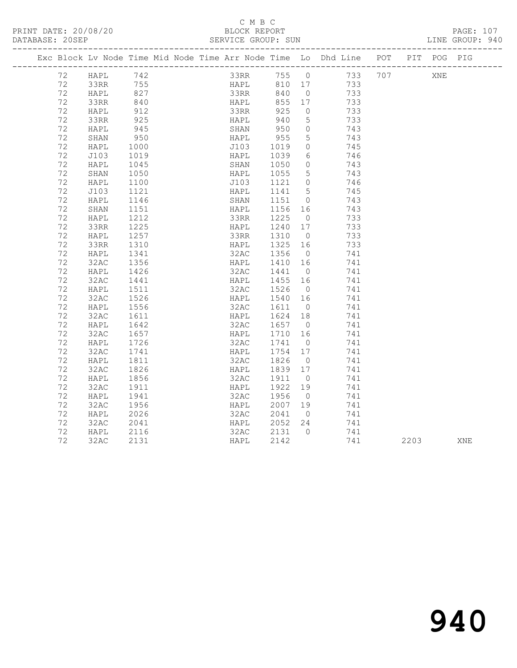#### C M B C<br>BLOCK REPORT

| PRINT DATE: 20/08/20<br>DATABASE: 20SEP |  |            |                    |  |                                 | BLOCK REPORT | SERVICE GROUP: SUN |  |                                           |                                                                                | PAGE: 107<br>LINE GROUP: 940 |  |     |  |  |
|-----------------------------------------|--|------------|--------------------|--|---------------------------------|--------------|--------------------|--|-------------------------------------------|--------------------------------------------------------------------------------|------------------------------|--|-----|--|--|
|                                         |  |            |                    |  |                                 |              |                    |  |                                           | Exc Block Ly Node Time Mid Node Time Arr Node Time Lo Dhd Line POT PIT POG PIG |                              |  |     |  |  |
|                                         |  | 72<br>$ -$ | HAPL.<br>$\hat{ }$ |  | 742<br>$\overline{\phantom{m}}$ |              | --- - - -          |  | 33RR 755 0<br>$\sim$ $\sim$ $\sim$ $\sim$ | 733 707<br>$- - -$                                                             |                              |  | XNE |  |  |

| 12 | пдгы                  | 74 Z | ユカしし | 7 J J J J J |                 |     | 101 |      | VIATI |  |
|----|-----------------------|------|------|-------------|-----------------|-----|-----|------|-------|--|
| 72 | 33RR                  | 755  | HAPL | 810         | 17              | 733 |     |      |       |  |
| 72 | HAPL                  | 827  | 33RR | 840         | $\overline{0}$  | 733 |     |      |       |  |
| 72 | 33RR                  | 840  | HAPL | 855         | 17              | 733 |     |      |       |  |
| 72 | HAPL                  | 912  | 33RR | 925         | $\circledcirc$  | 733 |     |      |       |  |
| 72 | 33RR                  | 925  | HAPL | 940         | $\mathsf S$     | 733 |     |      |       |  |
| 72 | HAPL                  | 945  | SHAN | 950         | $\circledcirc$  | 743 |     |      |       |  |
| 72 | SHAN                  | 950  | HAPL | 955         | 5               | 743 |     |      |       |  |
| 72 | HAPL                  | 1000 | J103 | 1019        | $\circ$         | 745 |     |      |       |  |
| 72 | J103                  | 1019 | HAPL | 1039        | 6               | 746 |     |      |       |  |
| 72 | HAPL                  | 1045 | SHAN | 1050        | $\circ$         | 743 |     |      |       |  |
| 72 | $\operatorname{SHAN}$ | 1050 | HAPL | 1055        | 5               | 743 |     |      |       |  |
| 72 | HAPL                  | 1100 | J103 | 1121        | $\circledcirc$  | 746 |     |      |       |  |
| 72 | J103                  | 1121 | HAPL | 1141        | $5\phantom{.0}$ | 745 |     |      |       |  |
| 72 | HAPL                  | 1146 | SHAN | 1151        | $\circ$         | 743 |     |      |       |  |
| 72 | SHAN                  | 1151 | HAPL | 1156        | 16              | 743 |     |      |       |  |
| 72 | HAPL                  | 1212 | 33RR | 1225        | $\circ$         | 733 |     |      |       |  |
| 72 | 33RR                  | 1225 | HAPL | 1240        | 17              | 733 |     |      |       |  |
| 72 | HAPL                  | 1257 | 33RR | 1310        | $\overline{0}$  | 733 |     |      |       |  |
| 72 | 33RR                  | 1310 | HAPL | 1325        | 16              | 733 |     |      |       |  |
| 72 | HAPL                  | 1341 | 32AC | 1356        | $\overline{0}$  | 741 |     |      |       |  |
| 72 | 32AC                  | 1356 | HAPL | 1410        | 16              | 741 |     |      |       |  |
| 72 | HAPL                  | 1426 | 32AC | 1441        | $\overline{O}$  | 741 |     |      |       |  |
| 72 | 32AC                  | 1441 | HAPL | 1455        | 16              | 741 |     |      |       |  |
| 72 | HAPL                  | 1511 | 32AC | 1526        | $\overline{0}$  | 741 |     |      |       |  |
| 72 | 32AC                  | 1526 | HAPL | 1540        | 16              | 741 |     |      |       |  |
| 72 | HAPL                  | 1556 | 32AC | 1611        | $\overline{0}$  | 741 |     |      |       |  |
| 72 | 32AC                  | 1611 | HAPL | 1624        | 18              | 741 |     |      |       |  |
| 72 | HAPL                  | 1642 | 32AC | 1657        | $\overline{0}$  | 741 |     |      |       |  |
| 72 | 32AC                  | 1657 | HAPL | 1710        | 16              | 741 |     |      |       |  |
| 72 | HAPL                  | 1726 | 32AC | 1741        | $\overline{0}$  | 741 |     |      |       |  |
| 72 | 32AC                  | 1741 | HAPL | 1754        | 17              | 741 |     |      |       |  |
| 72 | HAPL                  | 1811 | 32AC | 1826        | $\overline{0}$  | 741 |     |      |       |  |
| 72 | 32AC                  | 1826 | HAPL | 1839        | 17              | 741 |     |      |       |  |
| 72 | HAPL                  | 1856 | 32AC | 1911        | $\overline{0}$  | 741 |     |      |       |  |
| 72 | 32AC                  | 1911 | HAPL | 1922        | 19              | 741 |     |      |       |  |
| 72 | HAPL                  | 1941 | 32AC | 1956        | $\overline{0}$  | 741 |     |      |       |  |
| 72 | 32AC                  | 1956 | HAPL | 2007        | 19              | 741 |     |      |       |  |
| 72 | HAPL                  | 2026 | 32AC | 2041        | $\overline{0}$  | 741 |     |      |       |  |
| 72 | 32AC                  | 2041 | HAPL | 2052        | 24              | 741 |     |      |       |  |
| 72 | HAPL                  | 2116 | 32AC | 2131        | $\overline{0}$  | 741 |     |      |       |  |
| 72 | 32AC                  | 2131 | HAPL | 2142        |                 | 741 |     | 2203 | XNE   |  |
|    |                       |      |      |             |                 |     |     |      |       |  |